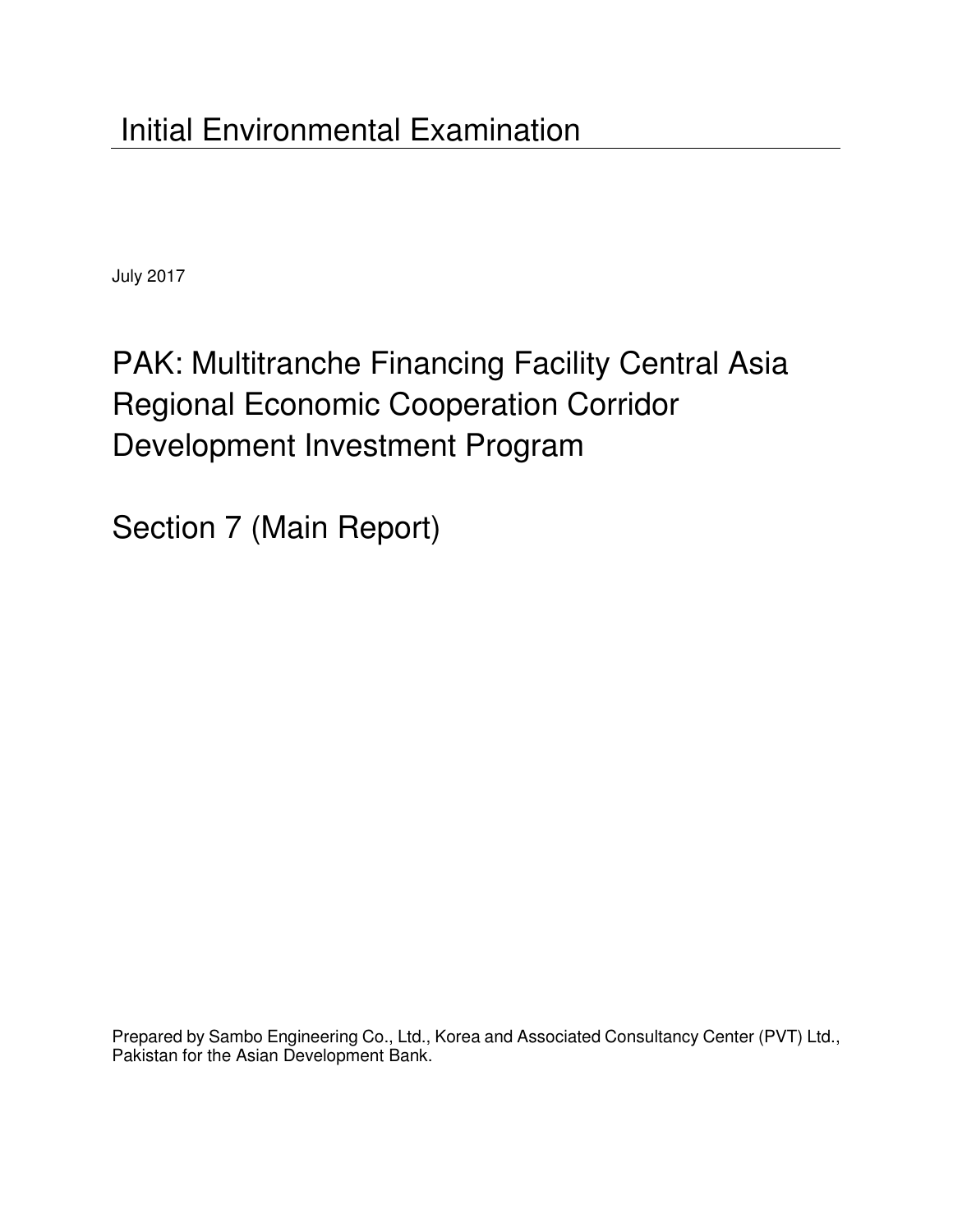July 2017

# PAK: Multitranche Financing Facility Central Asia Regional Economic Cooperation Corridor Development Investment Program

Section 7 (Main Report)

Prepared by Sambo Engineering Co., Ltd., Korea and Associated Consultancy Center (PVT) Ltd., Pakistan for the Asian Development Bank.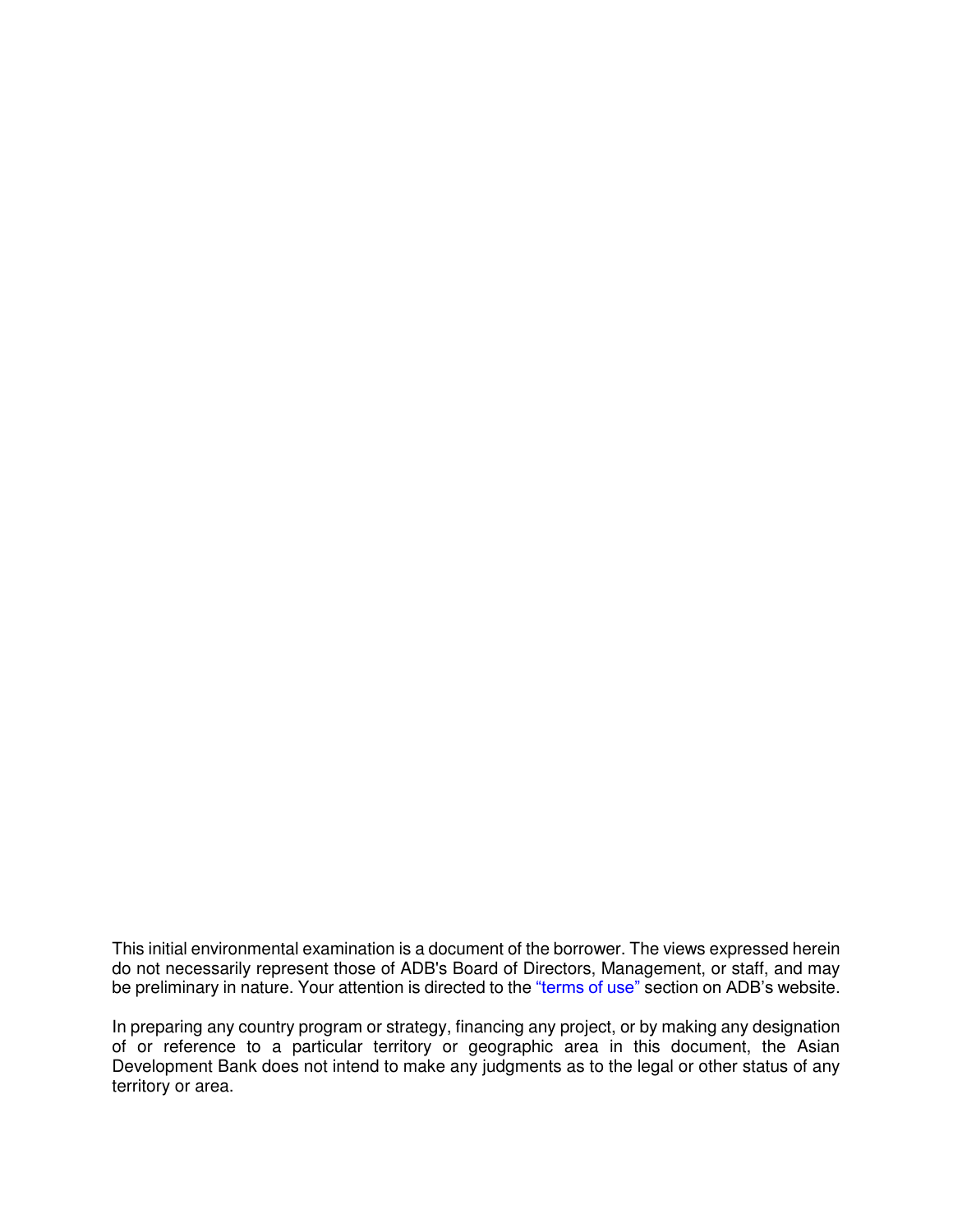This initial environmental examination is a document of the borrower. The views expressed herein do not necessarily represent those of ADB's Board of Directors, Management, or staff, and may be preliminary in nature. Your attention is directed to the ["terms of use"](http://www.adb.org/terms-use) section on ADB's website.

In preparing any country program or strategy, financing any project, or by making any designation of or reference to a particular territory or geographic area in this document, the Asian Development Bank does not intend to make any judgments as to the legal or other status of any territory or area.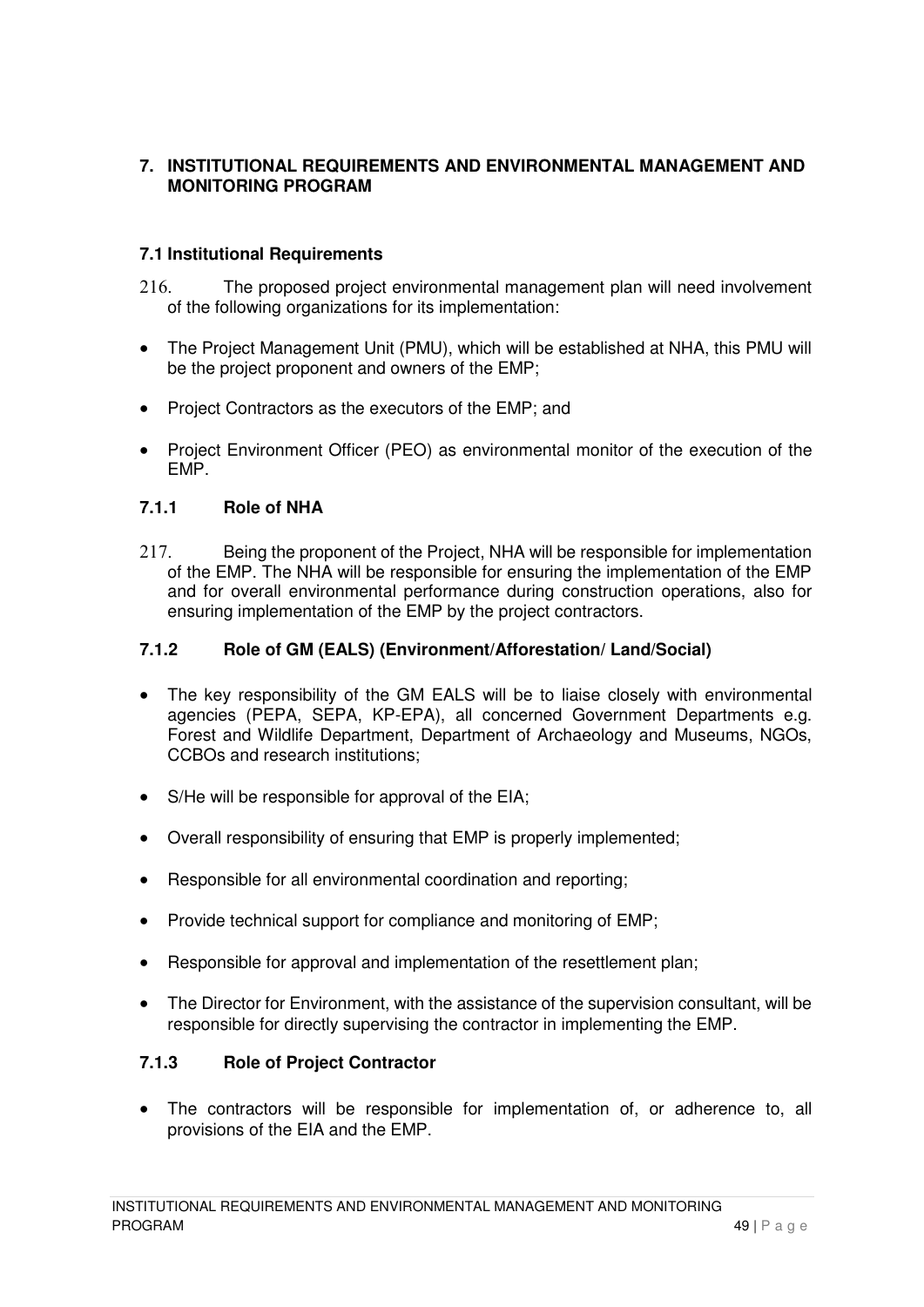## **7. INSTITUTIONAL REQUIREMENTS AND ENVIRONMENTAL MANAGEMENT AND MONITORING PROGRAM**

#### **7.1 Institutional Requirements**

- 216. The proposed project environmental management plan will need involvement of the following organizations for its implementation:
- The Project Management Unit (PMU), which will be established at NHA, this PMU will be the project proponent and owners of the EMP:
- Project Contractors as the executors of the EMP; and
- Project Environment Officer (PEO) as environmental monitor of the execution of the EMP.

#### **7.1.1 Role of NHA**

217. Being the proponent of the Project, NHA will be responsible for implementation of the EMP. The NHA will be responsible for ensuring the implementation of the EMP and for overall environmental performance during construction operations, also for ensuring implementation of the EMP by the project contractors.

## **7.1.2 Role of GM (EALS) (Environment/Afforestation/ Land/Social)**

- The key responsibility of the GM EALS will be to liaise closely with environmental agencies (PEPA, SEPA, KP-EPA), all concerned Government Departments e.g. Forest and Wildlife Department, Department of Archaeology and Museums, NGOs, CCBOs and research institutions;
- S/He will be responsible for approval of the EIA;
- Overall responsibility of ensuring that EMP is properly implemented;
- Responsible for all environmental coordination and reporting;
- Provide technical support for compliance and monitoring of EMP;
- Responsible for approval and implementation of the resettlement plan;
- The Director for Environment, with the assistance of the supervision consultant, will be responsible for directly supervising the contractor in implementing the EMP.

#### **7.1.3 Role of Project Contractor**

 The contractors will be responsible for implementation of, or adherence to, all provisions of the EIA and the EMP.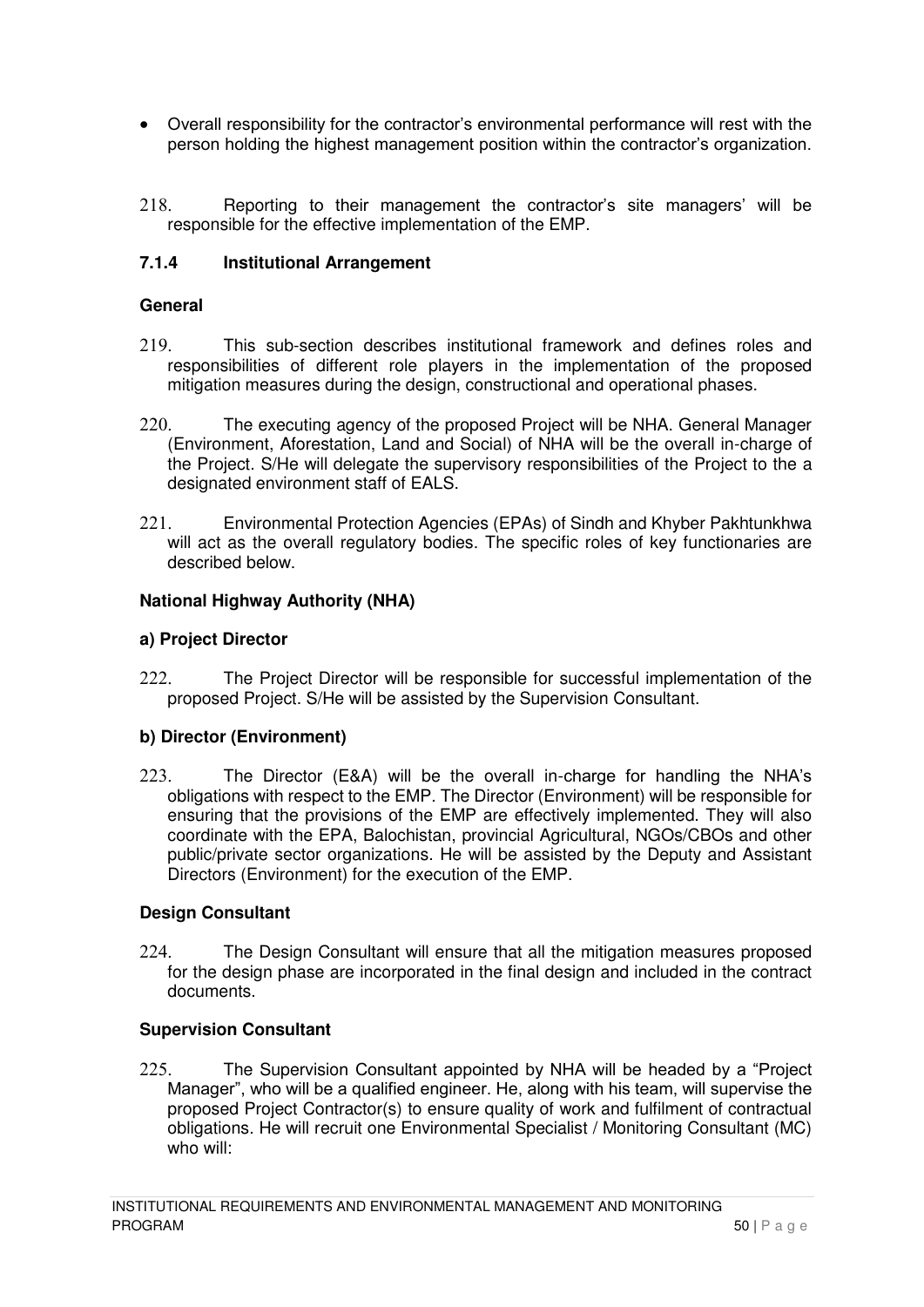- Overall responsibility for the contractor's environmental performance will rest with the person holding the highest management position within the contractor's organization.
- 218. Reporting to their management the contractor's site managers' will be responsible for the effective implementation of the EMP.

# **7.1.4 Institutional Arrangement**

#### **General**

- 219. This sub-section describes institutional framework and defines roles and responsibilities of different role players in the implementation of the proposed mitigation measures during the design, constructional and operational phases.
- 220. The executing agency of the proposed Project will be NHA. General Manager (Environment, Aforestation, Land and Social) of NHA will be the overall in-charge of the Project. S/He will delegate the supervisory responsibilities of the Project to the a designated environment staff of EALS.
- 221. Environmental Protection Agencies (EPAs) of Sindh and Khyber Pakhtunkhwa will act as the overall regulatory bodies. The specific roles of key functionaries are described below.

#### **National Highway Authority (NHA)**

#### **a) Project Director**

222. The Project Director will be responsible for successful implementation of the proposed Project. S/He will be assisted by the Supervision Consultant.

#### **b) Director (Environment)**

223. The Director (E&A) will be the overall in-charge for handling the NHA's obligations with respect to the EMP. The Director (Environment) will be responsible for ensuring that the provisions of the EMP are effectively implemented. They will also coordinate with the EPA, Balochistan, provincial Agricultural, NGOs/CBOs and other public/private sector organizations. He will be assisted by the Deputy and Assistant Directors (Environment) for the execution of the EMP.

#### **Design Consultant**

224. The Design Consultant will ensure that all the mitigation measures proposed for the design phase are incorporated in the final design and included in the contract documents.

#### **Supervision Consultant**

225. The Supervision Consultant appointed by NHA will be headed by a "Project Manager", who will be a qualified engineer. He, along with his team, will supervise the proposed Project Contractor(s) to ensure quality of work and fulfilment of contractual obligations. He will recruit one Environmental Specialist / Monitoring Consultant (MC) who will: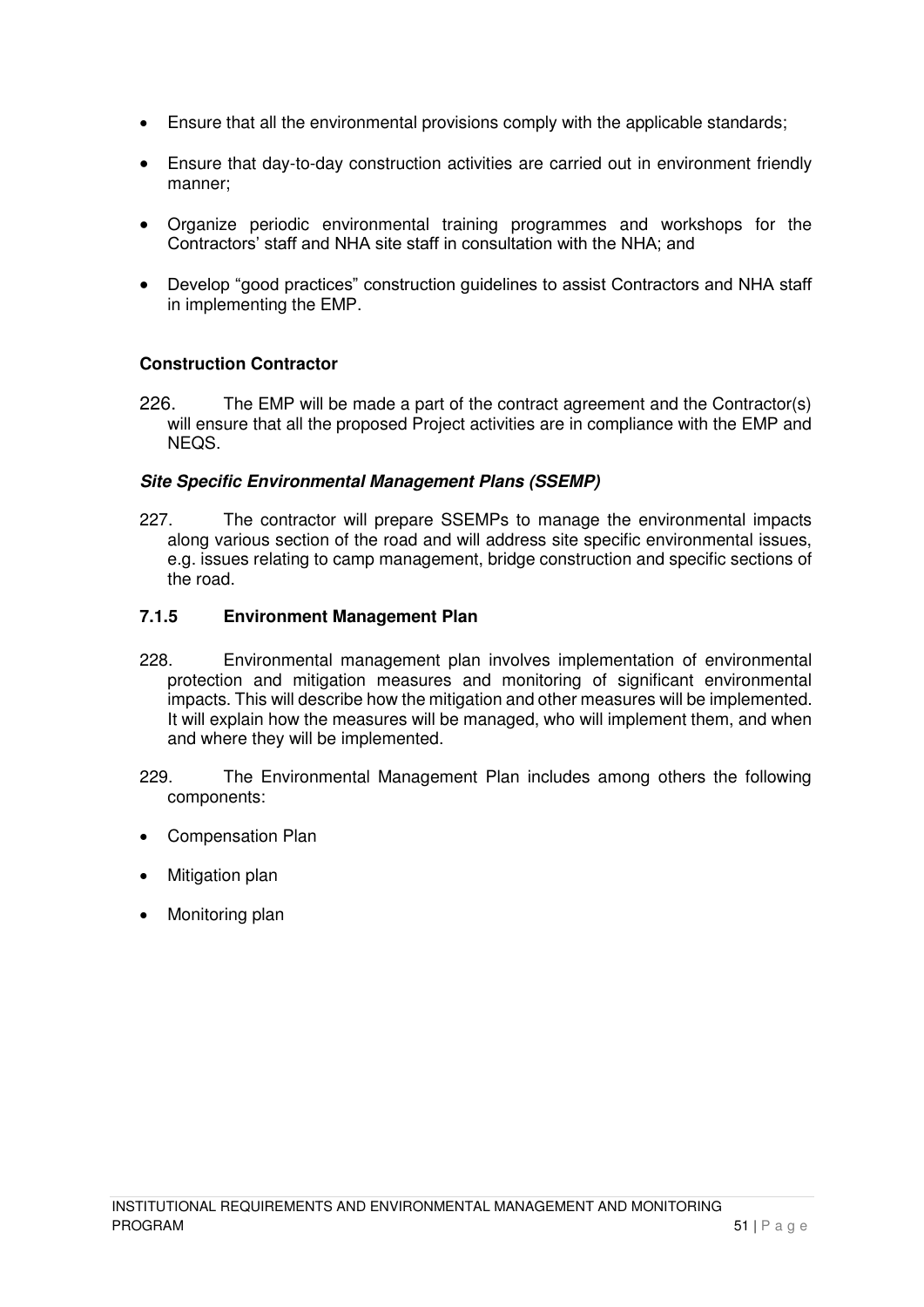- Ensure that all the environmental provisions comply with the applicable standards;
- Ensure that day-to-day construction activities are carried out in environment friendly manner;
- Organize periodic environmental training programmes and workshops for the Contractors' staff and NHA site staff in consultation with the NHA; and
- Develop "good practices" construction guidelines to assist Contractors and NHA staff in implementing the EMP.

#### **Construction Contractor**

226. The EMP will be made a part of the contract agreement and the Contractor(s) will ensure that all the proposed Project activities are in compliance with the EMP and NEQS.

#### **Site Specific Environmental Management Plans (SSEMP)**

227. The contractor will prepare SSEMPs to manage the environmental impacts along various section of the road and will address site specific environmental issues, e.g. issues relating to camp management, bridge construction and specific sections of the road.

#### **7.1.5 Environment Management Plan**

- 228. Environmental management plan involves implementation of environmental protection and mitigation measures and monitoring of significant environmental impacts. This will describe how the mitigation and other measures will be implemented. It will explain how the measures will be managed, who will implement them, and when and where they will be implemented.
- 229. The Environmental Management Plan includes among others the following components:
- Compensation Plan
- Mitigation plan
- Monitoring plan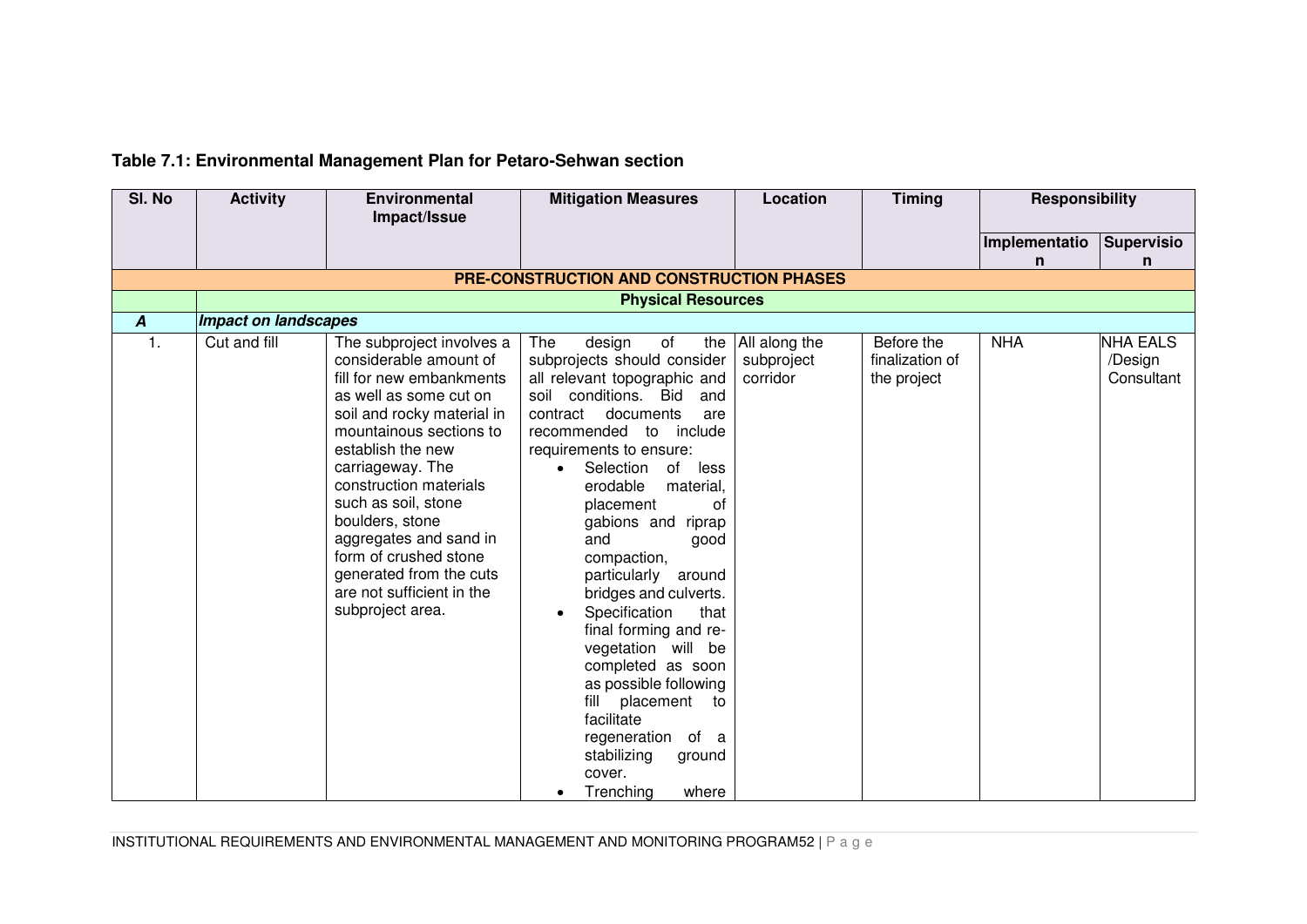# **Table 7.1: Environmental Management Plan for Petaro-Sehwan section**

|                                  | Impact/Issue                                                                                                                                                                                                                                                                                                                                                                                                   |                                                                                                                                                                                                                                                                                                                                                                                                                                                                                                                                                                                                                          |                                             |                                              |               | <b>Responsibility</b>                    |  |  |  |
|----------------------------------|----------------------------------------------------------------------------------------------------------------------------------------------------------------------------------------------------------------------------------------------------------------------------------------------------------------------------------------------------------------------------------------------------------------|--------------------------------------------------------------------------------------------------------------------------------------------------------------------------------------------------------------------------------------------------------------------------------------------------------------------------------------------------------------------------------------------------------------------------------------------------------------------------------------------------------------------------------------------------------------------------------------------------------------------------|---------------------------------------------|----------------------------------------------|---------------|------------------------------------------|--|--|--|
|                                  |                                                                                                                                                                                                                                                                                                                                                                                                                |                                                                                                                                                                                                                                                                                                                                                                                                                                                                                                                                                                                                                          |                                             |                                              |               |                                          |  |  |  |
|                                  |                                                                                                                                                                                                                                                                                                                                                                                                                |                                                                                                                                                                                                                                                                                                                                                                                                                                                                                                                                                                                                                          |                                             |                                              | Implementatio | <b>Supervisio</b>                        |  |  |  |
|                                  |                                                                                                                                                                                                                                                                                                                                                                                                                |                                                                                                                                                                                                                                                                                                                                                                                                                                                                                                                                                                                                                          |                                             |                                              | n             | n                                        |  |  |  |
|                                  |                                                                                                                                                                                                                                                                                                                                                                                                                | <b>PRE-CONSTRUCTION AND CONSTRUCTION PHASES</b>                                                                                                                                                                                                                                                                                                                                                                                                                                                                                                                                                                          |                                             |                                              |               |                                          |  |  |  |
|                                  | <b>Physical Resources</b>                                                                                                                                                                                                                                                                                                                                                                                      |                                                                                                                                                                                                                                                                                                                                                                                                                                                                                                                                                                                                                          |                                             |                                              |               |                                          |  |  |  |
| <b>Impact on landscapes</b><br>A |                                                                                                                                                                                                                                                                                                                                                                                                                |                                                                                                                                                                                                                                                                                                                                                                                                                                                                                                                                                                                                                          |                                             |                                              |               |                                          |  |  |  |
| 1.<br>Cut and fill               | The subproject involves a<br>considerable amount of<br>fill for new embankments<br>as well as some cut on<br>soil and rocky material in<br>mountainous sections to<br>establish the new<br>carriageway. The<br>construction materials<br>such as soil, stone<br>boulders, stone<br>aggregates and sand in<br>form of crushed stone<br>generated from the cuts<br>are not sufficient in the<br>subproject area. | The<br>of<br>design<br>subprojects should consider<br>all relevant topographic and<br>soil conditions. Bid<br>and<br>contract<br>documents<br>are<br>recommended to<br>include<br>requirements to ensure:<br>Selection<br>of<br>less<br>erodable<br>material,<br>placement<br>0f<br>gabions and riprap<br>and<br>good<br>compaction,<br>particularly around<br>bridges and culverts.<br>Specification<br>that<br>$\bullet$<br>final forming and re-<br>vegetation will be<br>completed as soon<br>as possible following<br>placement<br>fill<br>to<br>facilitate<br>regeneration of a<br>stabilizing<br>ground<br>cover. | the All along the<br>subproject<br>corridor | Before the<br>finalization of<br>the project | <b>NHA</b>    | <b>NHA EALS</b><br>/Design<br>Consultant |  |  |  |

INSTITUTIONAL REQUIREMENTS AND ENVIRONMENTAL MANAGEMENT AND MONITORING PROGRAM52 | P a g e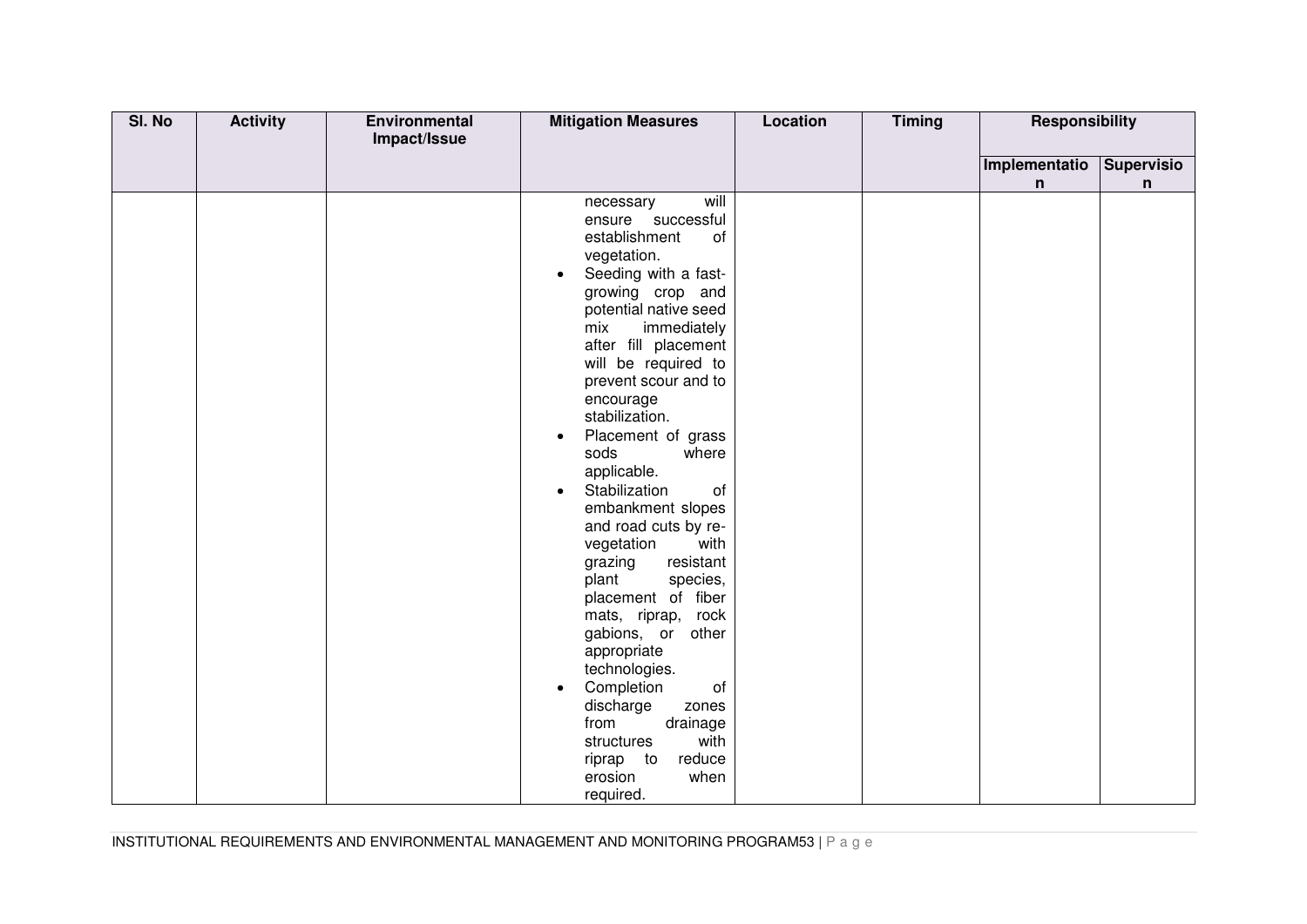| SI. No | <b>Activity</b> | Environmental<br>Impact/Issue | <b>Mitigation Measures</b>                 | <b>Location</b> | <b>Timing</b> | Responsibility |                            |
|--------|-----------------|-------------------------------|--------------------------------------------|-----------------|---------------|----------------|----------------------------|
|        |                 |                               |                                            |                 |               | Implementatio  |                            |
|        |                 |                               |                                            |                 |               | n              | Supervisio<br>$\mathsf{n}$ |
|        |                 |                               | will<br>necessary                          |                 |               |                |                            |
|        |                 |                               | ensure successful                          |                 |               |                |                            |
|        |                 |                               | establishment<br>of                        |                 |               |                |                            |
|        |                 |                               | vegetation.                                |                 |               |                |                            |
|        |                 |                               | Seeding with a fast-<br>$\bullet$          |                 |               |                |                            |
|        |                 |                               | growing crop and                           |                 |               |                |                            |
|        |                 |                               | potential native seed                      |                 |               |                |                            |
|        |                 |                               | immediately<br>mix                         |                 |               |                |                            |
|        |                 |                               | after fill placement                       |                 |               |                |                            |
|        |                 |                               | will be required to                        |                 |               |                |                            |
|        |                 |                               | prevent scour and to                       |                 |               |                |                            |
|        |                 |                               | encourage                                  |                 |               |                |                            |
|        |                 |                               | stabilization.                             |                 |               |                |                            |
|        |                 |                               | Placement of grass<br>$\bullet$            |                 |               |                |                            |
|        |                 |                               | sods<br>where                              |                 |               |                |                            |
|        |                 |                               | applicable.                                |                 |               |                |                            |
|        |                 |                               | Stabilization<br>of<br>$\bullet$           |                 |               |                |                            |
|        |                 |                               | embankment slopes                          |                 |               |                |                            |
|        |                 |                               | and road cuts by re-<br>vegetation<br>with |                 |               |                |                            |
|        |                 |                               | grazing<br>resistant                       |                 |               |                |                            |
|        |                 |                               | plant<br>species,                          |                 |               |                |                            |
|        |                 |                               | placement of fiber                         |                 |               |                |                            |
|        |                 |                               | mats, riprap, rock                         |                 |               |                |                            |
|        |                 |                               | gabions, or other                          |                 |               |                |                            |
|        |                 |                               | appropriate                                |                 |               |                |                            |
|        |                 |                               | technologies.                              |                 |               |                |                            |
|        |                 |                               | Completion<br>of<br>$\bullet$              |                 |               |                |                            |
|        |                 |                               | discharge<br>zones                         |                 |               |                |                            |
|        |                 |                               | from<br>drainage                           |                 |               |                |                            |
|        |                 |                               | with<br>structures                         |                 |               |                |                            |
|        |                 |                               | riprap to<br>reduce                        |                 |               |                |                            |
|        |                 |                               | when<br>erosion                            |                 |               |                |                            |
|        |                 |                               | required.                                  |                 |               |                |                            |

INSTITUTIONAL REQUIREMENTS AND ENVIRONMENTAL MANAGEMENT AND MONITORING PROGRAM53 | P a g e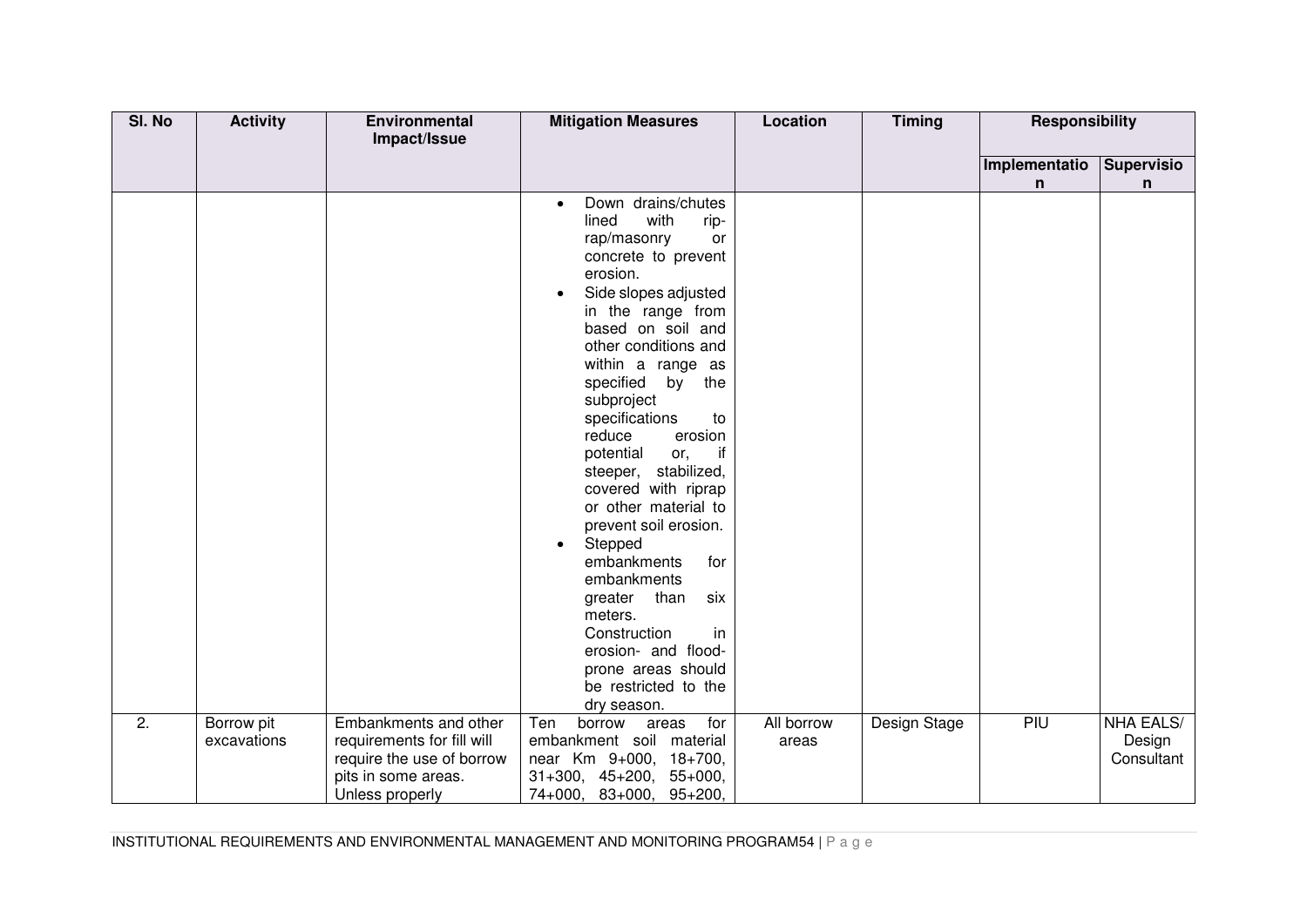| SI. No | <b>Activity</b>           | Environmental<br>Impact/Issue                                                                                              | <b>Mitigation Measures</b>                                                                                                                                                                                                                                                                                                                                                                                                                                                                                                                                                                                                                                              | <b>Location</b>            | <b>Timing</b> | <b>Responsibility</b> |                                          |
|--------|---------------------------|----------------------------------------------------------------------------------------------------------------------------|-------------------------------------------------------------------------------------------------------------------------------------------------------------------------------------------------------------------------------------------------------------------------------------------------------------------------------------------------------------------------------------------------------------------------------------------------------------------------------------------------------------------------------------------------------------------------------------------------------------------------------------------------------------------------|----------------------------|---------------|-----------------------|------------------------------------------|
|        |                           |                                                                                                                            |                                                                                                                                                                                                                                                                                                                                                                                                                                                                                                                                                                                                                                                                         |                            |               | Implementatio         | <b>Supervisio</b>                        |
|        |                           |                                                                                                                            |                                                                                                                                                                                                                                                                                                                                                                                                                                                                                                                                                                                                                                                                         |                            |               | n                     | n                                        |
|        |                           |                                                                                                                            | Down drains/chutes<br>$\bullet$<br>with<br>lined<br>rip-<br>rap/masonry<br>or<br>concrete to prevent<br>erosion.<br>Side slopes adjusted<br>$\bullet$<br>in the range from<br>based on soil and<br>other conditions and<br>within a range as<br>specified<br>by<br>the<br>subproject<br>specifications<br>to<br>reduce<br>erosion<br>potential<br>if<br>or,<br>steeper, stabilized,<br>covered with riprap<br>or other material to<br>prevent soil erosion.<br>Stepped<br>$\bullet$<br>embankments<br>for<br>embankments<br>than<br>six<br>greater<br>meters.<br>Construction<br>in<br>erosion- and flood-<br>prone areas should<br>be restricted to the<br>dry season. |                            |               |                       |                                          |
| 2.     | Borrow pit<br>excavations | Embankments and other<br>requirements for fill will<br>require the use of borrow<br>pits in some areas.<br>Unless properly | for<br>Ten<br>borrow<br>areas<br>embankment soil material<br>near Km 9+000, 18+700,<br>$31+300$ , $45+200$ , $55+000$ ,<br>74+000, 83+000, 95+200,                                                                                                                                                                                                                                                                                                                                                                                                                                                                                                                      | <b>All borrow</b><br>areas | Design Stage  | PIU                   | <b>NHA EALS/</b><br>Design<br>Consultant |

INSTITUTIONAL REQUIREMENTS AND ENVIRONMENTAL MANAGEMENT AND MONITORING PROGRAM54 | P a g e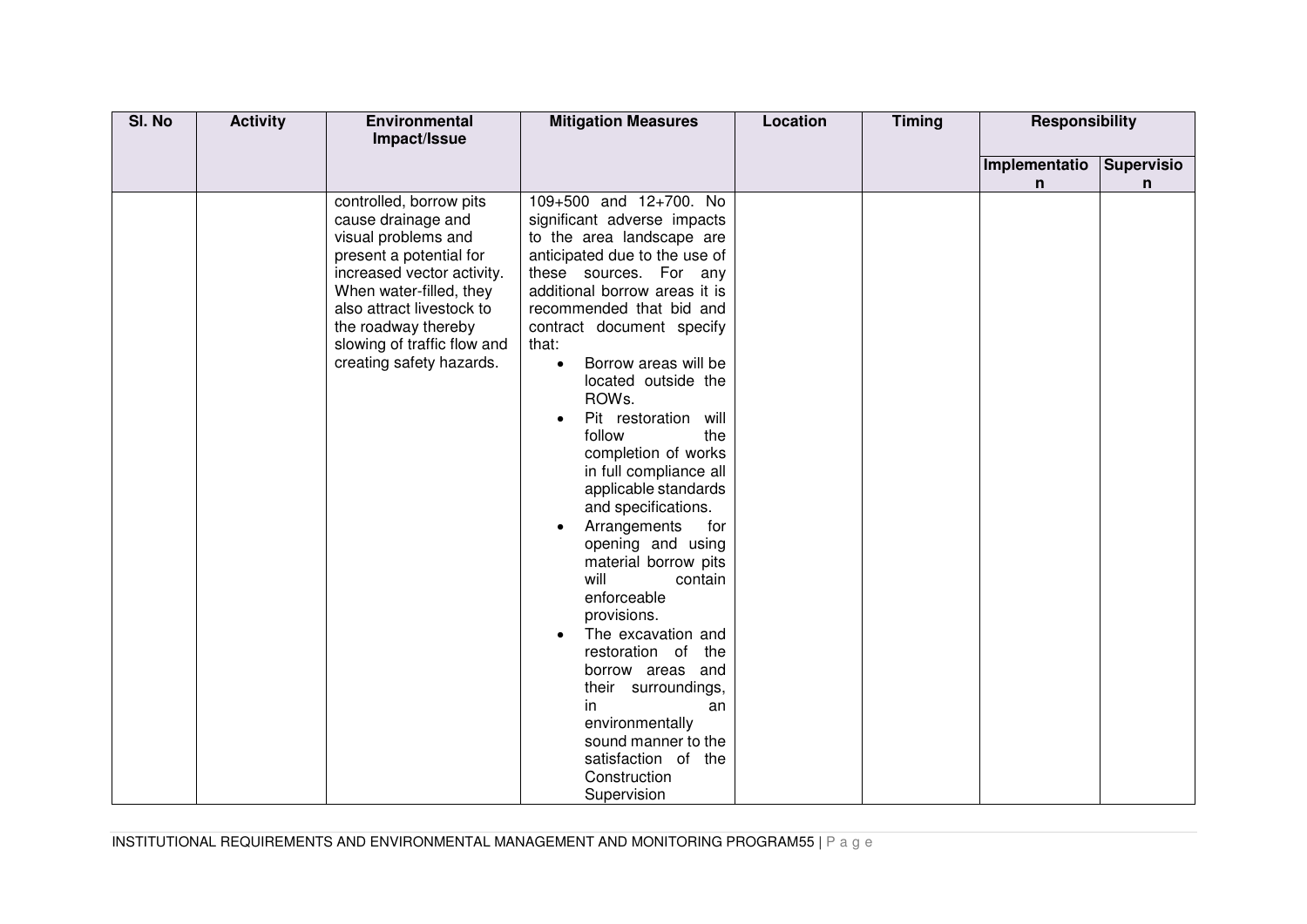| SI. No | <b>Activity</b> | Environmental<br>Impact/Issue                                                                                                                                                                                                                                           | <b>Mitigation Measures</b>                                                                                                                                                                                                                                                                                                                                                                                                                                                                                                                                                                                                                                                                                                                                                                          | Location | <b>Timing</b> | <b>Responsibility</b> |                   |
|--------|-----------------|-------------------------------------------------------------------------------------------------------------------------------------------------------------------------------------------------------------------------------------------------------------------------|-----------------------------------------------------------------------------------------------------------------------------------------------------------------------------------------------------------------------------------------------------------------------------------------------------------------------------------------------------------------------------------------------------------------------------------------------------------------------------------------------------------------------------------------------------------------------------------------------------------------------------------------------------------------------------------------------------------------------------------------------------------------------------------------------------|----------|---------------|-----------------------|-------------------|
|        |                 |                                                                                                                                                                                                                                                                         |                                                                                                                                                                                                                                                                                                                                                                                                                                                                                                                                                                                                                                                                                                                                                                                                     |          |               | Implementatio         | <b>Supervisio</b> |
|        |                 |                                                                                                                                                                                                                                                                         |                                                                                                                                                                                                                                                                                                                                                                                                                                                                                                                                                                                                                                                                                                                                                                                                     |          |               | n                     | n                 |
|        |                 | controlled, borrow pits<br>cause drainage and<br>visual problems and<br>present a potential for<br>increased vector activity.<br>When water-filled, they<br>also attract livestock to<br>the roadway thereby<br>slowing of traffic flow and<br>creating safety hazards. | 109+500 and 12+700. No<br>significant adverse impacts<br>to the area landscape are<br>anticipated due to the use of<br>these sources. For any<br>additional borrow areas it is<br>recommended that bid and<br>contract document specify<br>that:<br>Borrow areas will be<br>$\bullet$<br>located outside the<br>ROWs.<br>Pit restoration will<br>$\bullet$<br>follow<br>the<br>completion of works<br>in full compliance all<br>applicable standards<br>and specifications.<br>Arrangements<br>for<br>opening and using<br>material borrow pits<br>will<br>contain<br>enforceable<br>provisions.<br>The excavation and<br>restoration of the<br>borrow areas and<br>their surroundings,<br>in<br>an<br>environmentally<br>sound manner to the<br>satisfaction of the<br>Construction<br>Supervision |          |               |                       |                   |

INSTITUTIONAL REQUIREMENTS AND ENVIRONMENTAL MANAGEMENT AND MONITORING PROGRAM55 | P a g e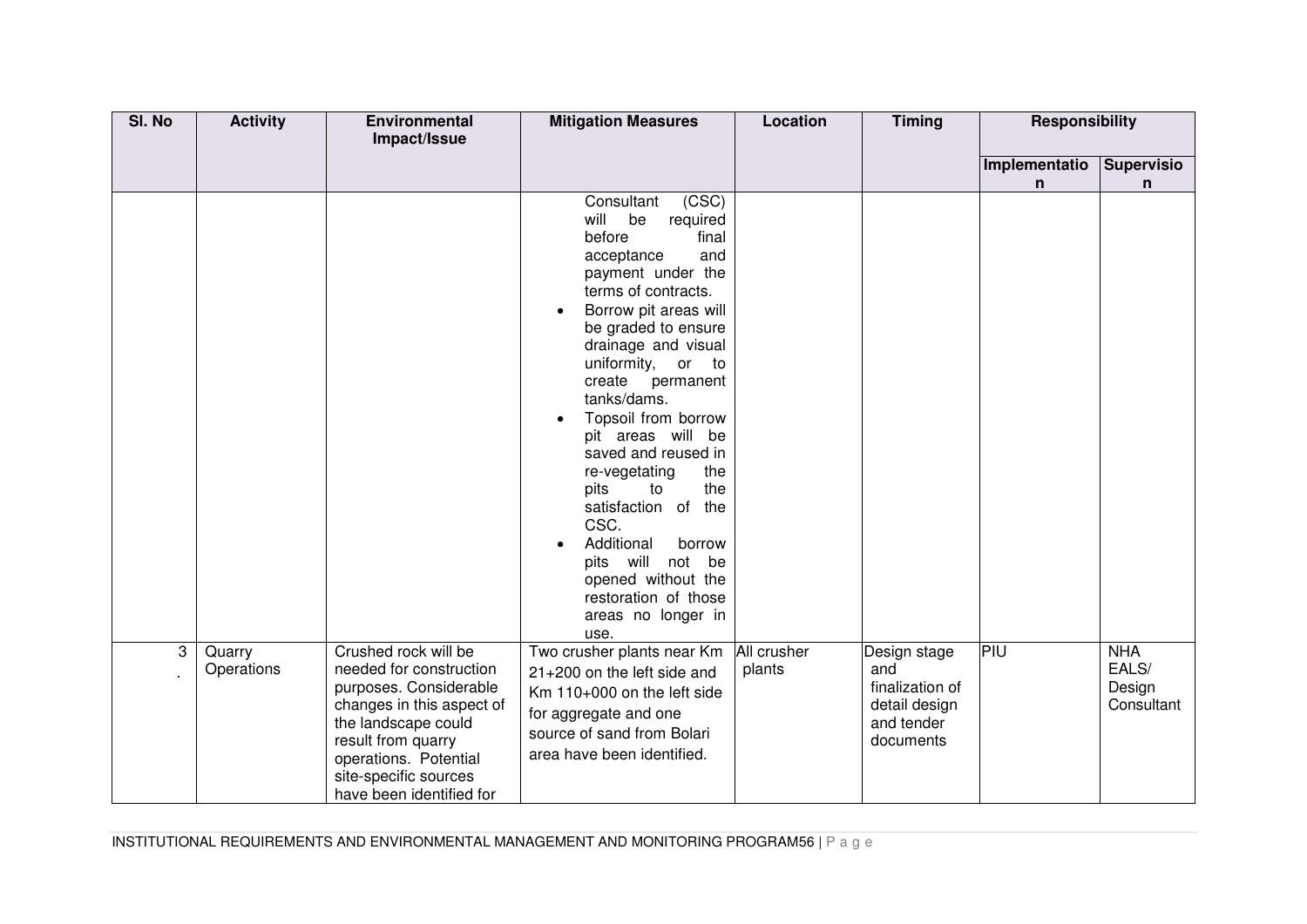| SI. No | <b>Activity</b>      | Environmental<br>Impact/Issue                                                                                                                                                                                                     | <b>Mitigation Measures</b>                                                                                                                                                                                                                                                                                                                                                                                                                                                                                                                 | <b>Location</b> | <b>Timing</b>                                                                      | Responsibility     |                                             |
|--------|----------------------|-----------------------------------------------------------------------------------------------------------------------------------------------------------------------------------------------------------------------------------|--------------------------------------------------------------------------------------------------------------------------------------------------------------------------------------------------------------------------------------------------------------------------------------------------------------------------------------------------------------------------------------------------------------------------------------------------------------------------------------------------------------------------------------------|-----------------|------------------------------------------------------------------------------------|--------------------|---------------------------------------------|
|        |                      |                                                                                                                                                                                                                                   |                                                                                                                                                                                                                                                                                                                                                                                                                                                                                                                                            |                 |                                                                                    | Implementatio<br>n | <b>Supervisio</b><br>n                      |
|        |                      |                                                                                                                                                                                                                                   | (CSC)<br>Consultant<br>will<br>be<br>required<br>before<br>final<br>acceptance<br>and<br>payment under the<br>terms of contracts.<br>Borrow pit areas will<br>be graded to ensure<br>drainage and visual<br>uniformity, or to<br>create<br>permanent<br>tanks/dams.<br>Topsoil from borrow<br>pit areas will be<br>saved and reused in<br>re-vegetating<br>the<br>pits<br>to<br>the<br>satisfaction of the<br>CSC.<br>Additional<br>borrow<br>pits will not be<br>opened without the<br>restoration of those<br>areas no longer in<br>use. |                 |                                                                                    |                    |                                             |
| 3      | Quarry<br>Operations | Crushed rock will be<br>needed for construction<br>purposes. Considerable<br>changes in this aspect of<br>the landscape could<br>result from quarry<br>operations. Potential<br>site-specific sources<br>have been identified for | Two crusher plants near Km   All crusher<br>21+200 on the left side and<br>Km 110+000 on the left side<br>for aggregate and one<br>source of sand from Bolari<br>area have been identified.                                                                                                                                                                                                                                                                                                                                                | plants          | Design stage<br>and<br>finalization of<br>detail design<br>and tender<br>documents | PIU                | <b>NHA</b><br>EALS/<br>Design<br>Consultant |

INSTITUTIONAL REQUIREMENTS AND ENVIRONMENTAL MANAGEMENT AND MONITORING PROGRAM56 | P a g e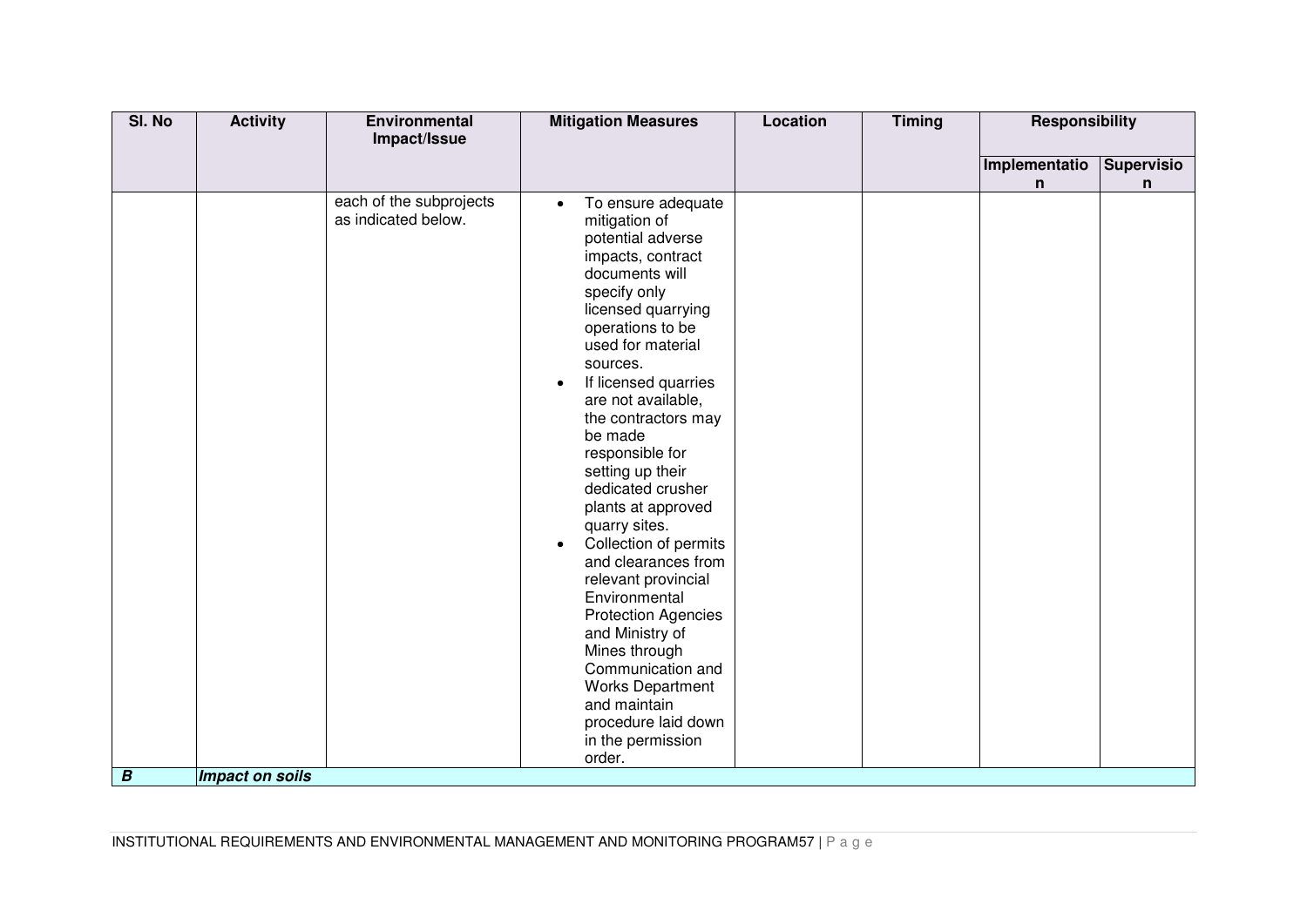| SI. No           | <b>Activity</b> | Environmental                                  | <b>Mitigation Measures</b>                                                                                                                                                                                                                                                                                                                                                                                                                                                                                                                                                                                                                                                                           | <b>Location</b> | <b>Timing</b> | <b>Responsibility</b> |                   |
|------------------|-----------------|------------------------------------------------|------------------------------------------------------------------------------------------------------------------------------------------------------------------------------------------------------------------------------------------------------------------------------------------------------------------------------------------------------------------------------------------------------------------------------------------------------------------------------------------------------------------------------------------------------------------------------------------------------------------------------------------------------------------------------------------------------|-----------------|---------------|-----------------------|-------------------|
|                  |                 | Impact/Issue                                   |                                                                                                                                                                                                                                                                                                                                                                                                                                                                                                                                                                                                                                                                                                      |                 |               |                       |                   |
|                  |                 |                                                |                                                                                                                                                                                                                                                                                                                                                                                                                                                                                                                                                                                                                                                                                                      |                 |               | Implementatio         | <b>Supervisio</b> |
|                  |                 |                                                |                                                                                                                                                                                                                                                                                                                                                                                                                                                                                                                                                                                                                                                                                                      |                 |               | n                     | n                 |
| $\boldsymbol{B}$ | Impact on soils | each of the subprojects<br>as indicated below. | To ensure adequate<br>$\bullet$<br>mitigation of<br>potential adverse<br>impacts, contract<br>documents will<br>specify only<br>licensed quarrying<br>operations to be<br>used for material<br>sources.<br>If licensed quarries<br>$\bullet$<br>are not available,<br>the contractors may<br>be made<br>responsible for<br>setting up their<br>dedicated crusher<br>plants at approved<br>quarry sites.<br>Collection of permits<br>$\bullet$<br>and clearances from<br>relevant provincial<br>Environmental<br><b>Protection Agencies</b><br>and Ministry of<br>Mines through<br>Communication and<br><b>Works Department</b><br>and maintain<br>procedure laid down<br>in the permission<br>order. |                 |               |                       |                   |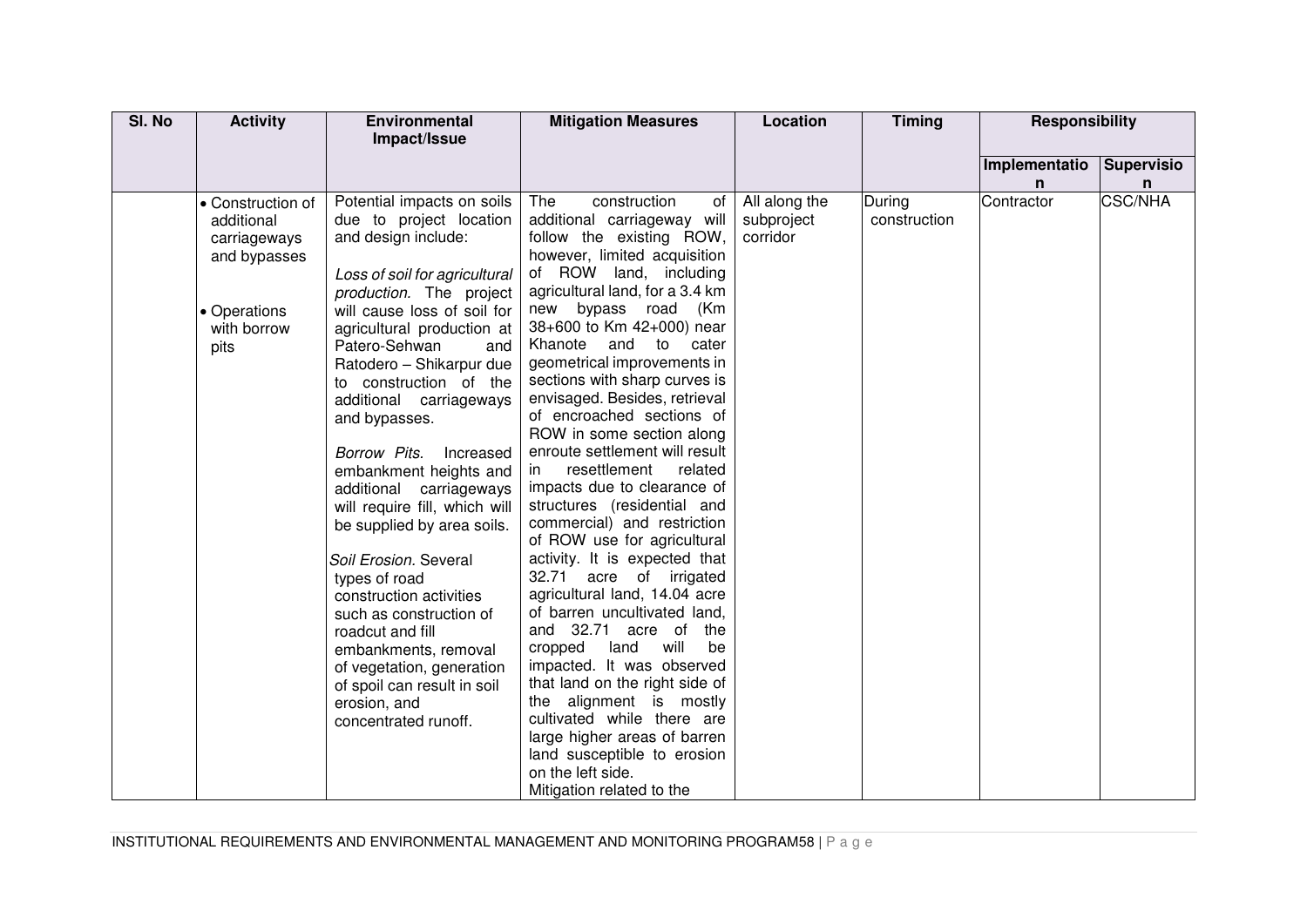| SI. No | <b>Activity</b>   | <b>Environmental</b>                     | <b>Mitigation Measures</b>                               | Location               | <b>Timing</b> | <b>Responsibility</b> |                   |
|--------|-------------------|------------------------------------------|----------------------------------------------------------|------------------------|---------------|-----------------------|-------------------|
|        |                   | Impact/Issue                             |                                                          |                        |               |                       |                   |
|        |                   |                                          |                                                          |                        |               | Implementatio         | <b>Supervisio</b> |
|        |                   |                                          |                                                          |                        |               | n.                    | n                 |
|        | • Construction of | Potential impacts on soils               | construction<br>The<br>of                                | All along the          | During        | Contractor            | <b>CSC/NHA</b>    |
|        | additional        | due to project location                  | additional carriageway will                              | subproject<br>corridor | construction  |                       |                   |
|        | carriageways      | and design include:                      | follow the existing ROW,<br>however, limited acquisition |                        |               |                       |                   |
|        | and bypasses      | Loss of soil for agricultural            | of ROW land, including                                   |                        |               |                       |                   |
|        |                   | production. The project                  | agricultural land, for a 3.4 km                          |                        |               |                       |                   |
|        | • Operations      | will cause loss of soil for              | new bypass road<br>(Km                                   |                        |               |                       |                   |
|        | with borrow       | agricultural production at               | 38+600 to Km 42+000) near                                |                        |               |                       |                   |
|        | pits              | Patero-Sehwan<br>and                     | Khanote and to cater                                     |                        |               |                       |                   |
|        |                   | Ratodero - Shikarpur due                 | geometrical improvements in                              |                        |               |                       |                   |
|        |                   | to construction of the                   | sections with sharp curves is                            |                        |               |                       |                   |
|        |                   | additional carriageways                  | envisaged. Besides, retrieval                            |                        |               |                       |                   |
|        |                   | and bypasses.                            | of encroached sections of<br>ROW in some section along   |                        |               |                       |                   |
|        |                   | Borrow Pits.                             | enroute settlement will result                           |                        |               |                       |                   |
|        |                   | Increased<br>embankment heights and      | resettlement<br>related<br>in.                           |                        |               |                       |                   |
|        |                   | additional carriageways                  | impacts due to clearance of                              |                        |               |                       |                   |
|        |                   | will require fill, which will            | structures (residential and                              |                        |               |                       |                   |
|        |                   | be supplied by area soils.               | commercial) and restriction                              |                        |               |                       |                   |
|        |                   |                                          | of ROW use for agricultural                              |                        |               |                       |                   |
|        |                   | Soil Erosion. Several                    | activity. It is expected that                            |                        |               |                       |                   |
|        |                   | types of road                            | 32.71 acre of irrigated                                  |                        |               |                       |                   |
|        |                   | construction activities                  | agricultural land, 14.04 acre                            |                        |               |                       |                   |
|        |                   | such as construction of                  | of barren uncultivated land,<br>and 32.71 acre of<br>the |                        |               |                       |                   |
|        |                   | roadcut and fill<br>embankments, removal | cropped<br>land<br>will<br>be                            |                        |               |                       |                   |
|        |                   | of vegetation, generation                | impacted. It was observed                                |                        |               |                       |                   |
|        |                   | of spoil can result in soil              | that land on the right side of                           |                        |               |                       |                   |
|        |                   | erosion, and                             | the alignment is mostly                                  |                        |               |                       |                   |
|        |                   | concentrated runoff.                     | cultivated while there are                               |                        |               |                       |                   |
|        |                   |                                          | large higher areas of barren                             |                        |               |                       |                   |
|        |                   |                                          | land susceptible to erosion                              |                        |               |                       |                   |
|        |                   |                                          | on the left side.                                        |                        |               |                       |                   |
|        |                   |                                          | Mitigation related to the                                |                        |               |                       |                   |

INSTITUTIONAL REQUIREMENTS AND ENVIRONMENTAL MANAGEMENT AND MONITORING PROGRAM58 | P a g e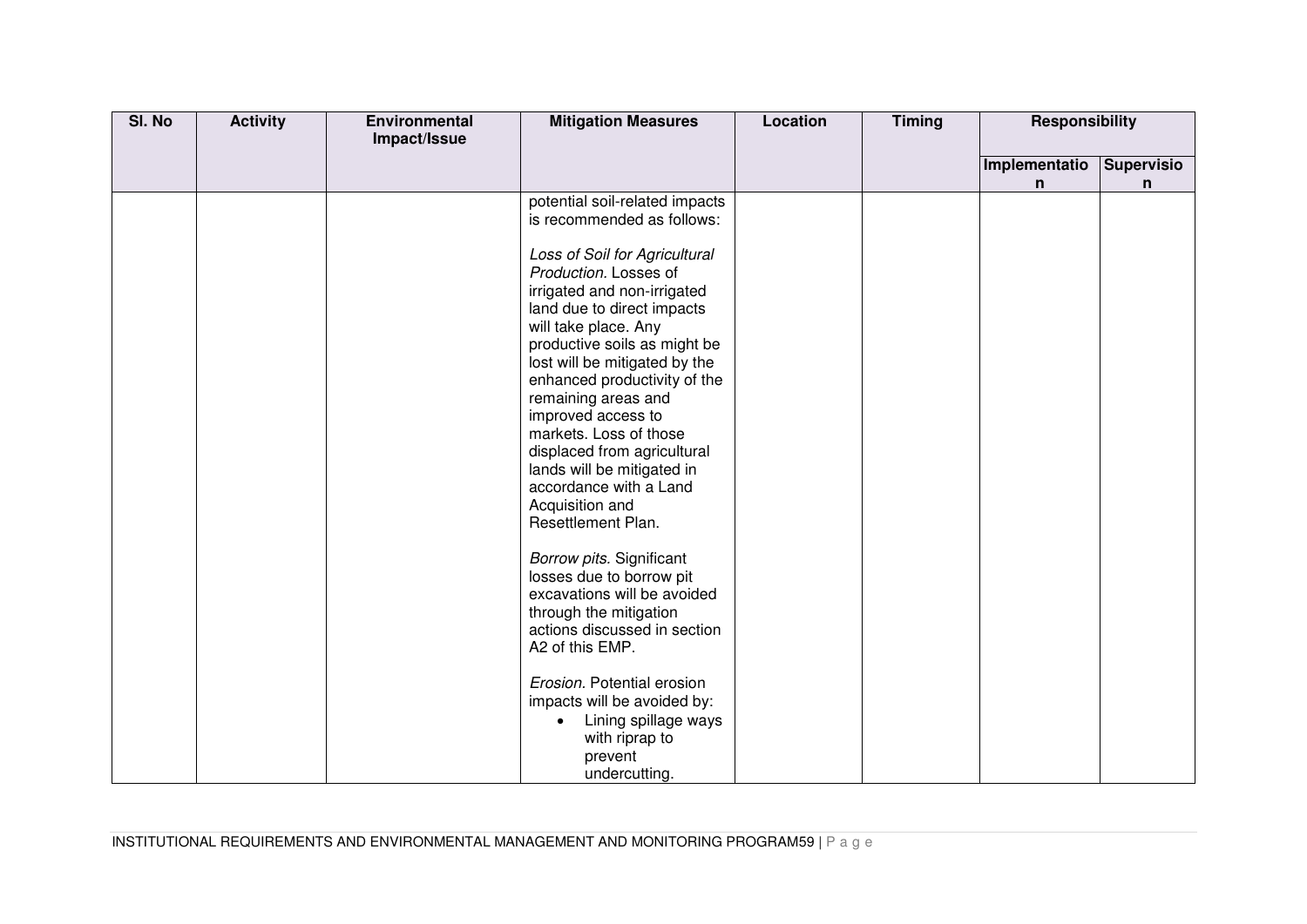| SI. No | <b>Activity</b> | Environmental<br>Impact/Issue | <b>Mitigation Measures</b>                                                                                                                                                                                                                                                                                                                                                                                                                                                                                                                                                                                                                                           | Location | <b>Timing</b> | <b>Responsibility</b> |                   |
|--------|-----------------|-------------------------------|----------------------------------------------------------------------------------------------------------------------------------------------------------------------------------------------------------------------------------------------------------------------------------------------------------------------------------------------------------------------------------------------------------------------------------------------------------------------------------------------------------------------------------------------------------------------------------------------------------------------------------------------------------------------|----------|---------------|-----------------------|-------------------|
|        |                 |                               |                                                                                                                                                                                                                                                                                                                                                                                                                                                                                                                                                                                                                                                                      |          |               |                       |                   |
|        |                 |                               |                                                                                                                                                                                                                                                                                                                                                                                                                                                                                                                                                                                                                                                                      |          |               |                       |                   |
|        |                 |                               |                                                                                                                                                                                                                                                                                                                                                                                                                                                                                                                                                                                                                                                                      |          |               | n                     | n                 |
|        |                 |                               | potential soil-related impacts<br>is recommended as follows:<br>Loss of Soil for Agricultural<br>Production. Losses of<br>irrigated and non-irrigated<br>land due to direct impacts<br>will take place. Any<br>productive soils as might be<br>lost will be mitigated by the<br>enhanced productivity of the<br>remaining areas and<br>improved access to<br>markets. Loss of those<br>displaced from agricultural<br>lands will be mitigated in<br>accordance with a Land<br>Acquisition and<br>Resettlement Plan.<br>Borrow pits. Significant<br>losses due to borrow pit<br>excavations will be avoided<br>through the mitigation<br>actions discussed in section |          |               | Implementatio         | <b>Supervisio</b> |
|        |                 |                               | A2 of this EMP.<br>Erosion. Potential erosion<br>impacts will be avoided by:<br>Lining spillage ways<br>$\bullet$<br>with riprap to<br>prevent<br>undercutting.                                                                                                                                                                                                                                                                                                                                                                                                                                                                                                      |          |               |                       |                   |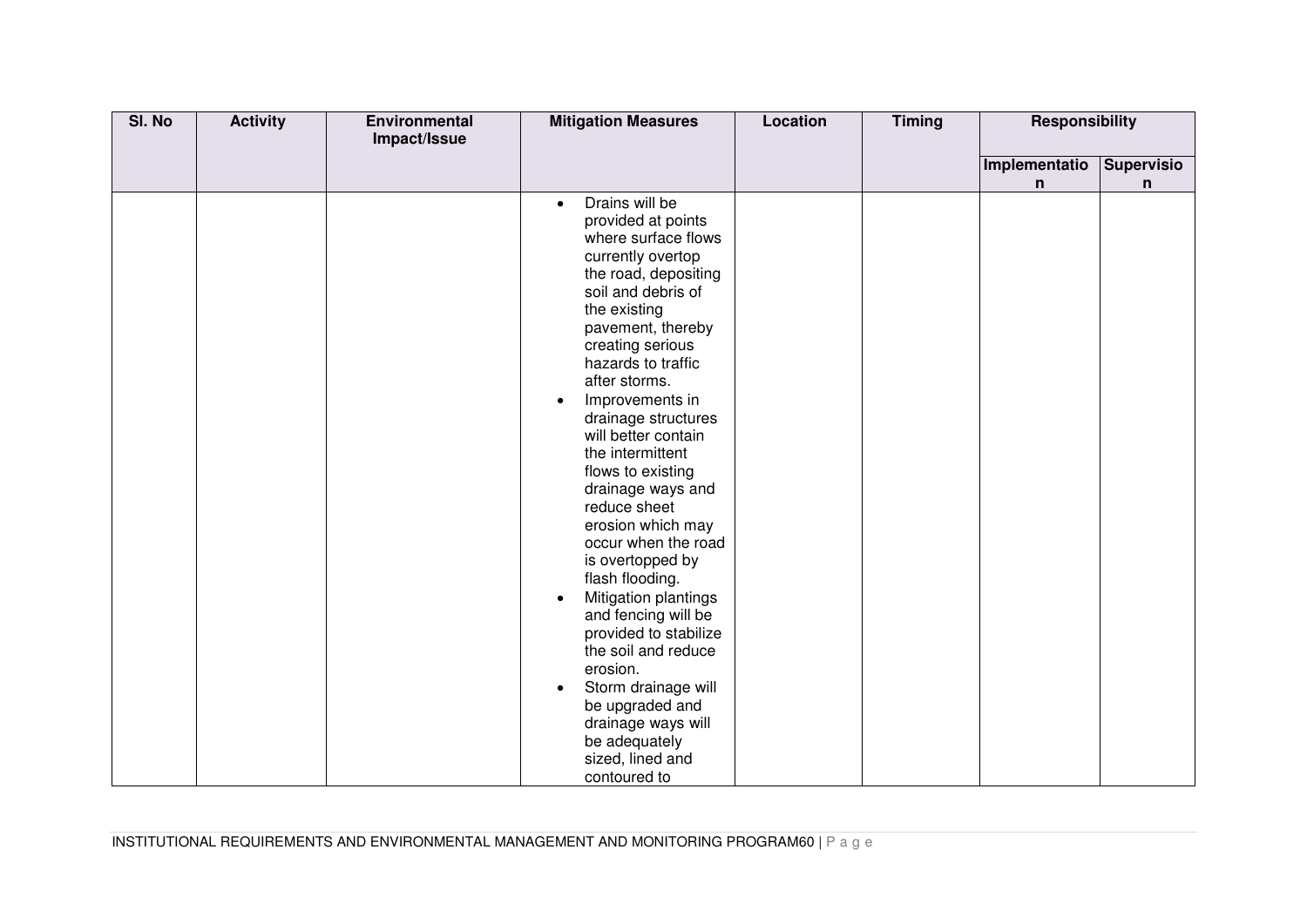| SI. No | <b>Activity</b> | <b>Environmental</b> | <b>Mitigation Measures</b>  | <b>Location</b> | <b>Timing</b> | Responsibility |                   |
|--------|-----------------|----------------------|-----------------------------|-----------------|---------------|----------------|-------------------|
|        |                 | Impact/Issue         |                             |                 |               |                |                   |
|        |                 |                      |                             |                 |               | Implementatio  | <b>Supervisio</b> |
|        |                 |                      |                             |                 |               | n              | n                 |
|        |                 |                      | Drains will be<br>$\bullet$ |                 |               |                |                   |
|        |                 |                      | provided at points          |                 |               |                |                   |
|        |                 |                      | where surface flows         |                 |               |                |                   |
|        |                 |                      | currently overtop           |                 |               |                |                   |
|        |                 |                      | the road, depositing        |                 |               |                |                   |
|        |                 |                      | soil and debris of          |                 |               |                |                   |
|        |                 |                      | the existing                |                 |               |                |                   |
|        |                 |                      | pavement, thereby           |                 |               |                |                   |
|        |                 |                      | creating serious            |                 |               |                |                   |
|        |                 |                      | hazards to traffic          |                 |               |                |                   |
|        |                 |                      | after storms.               |                 |               |                |                   |
|        |                 |                      | Improvements in             |                 |               |                |                   |
|        |                 |                      | drainage structures         |                 |               |                |                   |
|        |                 |                      | will better contain         |                 |               |                |                   |
|        |                 |                      | the intermittent            |                 |               |                |                   |
|        |                 |                      | flows to existing           |                 |               |                |                   |
|        |                 |                      | drainage ways and           |                 |               |                |                   |
|        |                 |                      | reduce sheet                |                 |               |                |                   |
|        |                 |                      | erosion which may           |                 |               |                |                   |
|        |                 |                      | occur when the road         |                 |               |                |                   |
|        |                 |                      | is overtopped by            |                 |               |                |                   |
|        |                 |                      | flash flooding.             |                 |               |                |                   |
|        |                 |                      | Mitigation plantings        |                 |               |                |                   |
|        |                 |                      | and fencing will be         |                 |               |                |                   |
|        |                 |                      | provided to stabilize       |                 |               |                |                   |
|        |                 |                      | the soil and reduce         |                 |               |                |                   |
|        |                 |                      | erosion.                    |                 |               |                |                   |
|        |                 |                      | Storm drainage will         |                 |               |                |                   |
|        |                 |                      | be upgraded and             |                 |               |                |                   |
|        |                 |                      | drainage ways will          |                 |               |                |                   |
|        |                 |                      | be adequately               |                 |               |                |                   |
|        |                 |                      | sized, lined and            |                 |               |                |                   |
|        |                 |                      | contoured to                |                 |               |                |                   |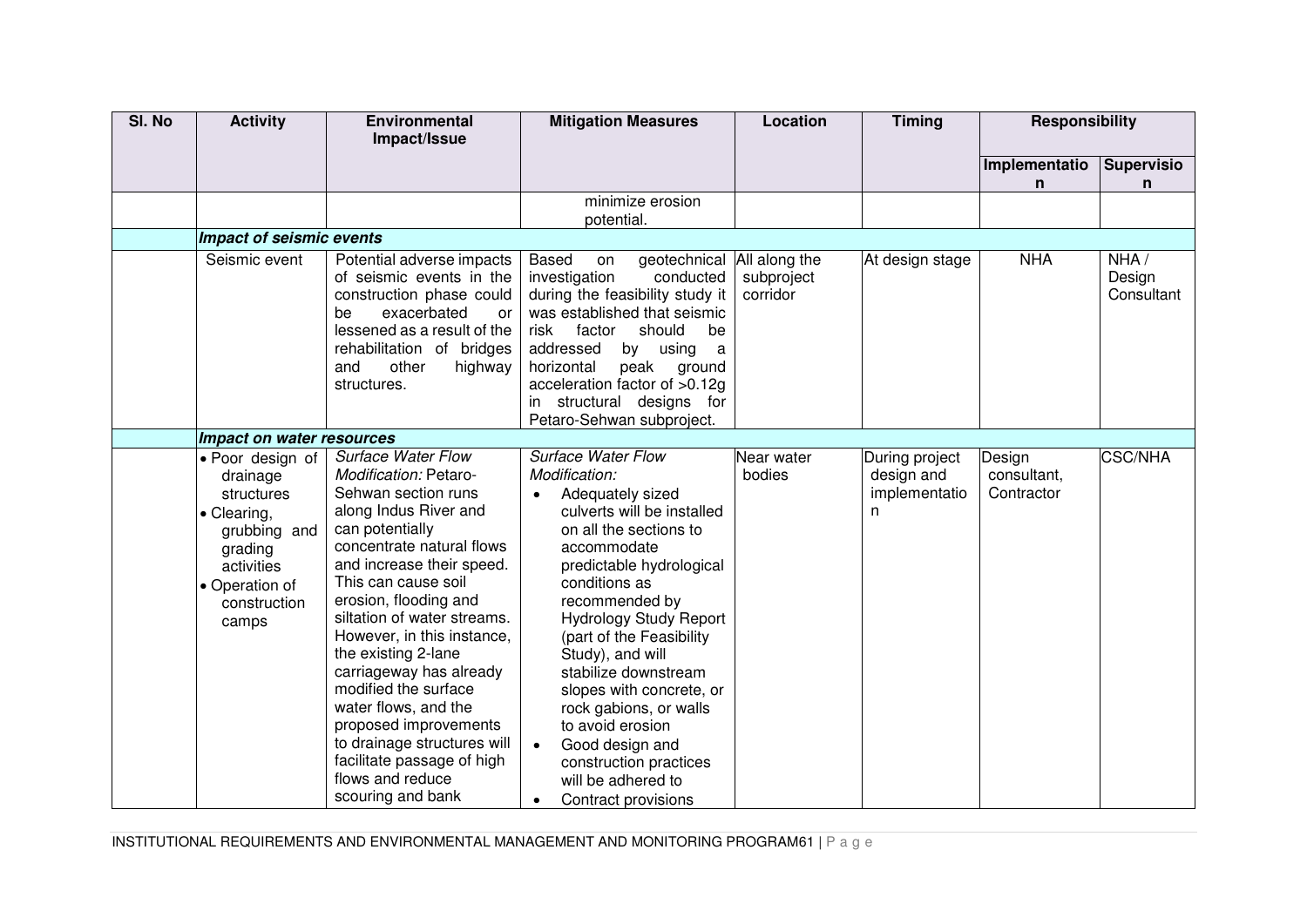| SI. No | <b>Activity</b>                                                                                                                               | Environmental<br>Impact/Issue                                                                                                                                                                                                                                                                                                                                                                                                                                                                                                 | <b>Mitigation Measures</b>                                                                                                                                                                                                                                                                                                                                                                                                                                                                     | Location               | <b>Timing</b>                                      | <b>Responsibility</b>               |                              |
|--------|-----------------------------------------------------------------------------------------------------------------------------------------------|-------------------------------------------------------------------------------------------------------------------------------------------------------------------------------------------------------------------------------------------------------------------------------------------------------------------------------------------------------------------------------------------------------------------------------------------------------------------------------------------------------------------------------|------------------------------------------------------------------------------------------------------------------------------------------------------------------------------------------------------------------------------------------------------------------------------------------------------------------------------------------------------------------------------------------------------------------------------------------------------------------------------------------------|------------------------|----------------------------------------------------|-------------------------------------|------------------------------|
|        |                                                                                                                                               |                                                                                                                                                                                                                                                                                                                                                                                                                                                                                                                               |                                                                                                                                                                                                                                                                                                                                                                                                                                                                                                |                        |                                                    | Implementatio<br>n.                 | <b>Supervisio</b><br>n       |
|        |                                                                                                                                               |                                                                                                                                                                                                                                                                                                                                                                                                                                                                                                                               | minimize erosion<br>potential.                                                                                                                                                                                                                                                                                                                                                                                                                                                                 |                        |                                                    |                                     |                              |
|        | Impact of seismic events                                                                                                                      |                                                                                                                                                                                                                                                                                                                                                                                                                                                                                                                               |                                                                                                                                                                                                                                                                                                                                                                                                                                                                                                |                        |                                                    |                                     |                              |
|        | Seismic event                                                                                                                                 | Potential adverse impacts<br>of seismic events in the<br>construction phase could<br>exacerbated<br>be<br>or<br>lessened as a result of the<br>rehabilitation of bridges<br>other<br>highway<br>and<br>structures.                                                                                                                                                                                                                                                                                                            | geotechnical All along the<br><b>Based</b><br>on<br>investigation<br>conducted<br>during the feasibility study it<br>was established that seismic<br>risk<br>factor<br>should<br>be<br>addressed<br>by using<br>a<br>horizontal<br>peak ground<br>acceleration factor of >0.12g<br>in structural designs for<br>Petaro-Sehwan subproject.                                                                                                                                                      | subproject<br>corridor | At design stage                                    | <b>NHA</b>                          | NHA/<br>Design<br>Consultant |
|        | Impact on water resources                                                                                                                     |                                                                                                                                                                                                                                                                                                                                                                                                                                                                                                                               |                                                                                                                                                                                                                                                                                                                                                                                                                                                                                                |                        |                                                    |                                     |                              |
|        | • Poor design of<br>drainage<br>structures<br>• Clearing,<br>grubbing and<br>grading<br>activities<br>• Operation of<br>construction<br>camps | <b>Surface Water Flow</b><br>Modification: Petaro-<br>Sehwan section runs<br>along Indus River and<br>can potentially<br>concentrate natural flows<br>and increase their speed.<br>This can cause soil<br>erosion, flooding and<br>siltation of water streams.<br>However, in this instance,<br>the existing 2-lane<br>carriageway has already<br>modified the surface<br>water flows, and the<br>proposed improvements<br>to drainage structures will<br>facilitate passage of high<br>flows and reduce<br>scouring and bank | <b>Surface Water Flow</b><br>Modification:<br>Adequately sized<br>culverts will be installed<br>on all the sections to<br>accommodate<br>predictable hydrological<br>conditions as<br>recommended by<br><b>Hydrology Study Report</b><br>(part of the Feasibility<br>Study), and will<br>stabilize downstream<br>slopes with concrete, or<br>rock gabions, or walls<br>to avoid erosion<br>Good design and<br>construction practices<br>will be adhered to<br>Contract provisions<br>$\bullet$ | Near water<br>bodies   | During project<br>design and<br>implementatio<br>n | Design<br>consultant,<br>Contractor | <b>CSC/NHA</b>               |

INSTITUTIONAL REQUIREMENTS AND ENVIRONMENTAL MANAGEMENT AND MONITORING PROGRAM61 | P a g e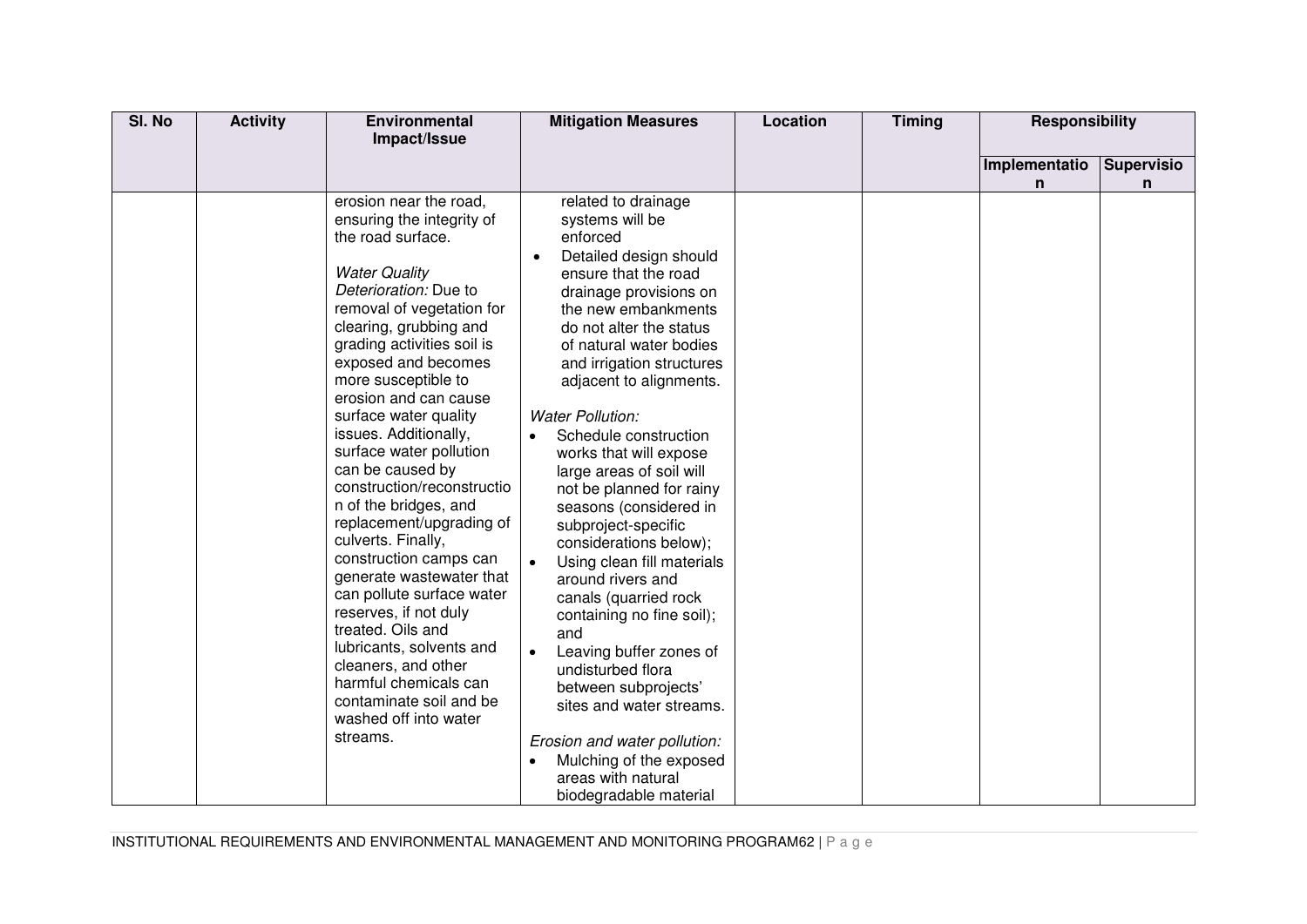| SI. No | <b>Activity</b> | <b>Environmental</b><br>Impact/Issue                                                                                                                                                                                                                                                                                                                                                                                                                                                                                                                                                                                                                                                                                                                                         | <b>Mitigation Measures</b>                                                                                                                                                                                                                                                                                                                                                                                                                                                                                                                                                                                                                                                                                                                                                                                                       | Location | <b>Timing</b> | <b>Responsibility</b> |                   |
|--------|-----------------|------------------------------------------------------------------------------------------------------------------------------------------------------------------------------------------------------------------------------------------------------------------------------------------------------------------------------------------------------------------------------------------------------------------------------------------------------------------------------------------------------------------------------------------------------------------------------------------------------------------------------------------------------------------------------------------------------------------------------------------------------------------------------|----------------------------------------------------------------------------------------------------------------------------------------------------------------------------------------------------------------------------------------------------------------------------------------------------------------------------------------------------------------------------------------------------------------------------------------------------------------------------------------------------------------------------------------------------------------------------------------------------------------------------------------------------------------------------------------------------------------------------------------------------------------------------------------------------------------------------------|----------|---------------|-----------------------|-------------------|
|        |                 |                                                                                                                                                                                                                                                                                                                                                                                                                                                                                                                                                                                                                                                                                                                                                                              |                                                                                                                                                                                                                                                                                                                                                                                                                                                                                                                                                                                                                                                                                                                                                                                                                                  |          |               | Implementatio         | <b>Supervisio</b> |
|        |                 |                                                                                                                                                                                                                                                                                                                                                                                                                                                                                                                                                                                                                                                                                                                                                                              |                                                                                                                                                                                                                                                                                                                                                                                                                                                                                                                                                                                                                                                                                                                                                                                                                                  |          |               | n                     | n                 |
|        |                 | erosion near the road,<br>ensuring the integrity of<br>the road surface.<br><b>Water Quality</b><br>Deterioration: Due to<br>removal of vegetation for<br>clearing, grubbing and<br>grading activities soil is<br>exposed and becomes<br>more susceptible to<br>erosion and can cause<br>surface water quality<br>issues. Additionally,<br>surface water pollution<br>can be caused by<br>construction/reconstructio<br>n of the bridges, and<br>replacement/upgrading of<br>culverts. Finally,<br>construction camps can<br>generate wastewater that<br>can pollute surface water<br>reserves, if not duly<br>treated. Oils and<br>lubricants, solvents and<br>cleaners, and other<br>harmful chemicals can<br>contaminate soil and be<br>washed off into water<br>streams. | related to drainage<br>systems will be<br>enforced<br>Detailed design should<br>ensure that the road<br>drainage provisions on<br>the new embankments<br>do not alter the status<br>of natural water bodies<br>and irrigation structures<br>adjacent to alignments.<br><b>Water Pollution:</b><br>Schedule construction<br>works that will expose<br>large areas of soil will<br>not be planned for rainy<br>seasons (considered in<br>subproject-specific<br>considerations below);<br>Using clean fill materials<br>$\bullet$<br>around rivers and<br>canals (quarried rock<br>containing no fine soil);<br>and<br>Leaving buffer zones of<br>undisturbed flora<br>between subprojects'<br>sites and water streams.<br>Erosion and water pollution:<br>Mulching of the exposed<br>areas with natural<br>biodegradable material |          |               |                       |                   |

INSTITUTIONAL REQUIREMENTS AND ENVIRONMENTAL MANAGEMENT AND MONITORING PROGRAM62 | P a g e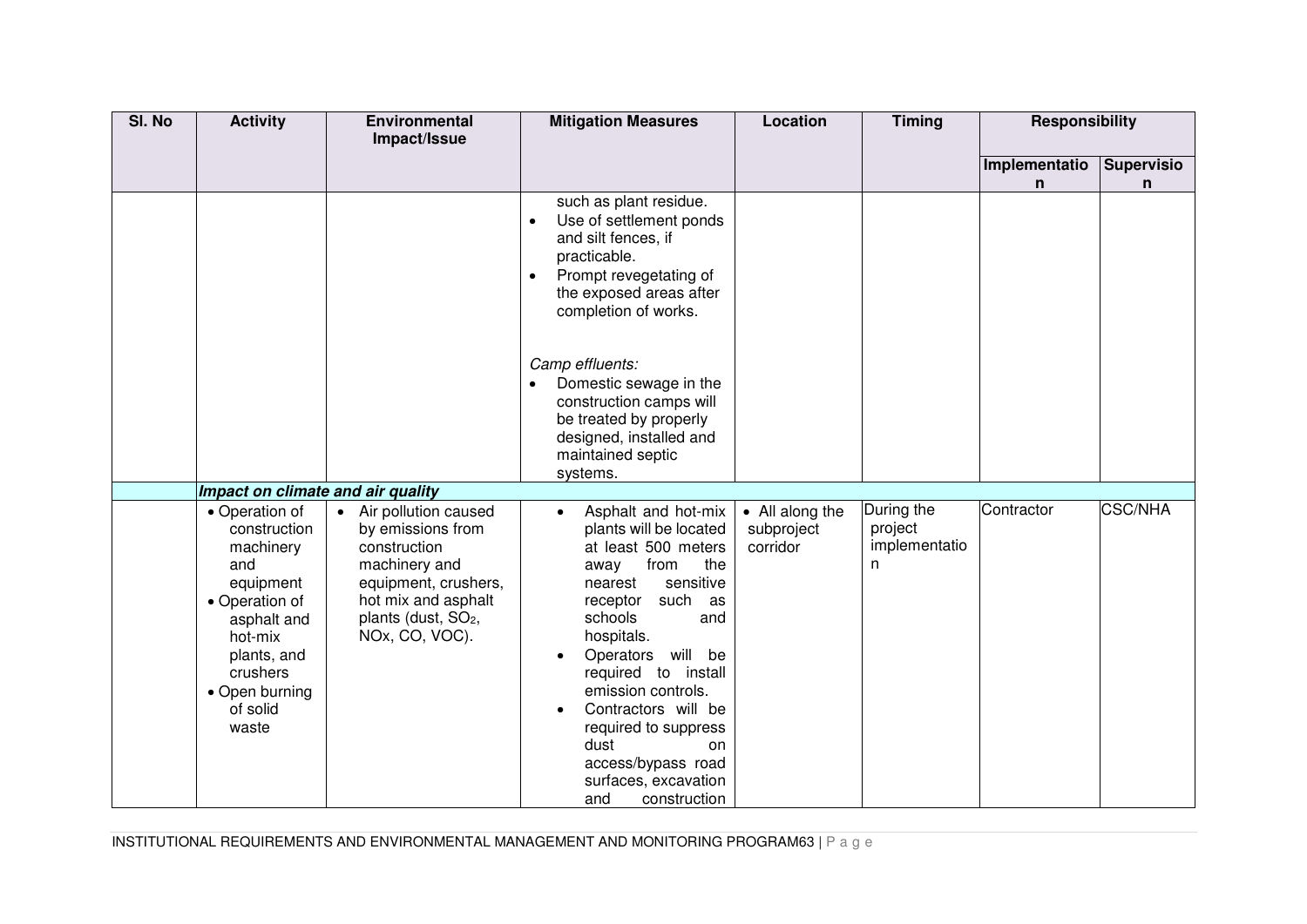| SI. No | <b>Activity</b>                                                                                                                                                               | <b>Environmental</b><br>Impact/Issue                                                                                                                                             | <b>Mitigation Measures</b>                                                                                                                                                                                                                                                                                                                                                                  | Location                                  | <b>Timing</b>                               | <b>Responsibility</b> |                        |
|--------|-------------------------------------------------------------------------------------------------------------------------------------------------------------------------------|----------------------------------------------------------------------------------------------------------------------------------------------------------------------------------|---------------------------------------------------------------------------------------------------------------------------------------------------------------------------------------------------------------------------------------------------------------------------------------------------------------------------------------------------------------------------------------------|-------------------------------------------|---------------------------------------------|-----------------------|------------------------|
|        |                                                                                                                                                                               |                                                                                                                                                                                  |                                                                                                                                                                                                                                                                                                                                                                                             |                                           |                                             | Implementatio<br>n    | <b>Supervisio</b><br>n |
|        |                                                                                                                                                                               |                                                                                                                                                                                  | such as plant residue.<br>Use of settlement ponds<br>and silt fences, if<br>practicable.<br>Prompt revegetating of<br>the exposed areas after<br>completion of works.                                                                                                                                                                                                                       |                                           |                                             |                       |                        |
|        |                                                                                                                                                                               |                                                                                                                                                                                  | Camp effluents:<br>Domestic sewage in the<br>construction camps will<br>be treated by properly<br>designed, installed and<br>maintained septic<br>systems.                                                                                                                                                                                                                                  |                                           |                                             |                       |                        |
|        | Impact on climate and air quality                                                                                                                                             |                                                                                                                                                                                  |                                                                                                                                                                                                                                                                                                                                                                                             |                                           |                                             |                       |                        |
|        | • Operation of<br>construction<br>machinery<br>and<br>equipment<br>• Operation of<br>asphalt and<br>hot-mix<br>plants, and<br>crushers<br>• Open burning<br>of solid<br>waste | • Air pollution caused<br>by emissions from<br>construction<br>machinery and<br>equipment, crushers,<br>hot mix and asphalt<br>plants (dust, SO <sub>2</sub> ,<br>NOx, CO, VOC). | Asphalt and hot-mix<br>$\bullet$<br>plants will be located<br>at least 500 meters<br>the<br>from<br>away<br>sensitive<br>nearest<br>such as<br>receptor<br>schools<br>and<br>hospitals.<br>Operators will be<br>required to install<br>emission controls.<br>Contractors will be<br>required to suppress<br>dust<br>on<br>access/bypass road<br>surfaces, excavation<br>construction<br>and | • All along the<br>subproject<br>corridor | During the<br>project<br>implementatio<br>n | Contractor            | <b>CSC/NHA</b>         |

INSTITUTIONAL REQUIREMENTS AND ENVIRONMENTAL MANAGEMENT AND MONITORING PROGRAM63 | P a g e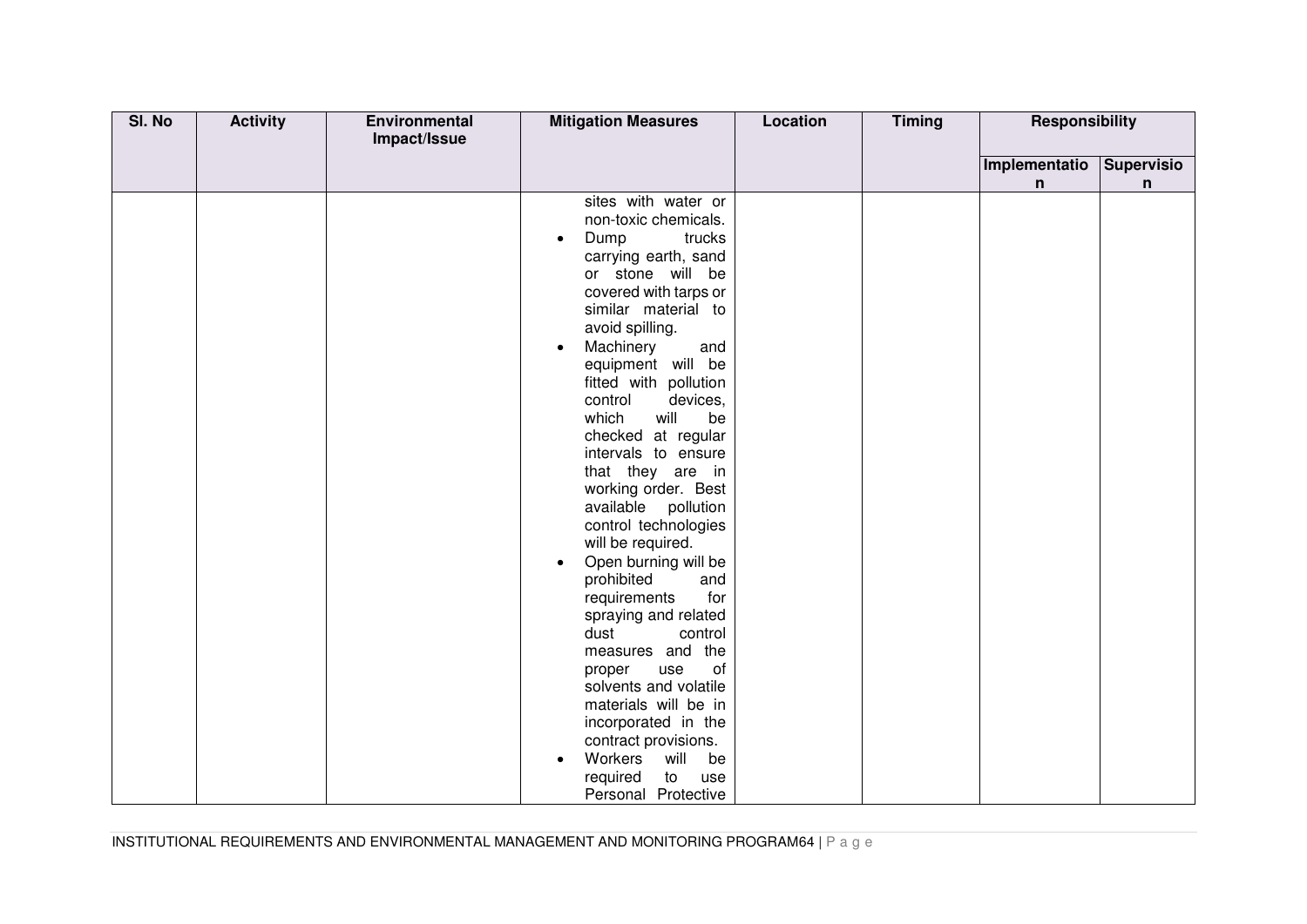| SI. No | <b>Activity</b> | Environmental<br>Impact/Issue | <b>Mitigation Measures</b>                                                                                                                                                                                                                                                                                                                                                                                                                                                                                                                                                                                                                                                                                                                                                                                                                      | <b>Location</b> | <b>Timing</b> | <b>Responsibility</b> |            |
|--------|-----------------|-------------------------------|-------------------------------------------------------------------------------------------------------------------------------------------------------------------------------------------------------------------------------------------------------------------------------------------------------------------------------------------------------------------------------------------------------------------------------------------------------------------------------------------------------------------------------------------------------------------------------------------------------------------------------------------------------------------------------------------------------------------------------------------------------------------------------------------------------------------------------------------------|-----------------|---------------|-----------------------|------------|
|        |                 |                               |                                                                                                                                                                                                                                                                                                                                                                                                                                                                                                                                                                                                                                                                                                                                                                                                                                                 |                 |               | Implementatio         | Supervisio |
|        |                 |                               |                                                                                                                                                                                                                                                                                                                                                                                                                                                                                                                                                                                                                                                                                                                                                                                                                                                 |                 |               | n                     | n          |
|        |                 |                               | sites with water or<br>non-toxic chemicals.<br>Dump<br>trucks<br>$\bullet$<br>carrying earth, sand<br>or stone will be<br>covered with tarps or<br>similar material to<br>avoid spilling.<br>Machinery<br>and<br>$\bullet$<br>equipment will be<br>fitted with pollution<br>control<br>devices,<br>which<br>will<br>be<br>checked at regular<br>intervals to ensure<br>that they are in<br>working order. Best<br>available pollution<br>control technologies<br>will be required.<br>Open burning will be<br>$\bullet$<br>prohibited<br>and<br>requirements<br>for<br>spraying and related<br>dust<br>control<br>measures and the<br>of<br>use<br>proper<br>solvents and volatile<br>materials will be in<br>incorporated in the<br>contract provisions.<br>Workers<br>will<br>be<br>$\bullet$<br>required<br>to<br>use<br>Personal Protective |                 |               |                       |            |

INSTITUTIONAL REQUIREMENTS AND ENVIRONMENTAL MANAGEMENT AND MONITORING PROGRAM64 | P a g e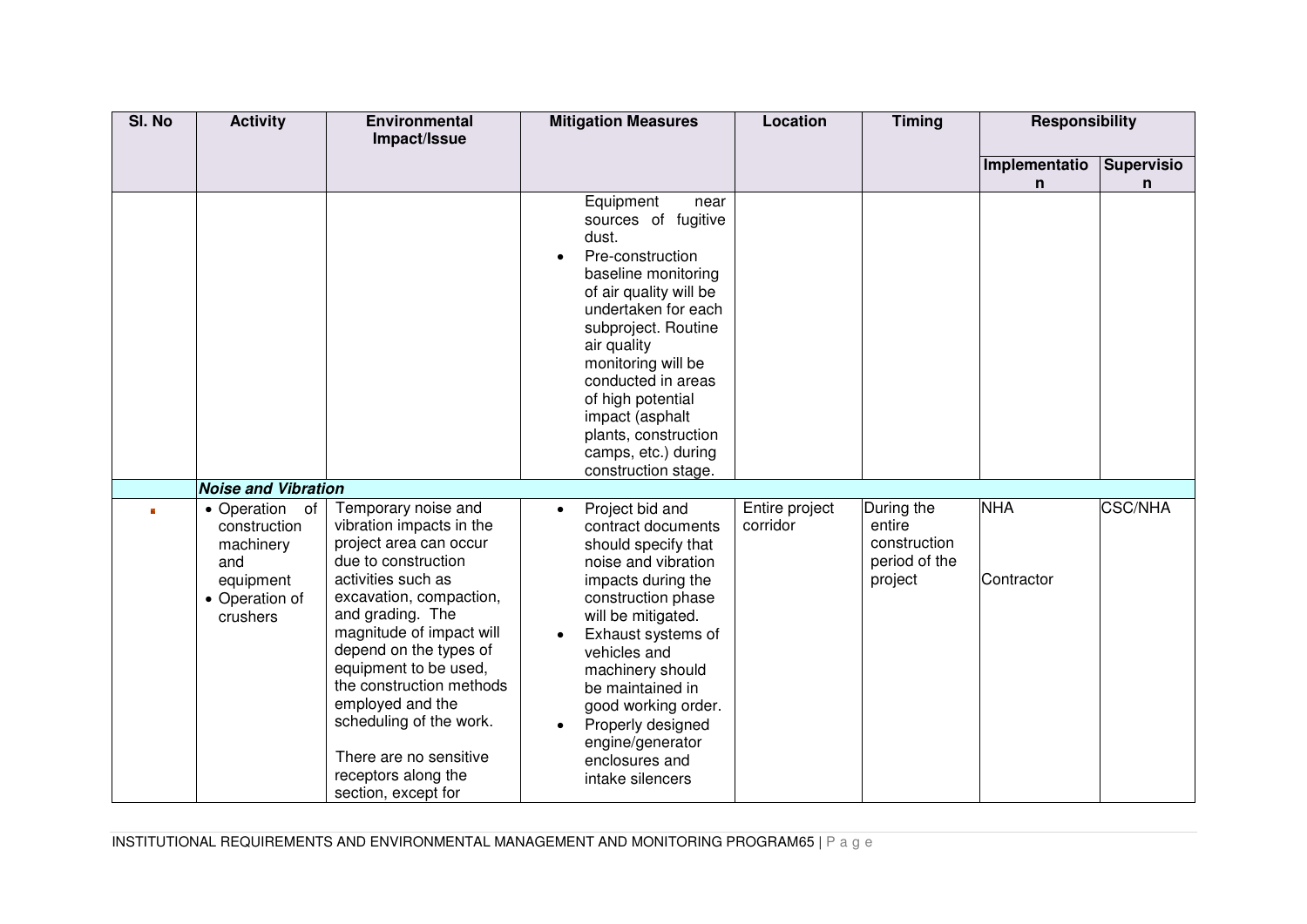| SI. No | <b>Activity</b>                                                                                  | <b>Environmental</b><br>Impact/Issue                                                                                                                                                                                                                                                                                                                                                                    | <b>Mitigation Measures</b>                                                                                                                                                                                                                                                                                                                                 | Location                   | <b>Timing</b>                                                    | <b>Responsibility</b>    |                        |
|--------|--------------------------------------------------------------------------------------------------|---------------------------------------------------------------------------------------------------------------------------------------------------------------------------------------------------------------------------------------------------------------------------------------------------------------------------------------------------------------------------------------------------------|------------------------------------------------------------------------------------------------------------------------------------------------------------------------------------------------------------------------------------------------------------------------------------------------------------------------------------------------------------|----------------------------|------------------------------------------------------------------|--------------------------|------------------------|
|        |                                                                                                  |                                                                                                                                                                                                                                                                                                                                                                                                         |                                                                                                                                                                                                                                                                                                                                                            |                            |                                                                  | Implementatio<br>n       | <b>Supervisio</b><br>n |
|        |                                                                                                  |                                                                                                                                                                                                                                                                                                                                                                                                         | Equipment<br>near<br>sources of fugitive<br>dust.<br>Pre-construction<br>$\bullet$<br>baseline monitoring<br>of air quality will be<br>undertaken for each<br>subproject. Routine<br>air quality<br>monitoring will be<br>conducted in areas<br>of high potential<br>impact (asphalt<br>plants, construction<br>camps, etc.) during<br>construction stage. |                            |                                                                  |                          |                        |
|        | <b>Noise and Vibration</b>                                                                       |                                                                                                                                                                                                                                                                                                                                                                                                         |                                                                                                                                                                                                                                                                                                                                                            |                            |                                                                  |                          |                        |
|        | • Operation<br>of<br>construction<br>machinery<br>and<br>equipment<br>• Operation of<br>crushers | Temporary noise and<br>vibration impacts in the<br>project area can occur<br>due to construction<br>activities such as<br>excavation, compaction,<br>and grading. The<br>magnitude of impact will<br>depend on the types of<br>equipment to be used,<br>the construction methods<br>employed and the<br>scheduling of the work.<br>There are no sensitive<br>receptors along the<br>section, except for | Project bid and<br>$\bullet$<br>contract documents<br>should specify that<br>noise and vibration<br>impacts during the<br>construction phase<br>will be mitigated.<br>Exhaust systems of<br>vehicles and<br>machinery should<br>be maintained in<br>good working order.<br>Properly designed<br>engine/generator<br>enclosures and<br>intake silencers     | Entire project<br>corridor | During the<br>entire<br>construction<br>period of the<br>project | <b>NHA</b><br>Contractor | <b>CSC/NHA</b>         |

INSTITUTIONAL REQUIREMENTS AND ENVIRONMENTAL MANAGEMENT AND MONITORING PROGRAM65 | P a g e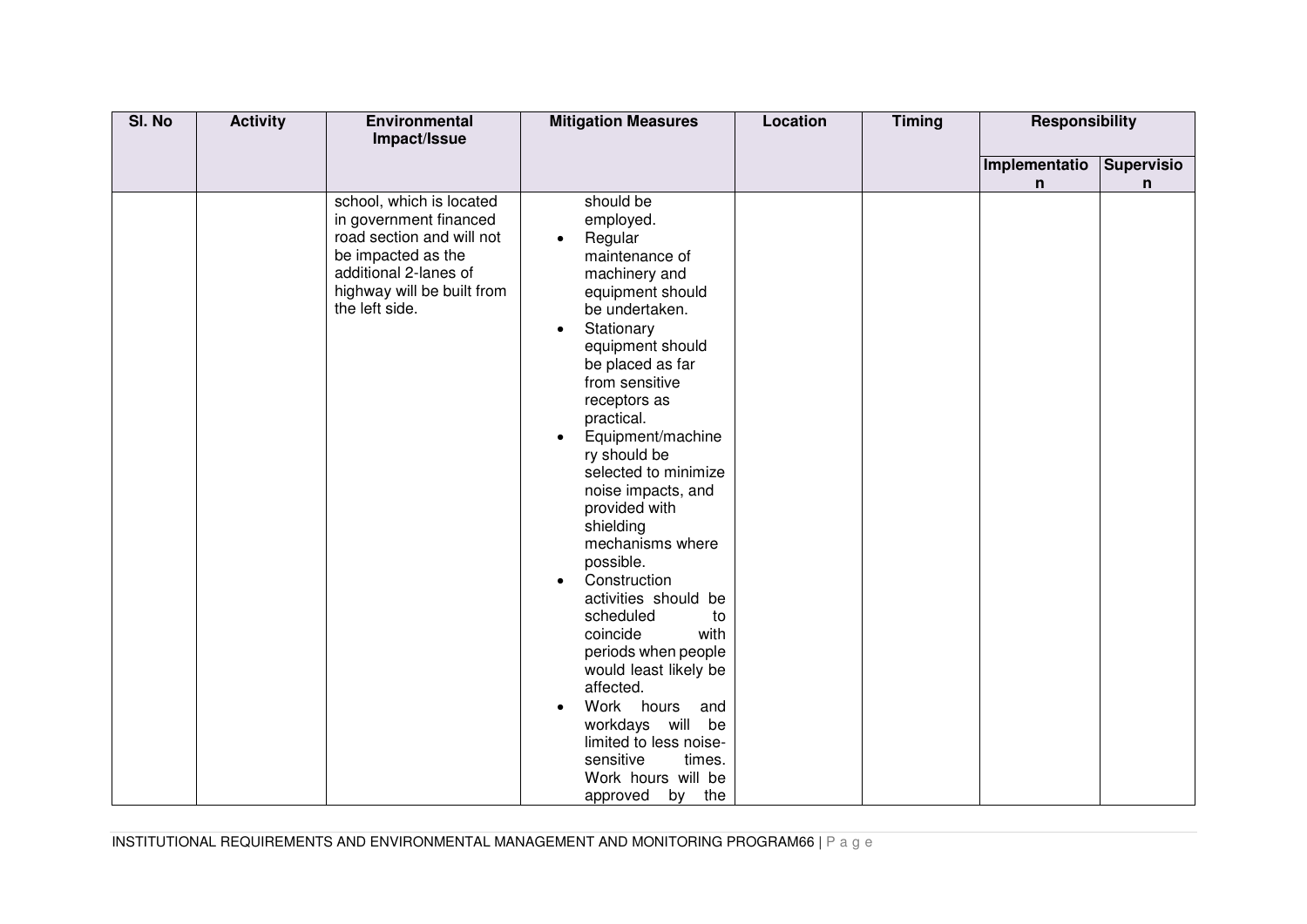| SI. No | <b>Activity</b> | Environmental                                                                                                                                                                                  | <b>Mitigation Measures</b>                                                                                                                                                                                                                                                                                                                                                                                                                                                                                                   | Location | <b>Timing</b> | <b>Responsibility</b> |                        |
|--------|-----------------|------------------------------------------------------------------------------------------------------------------------------------------------------------------------------------------------|------------------------------------------------------------------------------------------------------------------------------------------------------------------------------------------------------------------------------------------------------------------------------------------------------------------------------------------------------------------------------------------------------------------------------------------------------------------------------------------------------------------------------|----------|---------------|-----------------------|------------------------|
|        |                 |                                                                                                                                                                                                |                                                                                                                                                                                                                                                                                                                                                                                                                                                                                                                              |          |               |                       |                        |
|        |                 |                                                                                                                                                                                                |                                                                                                                                                                                                                                                                                                                                                                                                                                                                                                                              |          |               |                       |                        |
|        |                 | Impact/Issue<br>school, which is located<br>in government financed<br>road section and will not<br>be impacted as the<br>additional 2-lanes of<br>highway will be built from<br>the left side. | should be<br>employed.<br>Regular<br>$\bullet$<br>maintenance of<br>machinery and<br>equipment should<br>be undertaken.<br>Stationary<br>$\bullet$<br>equipment should<br>be placed as far<br>from sensitive<br>receptors as<br>practical.<br>Equipment/machine<br>$\bullet$<br>ry should be<br>selected to minimize<br>noise impacts, and<br>provided with<br>shielding<br>mechanisms where<br>possible.<br>Construction<br>$\bullet$<br>activities should be<br>scheduled<br>to<br>with<br>coincide<br>periods when people |          |               | Implementatio<br>n    | <b>Supervisio</b><br>n |
|        |                 |                                                                                                                                                                                                | would least likely be<br>affected.                                                                                                                                                                                                                                                                                                                                                                                                                                                                                           |          |               |                       |                        |
|        |                 |                                                                                                                                                                                                | Work hours<br>and<br>workdays will be<br>limited to less noise-<br>sensitive<br>times.<br>Work hours will be                                                                                                                                                                                                                                                                                                                                                                                                                 |          |               |                       |                        |
|        |                 |                                                                                                                                                                                                | by the<br>approved                                                                                                                                                                                                                                                                                                                                                                                                                                                                                                           |          |               |                       |                        |

INSTITUTIONAL REQUIREMENTS AND ENVIRONMENTAL MANAGEMENT AND MONITORING PROGRAM66 | P a g e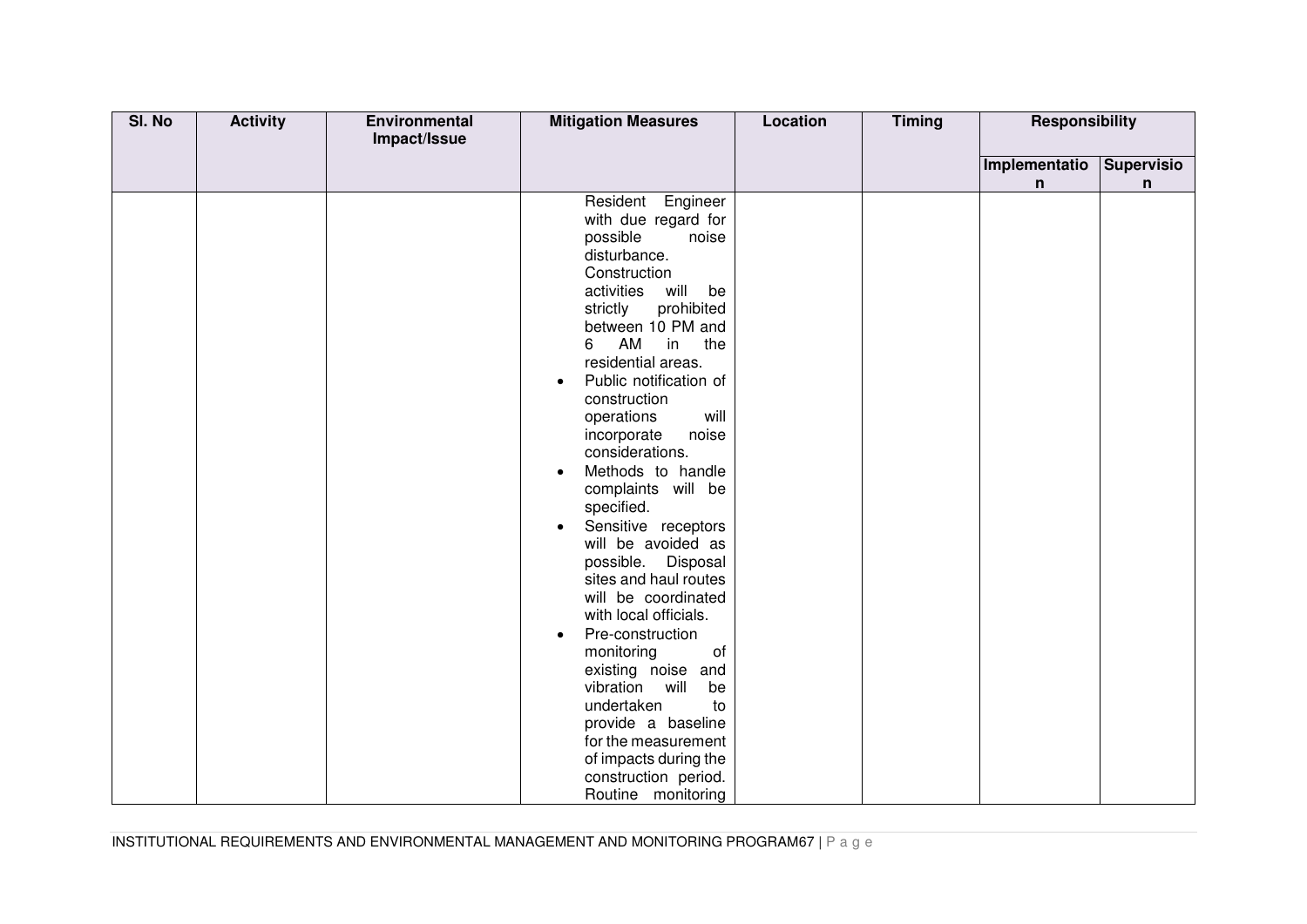| SI. No | <b>Activity</b> | Environmental<br>Impact/Issue | <b>Mitigation Measures</b>         | <b>Location</b> | <b>Timing</b> | <b>Responsibility</b> |            |
|--------|-----------------|-------------------------------|------------------------------------|-----------------|---------------|-----------------------|------------|
|        |                 |                               |                                    |                 |               |                       |            |
|        |                 |                               |                                    |                 |               | Implementatio         | Supervisio |
|        |                 |                               |                                    |                 |               | n                     | n          |
|        |                 |                               | Resident Engineer                  |                 |               |                       |            |
|        |                 |                               | with due regard for                |                 |               |                       |            |
|        |                 |                               | possible<br>noise                  |                 |               |                       |            |
|        |                 |                               | disturbance.                       |                 |               |                       |            |
|        |                 |                               | Construction                       |                 |               |                       |            |
|        |                 |                               | will<br>be<br>activities           |                 |               |                       |            |
|        |                 |                               | prohibited<br>strictly             |                 |               |                       |            |
|        |                 |                               | between 10 PM and<br>6<br>AM<br>in |                 |               |                       |            |
|        |                 |                               | the<br>residential areas.          |                 |               |                       |            |
|        |                 |                               | Public notification of             |                 |               |                       |            |
|        |                 |                               | $\bullet$<br>construction          |                 |               |                       |            |
|        |                 |                               | will<br>operations                 |                 |               |                       |            |
|        |                 |                               | incorporate<br>noise               |                 |               |                       |            |
|        |                 |                               | considerations.                    |                 |               |                       |            |
|        |                 |                               | Methods to handle<br>$\bullet$     |                 |               |                       |            |
|        |                 |                               | complaints will be                 |                 |               |                       |            |
|        |                 |                               | specified.                         |                 |               |                       |            |
|        |                 |                               | Sensitive receptors<br>$\bullet$   |                 |               |                       |            |
|        |                 |                               | will be avoided as                 |                 |               |                       |            |
|        |                 |                               | possible. Disposal                 |                 |               |                       |            |
|        |                 |                               | sites and haul routes              |                 |               |                       |            |
|        |                 |                               | will be coordinated                |                 |               |                       |            |
|        |                 |                               | with local officials.              |                 |               |                       |            |
|        |                 |                               | Pre-construction<br>$\bullet$      |                 |               |                       |            |
|        |                 |                               | monitoring<br>0f                   |                 |               |                       |            |
|        |                 |                               | existing noise and                 |                 |               |                       |            |
|        |                 |                               | vibration will<br>be               |                 |               |                       |            |
|        |                 |                               | undertaken<br>to                   |                 |               |                       |            |
|        |                 |                               | provide a baseline                 |                 |               |                       |            |
|        |                 |                               | for the measurement                |                 |               |                       |            |
|        |                 |                               | of impacts during the              |                 |               |                       |            |
|        |                 |                               | construction period.               |                 |               |                       |            |
|        |                 |                               | Routine monitoring                 |                 |               |                       |            |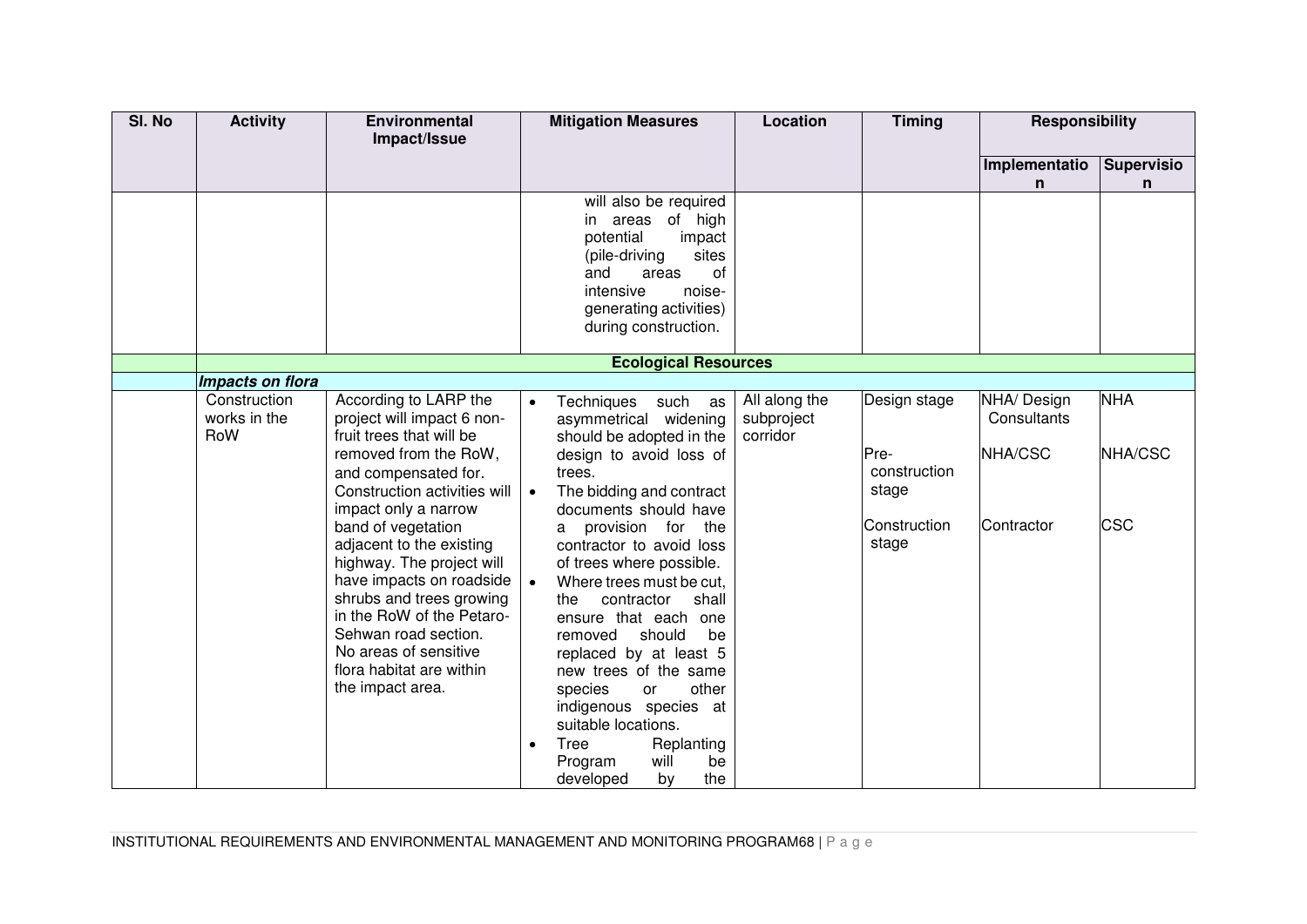| SI. No | <b>Activity</b>  | Environmental<br>Impact/Issue                  |           | <b>Mitigation Measures</b>                         | Location      | <b>Timing</b> | <b>Responsibility</b> |                   |
|--------|------------------|------------------------------------------------|-----------|----------------------------------------------------|---------------|---------------|-----------------------|-------------------|
|        |                  |                                                |           |                                                    |               |               |                       |                   |
|        |                  |                                                |           |                                                    |               |               | Implementatio         | <b>Supervisio</b> |
|        |                  |                                                |           | will also be required                              |               |               | n                     | $\mathsf{n}$      |
|        |                  |                                                |           | areas of high<br>in                                |               |               |                       |                   |
|        |                  |                                                |           | potential<br>impact                                |               |               |                       |                   |
|        |                  |                                                |           | sites<br>(pile-driving                             |               |               |                       |                   |
|        |                  |                                                |           | and<br>areas<br>0f                                 |               |               |                       |                   |
|        |                  |                                                |           | noise-<br>intensive                                |               |               |                       |                   |
|        |                  |                                                |           | generating activities)                             |               |               |                       |                   |
|        |                  |                                                |           | during construction.                               |               |               |                       |                   |
|        |                  |                                                |           | <b>Ecological Resources</b>                        |               |               |                       |                   |
|        | Impacts on flora |                                                |           |                                                    |               |               |                       |                   |
|        | Construction     | According to LARP the                          | $\bullet$ | Techniques<br>such<br>as                           | All along the | Design stage  | NHA/ Design           | <b>NHA</b>        |
|        | works in the     | project will impact 6 non-                     |           | asymmetrical widening                              | subproject    |               | Consultants           |                   |
|        | RoW              | fruit trees that will be                       |           | should be adopted in the                           | corridor      |               |                       |                   |
|        |                  | removed from the RoW,                          |           | design to avoid loss of                            |               | Pre-          | NHA/CSC               | NHA/CSC           |
|        |                  | and compensated for.                           |           | trees.                                             |               | construction  |                       |                   |
|        |                  | Construction activities will                   | $\bullet$ | The bidding and contract                           |               | stage         |                       |                   |
|        |                  | impact only a narrow                           |           | documents should have                              |               | Construction  | Contractor            | <b>CSC</b>        |
|        |                  | band of vegetation<br>adjacent to the existing |           | provision for the<br>a<br>contractor to avoid loss |               | stage         |                       |                   |
|        |                  | highway. The project will                      |           | of trees where possible.                           |               |               |                       |                   |
|        |                  | have impacts on roadside                       |           | Where trees must be cut.                           |               |               |                       |                   |
|        |                  | shrubs and trees growing                       |           | the<br>contractor<br>shall                         |               |               |                       |                   |
|        |                  | in the RoW of the Petaro-                      |           | ensure that each one                               |               |               |                       |                   |
|        |                  | Sehwan road section.                           |           | removed<br>should<br>be                            |               |               |                       |                   |
|        |                  | No areas of sensitive                          |           | replaced by at least 5                             |               |               |                       |                   |
|        |                  | flora habitat are within                       |           | new trees of the same                              |               |               |                       |                   |
|        |                  | the impact area.                               |           | other<br>species<br><b>or</b>                      |               |               |                       |                   |
|        |                  |                                                |           | indigenous species at<br>suitable locations.       |               |               |                       |                   |
|        |                  |                                                |           | Tree                                               |               |               |                       |                   |
|        |                  |                                                |           | Replanting<br>Program<br>will<br>be                |               |               |                       |                   |
|        |                  |                                                |           | the<br>developed<br>by                             |               |               |                       |                   |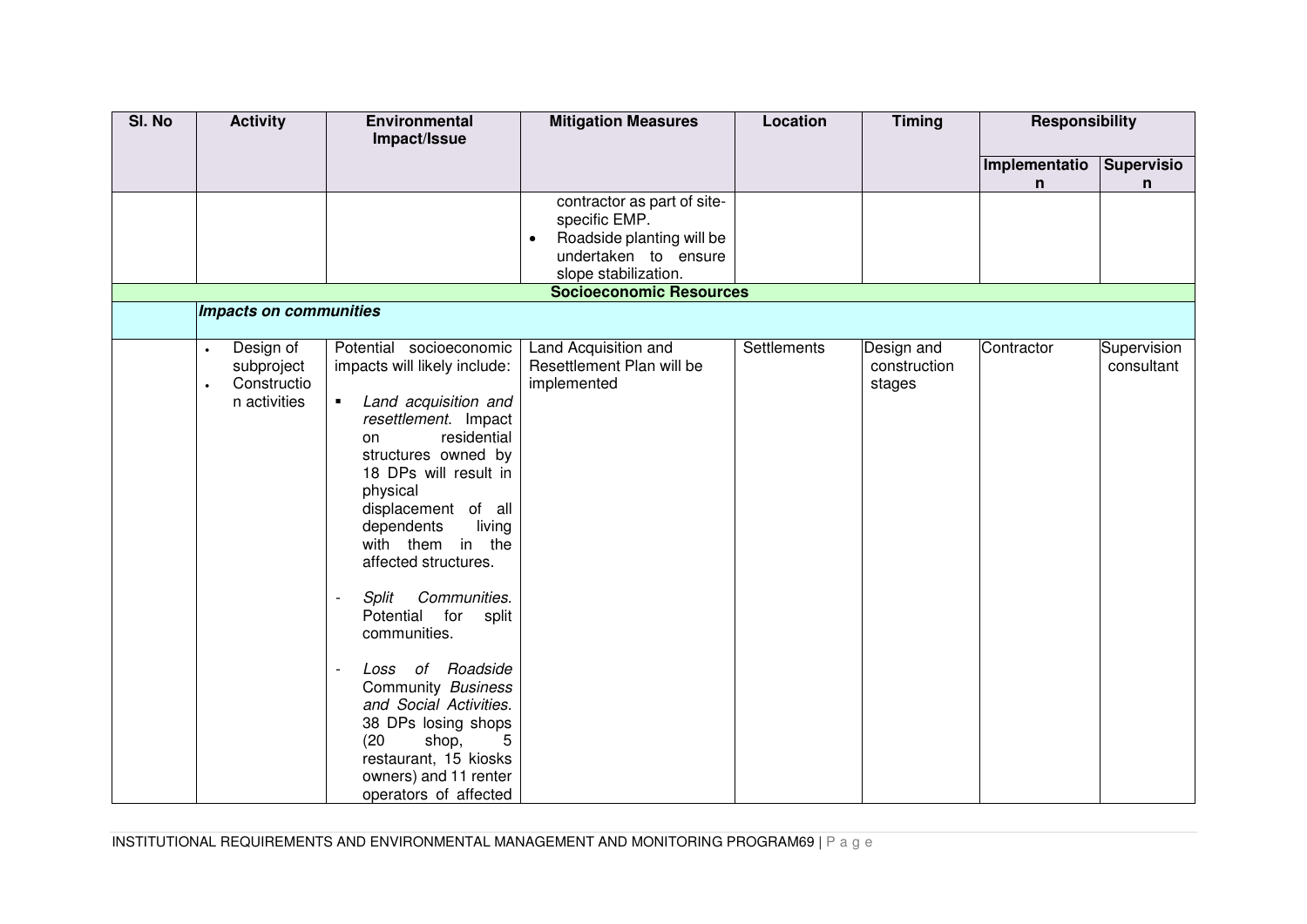| SI. No | <b>Activity</b>                                                                  | <b>Environmental</b><br>Impact/Issue                                                                                                                                                                                                                                                                                                                                                                                                                                                                                                                                                                                            | <b>Mitigation Measures</b>                                                                                                                                  | Location    | <b>Timing</b>                        | <b>Responsibility</b> |                           |
|--------|----------------------------------------------------------------------------------|---------------------------------------------------------------------------------------------------------------------------------------------------------------------------------------------------------------------------------------------------------------------------------------------------------------------------------------------------------------------------------------------------------------------------------------------------------------------------------------------------------------------------------------------------------------------------------------------------------------------------------|-------------------------------------------------------------------------------------------------------------------------------------------------------------|-------------|--------------------------------------|-----------------------|---------------------------|
|        |                                                                                  |                                                                                                                                                                                                                                                                                                                                                                                                                                                                                                                                                                                                                                 |                                                                                                                                                             |             |                                      |                       |                           |
|        |                                                                                  |                                                                                                                                                                                                                                                                                                                                                                                                                                                                                                                                                                                                                                 |                                                                                                                                                             |             |                                      | Implementatio<br>n    | <b>Supervisio</b><br>n    |
|        | Impacts on communities                                                           |                                                                                                                                                                                                                                                                                                                                                                                                                                                                                                                                                                                                                                 | contractor as part of site-<br>specific EMP.<br>Roadside planting will be<br>undertaken to ensure<br>slope stabilization.<br><b>Socioeconomic Resources</b> |             |                                      |                       |                           |
|        |                                                                                  |                                                                                                                                                                                                                                                                                                                                                                                                                                                                                                                                                                                                                                 |                                                                                                                                                             |             |                                      |                       |                           |
|        | Design of<br>$\bullet$<br>subproject<br>Constructio<br>$\bullet$<br>n activities | Potential socioeconomic<br>impacts will likely include:<br>Land acquisition and<br>$\blacksquare$<br>resettlement. Impact<br>residential<br>on<br>structures owned by<br>18 DPs will result in<br>physical<br>displacement of all<br>dependents<br>living<br>with them in the<br>affected structures.<br>Communities.<br>Split<br>$\overline{\phantom{a}}$<br>Potential<br>for<br>split<br>communities.<br>Loss of Roadside<br>$\overline{\phantom{a}}$<br>Community Business<br>and Social Activities.<br>38 DPs losing shops<br>(20)<br>shop,<br>5<br>restaurant, 15 kiosks<br>owners) and 11 renter<br>operators of affected | Land Acquisition and<br>Resettlement Plan will be<br>implemented                                                                                            | Settlements | Design and<br>construction<br>stages | Contractor            | Supervision<br>consultant |

INSTITUTIONAL REQUIREMENTS AND ENVIRONMENTAL MANAGEMENT AND MONITORING PROGRAM69 | P a g e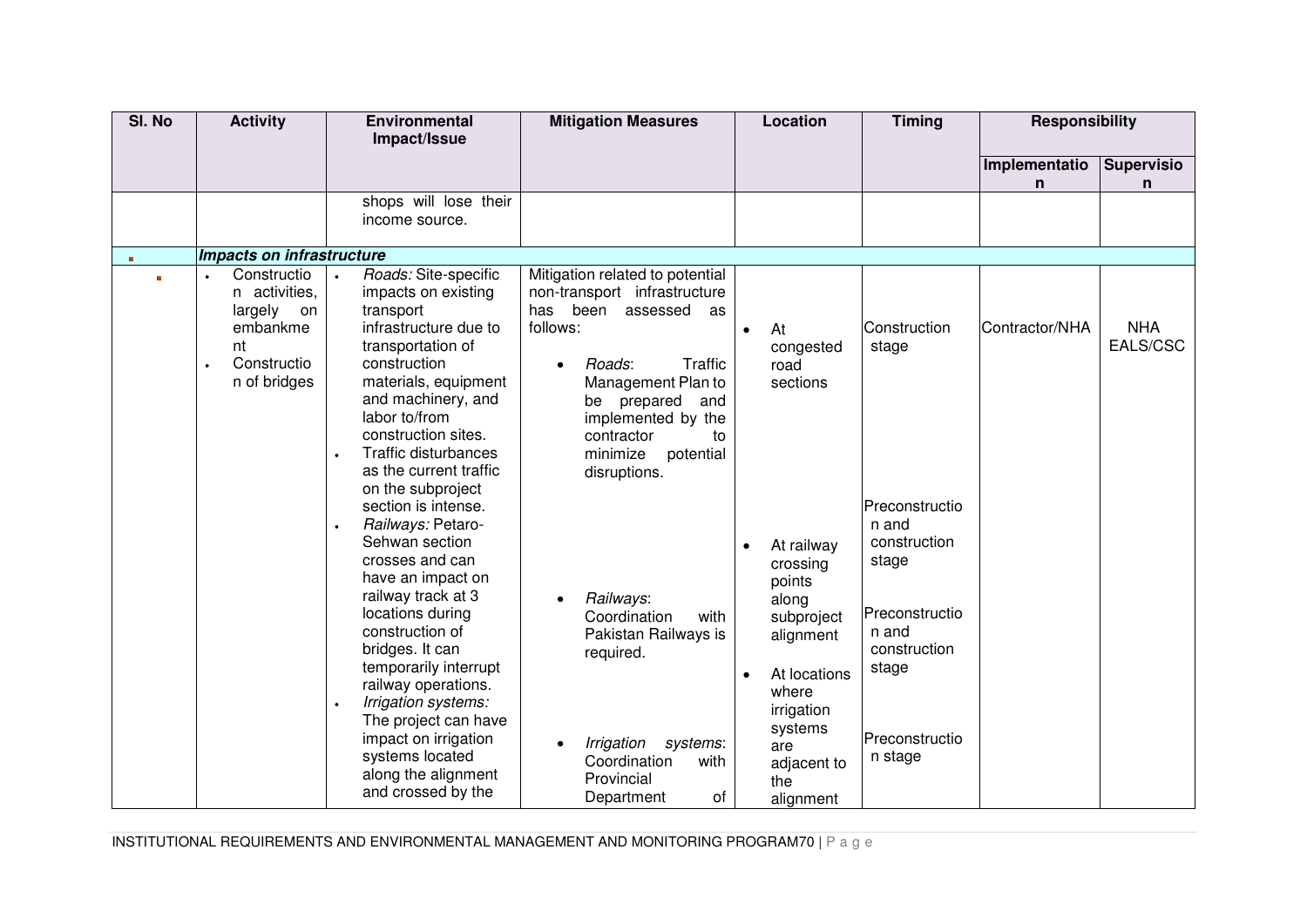| SI. No   | <b>Activity</b>                                                                                                       | <b>Environmental</b><br>Impact/Issue                                                                                                                                                                                                                                                                                                                                                                                                                                                                                                                                                                                                                                       | <b>Mitigation Measures</b>                                                                                                                                                                                                                                                                                                                                                        | Location                                                                                                                                                                                                    | <b>Timing</b>                                                                                                                                   | <b>Responsibility</b> |                        |
|----------|-----------------------------------------------------------------------------------------------------------------------|----------------------------------------------------------------------------------------------------------------------------------------------------------------------------------------------------------------------------------------------------------------------------------------------------------------------------------------------------------------------------------------------------------------------------------------------------------------------------------------------------------------------------------------------------------------------------------------------------------------------------------------------------------------------------|-----------------------------------------------------------------------------------------------------------------------------------------------------------------------------------------------------------------------------------------------------------------------------------------------------------------------------------------------------------------------------------|-------------------------------------------------------------------------------------------------------------------------------------------------------------------------------------------------------------|-------------------------------------------------------------------------------------------------------------------------------------------------|-----------------------|------------------------|
|          |                                                                                                                       |                                                                                                                                                                                                                                                                                                                                                                                                                                                                                                                                                                                                                                                                            |                                                                                                                                                                                                                                                                                                                                                                                   |                                                                                                                                                                                                             |                                                                                                                                                 | Implementatio<br>n.   | <b>Supervisio</b><br>n |
|          |                                                                                                                       | shops will lose their<br>income source.                                                                                                                                                                                                                                                                                                                                                                                                                                                                                                                                                                                                                                    |                                                                                                                                                                                                                                                                                                                                                                                   |                                                                                                                                                                                                             |                                                                                                                                                 |                       |                        |
|          | Impacts on infrastructure                                                                                             |                                                                                                                                                                                                                                                                                                                                                                                                                                                                                                                                                                                                                                                                            |                                                                                                                                                                                                                                                                                                                                                                                   |                                                                                                                                                                                                             |                                                                                                                                                 |                       |                        |
| <b>B</b> | Constructio<br>$\bullet$<br>n activities,<br>largely on<br>embankme<br>nt<br>Constructio<br>$\bullet$<br>n of bridges | Roads: Site-specific<br>$\ddot{\phantom{0}}$<br>impacts on existing<br>transport<br>infrastructure due to<br>transportation of<br>construction<br>materials, equipment<br>and machinery, and<br>labor to/from<br>construction sites.<br>Traffic disturbances<br>$\ddot{\phantom{0}}$<br>as the current traffic<br>on the subproject<br>section is intense.<br>Railways: Petaro-<br>$\bullet$<br>Sehwan section<br>crosses and can<br>have an impact on<br>railway track at 3<br>locations during<br>construction of<br>bridges. It can<br>temporarily interrupt<br>railway operations.<br>Irrigation systems:<br>$\bullet$<br>The project can have<br>impact on irrigation | Mitigation related to potential<br>non-transport infrastructure<br>has<br>been<br>assessed<br>as<br>follows:<br>Traffic<br>Roads:<br>$\bullet$<br>Management Plan to<br>be prepared<br>and<br>implemented by the<br>contractor<br>to<br>potential<br>minimize<br>disruptions.<br>Railways:<br>Coordination<br>with<br>Pakistan Railways is<br>required.<br>Irrigation<br>systems: | At<br>$\bullet$<br>congested<br>road<br>sections<br>At railway<br>$\bullet$<br>crossing<br>points<br>along<br>subproject<br>alignment<br>At locations<br>$\bullet$<br>where<br>irrigation<br>systems<br>are | Construction<br>stage<br>Preconstructio<br>n and<br>construction<br>stage<br>Preconstructio<br>n and<br>construction<br>stage<br>Preconstructio | Contractor/NHA        | <b>NHA</b><br>EALS/CSC |
|          |                                                                                                                       | systems located<br>along the alignment<br>and crossed by the                                                                                                                                                                                                                                                                                                                                                                                                                                                                                                                                                                                                               | Coordination<br>with<br>Provincial<br>Department<br>0f                                                                                                                                                                                                                                                                                                                            | adjacent to<br>the<br>alignment                                                                                                                                                                             | n stage                                                                                                                                         |                       |                        |

INSTITUTIONAL REQUIREMENTS AND ENVIRONMENTAL MANAGEMENT AND MONITORING PROGRAM70 | P a g e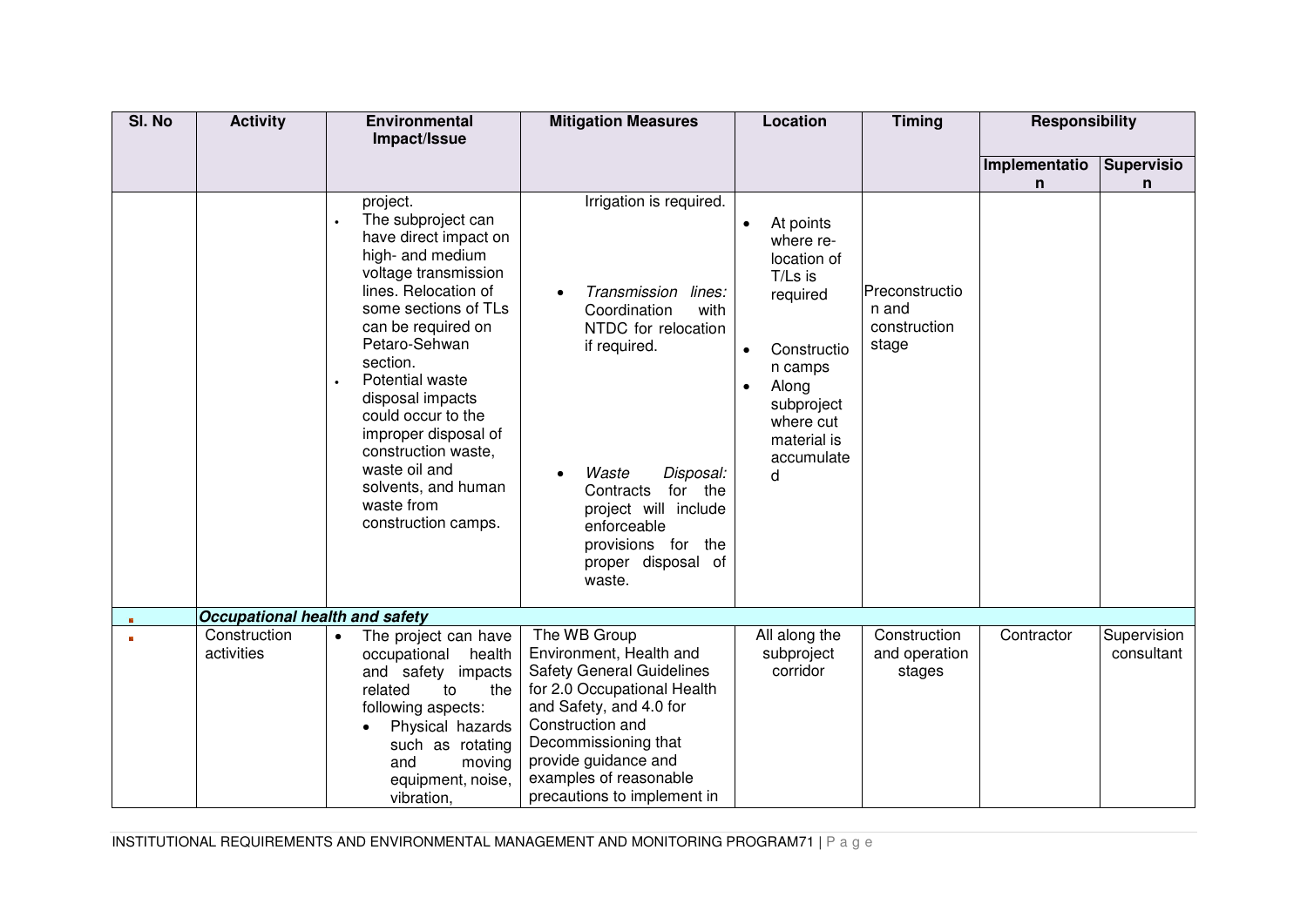| SI. No                  | <b>Activity</b>                | <b>Environmental</b>                                                                                                                                                                                                                                                                                                                                                                            | <b>Mitigation Measures</b>                                                                                                                                                                                                                                         | Location                                                                                                                                                                                            | <b>Timing</b>                                    | <b>Responsibility</b> |                           |
|-------------------------|--------------------------------|-------------------------------------------------------------------------------------------------------------------------------------------------------------------------------------------------------------------------------------------------------------------------------------------------------------------------------------------------------------------------------------------------|--------------------------------------------------------------------------------------------------------------------------------------------------------------------------------------------------------------------------------------------------------------------|-----------------------------------------------------------------------------------------------------------------------------------------------------------------------------------------------------|--------------------------------------------------|-----------------------|---------------------------|
|                         |                                | Impact/Issue                                                                                                                                                                                                                                                                                                                                                                                    |                                                                                                                                                                                                                                                                    |                                                                                                                                                                                                     |                                                  |                       |                           |
|                         |                                |                                                                                                                                                                                                                                                                                                                                                                                                 |                                                                                                                                                                                                                                                                    |                                                                                                                                                                                                     |                                                  | Implementatio         | <b>Supervisio</b>         |
|                         |                                |                                                                                                                                                                                                                                                                                                                                                                                                 |                                                                                                                                                                                                                                                                    |                                                                                                                                                                                                     |                                                  | n                     | n                         |
|                         |                                | project.<br>The subproject can<br>have direct impact on<br>high- and medium<br>voltage transmission<br>lines. Relocation of<br>some sections of TLs<br>can be required on<br>Petaro-Sehwan<br>section.<br>Potential waste<br>disposal impacts<br>could occur to the<br>improper disposal of<br>construction waste,<br>waste oil and<br>solvents, and human<br>waste from<br>construction camps. | Irrigation is required.<br>Transmission<br>lines:<br>Coordination<br>with<br>NTDC for relocation<br>if required.<br>Waste<br>Disposal:<br>for the<br>Contracts<br>project will include<br>enforceable<br>provisions for the<br>proper disposal of<br>waste.        | At points<br>$\bullet$<br>where re-<br>location of<br>T/Ls is<br>required<br>Constructio<br>$\bullet$<br>n camps<br>Along<br>$\bullet$<br>subproject<br>where cut<br>material is<br>accumulate<br>d | Preconstructio<br>n and<br>construction<br>stage |                       |                           |
| $\overline{\mathbf{B}}$ | Occupational health and safety |                                                                                                                                                                                                                                                                                                                                                                                                 |                                                                                                                                                                                                                                                                    |                                                                                                                                                                                                     |                                                  |                       |                           |
|                         | Construction<br>activities     | The project can have<br>health<br>occupational<br>and safety impacts<br>the<br>related<br>to<br>following aspects:<br>Physical hazards<br>such as rotating<br>and<br>moving<br>equipment, noise,<br>vibration,                                                                                                                                                                                  | The WB Group<br>Environment, Health and<br><b>Safety General Guidelines</b><br>for 2.0 Occupational Health<br>and Safety, and 4.0 for<br>Construction and<br>Decommissioning that<br>provide guidance and<br>examples of reasonable<br>precautions to implement in | All along the<br>subproject<br>corridor                                                                                                                                                             | Construction<br>and operation<br>stages          | Contractor            | Supervision<br>consultant |

INSTITUTIONAL REQUIREMENTS AND ENVIRONMENTAL MANAGEMENT AND MONITORING PROGRAM71 | P a g e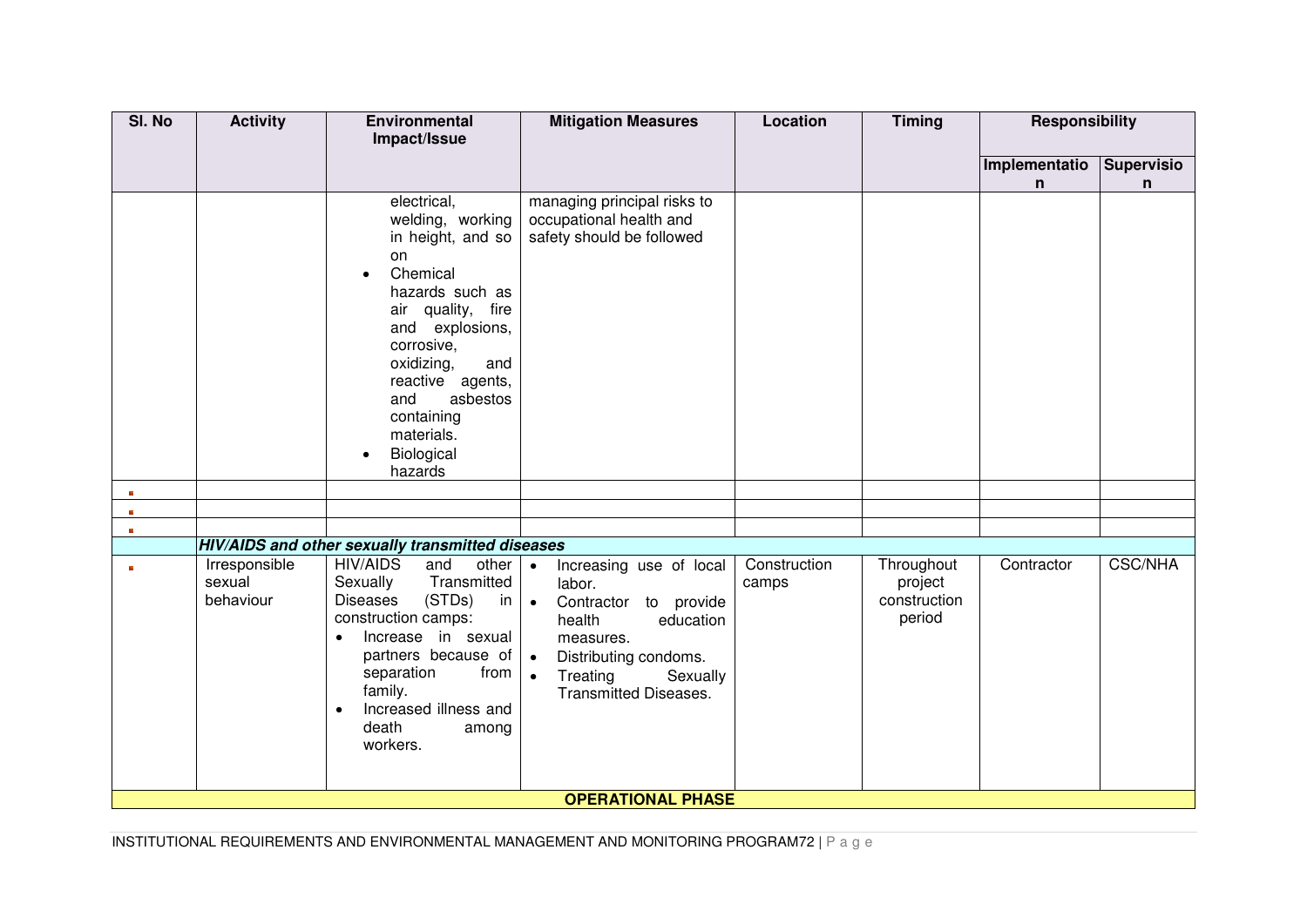| SI. No                   | <b>Activity</b>                      | Environmental<br>Impact/Issue                                                                                                                                                                                                                                                       | <b>Mitigation Measures</b>                                                                                                                                                                                                          | Location              | <b>Timing</b>                                   | <b>Responsibility</b> |                        |
|--------------------------|--------------------------------------|-------------------------------------------------------------------------------------------------------------------------------------------------------------------------------------------------------------------------------------------------------------------------------------|-------------------------------------------------------------------------------------------------------------------------------------------------------------------------------------------------------------------------------------|-----------------------|-------------------------------------------------|-----------------------|------------------------|
|                          |                                      |                                                                                                                                                                                                                                                                                     |                                                                                                                                                                                                                                     |                       |                                                 |                       |                        |
|                          |                                      |                                                                                                                                                                                                                                                                                     |                                                                                                                                                                                                                                     |                       |                                                 | Implementatio<br>n    | <b>Supervisio</b><br>n |
| $\mathbf{B}$<br><b>B</b> |                                      | electrical,<br>welding, working<br>in height, and so<br>on<br>Chemical<br>$\bullet$<br>hazards such as<br>air quality, fire<br>and explosions,<br>corrosive,<br>oxidizing,<br>and<br>reactive agents,<br>asbestos<br>and<br>containing<br>materials.<br>Biological<br>hazards       | managing principal risks to<br>occupational health and<br>safety should be followed                                                                                                                                                 |                       |                                                 |                       |                        |
| $\mathbf{R}$             |                                      |                                                                                                                                                                                                                                                                                     |                                                                                                                                                                                                                                     |                       |                                                 |                       |                        |
|                          |                                      | HIV/AIDS and other sexually transmitted diseases                                                                                                                                                                                                                                    |                                                                                                                                                                                                                                     |                       |                                                 |                       |                        |
| $\mathbf{R}$             | Irresponsible<br>sexual<br>behaviour | <b>HIV/AIDS</b><br>other<br>and<br>Transmitted<br>Sexually<br><b>Diseases</b><br>(STDs)<br>in<br>construction camps:<br>Increase in sexual<br>$\bullet$<br>partners because of<br>separation<br>from<br>family.<br>Increased illness and<br>$\bullet$<br>death<br>among<br>workers. | Increasing use of local<br>$\bullet$<br>labor.<br>Contractor to provide<br>$\bullet$<br>health<br>education<br>measures.<br>Distributing condoms.<br>$\bullet$<br>Treating<br>Sexually<br>$\bullet$<br><b>Transmitted Diseases.</b> | Construction<br>camps | Throughout<br>project<br>construction<br>period | Contractor            | <b>CSC/NHA</b>         |
|                          |                                      |                                                                                                                                                                                                                                                                                     | <b>OPERATIONAL PHASE</b>                                                                                                                                                                                                            |                       |                                                 |                       |                        |

INSTITUTIONAL REQUIREMENTS AND ENVIRONMENTAL MANAGEMENT AND MONITORING PROGRAM72 | P a g e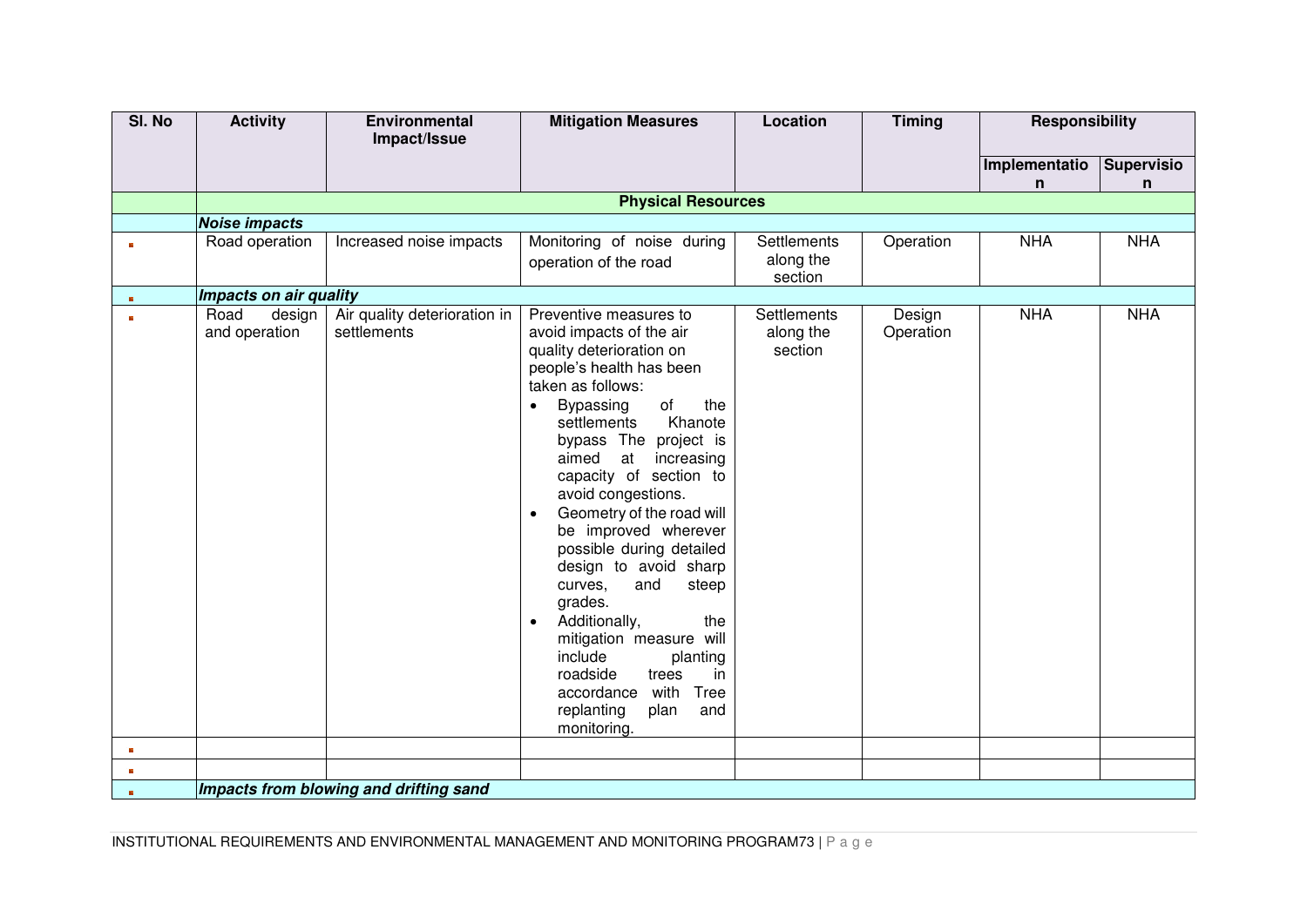| SI. No       | <b>Activity</b>                 | Environmental                               | <b>Mitigation Measures</b>                                                                                                                                                                                                                                                                                                                                                                                                                                                                                                                                                                                                                                   | Location                                   | <b>Timing</b>       | <b>Responsibility</b> |                   |
|--------------|---------------------------------|---------------------------------------------|--------------------------------------------------------------------------------------------------------------------------------------------------------------------------------------------------------------------------------------------------------------------------------------------------------------------------------------------------------------------------------------------------------------------------------------------------------------------------------------------------------------------------------------------------------------------------------------------------------------------------------------------------------------|--------------------------------------------|---------------------|-----------------------|-------------------|
|              |                                 | Impact/Issue                                |                                                                                                                                                                                                                                                                                                                                                                                                                                                                                                                                                                                                                                                              |                                            |                     |                       |                   |
|              |                                 |                                             |                                                                                                                                                                                                                                                                                                                                                                                                                                                                                                                                                                                                                                                              |                                            |                     | Implementatio         | <b>Supervisio</b> |
|              |                                 |                                             | <b>Physical Resources</b>                                                                                                                                                                                                                                                                                                                                                                                                                                                                                                                                                                                                                                    |                                            |                     | n                     | n                 |
|              | <b>Noise impacts</b>            |                                             |                                                                                                                                                                                                                                                                                                                                                                                                                                                                                                                                                                                                                                                              |                                            |                     |                       |                   |
| $\mathbf{R}$ | Road operation                  | Increased noise impacts                     | Monitoring of noise during                                                                                                                                                                                                                                                                                                                                                                                                                                                                                                                                                                                                                                   | <b>Settlements</b>                         | Operation           | <b>NHA</b>            | <b>NHA</b>        |
|              |                                 |                                             | operation of the road                                                                                                                                                                                                                                                                                                                                                                                                                                                                                                                                                                                                                                        | along the<br>section                       |                     |                       |                   |
| $\mathbf{H}$ | Impacts on air quality          |                                             |                                                                                                                                                                                                                                                                                                                                                                                                                                                                                                                                                                                                                                                              |                                            |                     |                       |                   |
| m.           | Road<br>design<br>and operation | Air quality deterioration in<br>settlements | Preventive measures to<br>avoid impacts of the air<br>quality deterioration on<br>people's health has been<br>taken as follows:<br>of<br>Bypassing<br>the<br>$\bullet$<br>Khanote<br>settlements<br>bypass The project is<br>at<br>aimed<br>increasing<br>capacity of section to<br>avoid congestions.<br>Geometry of the road will<br>$\bullet$<br>be improved wherever<br>possible during detailed<br>design to avoid sharp<br>and<br>curves,<br>steep<br>grades.<br>Additionally,<br>the<br>$\bullet$<br>mitigation measure will<br>include<br>planting<br>roadside<br>trees<br>in<br>with Tree<br>accordance<br>replanting<br>plan<br>and<br>monitoring. | <b>Settlements</b><br>along the<br>section | Design<br>Operation | <b>NHA</b>            | <b>NHA</b>        |
| $\mathbf{B}$ |                                 |                                             |                                                                                                                                                                                                                                                                                                                                                                                                                                                                                                                                                                                                                                                              |                                            |                     |                       |                   |
| $\mathbf{E}$ |                                 |                                             |                                                                                                                                                                                                                                                                                                                                                                                                                                                                                                                                                                                                                                                              |                                            |                     |                       |                   |
| $\mathbf{g}$ |                                 | Impacts from blowing and drifting sand      |                                                                                                                                                                                                                                                                                                                                                                                                                                                                                                                                                                                                                                                              |                                            |                     |                       |                   |

INSTITUTIONAL REQUIREMENTS AND ENVIRONMENTAL MANAGEMENT AND MONITORING PROGRAM73 | P a g e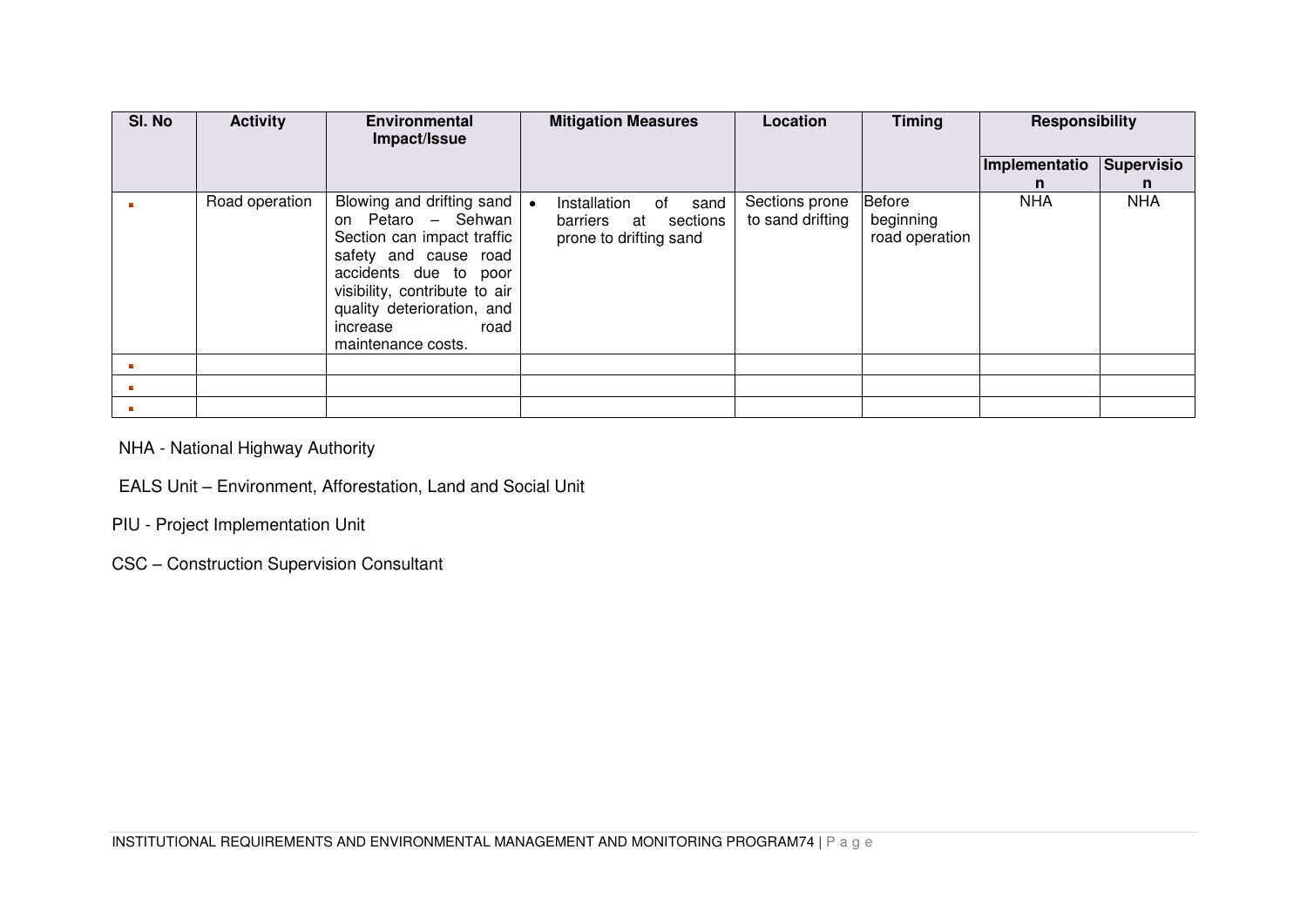| SI. No | <b>Activity</b> | <b>Environmental</b><br>Impact/Issue                                                                                                                                                                                                     | <b>Mitigation Measures</b>                            |                        | Location                           | <b>Timing</b>                         | <b>Responsibility</b> |                 |
|--------|-----------------|------------------------------------------------------------------------------------------------------------------------------------------------------------------------------------------------------------------------------------------|-------------------------------------------------------|------------------------|------------------------------------|---------------------------------------|-----------------------|-----------------|
|        |                 |                                                                                                                                                                                                                                          |                                                       |                        |                                    |                                       | Implementatio<br>n.   | Supervisio<br>n |
|        | Road operation  | Blowing and drifting sand<br>on Petaro - Sehwan<br>Section can impact traffic<br>safety and cause road<br>accidents due to poor<br>visibility, contribute to air<br>quality deterioration, and<br>road<br>increase<br>maintenance costs. | Installation<br>barriers at<br>prone to drifting sand | of<br>sand<br>sections | Sections prone<br>to sand drifting | Before<br>beginning<br>road operation | <b>NHA</b>            | <b>NHA</b>      |
|        |                 |                                                                                                                                                                                                                                          |                                                       |                        |                                    |                                       |                       |                 |
|        |                 |                                                                                                                                                                                                                                          |                                                       |                        |                                    |                                       |                       |                 |
|        |                 |                                                                                                                                                                                                                                          |                                                       |                        |                                    |                                       |                       |                 |

NHA - National Highway Authority

# EALS Unit – Environment, Afforestation, Land and Social Unit

PIU - Project Implementation Unit

CSC – Construction Supervision Consultant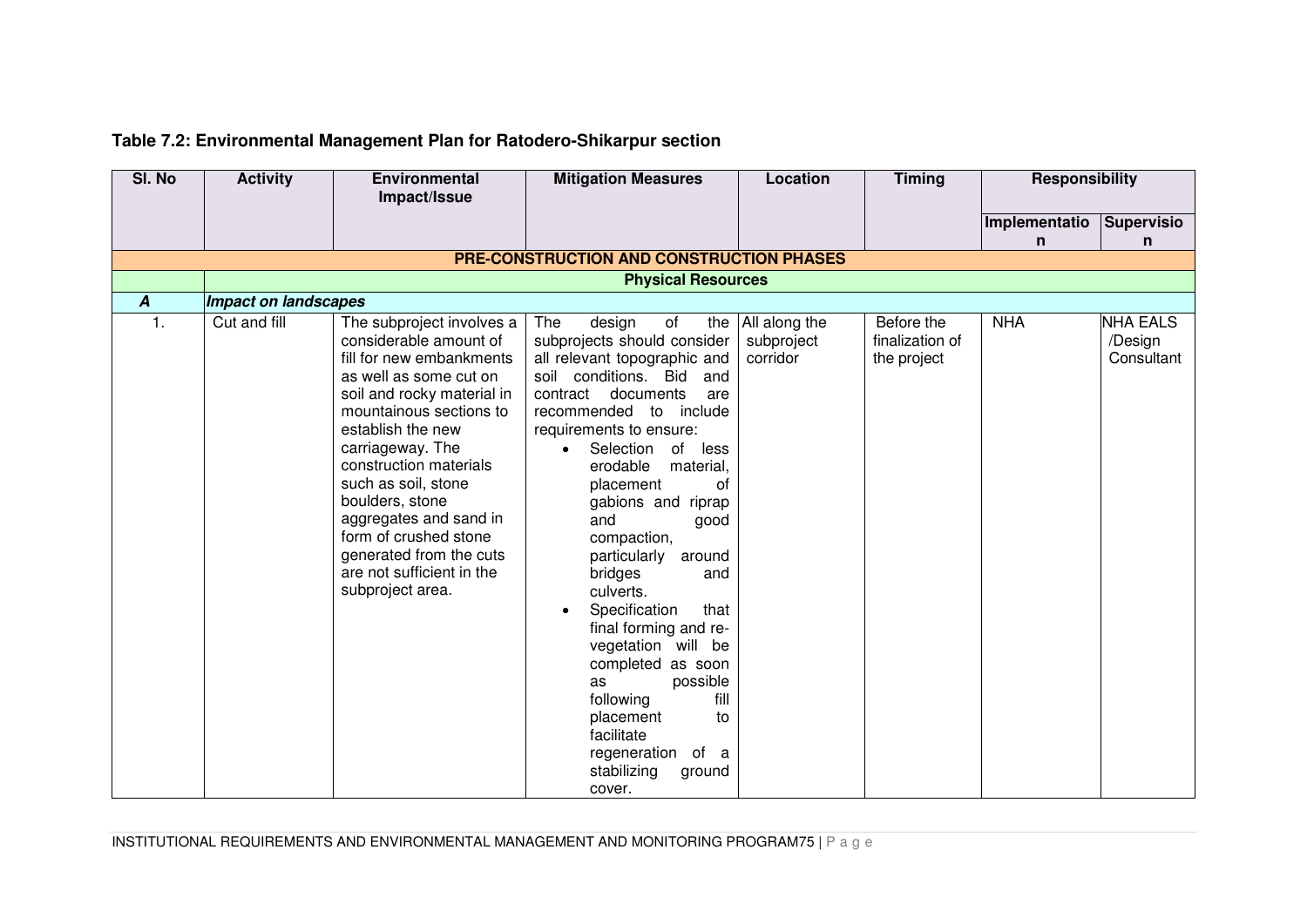# **Table 7.2: Environmental Management Plan for Ratodero-Shikarpur section**

| SI. No           | <b>Activity</b>             | <b>Environmental</b>                                                                                                                                                                                                                                                                                                                                                                                           | <b>Mitigation Measures</b>                                                                                                                                                                                                                                                                                                                                                                                                                                                                                                                                                                                                            | Location                                | <b>Timing</b>                                | <b>Responsibility</b> |                                          |
|------------------|-----------------------------|----------------------------------------------------------------------------------------------------------------------------------------------------------------------------------------------------------------------------------------------------------------------------------------------------------------------------------------------------------------------------------------------------------------|---------------------------------------------------------------------------------------------------------------------------------------------------------------------------------------------------------------------------------------------------------------------------------------------------------------------------------------------------------------------------------------------------------------------------------------------------------------------------------------------------------------------------------------------------------------------------------------------------------------------------------------|-----------------------------------------|----------------------------------------------|-----------------------|------------------------------------------|
|                  |                             | Impact/Issue                                                                                                                                                                                                                                                                                                                                                                                                   |                                                                                                                                                                                                                                                                                                                                                                                                                                                                                                                                                                                                                                       |                                         |                                              |                       |                                          |
|                  |                             |                                                                                                                                                                                                                                                                                                                                                                                                                |                                                                                                                                                                                                                                                                                                                                                                                                                                                                                                                                                                                                                                       |                                         |                                              | Implementatio         | Supervisio                               |
|                  |                             |                                                                                                                                                                                                                                                                                                                                                                                                                |                                                                                                                                                                                                                                                                                                                                                                                                                                                                                                                                                                                                                                       |                                         |                                              | n                     | n                                        |
|                  |                             |                                                                                                                                                                                                                                                                                                                                                                                                                | PRE-CONSTRUCTION AND CONSTRUCTION PHASES                                                                                                                                                                                                                                                                                                                                                                                                                                                                                                                                                                                              |                                         |                                              |                       |                                          |
|                  | <b>Physical Resources</b>   |                                                                                                                                                                                                                                                                                                                                                                                                                |                                                                                                                                                                                                                                                                                                                                                                                                                                                                                                                                                                                                                                       |                                         |                                              |                       |                                          |
| $\boldsymbol{A}$ | <b>Impact on landscapes</b> |                                                                                                                                                                                                                                                                                                                                                                                                                |                                                                                                                                                                                                                                                                                                                                                                                                                                                                                                                                                                                                                                       |                                         |                                              |                       |                                          |
| $\mathbf{1}$ .   | Cut and fill                | The subproject involves a<br>considerable amount of<br>fill for new embankments<br>as well as some cut on<br>soil and rocky material in<br>mountainous sections to<br>establish the new<br>carriageway. The<br>construction materials<br>such as soil, stone<br>boulders, stone<br>aggregates and sand in<br>form of crushed stone<br>generated from the cuts<br>are not sufficient in the<br>subproject area. | The<br>design<br>of<br>the<br>subprojects should consider<br>all relevant topographic and<br>soil conditions. Bid<br>and<br>contract documents<br>are<br>recommended to include<br>requirements to ensure:<br>Selection of less<br>erodable<br>material,<br>placement<br>0f<br>gabions and riprap<br>and<br>good<br>compaction,<br>around<br>particularly<br>bridges<br>and<br>culverts.<br>Specification<br>that<br>$\bullet$<br>final forming and re-<br>vegetation will be<br>completed as soon<br>possible<br>as<br>fill<br>following<br>placement<br>to<br>facilitate<br>regeneration<br>of a<br>stabilizing<br>ground<br>cover. | All along the<br>subproject<br>corridor | Before the<br>finalization of<br>the project | <b>NHA</b>            | <b>NHA EALS</b><br>/Design<br>Consultant |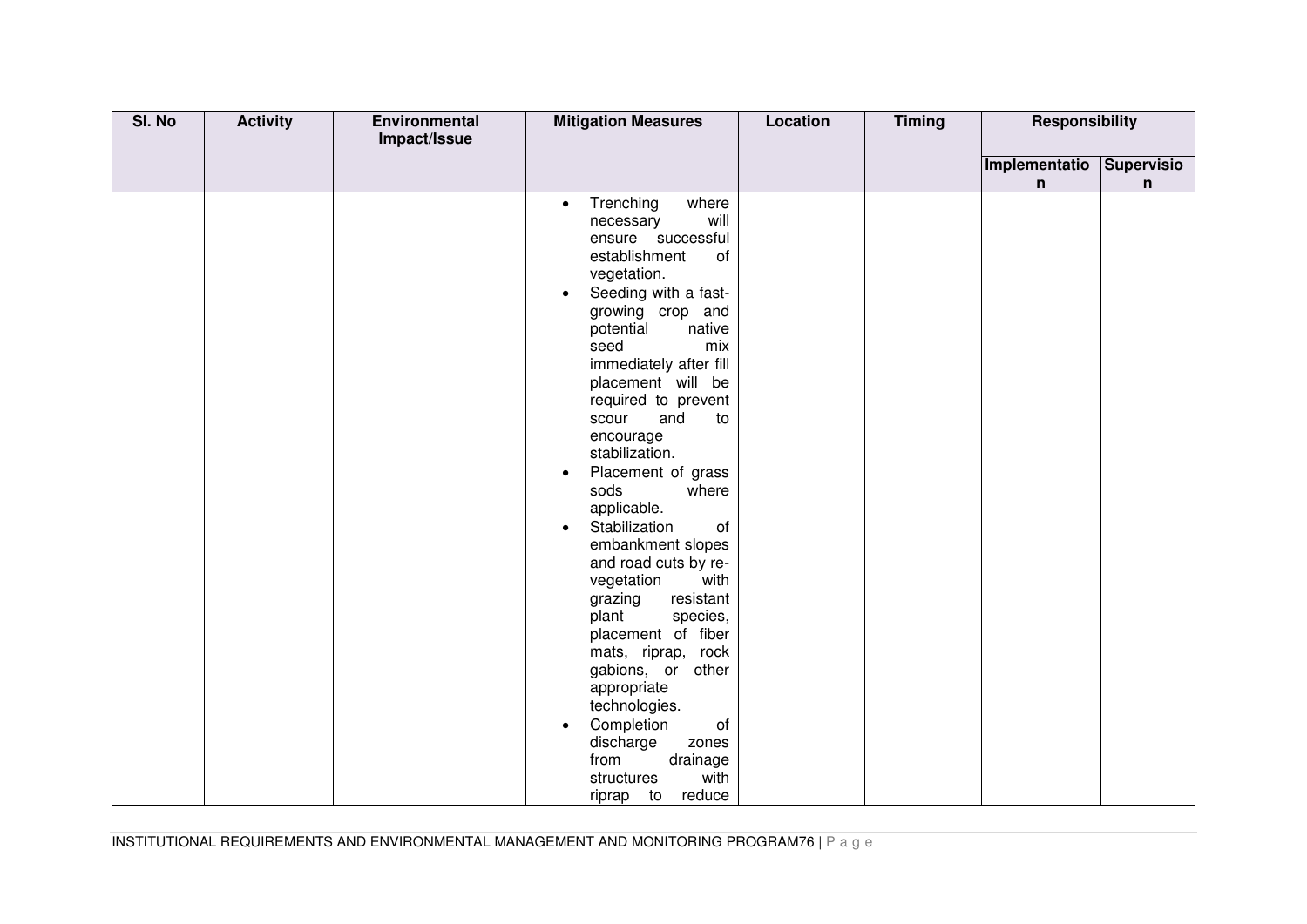| SI. No | <b>Activity</b> | Environmental<br>Impact/Issue | <b>Mitigation Measures</b>                                                                                                                                                                                                                                                                                                                                                                                                                                                                                                                                                                                                                                                                                                                                                      | <b>Location</b> | <b>Timing</b> | <b>Responsibility</b> |            |
|--------|-----------------|-------------------------------|---------------------------------------------------------------------------------------------------------------------------------------------------------------------------------------------------------------------------------------------------------------------------------------------------------------------------------------------------------------------------------------------------------------------------------------------------------------------------------------------------------------------------------------------------------------------------------------------------------------------------------------------------------------------------------------------------------------------------------------------------------------------------------|-----------------|---------------|-----------------------|------------|
|        |                 |                               |                                                                                                                                                                                                                                                                                                                                                                                                                                                                                                                                                                                                                                                                                                                                                                                 |                 |               | Implementatio         | Supervisio |
|        |                 |                               | Trenching<br>where<br>$\bullet$<br>will<br>necessary<br>ensure successful<br>establishment<br>of<br>vegetation.<br>Seeding with a fast-<br>$\bullet$<br>growing crop and<br>potential<br>native<br>seed<br>mix<br>immediately after fill<br>placement will be<br>required to prevent<br>scour<br>and<br>to<br>encourage<br>stabilization.<br>Placement of grass<br>$\bullet$<br>sods<br>where<br>applicable.<br>Stabilization<br>of<br>$\bullet$<br>embankment slopes<br>and road cuts by re-<br>vegetation<br>with<br>resistant<br>grazing<br>plant<br>species,<br>placement of fiber<br>mats, riprap, rock<br>gabions, or other<br>appropriate<br>technologies.<br>Completion<br>οf<br>discharge<br>zones<br>from<br>drainage<br>with<br>structures<br>reduce<br>to<br>riprap |                 |               | n                     | n          |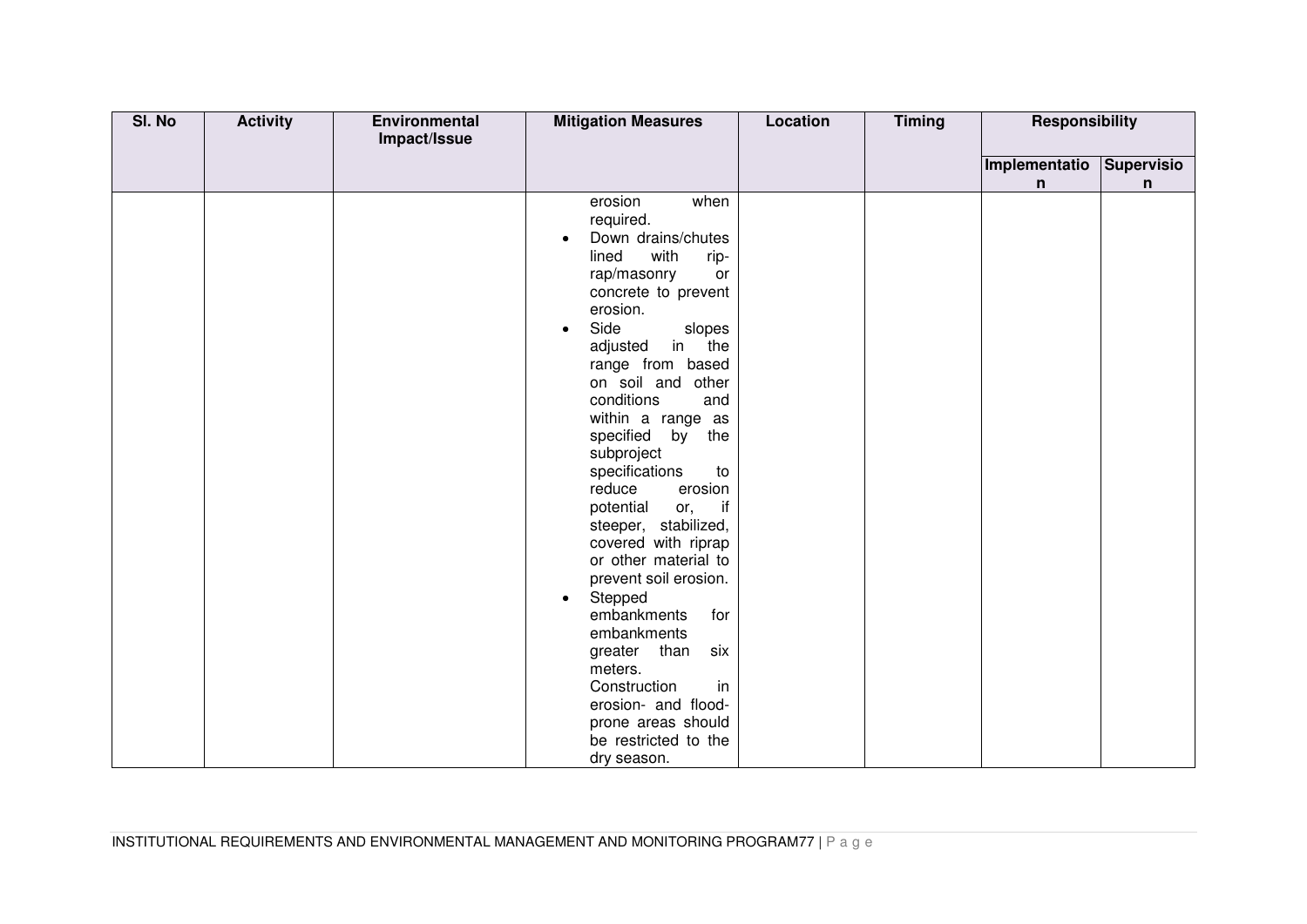| SI. No | <b>Activity</b> | Environmental | <b>Mitigation Measures</b>                                                                                                                                                                                                                                                                                                                                                                                                                                                                                                                                                                                                                                                                                       | <b>Location</b> | <b>Timing</b> | <b>Responsibility</b> |            |
|--------|-----------------|---------------|------------------------------------------------------------------------------------------------------------------------------------------------------------------------------------------------------------------------------------------------------------------------------------------------------------------------------------------------------------------------------------------------------------------------------------------------------------------------------------------------------------------------------------------------------------------------------------------------------------------------------------------------------------------------------------------------------------------|-----------------|---------------|-----------------------|------------|
|        |                 | Impact/Issue  |                                                                                                                                                                                                                                                                                                                                                                                                                                                                                                                                                                                                                                                                                                                  |                 |               |                       |            |
|        |                 |               |                                                                                                                                                                                                                                                                                                                                                                                                                                                                                                                                                                                                                                                                                                                  |                 |               | Implementatio         | Supervisio |
|        |                 |               |                                                                                                                                                                                                                                                                                                                                                                                                                                                                                                                                                                                                                                                                                                                  |                 |               | n                     | n          |
|        |                 |               | erosion<br>when<br>required.<br>Down drains/chutes<br>$\bullet$<br>with<br>lined<br>rip-<br>rap/masonry<br>or<br>concrete to prevent<br>erosion.<br>Side<br>slopes<br>$\bullet$<br>in the<br>adjusted<br>range from based<br>on soil and other<br>conditions<br>and<br>within a range as<br>specified<br>by<br>the<br>subproject<br>specifications<br>to<br>reduce<br>erosion<br>potential<br>or,<br>if<br>steeper, stabilized,<br>covered with riprap<br>or other material to<br>prevent soil erosion.<br>Stepped<br>$\bullet$<br>embankments<br>for<br>embankments<br>greater than<br>six<br>meters.<br>Construction<br>in<br>erosion- and flood-<br>prone areas should<br>be restricted to the<br>dry season. |                 |               |                       |            |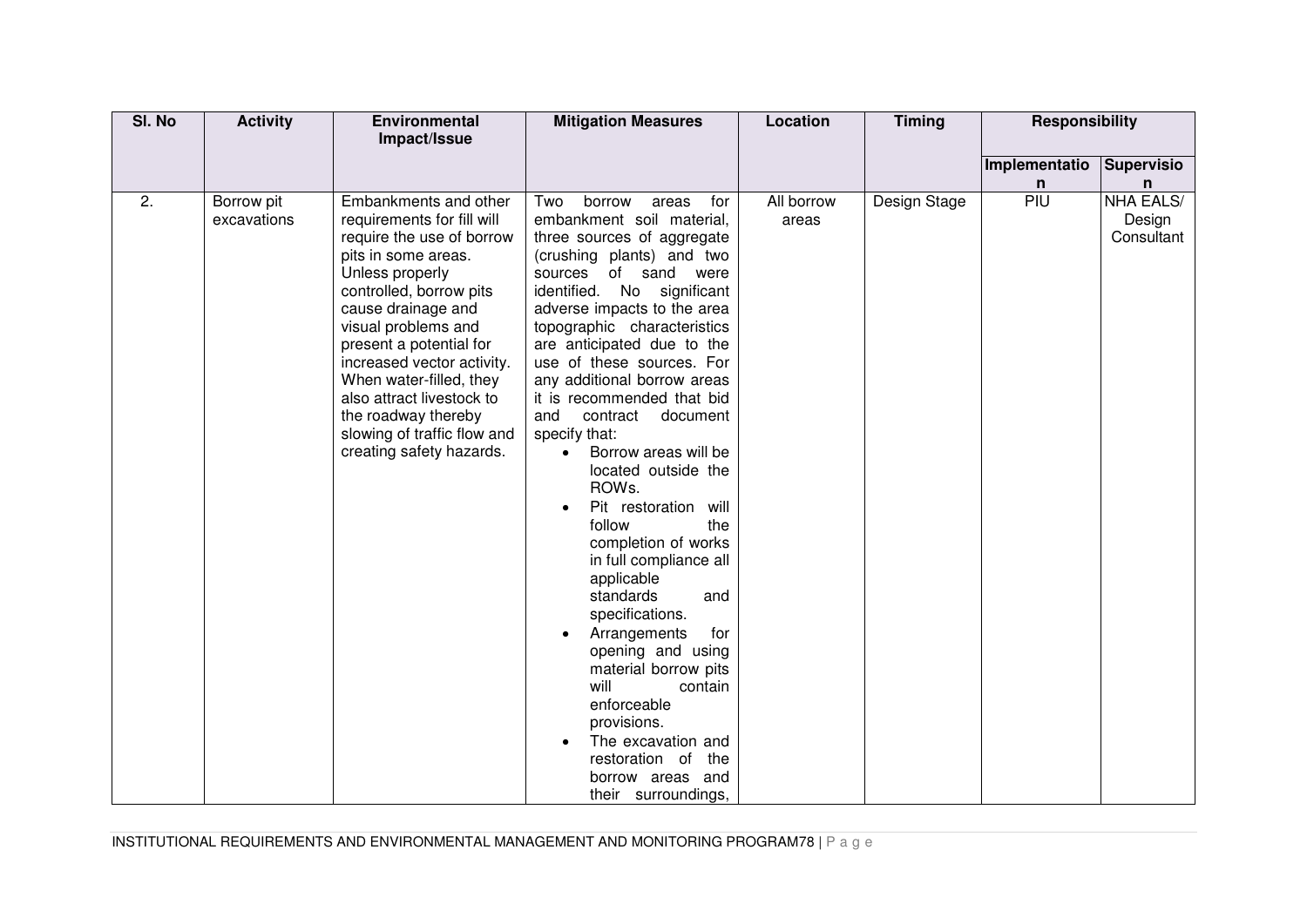| SI. No | <b>Activity</b>           | <b>Environmental</b>                                                                                                                                                                                                                                                                                                                                                                                  | <b>Mitigation Measures</b>                                                                                                                                                                                                                                                                                                                                                                                                                                                                                                                                                                                                                                                                                                                                                                                                                                         | Location            | <b>Timing</b> | <b>Responsibility</b> |                                          |
|--------|---------------------------|-------------------------------------------------------------------------------------------------------------------------------------------------------------------------------------------------------------------------------------------------------------------------------------------------------------------------------------------------------------------------------------------------------|--------------------------------------------------------------------------------------------------------------------------------------------------------------------------------------------------------------------------------------------------------------------------------------------------------------------------------------------------------------------------------------------------------------------------------------------------------------------------------------------------------------------------------------------------------------------------------------------------------------------------------------------------------------------------------------------------------------------------------------------------------------------------------------------------------------------------------------------------------------------|---------------------|---------------|-----------------------|------------------------------------------|
|        |                           | Impact/Issue                                                                                                                                                                                                                                                                                                                                                                                          |                                                                                                                                                                                                                                                                                                                                                                                                                                                                                                                                                                                                                                                                                                                                                                                                                                                                    |                     |               |                       |                                          |
|        |                           |                                                                                                                                                                                                                                                                                                                                                                                                       |                                                                                                                                                                                                                                                                                                                                                                                                                                                                                                                                                                                                                                                                                                                                                                                                                                                                    |                     |               | Implementatio         | <b>Supervisio</b>                        |
|        |                           |                                                                                                                                                                                                                                                                                                                                                                                                       |                                                                                                                                                                                                                                                                                                                                                                                                                                                                                                                                                                                                                                                                                                                                                                                                                                                                    |                     |               | n                     | n                                        |
| 2.     | Borrow pit<br>excavations | Embankments and other<br>requirements for fill will<br>require the use of borrow<br>pits in some areas.<br>Unless properly<br>controlled, borrow pits<br>cause drainage and<br>visual problems and<br>present a potential for<br>increased vector activity.<br>When water-filled, they<br>also attract livestock to<br>the roadway thereby<br>slowing of traffic flow and<br>creating safety hazards. | for<br>Two<br>borrow<br>areas<br>embankment soil material,<br>three sources of aggregate<br>(crushing plants) and two<br>of sand<br>sources<br>were<br>identified.<br>No significant<br>adverse impacts to the area<br>topographic characteristics<br>are anticipated due to the<br>use of these sources. For<br>any additional borrow areas<br>it is recommended that bid<br>and<br>contract<br>document<br>specify that:<br>Borrow areas will be<br>$\bullet$<br>located outside the<br>ROWs.<br>Pit restoration will<br>follow<br>the<br>completion of works<br>in full compliance all<br>applicable<br>standards<br>and<br>specifications.<br>Arrangements<br>for<br>٠<br>opening and using<br>material borrow pits<br>will<br>contain<br>enforceable<br>provisions.<br>The excavation and<br>restoration of<br>the<br>borrow areas and<br>their surroundings, | All borrow<br>areas | Design Stage  | PIU                   | <b>NHA EALS/</b><br>Design<br>Consultant |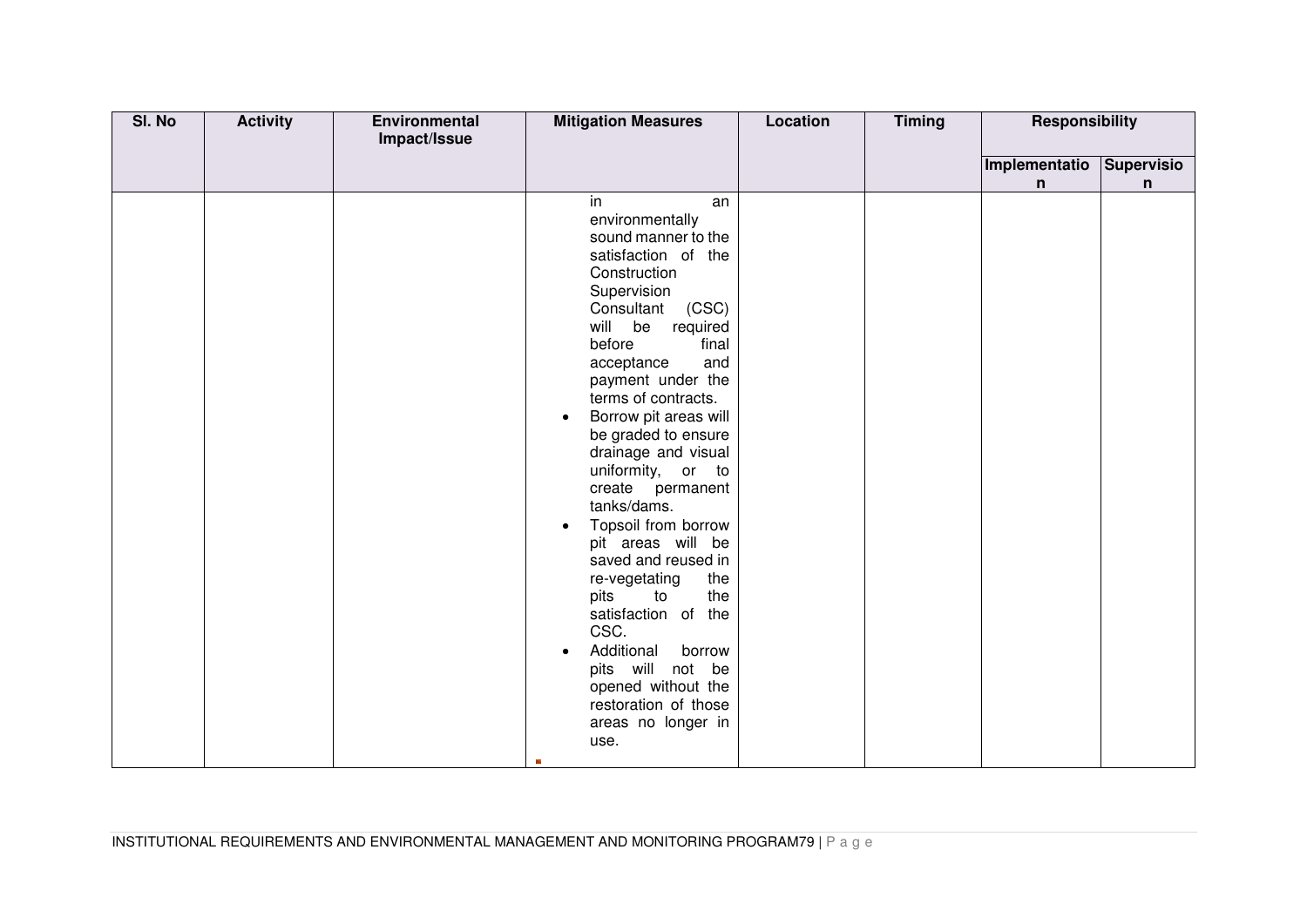| SI. No | <b>Activity</b> | Environmental | <b>Mitigation Measures</b>                                                                                                                                                                                                                                                                                                                                                                                                                                                                                                                                                                                                                                                                 | <b>Location</b> | <b>Timing</b> | <b>Responsibility</b> |            |
|--------|-----------------|---------------|--------------------------------------------------------------------------------------------------------------------------------------------------------------------------------------------------------------------------------------------------------------------------------------------------------------------------------------------------------------------------------------------------------------------------------------------------------------------------------------------------------------------------------------------------------------------------------------------------------------------------------------------------------------------------------------------|-----------------|---------------|-----------------------|------------|
|        |                 | Impact/Issue  |                                                                                                                                                                                                                                                                                                                                                                                                                                                                                                                                                                                                                                                                                            |                 |               |                       |            |
|        |                 |               |                                                                                                                                                                                                                                                                                                                                                                                                                                                                                                                                                                                                                                                                                            |                 |               | Implementatio         | Supervisio |
|        |                 |               |                                                                                                                                                                                                                                                                                                                                                                                                                                                                                                                                                                                                                                                                                            |                 |               | n                     | n          |
|        |                 |               | in.<br>an<br>environmentally<br>sound manner to the<br>satisfaction of the<br>Construction<br>Supervision<br>Consultant<br>(CSC)<br>will be required<br>before<br>final<br>and<br>acceptance<br>payment under the<br>terms of contracts.<br>Borrow pit areas will<br>$\bullet$<br>be graded to ensure<br>drainage and visual<br>uniformity, or to<br>create permanent<br>tanks/dams.<br>Topsoil from borrow<br>$\bullet$<br>pit areas will be<br>saved and reused in<br>re-vegetating<br>the<br>pits<br>to<br>the<br>satisfaction of the<br>CSC.<br>Additional<br>borrow<br>pits will not be<br>opened without the<br>restoration of those<br>areas no longer in<br>use.<br>$\mathbb{R}^n$ |                 |               |                       |            |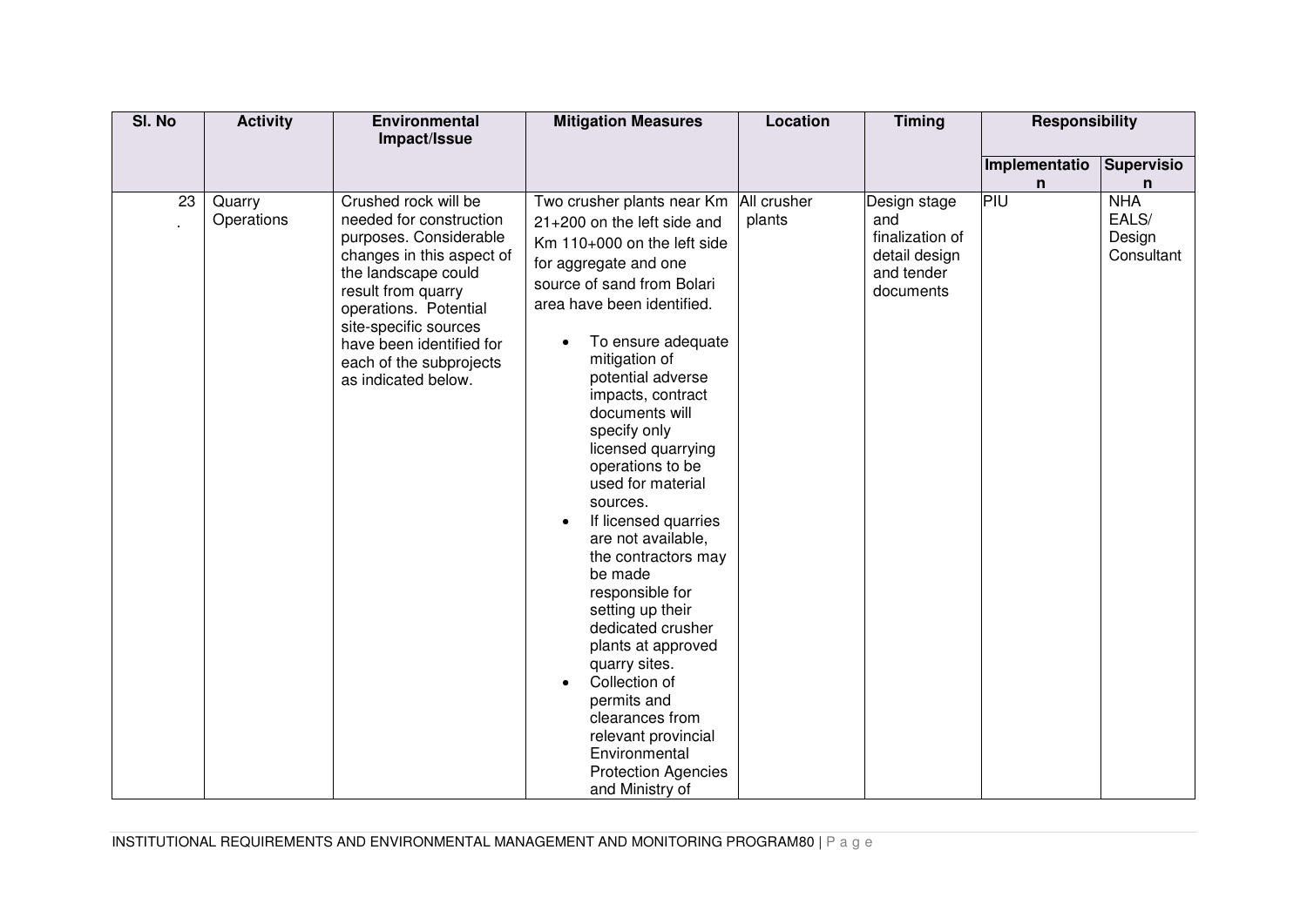| SI. No | <b>Activity</b>      | Environmental                                                                                                                                                                                                                                                                       | <b>Mitigation Measures</b>                                                                                                                                                                                                                                                                                                                                                                                                                                                                                                                                                                                                                                                                                                                       | Location | <b>Timing</b>                                                                      | <b>Responsibility</b> |                                             |
|--------|----------------------|-------------------------------------------------------------------------------------------------------------------------------------------------------------------------------------------------------------------------------------------------------------------------------------|--------------------------------------------------------------------------------------------------------------------------------------------------------------------------------------------------------------------------------------------------------------------------------------------------------------------------------------------------------------------------------------------------------------------------------------------------------------------------------------------------------------------------------------------------------------------------------------------------------------------------------------------------------------------------------------------------------------------------------------------------|----------|------------------------------------------------------------------------------------|-----------------------|---------------------------------------------|
|        |                      | Impact/Issue                                                                                                                                                                                                                                                                        |                                                                                                                                                                                                                                                                                                                                                                                                                                                                                                                                                                                                                                                                                                                                                  |          |                                                                                    |                       |                                             |
|        |                      |                                                                                                                                                                                                                                                                                     |                                                                                                                                                                                                                                                                                                                                                                                                                                                                                                                                                                                                                                                                                                                                                  |          |                                                                                    | Implementatio         | <b>Supervisio</b>                           |
|        |                      |                                                                                                                                                                                                                                                                                     |                                                                                                                                                                                                                                                                                                                                                                                                                                                                                                                                                                                                                                                                                                                                                  |          |                                                                                    | n                     | n                                           |
| 23     | Quarry<br>Operations | Crushed rock will be<br>needed for construction<br>purposes. Considerable<br>changes in this aspect of<br>the landscape could<br>result from quarry<br>operations. Potential<br>site-specific sources<br>have been identified for<br>each of the subprojects<br>as indicated below. | Two crusher plants near Km All crusher<br>21+200 on the left side and<br>Km 110+000 on the left side<br>for aggregate and one<br>source of sand from Bolari<br>area have been identified.<br>To ensure adequate<br>$\bullet$<br>mitigation of<br>potential adverse<br>impacts, contract<br>documents will<br>specify only<br>licensed quarrying<br>operations to be<br>used for material<br>sources.<br>If licensed quarries<br>$\bullet$<br>are not available,<br>the contractors may<br>be made<br>responsible for<br>setting up their<br>dedicated crusher<br>plants at approved<br>quarry sites.<br>Collection of<br>permits and<br>clearances from<br>relevant provincial<br>Environmental<br><b>Protection Agencies</b><br>and Ministry of | plants   | Design stage<br>and<br>finalization of<br>detail design<br>and tender<br>documents | PIU                   | <b>NHA</b><br>EALS/<br>Design<br>Consultant |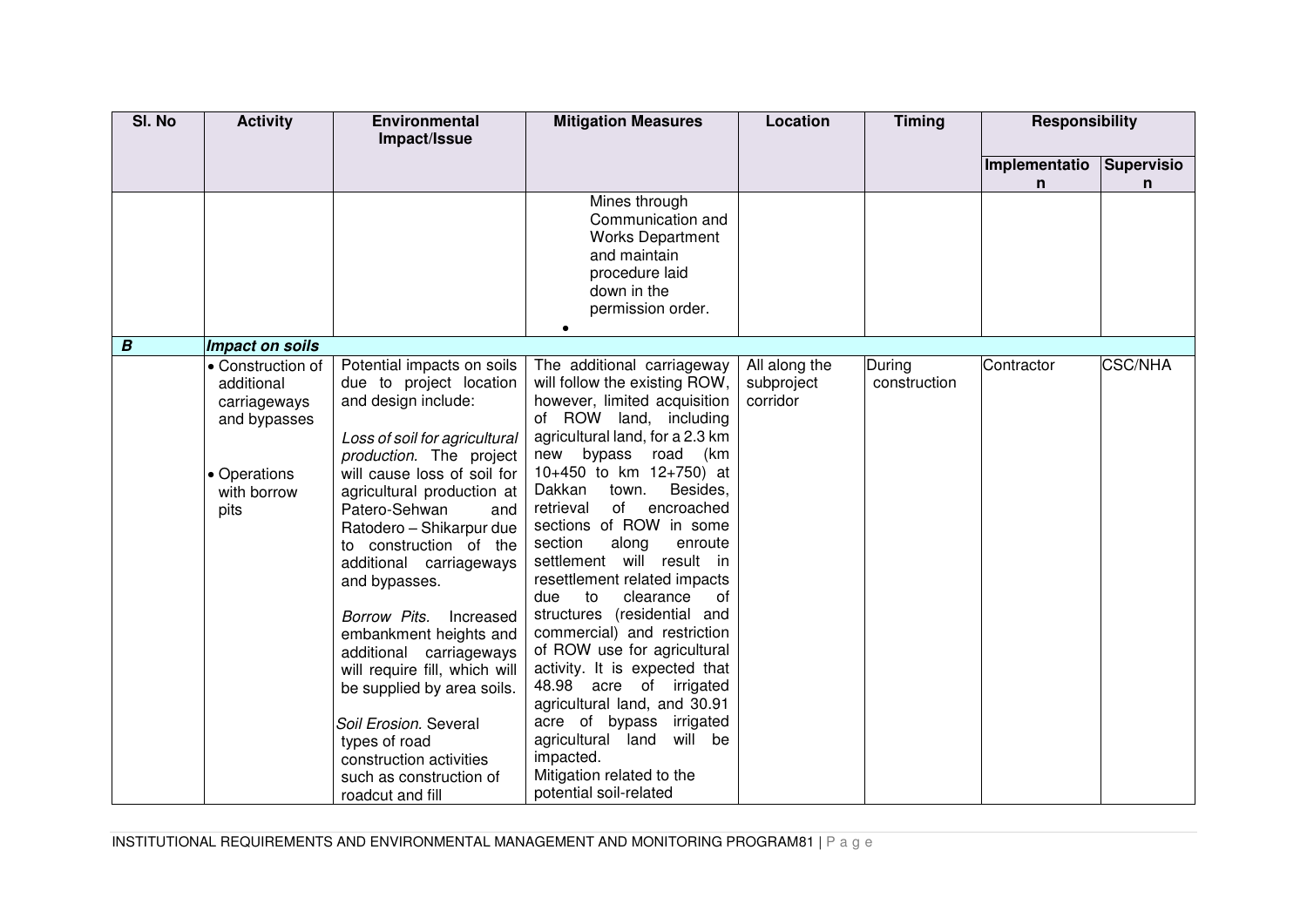| SI. No           | <b>Activity</b>                                                                                        | Environmental<br>Impact/Issue                                                                                                                                                                                                                                                                                                                                                                                                                                                                                                                                                                        | <b>Mitigation Measures</b>                                                                                                                                                                                                                                                                                                                                                                                                                                                                                                                                                                                                                                                                                                                              | Location                                | <b>Timing</b>          | <b>Responsibility</b> |                        |
|------------------|--------------------------------------------------------------------------------------------------------|------------------------------------------------------------------------------------------------------------------------------------------------------------------------------------------------------------------------------------------------------------------------------------------------------------------------------------------------------------------------------------------------------------------------------------------------------------------------------------------------------------------------------------------------------------------------------------------------------|---------------------------------------------------------------------------------------------------------------------------------------------------------------------------------------------------------------------------------------------------------------------------------------------------------------------------------------------------------------------------------------------------------------------------------------------------------------------------------------------------------------------------------------------------------------------------------------------------------------------------------------------------------------------------------------------------------------------------------------------------------|-----------------------------------------|------------------------|-----------------------|------------------------|
|                  |                                                                                                        |                                                                                                                                                                                                                                                                                                                                                                                                                                                                                                                                                                                                      |                                                                                                                                                                                                                                                                                                                                                                                                                                                                                                                                                                                                                                                                                                                                                         |                                         |                        | Implementatio<br>n    | <b>Supervisio</b><br>n |
|                  |                                                                                                        |                                                                                                                                                                                                                                                                                                                                                                                                                                                                                                                                                                                                      | Mines through<br>Communication and<br><b>Works Department</b><br>and maintain<br>procedure laid<br>down in the<br>permission order.                                                                                                                                                                                                                                                                                                                                                                                                                                                                                                                                                                                                                     |                                         |                        |                       |                        |
| $\boldsymbol{B}$ | <b>Impact on soils</b>                                                                                 |                                                                                                                                                                                                                                                                                                                                                                                                                                                                                                                                                                                                      |                                                                                                                                                                                                                                                                                                                                                                                                                                                                                                                                                                                                                                                                                                                                                         |                                         |                        |                       |                        |
|                  | • Construction of<br>additional<br>carriageways<br>and bypasses<br>• Operations<br>with borrow<br>pits | Potential impacts on soils<br>due to project location<br>and design include:<br>Loss of soil for agricultural<br>production. The project<br>will cause loss of soil for<br>agricultural production at<br>Patero-Sehwan<br>and<br>Ratodero - Shikarpur due<br>to construction of the<br>additional carriageways<br>and bypasses.<br>Borrow Pits.<br>Increased<br>embankment heights and<br>additional carriageways<br>will require fill, which will<br>be supplied by area soils.<br>Soil Erosion. Several<br>types of road<br>construction activities<br>such as construction of<br>roadcut and fill | The additional carriageway<br>will follow the existing ROW,<br>however, limited acquisition<br>of ROW land, including<br>agricultural land, for a 2.3 km<br>new bypass road (km<br>10+450 to km 12+750) at<br>Dakkan<br>Besides,<br>town.<br>retrieval<br>of<br>encroached<br>sections of ROW in some<br>section<br>along<br>enroute<br>settlement will result in<br>resettlement related impacts<br>clearance<br>due<br>to<br>of<br>structures (residential and<br>commercial) and restriction<br>of ROW use for agricultural<br>activity. It is expected that<br>48.98 acre of irrigated<br>agricultural land, and 30.91<br>acre of bypass irrigated<br>agricultural land will be<br>impacted.<br>Mitigation related to the<br>potential soil-related | All along the<br>subproject<br>corridor | During<br>construction | Contractor            | <b>CSC/NHA</b>         |

INSTITUTIONAL REQUIREMENTS AND ENVIRONMENTAL MANAGEMENT AND MONITORING PROGRAM81 | P a g e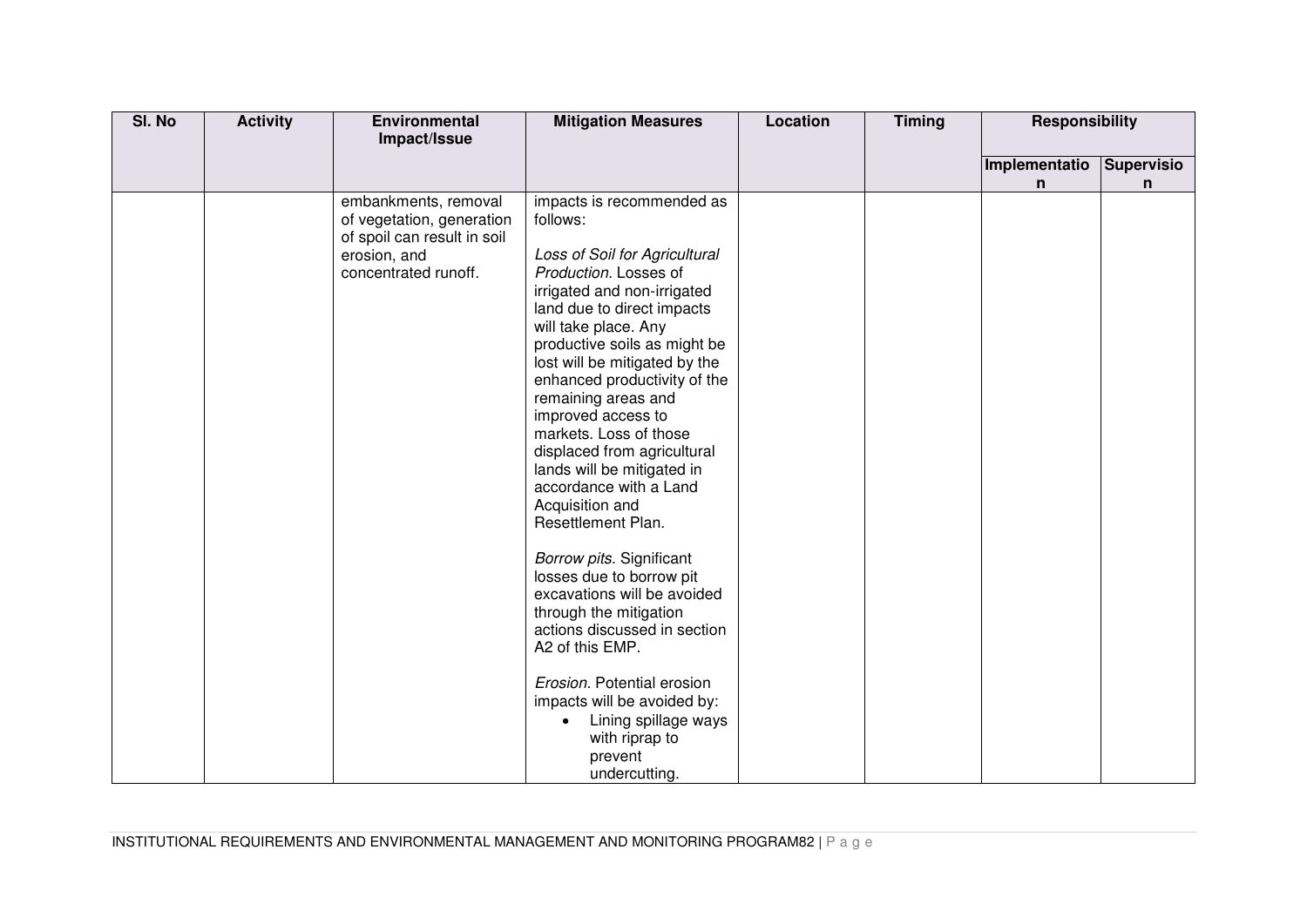| SI. No | <b>Activity</b> | <b>Environmental</b>                                                                                                     | <b>Mitigation Measures</b>                                                                                                                                                                                                                                                                                                                                                                                                                                                                                                                                                                                                                                                                                                                                                                                       | Location | <b>Timing</b> | <b>Responsibility</b> |                   |
|--------|-----------------|--------------------------------------------------------------------------------------------------------------------------|------------------------------------------------------------------------------------------------------------------------------------------------------------------------------------------------------------------------------------------------------------------------------------------------------------------------------------------------------------------------------------------------------------------------------------------------------------------------------------------------------------------------------------------------------------------------------------------------------------------------------------------------------------------------------------------------------------------------------------------------------------------------------------------------------------------|----------|---------------|-----------------------|-------------------|
|        |                 | Impact/Issue                                                                                                             |                                                                                                                                                                                                                                                                                                                                                                                                                                                                                                                                                                                                                                                                                                                                                                                                                  |          |               |                       |                   |
|        |                 |                                                                                                                          |                                                                                                                                                                                                                                                                                                                                                                                                                                                                                                                                                                                                                                                                                                                                                                                                                  |          |               | Implementatio         | <b>Supervisio</b> |
|        |                 |                                                                                                                          |                                                                                                                                                                                                                                                                                                                                                                                                                                                                                                                                                                                                                                                                                                                                                                                                                  |          |               | n                     | n                 |
|        |                 | embankments, removal<br>of vegetation, generation<br>of spoil can result in soil<br>erosion, and<br>concentrated runoff. | impacts is recommended as<br>follows:<br>Loss of Soil for Agricultural<br>Production. Losses of<br>irrigated and non-irrigated<br>land due to direct impacts<br>will take place. Any<br>productive soils as might be<br>lost will be mitigated by the<br>enhanced productivity of the<br>remaining areas and<br>improved access to<br>markets. Loss of those<br>displaced from agricultural<br>lands will be mitigated in<br>accordance with a Land<br>Acquisition and<br>Resettlement Plan.<br>Borrow pits. Significant<br>losses due to borrow pit<br>excavations will be avoided<br>through the mitigation<br>actions discussed in section<br>A2 of this EMP.<br>Erosion. Potential erosion<br>impacts will be avoided by:<br>Lining spillage ways<br>$\bullet$<br>with riprap to<br>prevent<br>undercutting. |          |               |                       |                   |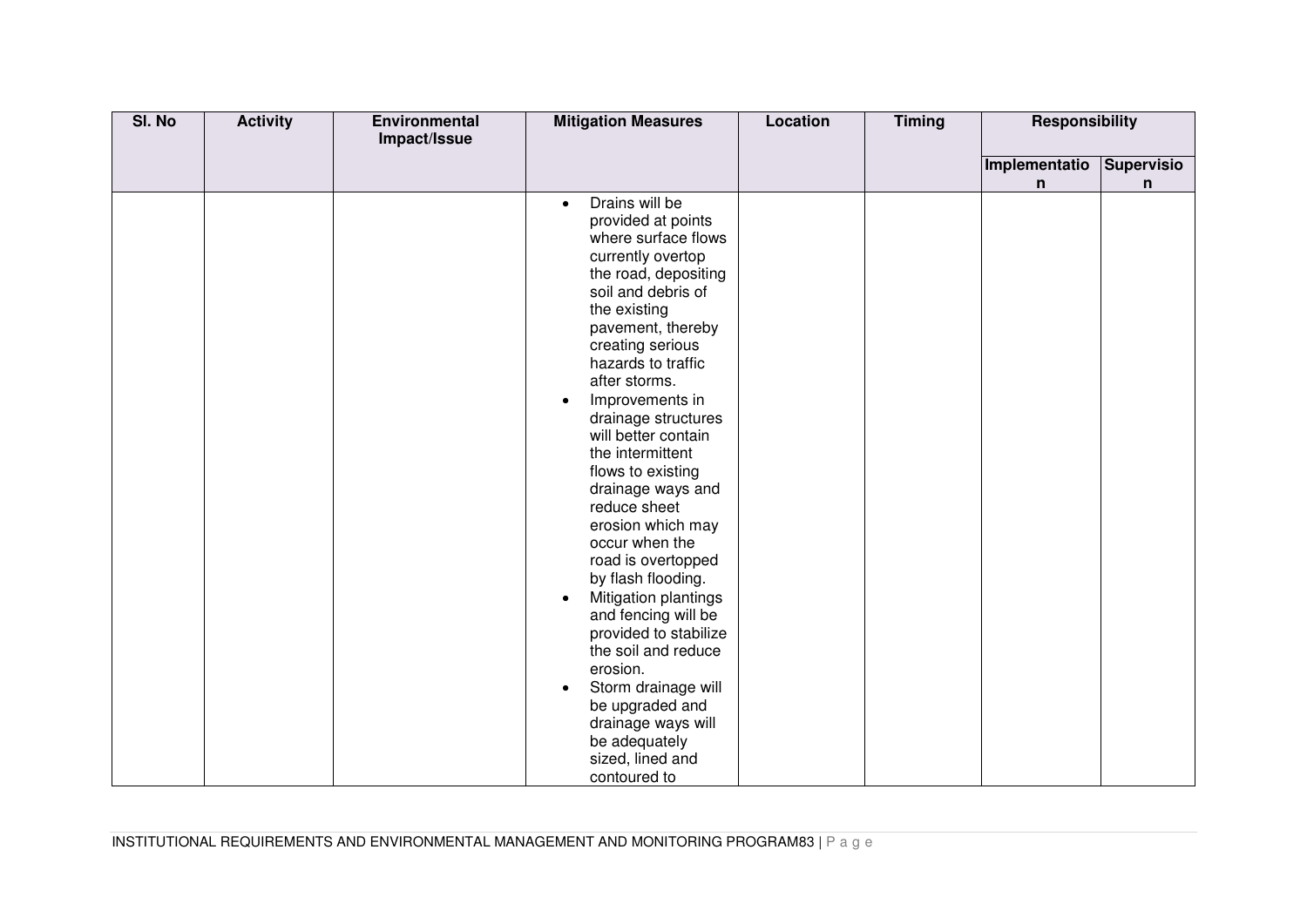| SI. No | <b>Activity</b> | Environmental | <b>Mitigation Measures</b>                                                                                                                                                                                                                                                                                                                                                                                                                                                                                                                                                                                                                                                             | <b>Location</b> | <b>Timing</b> | <b>Responsibility</b> |                   |
|--------|-----------------|---------------|----------------------------------------------------------------------------------------------------------------------------------------------------------------------------------------------------------------------------------------------------------------------------------------------------------------------------------------------------------------------------------------------------------------------------------------------------------------------------------------------------------------------------------------------------------------------------------------------------------------------------------------------------------------------------------------|-----------------|---------------|-----------------------|-------------------|
|        |                 | Impact/Issue  |                                                                                                                                                                                                                                                                                                                                                                                                                                                                                                                                                                                                                                                                                        |                 |               |                       |                   |
|        |                 |               |                                                                                                                                                                                                                                                                                                                                                                                                                                                                                                                                                                                                                                                                                        |                 |               | Implementatio         | <b>Supervisio</b> |
|        |                 |               |                                                                                                                                                                                                                                                                                                                                                                                                                                                                                                                                                                                                                                                                                        |                 |               | n                     | n                 |
|        |                 |               | Drains will be<br>$\bullet$<br>provided at points<br>where surface flows<br>currently overtop<br>the road, depositing<br>soil and debris of<br>the existing<br>pavement, thereby<br>creating serious<br>hazards to traffic<br>after storms.<br>Improvements in<br>$\bullet$<br>drainage structures<br>will better contain<br>the intermittent<br>flows to existing<br>drainage ways and<br>reduce sheet<br>erosion which may<br>occur when the<br>road is overtopped<br>by flash flooding.<br>Mitigation plantings<br>and fencing will be<br>provided to stabilize<br>the soil and reduce<br>erosion.<br>Storm drainage will<br>be upgraded and<br>drainage ways will<br>be adequately |                 |               |                       |                   |
|        |                 |               | sized, lined and<br>contoured to                                                                                                                                                                                                                                                                                                                                                                                                                                                                                                                                                                                                                                                       |                 |               |                       |                   |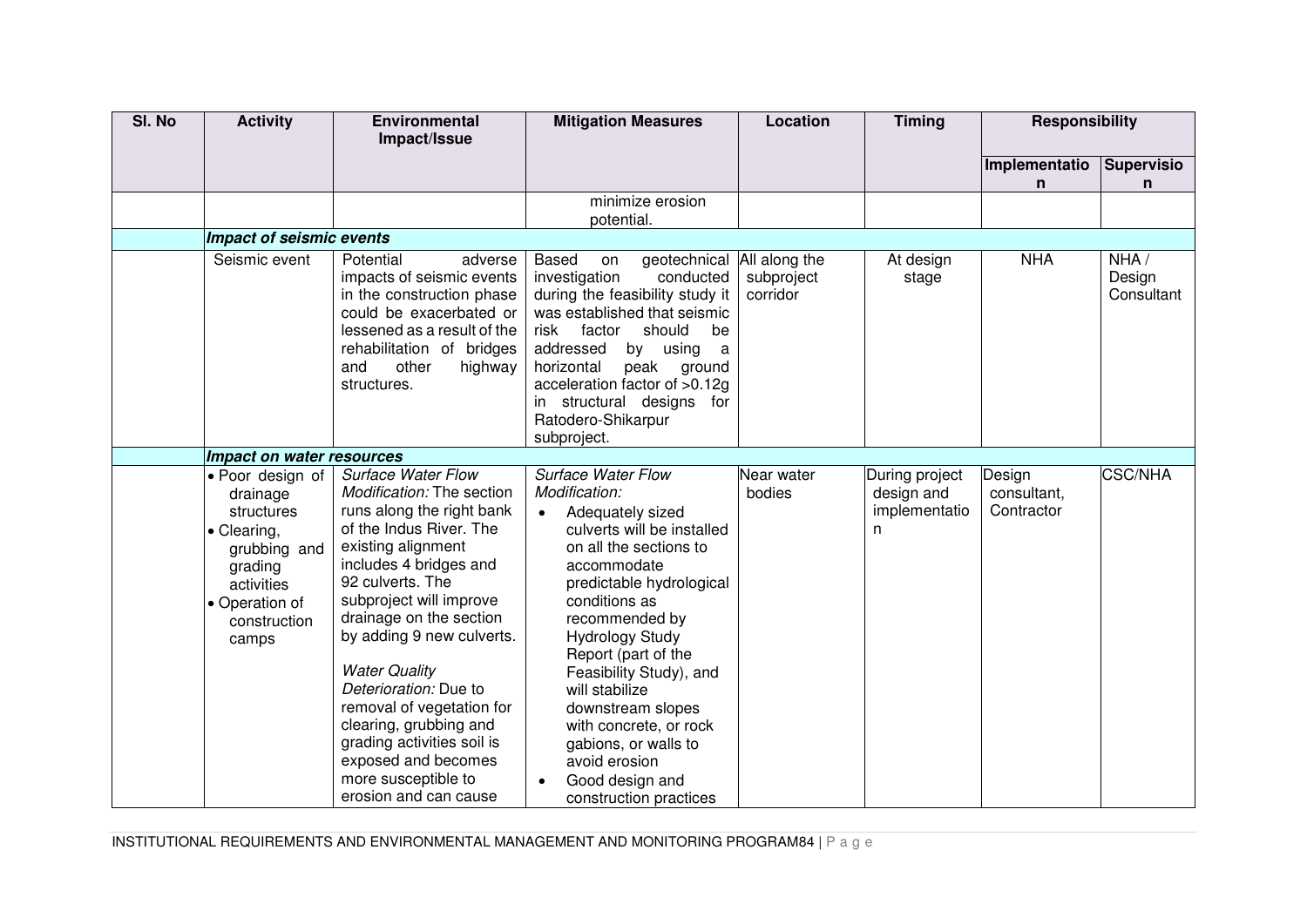| SI. No | <b>Activity</b>                                                                                                                               | <b>Environmental</b><br>Impact/Issue                                                                                                                                                                                                                                                                                                                                                                                                                                               | <b>Mitigation Measures</b>                                                                                                                                                                                                                                                                                                                                                                                                                           | Location               | <b>Timing</b>                                       | Responsibility                      |                              |
|--------|-----------------------------------------------------------------------------------------------------------------------------------------------|------------------------------------------------------------------------------------------------------------------------------------------------------------------------------------------------------------------------------------------------------------------------------------------------------------------------------------------------------------------------------------------------------------------------------------------------------------------------------------|------------------------------------------------------------------------------------------------------------------------------------------------------------------------------------------------------------------------------------------------------------------------------------------------------------------------------------------------------------------------------------------------------------------------------------------------------|------------------------|-----------------------------------------------------|-------------------------------------|------------------------------|
|        |                                                                                                                                               |                                                                                                                                                                                                                                                                                                                                                                                                                                                                                    |                                                                                                                                                                                                                                                                                                                                                                                                                                                      |                        |                                                     | Implementatio<br>n                  | <b>Supervisio</b><br>n       |
|        |                                                                                                                                               |                                                                                                                                                                                                                                                                                                                                                                                                                                                                                    | minimize erosion<br>potential.                                                                                                                                                                                                                                                                                                                                                                                                                       |                        |                                                     |                                     |                              |
|        | <b>Impact of seismic events</b>                                                                                                               |                                                                                                                                                                                                                                                                                                                                                                                                                                                                                    |                                                                                                                                                                                                                                                                                                                                                                                                                                                      |                        |                                                     |                                     |                              |
|        | Seismic event                                                                                                                                 | Potential<br>adverse<br>impacts of seismic events<br>in the construction phase<br>could be exacerbated or<br>lessened as a result of the<br>rehabilitation of bridges<br>other<br>highway<br>and<br>structures.                                                                                                                                                                                                                                                                    | geotechnical All along the<br>Based<br>on<br>investigation<br>conducted<br>during the feasibility study it<br>was established that seismic<br>risk<br>factor<br>should<br>be<br>addressed<br>by using<br>a<br>horizontal<br>peak ground<br>acceleration factor of >0.12g<br>in structural designs for<br>Ratodero-Shikarpur<br>subproject.                                                                                                           | subproject<br>corridor | At design<br>stage                                  | <b>NHA</b>                          | NHA/<br>Design<br>Consultant |
|        | Impact on water resources                                                                                                                     |                                                                                                                                                                                                                                                                                                                                                                                                                                                                                    |                                                                                                                                                                                                                                                                                                                                                                                                                                                      |                        |                                                     |                                     |                              |
|        | • Poor design of<br>drainage<br>structures<br>• Clearing,<br>grubbing and<br>grading<br>activities<br>• Operation of<br>construction<br>camps | <b>Surface Water Flow</b><br>Modification: The section<br>runs along the right bank<br>of the Indus River. The<br>existing alignment<br>includes 4 bridges and<br>92 culverts. The<br>subproject will improve<br>drainage on the section<br>by adding 9 new culverts.<br><b>Water Quality</b><br>Deterioration: Due to<br>removal of vegetation for<br>clearing, grubbing and<br>grading activities soil is<br>exposed and becomes<br>more susceptible to<br>erosion and can cause | <b>Surface Water Flow</b><br>Modification:<br>Adequately sized<br>$\bullet$<br>culverts will be installed<br>on all the sections to<br>accommodate<br>predictable hydrological<br>conditions as<br>recommended by<br><b>Hydrology Study</b><br>Report (part of the<br>Feasibility Study), and<br>will stabilize<br>downstream slopes<br>with concrete, or rock<br>gabions, or walls to<br>avoid erosion<br>Good design and<br>construction practices | Near water<br>bodies   | During project<br>design and<br>implementatio<br>n. | Design<br>consultant,<br>Contractor | <b>CSC/NHA</b>               |

INSTITUTIONAL REQUIREMENTS AND ENVIRONMENTAL MANAGEMENT AND MONITORING PROGRAM84 | P a g e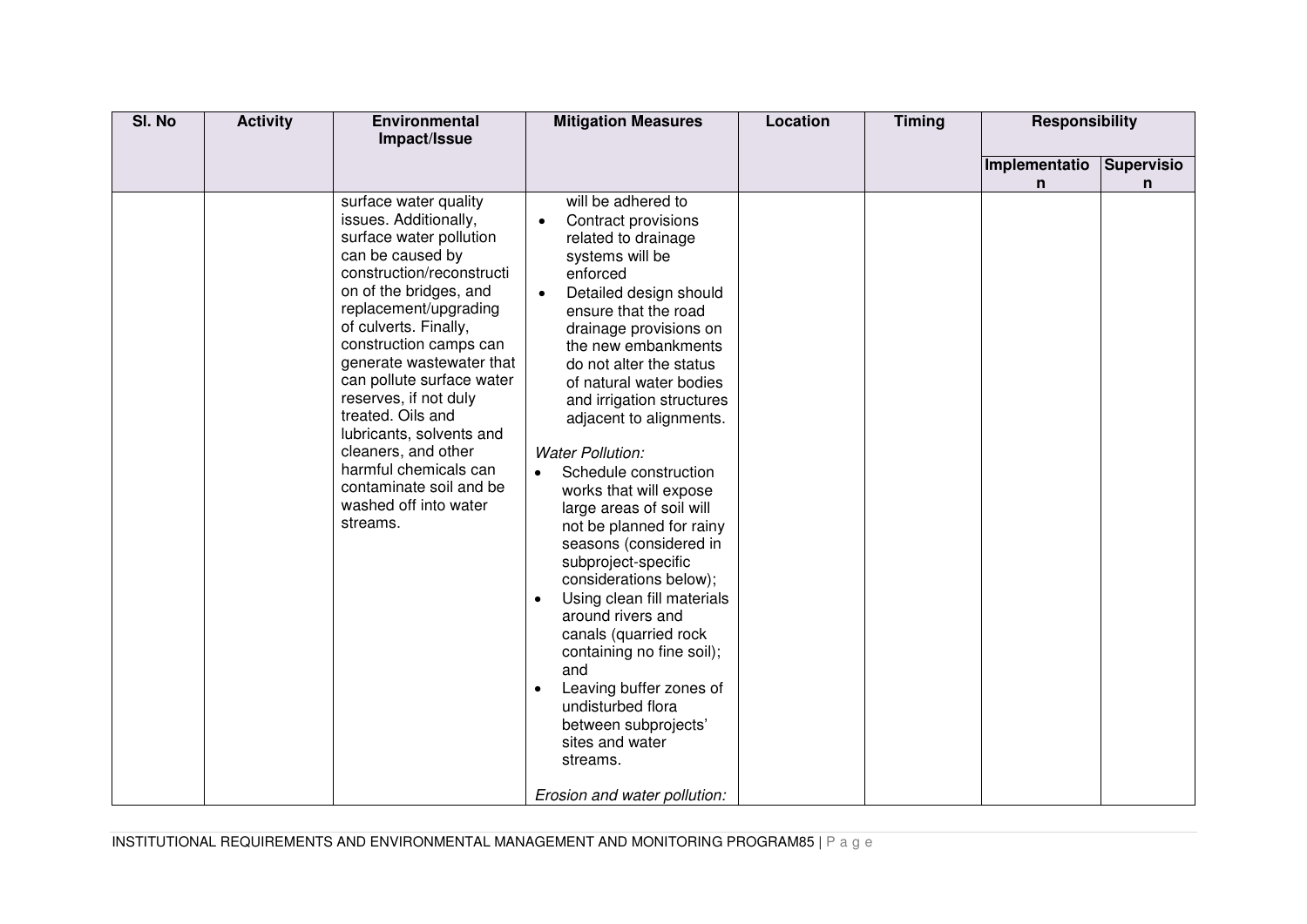| SI. No | <b>Activity</b> | Environmental<br>Impact/Issue                                                                                                                                                                                                                                                                                                                                                                                                                                                       | <b>Mitigation Measures</b>                                                                                                                                                                                                                                                                                                                                                                                                                                                                                                                                                                                                                                                                                                                                                                            | Location | <b>Timing</b> | Responsibility |                   |
|--------|-----------------|-------------------------------------------------------------------------------------------------------------------------------------------------------------------------------------------------------------------------------------------------------------------------------------------------------------------------------------------------------------------------------------------------------------------------------------------------------------------------------------|-------------------------------------------------------------------------------------------------------------------------------------------------------------------------------------------------------------------------------------------------------------------------------------------------------------------------------------------------------------------------------------------------------------------------------------------------------------------------------------------------------------------------------------------------------------------------------------------------------------------------------------------------------------------------------------------------------------------------------------------------------------------------------------------------------|----------|---------------|----------------|-------------------|
|        |                 |                                                                                                                                                                                                                                                                                                                                                                                                                                                                                     |                                                                                                                                                                                                                                                                                                                                                                                                                                                                                                                                                                                                                                                                                                                                                                                                       |          |               | Implementatio  | <b>Supervisio</b> |
|        |                 | surface water quality<br>issues. Additionally,<br>surface water pollution<br>can be caused by<br>construction/reconstructi<br>on of the bridges, and<br>replacement/upgrading<br>of culverts. Finally,<br>construction camps can<br>generate wastewater that<br>can pollute surface water<br>reserves, if not duly<br>treated. Oils and<br>lubricants, solvents and<br>cleaners, and other<br>harmful chemicals can<br>contaminate soil and be<br>washed off into water<br>streams. | will be adhered to<br>Contract provisions<br>related to drainage<br>systems will be<br>enforced<br>Detailed design should<br>ensure that the road<br>drainage provisions on<br>the new embankments<br>do not alter the status<br>of natural water bodies<br>and irrigation structures<br>adjacent to alignments.<br><b>Water Pollution:</b><br>Schedule construction<br>works that will expose<br>large areas of soil will<br>not be planned for rainy<br>seasons (considered in<br>subproject-specific<br>considerations below);<br>Using clean fill materials<br>$\bullet$<br>around rivers and<br>canals (quarried rock<br>containing no fine soil);<br>and<br>Leaving buffer zones of<br>undisturbed flora<br>between subprojects'<br>sites and water<br>streams.<br>Erosion and water pollution: |          |               | n              | n                 |

INSTITUTIONAL REQUIREMENTS AND ENVIRONMENTAL MANAGEMENT AND MONITORING PROGRAM85 | P a g e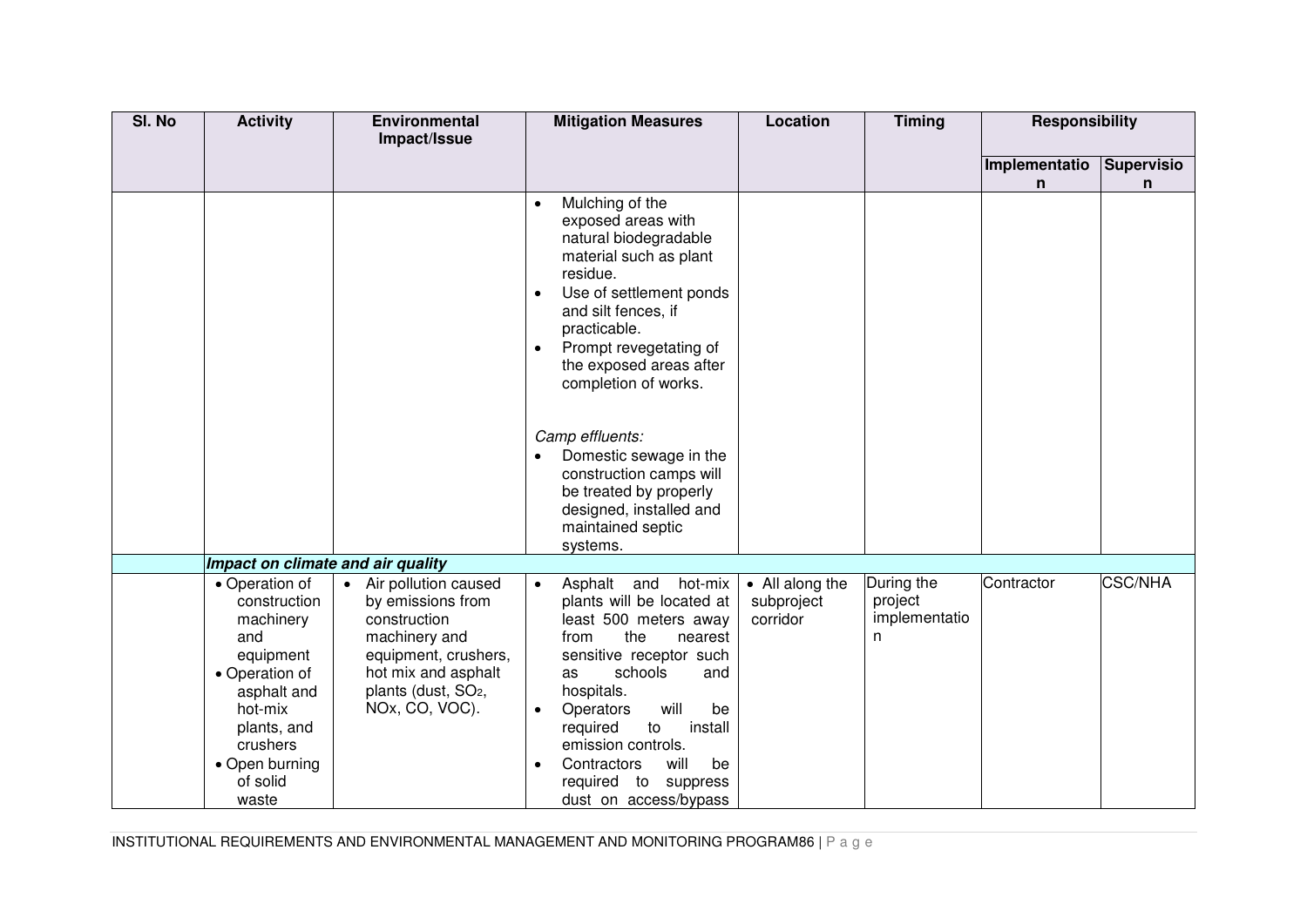| SI. No | <b>Activity</b>                                                                                                                                                               | Environmental<br>Impact/Issue                                                                                                                                                    | <b>Mitigation Measures</b>                                                                                                                                                                                                                                                                                                                                                                                                                               | <b>Location</b>                           | <b>Timing</b>                               | <b>Responsibility</b> |                                   |
|--------|-------------------------------------------------------------------------------------------------------------------------------------------------------------------------------|----------------------------------------------------------------------------------------------------------------------------------------------------------------------------------|----------------------------------------------------------------------------------------------------------------------------------------------------------------------------------------------------------------------------------------------------------------------------------------------------------------------------------------------------------------------------------------------------------------------------------------------------------|-------------------------------------------|---------------------------------------------|-----------------------|-----------------------------------|
|        |                                                                                                                                                                               |                                                                                                                                                                                  |                                                                                                                                                                                                                                                                                                                                                                                                                                                          |                                           |                                             | Implementatio<br>n    | <b>Supervisio</b><br>$\mathsf{n}$ |
|        |                                                                                                                                                                               |                                                                                                                                                                                  | Mulching of the<br>$\bullet$<br>exposed areas with<br>natural biodegradable<br>material such as plant<br>residue.<br>Use of settlement ponds<br>$\bullet$<br>and silt fences, if<br>practicable.<br>Prompt revegetating of<br>$\bullet$<br>the exposed areas after<br>completion of works.<br>Camp effluents:<br>Domestic sewage in the<br>construction camps will<br>be treated by properly<br>designed, installed and<br>maintained septic<br>systems. |                                           |                                             |                       |                                   |
|        | Impact on climate and air quality                                                                                                                                             |                                                                                                                                                                                  |                                                                                                                                                                                                                                                                                                                                                                                                                                                          |                                           |                                             |                       |                                   |
|        | • Operation of<br>construction<br>machinery<br>and<br>equipment<br>• Operation of<br>asphalt and<br>hot-mix<br>plants, and<br>crushers<br>• Open burning<br>of solid<br>waste | • Air pollution caused<br>by emissions from<br>construction<br>machinery and<br>equipment, crushers,<br>hot mix and asphalt<br>plants (dust, SO <sub>2</sub> ,<br>NOx, CO, VOC). | Asphalt and<br>hot-mix<br>$\bullet$<br>plants will be located at<br>least 500 meters away<br>the<br>from<br>nearest<br>sensitive receptor such<br>schools<br>and<br>as<br>hospitals.<br>will<br>Operators<br>be<br>$\bullet$<br>to<br>install<br>required<br>emission controls.<br>Contractors<br>will<br>be<br>$\bullet$<br>required to suppress<br>dust on access/bypass                                                                               | • All along the<br>subproject<br>corridor | During the<br>project<br>implementatio<br>n | Contractor            | <b>CSC/NHA</b>                    |

INSTITUTIONAL REQUIREMENTS AND ENVIRONMENTAL MANAGEMENT AND MONITORING PROGRAM86 | P a g e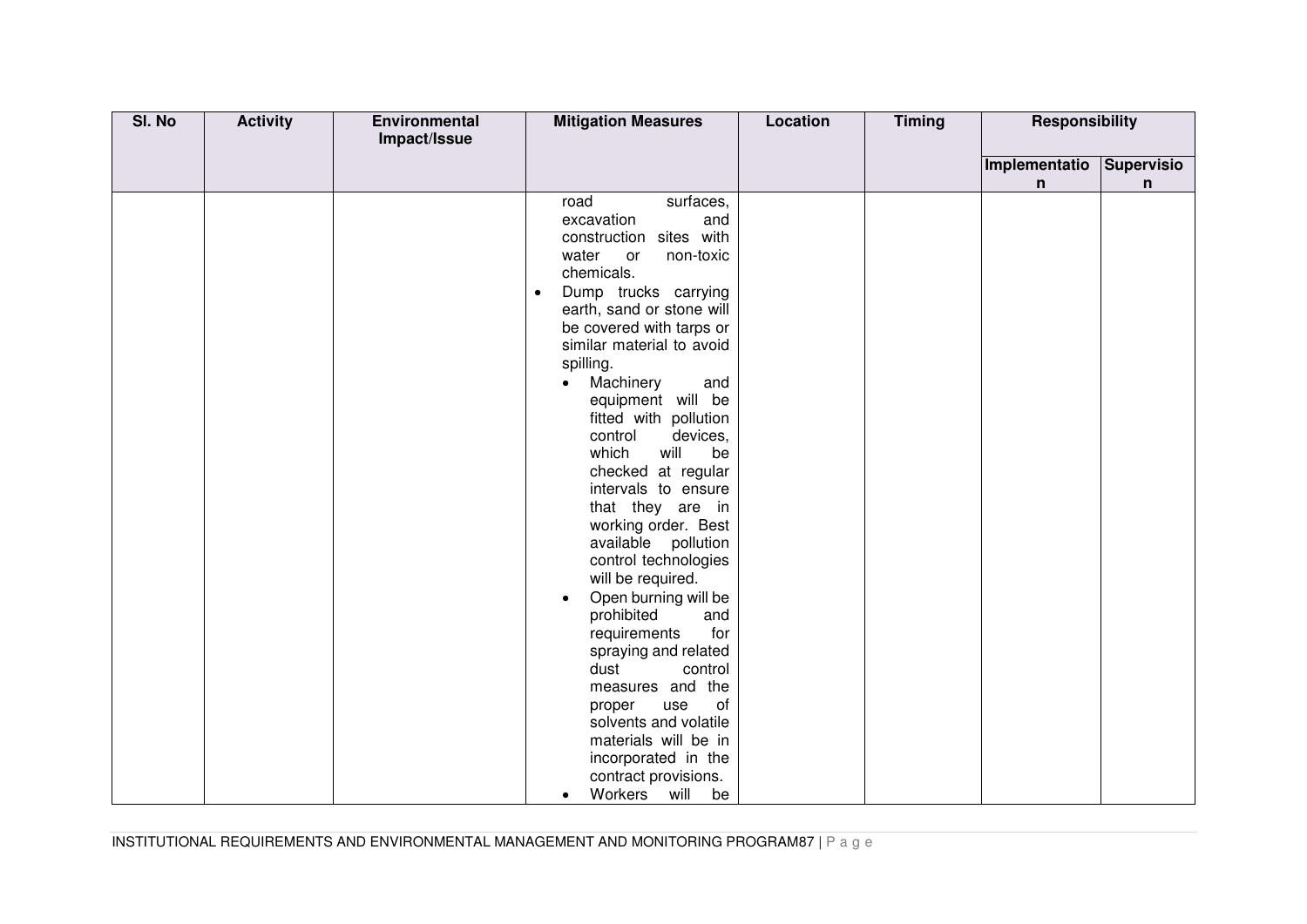| SI. No | <b>Activity</b> | Environmental<br>Impact/Issue | <b>Mitigation Measures</b>                                                                                                                                                                                                                                                                                                                                                                                                                                                                                                                                                                                                                                                                                                                                                                                                                                | <b>Location</b> | <b>Timing</b> | <b>Responsibility</b> |            |
|--------|-----------------|-------------------------------|-----------------------------------------------------------------------------------------------------------------------------------------------------------------------------------------------------------------------------------------------------------------------------------------------------------------------------------------------------------------------------------------------------------------------------------------------------------------------------------------------------------------------------------------------------------------------------------------------------------------------------------------------------------------------------------------------------------------------------------------------------------------------------------------------------------------------------------------------------------|-----------------|---------------|-----------------------|------------|
|        |                 |                               |                                                                                                                                                                                                                                                                                                                                                                                                                                                                                                                                                                                                                                                                                                                                                                                                                                                           |                 |               | Implementatio         | Supervisio |
|        |                 |                               |                                                                                                                                                                                                                                                                                                                                                                                                                                                                                                                                                                                                                                                                                                                                                                                                                                                           |                 |               | n                     | n          |
|        |                 |                               | surfaces,<br>road<br>excavation<br>and<br>sites with<br>construction<br>water<br>non-toxic<br>or<br>chemicals.<br>Dump trucks carrying<br>$\bullet$<br>earth, sand or stone will<br>be covered with tarps or<br>similar material to avoid<br>spilling.<br>Machinery<br>and<br>$\bullet$<br>equipment will be<br>fitted with pollution<br>control<br>devices,<br>which<br>will<br>be<br>checked at regular<br>intervals to ensure<br>that they are in<br>working order. Best<br>available pollution<br>control technologies<br>will be required.<br>Open burning will be<br>$\bullet$<br>prohibited<br>and<br>requirements<br>for<br>spraying and related<br>dust<br>control<br>measures and the<br>of<br>use<br>proper<br>solvents and volatile<br>materials will be in<br>incorporated in the<br>contract provisions.<br>Workers will<br>be<br>$\bullet$ |                 |               |                       |            |

INSTITUTIONAL REQUIREMENTS AND ENVIRONMENTAL MANAGEMENT AND MONITORING PROGRAM87 | P a g e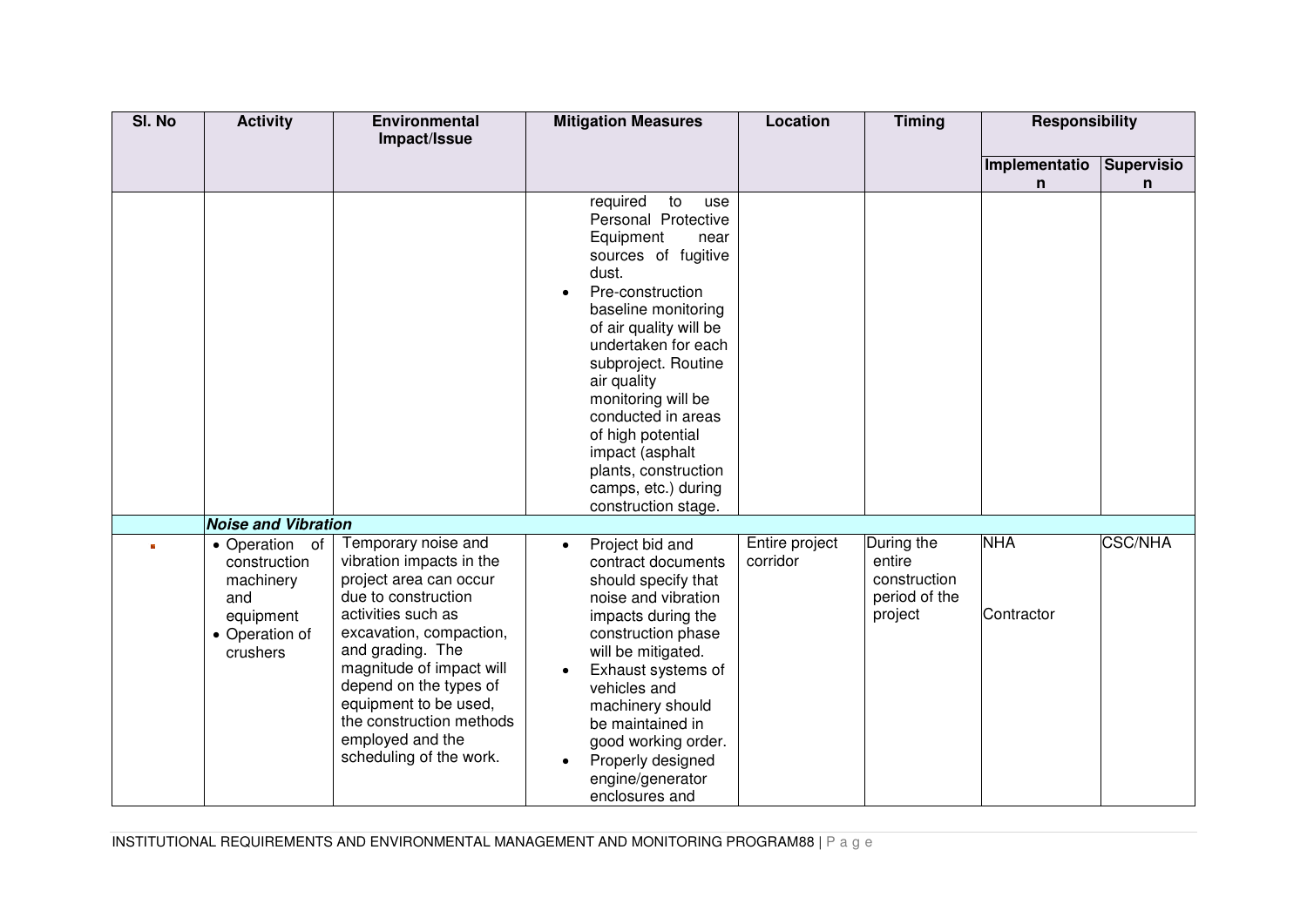| SI. No | <b>Activity</b>                                                                               | Environmental<br>Impact/Issue                                                                                                                                                                                                                                                                                                   | <b>Mitigation Measures</b>                                                                                                                                                                                                                                                                                                                                                                                 | Location                   | <b>Timing</b>                                                    | <b>Responsibility</b> |                 |
|--------|-----------------------------------------------------------------------------------------------|---------------------------------------------------------------------------------------------------------------------------------------------------------------------------------------------------------------------------------------------------------------------------------------------------------------------------------|------------------------------------------------------------------------------------------------------------------------------------------------------------------------------------------------------------------------------------------------------------------------------------------------------------------------------------------------------------------------------------------------------------|----------------------------|------------------------------------------------------------------|-----------------------|-----------------|
|        |                                                                                               |                                                                                                                                                                                                                                                                                                                                 |                                                                                                                                                                                                                                                                                                                                                                                                            |                            |                                                                  | Implementatio<br>n    | Supervisio<br>n |
|        |                                                                                               |                                                                                                                                                                                                                                                                                                                                 | required<br>to<br>use<br>Personal Protective<br>Equipment<br>near<br>sources of fugitive<br>dust.<br>Pre-construction<br>$\bullet$<br>baseline monitoring<br>of air quality will be<br>undertaken for each<br>subproject. Routine<br>air quality<br>monitoring will be<br>conducted in areas<br>of high potential<br>impact (asphalt<br>plants, construction<br>camps, etc.) during<br>construction stage. |                            |                                                                  |                       |                 |
|        | <b>Noise and Vibration</b>                                                                    |                                                                                                                                                                                                                                                                                                                                 |                                                                                                                                                                                                                                                                                                                                                                                                            |                            |                                                                  | <b>NHA</b>            | <b>CSC/NHA</b>  |
|        | • Operation of<br>construction<br>machinery<br>and<br>equipment<br>• Operation of<br>crushers | Temporary noise and<br>vibration impacts in the<br>project area can occur<br>due to construction<br>activities such as<br>excavation, compaction,<br>and grading. The<br>magnitude of impact will<br>depend on the types of<br>equipment to be used,<br>the construction methods<br>employed and the<br>scheduling of the work. | Project bid and<br>$\bullet$<br>contract documents<br>should specify that<br>noise and vibration<br>impacts during the<br>construction phase<br>will be mitigated.<br>Exhaust systems of<br>vehicles and<br>machinery should<br>be maintained in<br>good working order.<br>Properly designed<br>engine/generator<br>enclosures and                                                                         | Entire project<br>corridor | During the<br>entire<br>construction<br>period of the<br>project | Contractor            |                 |

INSTITUTIONAL REQUIREMENTS AND ENVIRONMENTAL MANAGEMENT AND MONITORING PROGRAM88 | P a g e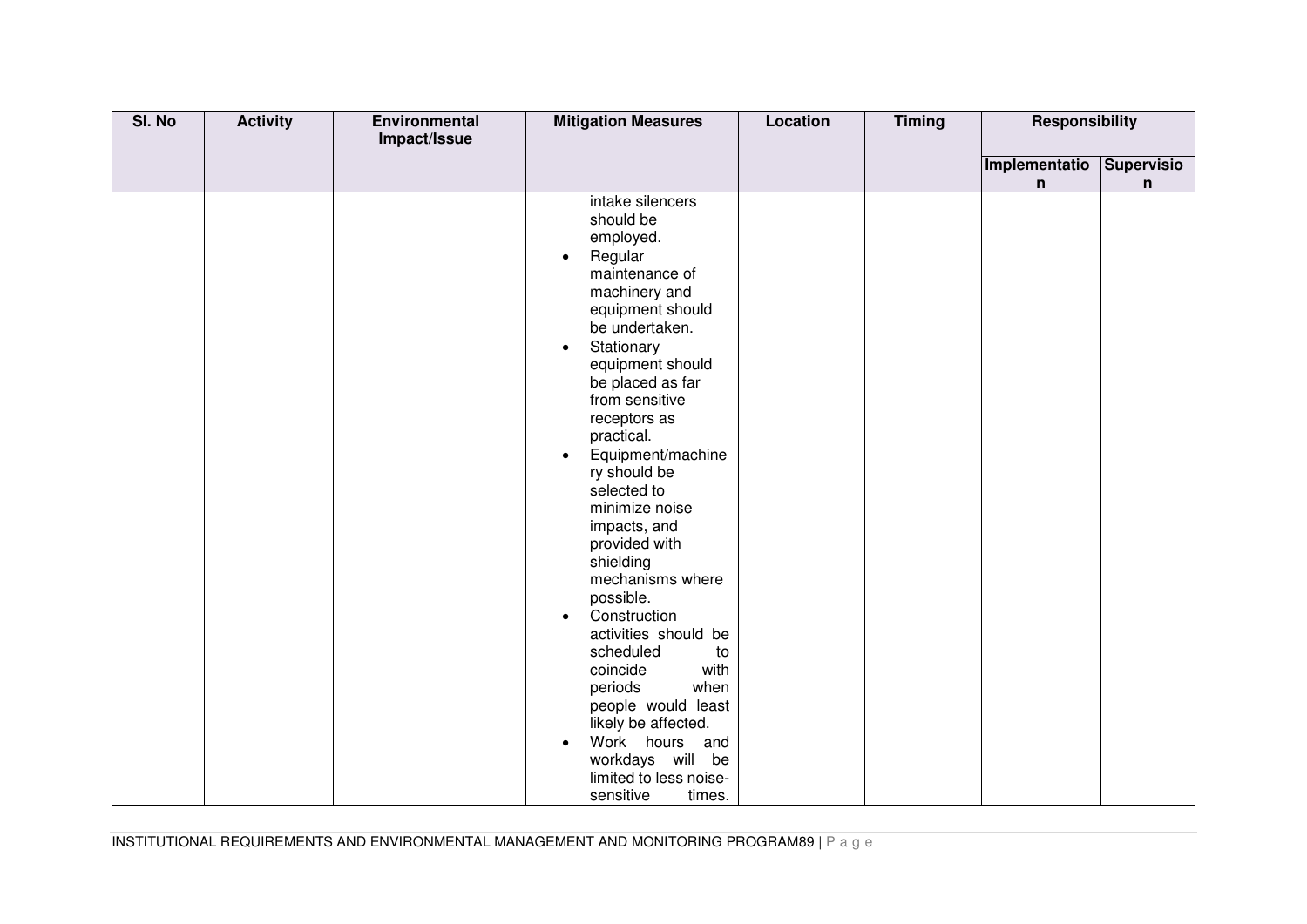| SI. No | <b>Activity</b> | Environmental<br>Impact/Issue | <b>Mitigation Measures</b>          | <b>Location</b> | <b>Timing</b> | <b>Responsibility</b> |            |
|--------|-----------------|-------------------------------|-------------------------------------|-----------------|---------------|-----------------------|------------|
|        |                 |                               |                                     |                 |               |                       |            |
|        |                 |                               |                                     |                 |               | Implementatio         | Supervisio |
|        |                 |                               | intake silencers                    |                 |               | n                     | n          |
|        |                 |                               | should be                           |                 |               |                       |            |
|        |                 |                               | employed.                           |                 |               |                       |            |
|        |                 |                               | Regular<br>$\bullet$                |                 |               |                       |            |
|        |                 |                               | maintenance of                      |                 |               |                       |            |
|        |                 |                               | machinery and                       |                 |               |                       |            |
|        |                 |                               | equipment should                    |                 |               |                       |            |
|        |                 |                               | be undertaken.                      |                 |               |                       |            |
|        |                 |                               | Stationary<br>$\bullet$             |                 |               |                       |            |
|        |                 |                               | equipment should                    |                 |               |                       |            |
|        |                 |                               | be placed as far                    |                 |               |                       |            |
|        |                 |                               | from sensitive                      |                 |               |                       |            |
|        |                 |                               | receptors as<br>practical.          |                 |               |                       |            |
|        |                 |                               | Equipment/machine<br>$\bullet$      |                 |               |                       |            |
|        |                 |                               | ry should be                        |                 |               |                       |            |
|        |                 |                               | selected to                         |                 |               |                       |            |
|        |                 |                               | minimize noise                      |                 |               |                       |            |
|        |                 |                               | impacts, and                        |                 |               |                       |            |
|        |                 |                               | provided with                       |                 |               |                       |            |
|        |                 |                               | shielding                           |                 |               |                       |            |
|        |                 |                               | mechanisms where                    |                 |               |                       |            |
|        |                 |                               | possible.                           |                 |               |                       |            |
|        |                 |                               | Construction<br>$\bullet$           |                 |               |                       |            |
|        |                 |                               | activities should be                |                 |               |                       |            |
|        |                 |                               | scheduled<br>to<br>with<br>coincide |                 |               |                       |            |
|        |                 |                               | when<br>periods                     |                 |               |                       |            |
|        |                 |                               | people would least                  |                 |               |                       |            |
|        |                 |                               | likely be affected.                 |                 |               |                       |            |
|        |                 |                               | Work hours and                      |                 |               |                       |            |
|        |                 |                               | workdays will be                    |                 |               |                       |            |
|        |                 |                               | limited to less noise-              |                 |               |                       |            |
|        |                 |                               | sensitive<br>times.                 |                 |               |                       |            |

INSTITUTIONAL REQUIREMENTS AND ENVIRONMENTAL MANAGEMENT AND MONITORING PROGRAM89 | P a g e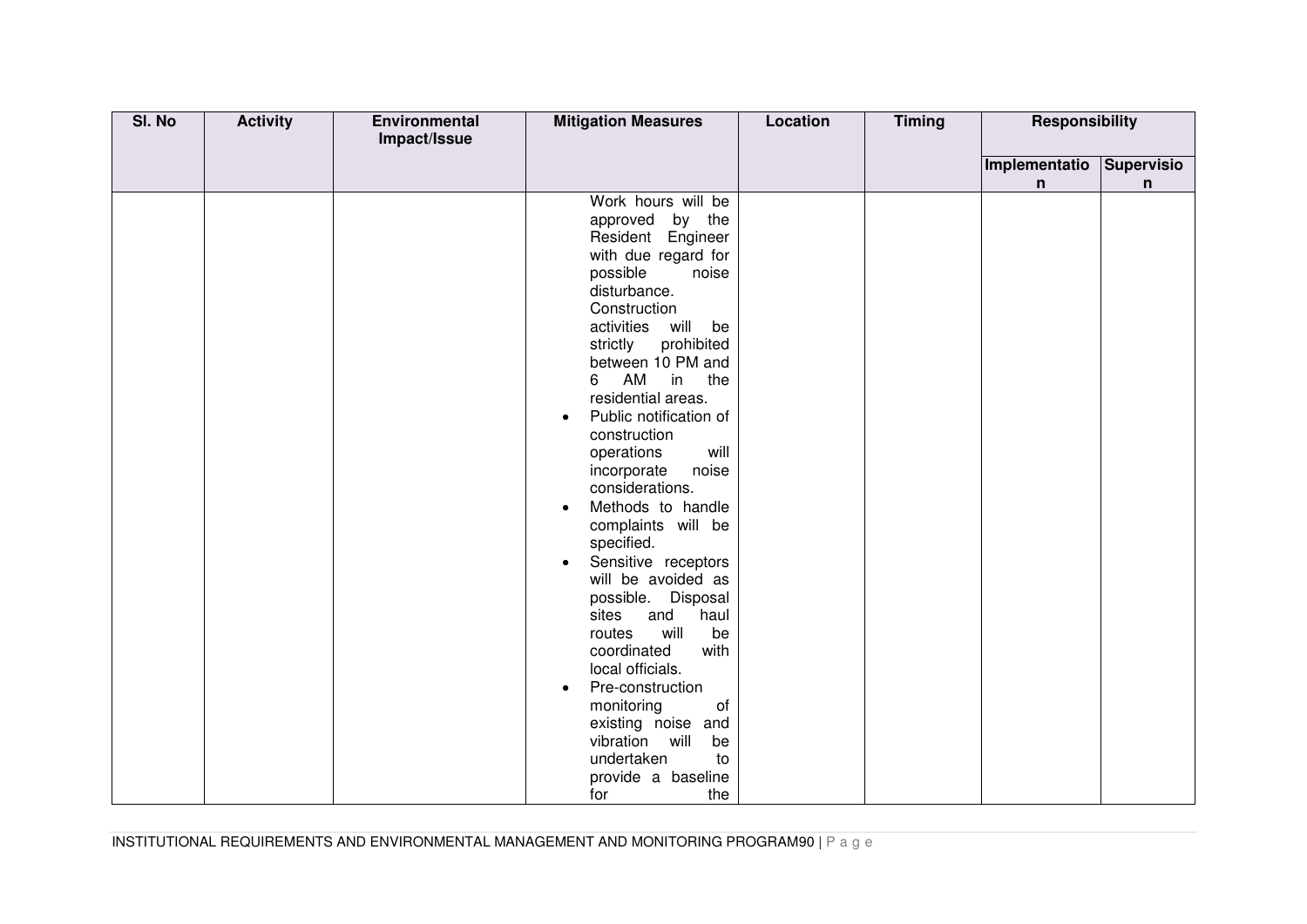| SI. No | <b>Activity</b> | Environmental<br>Impact/Issue | <b>Mitigation Measures</b>            | <b>Location</b> | <b>Timing</b> | <b>Responsibility</b> |            |
|--------|-----------------|-------------------------------|---------------------------------------|-----------------|---------------|-----------------------|------------|
|        |                 |                               |                                       |                 |               |                       |            |
|        |                 |                               |                                       |                 |               | Implementatio         | Supervisio |
|        |                 |                               |                                       |                 |               | n                     | n          |
|        |                 |                               | Work hours will be                    |                 |               |                       |            |
|        |                 |                               | approved by the                       |                 |               |                       |            |
|        |                 |                               | Resident Engineer                     |                 |               |                       |            |
|        |                 |                               | with due regard for                   |                 |               |                       |            |
|        |                 |                               | possible<br>noise                     |                 |               |                       |            |
|        |                 |                               | disturbance.                          |                 |               |                       |            |
|        |                 |                               | Construction<br>activities will<br>be |                 |               |                       |            |
|        |                 |                               | prohibited                            |                 |               |                       |            |
|        |                 |                               | strictly<br>between 10 PM and         |                 |               |                       |            |
|        |                 |                               | 6<br>AM<br>in the                     |                 |               |                       |            |
|        |                 |                               | residential areas.                    |                 |               |                       |            |
|        |                 |                               | Public notification of                |                 |               |                       |            |
|        |                 |                               | $\bullet$<br>construction             |                 |               |                       |            |
|        |                 |                               | will<br>operations                    |                 |               |                       |            |
|        |                 |                               | incorporate<br>noise                  |                 |               |                       |            |
|        |                 |                               | considerations.                       |                 |               |                       |            |
|        |                 |                               | Methods to handle<br>$\bullet$        |                 |               |                       |            |
|        |                 |                               | complaints will be                    |                 |               |                       |            |
|        |                 |                               | specified.                            |                 |               |                       |            |
|        |                 |                               | Sensitive receptors<br>$\bullet$      |                 |               |                       |            |
|        |                 |                               | will be avoided as                    |                 |               |                       |            |
|        |                 |                               | possible. Disposal                    |                 |               |                       |            |
|        |                 |                               | haul<br>sites<br>and                  |                 |               |                       |            |
|        |                 |                               | will<br>routes<br>be                  |                 |               |                       |            |
|        |                 |                               | coordinated<br>with                   |                 |               |                       |            |
|        |                 |                               | local officials.                      |                 |               |                       |            |
|        |                 |                               | Pre-construction<br>$\bullet$         |                 |               |                       |            |
|        |                 |                               | monitoring<br>of                      |                 |               |                       |            |
|        |                 |                               | existing noise and                    |                 |               |                       |            |
|        |                 |                               | vibration will<br>be                  |                 |               |                       |            |
|        |                 |                               | undertaken<br>to                      |                 |               |                       |            |
|        |                 |                               | provide a baseline                    |                 |               |                       |            |
|        |                 |                               | the<br>for                            |                 |               |                       |            |
|        |                 |                               |                                       |                 |               |                       |            |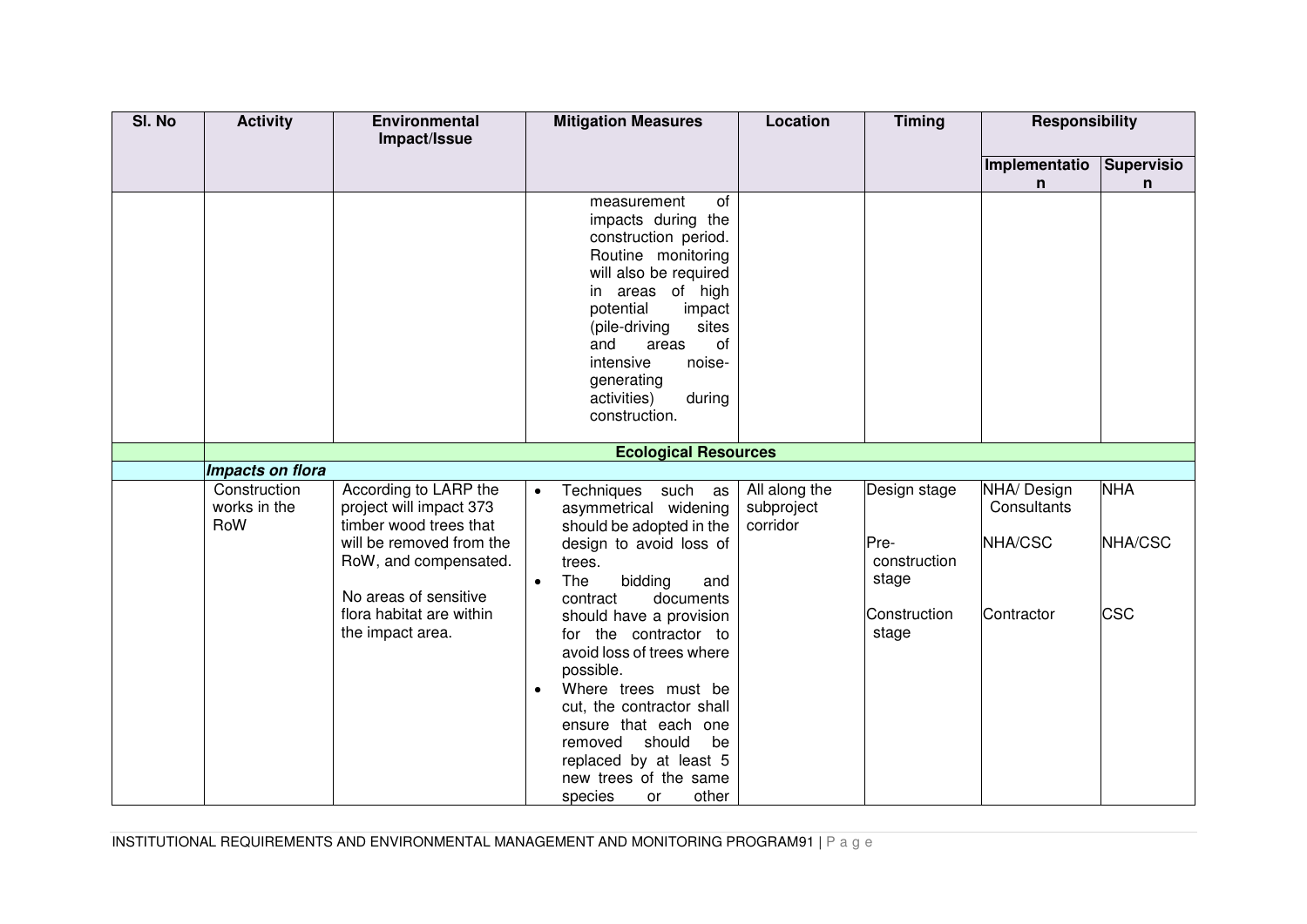| SI. No | <b>Activity</b>                     | Environmental<br>Impact/Issue                                                                          | <b>Mitigation Measures</b>                                                                                                                                                                                                                                                                  | <b>Location</b>                         | <b>Timing</b>         | <b>Responsibility</b>                 |                       |
|--------|-------------------------------------|--------------------------------------------------------------------------------------------------------|---------------------------------------------------------------------------------------------------------------------------------------------------------------------------------------------------------------------------------------------------------------------------------------------|-----------------------------------------|-----------------------|---------------------------------------|-----------------------|
|        |                                     |                                                                                                        |                                                                                                                                                                                                                                                                                             |                                         |                       | Implementatio<br>n                    | Supervisio<br>n       |
|        |                                     |                                                                                                        | of<br>measurement<br>impacts during the<br>construction period.<br>Routine monitoring<br>will also be required<br>in areas of high<br>potential<br>impact<br>sites<br>(pile-driving<br>and<br>of<br>areas<br>intensive<br>noise-<br>generating<br>during<br>activities)<br>construction.    |                                         |                       |                                       |                       |
|        |                                     |                                                                                                        | <b>Ecological Resources</b>                                                                                                                                                                                                                                                                 |                                         |                       |                                       |                       |
|        | Impacts on flora                    |                                                                                                        |                                                                                                                                                                                                                                                                                             |                                         |                       |                                       |                       |
|        | Construction<br>works in the<br>RoW | According to LARP the<br>project will impact 373<br>timber wood trees that<br>will be removed from the | Techniques such as<br>$\bullet$<br>asymmetrical widening<br>should be adopted in the<br>design to avoid loss of                                                                                                                                                                             | All along the<br>subproject<br>corridor | Design stage<br>Pre-  | NHA/ Design<br>Consultants<br>NHA/CSC | <b>NHA</b><br>NHA/CSC |
|        |                                     | RoW, and compensated.<br>No areas of sensitive                                                         | trees.<br>The<br>bidding<br>and<br>$\bullet$<br>documents<br>contract                                                                                                                                                                                                                       |                                         | construction<br>stage |                                       |                       |
|        |                                     | flora habitat are within<br>the impact area.                                                           | should have a provision<br>for the contractor to<br>avoid loss of trees where<br>possible.<br>Where trees must be<br>$\bullet$<br>cut, the contractor shall<br>ensure that each one<br>removed<br>should<br>be<br>replaced by at least 5<br>new trees of the same<br>species<br>other<br>or |                                         | Construction<br>stage | Contractor                            | <b>CSC</b>            |

INSTITUTIONAL REQUIREMENTS AND ENVIRONMENTAL MANAGEMENT AND MONITORING PROGRAM91 | P a g e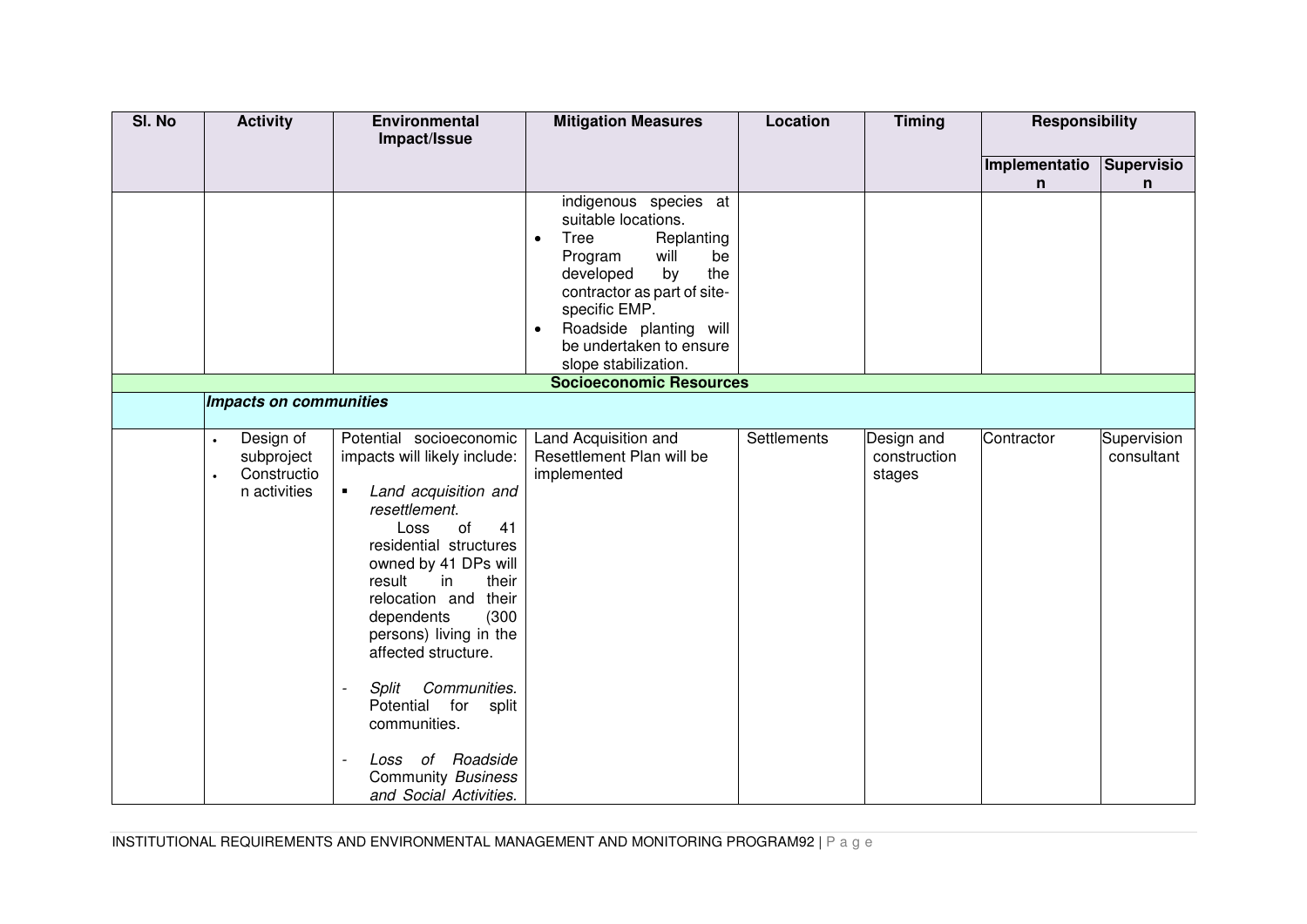| SI. No | <b>Activity</b>                                        | Environmental<br>Impact/Issue                                                                                                                                                                                                                                                                                                                                                                                                                                | <b>Mitigation Measures</b>                                                                                                                                                                                                                                                                                     | Location    | <b>Timing</b>                        | <b>Responsibility</b> |                           |
|--------|--------------------------------------------------------|--------------------------------------------------------------------------------------------------------------------------------------------------------------------------------------------------------------------------------------------------------------------------------------------------------------------------------------------------------------------------------------------------------------------------------------------------------------|----------------------------------------------------------------------------------------------------------------------------------------------------------------------------------------------------------------------------------------------------------------------------------------------------------------|-------------|--------------------------------------|-----------------------|---------------------------|
|        |                                                        |                                                                                                                                                                                                                                                                                                                                                                                                                                                              |                                                                                                                                                                                                                                                                                                                |             |                                      | Implementatio<br>n    | Supervisio<br>n           |
|        |                                                        |                                                                                                                                                                                                                                                                                                                                                                                                                                                              | indigenous species at<br>suitable locations.<br>Tree<br>Replanting<br>$\bullet$<br>will<br>Program<br>be<br>developed<br>the<br>by<br>contractor as part of site-<br>specific EMP.<br>Roadside planting will<br>$\bullet$<br>be undertaken to ensure<br>slope stabilization.<br><b>Socioeconomic Resources</b> |             |                                      |                       |                           |
|        | Impacts on communities                                 |                                                                                                                                                                                                                                                                                                                                                                                                                                                              |                                                                                                                                                                                                                                                                                                                |             |                                      |                       |                           |
|        |                                                        |                                                                                                                                                                                                                                                                                                                                                                                                                                                              |                                                                                                                                                                                                                                                                                                                |             |                                      |                       |                           |
|        | Design of<br>subproject<br>Constructio<br>n activities | Potential socioeconomic<br>impacts will likely include:<br>Land acquisition and<br>$\blacksquare$<br>resettlement.<br>Loss<br>of<br>41<br>residential structures<br>owned by 41 DPs will<br>result<br>their<br>in<br>relocation and their<br>dependents<br>(300)<br>persons) living in the<br>affected structure.<br>Communities.<br>Split<br>Potential for split<br>communities.<br>Loss of Roadside<br><b>Community Business</b><br>and Social Activities. | Land Acquisition and<br>Resettlement Plan will be<br>implemented                                                                                                                                                                                                                                               | Settlements | Design and<br>construction<br>stages | Contractor            | Supervision<br>consultant |

INSTITUTIONAL REQUIREMENTS AND ENVIRONMENTAL MANAGEMENT AND MONITORING PROGRAM92 | P a g e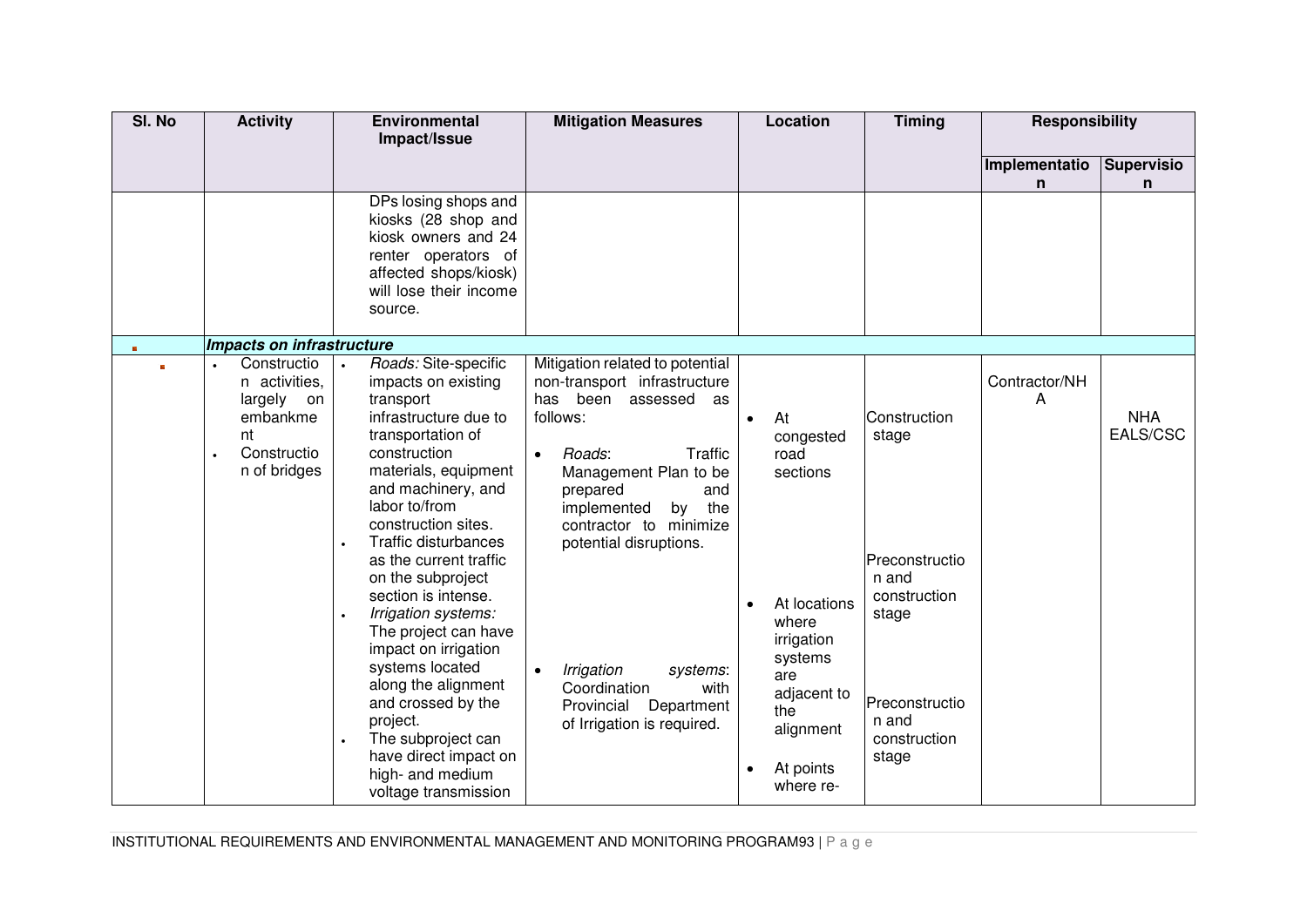| SI. No | <b>Activity</b>                                                                                | <b>Environmental</b><br>Impact/Issue                                                                                                                                                                                                                                                                                                                                                                                                                                                                                                                                  | <b>Mitigation Measures</b>                                                                                                                                                                                                                                                                                                                                                          | Location                                                                                                                                                               | <b>Timing</b>                                                                                                                 | <b>Responsibility</b> |                        |
|--------|------------------------------------------------------------------------------------------------|-----------------------------------------------------------------------------------------------------------------------------------------------------------------------------------------------------------------------------------------------------------------------------------------------------------------------------------------------------------------------------------------------------------------------------------------------------------------------------------------------------------------------------------------------------------------------|-------------------------------------------------------------------------------------------------------------------------------------------------------------------------------------------------------------------------------------------------------------------------------------------------------------------------------------------------------------------------------------|------------------------------------------------------------------------------------------------------------------------------------------------------------------------|-------------------------------------------------------------------------------------------------------------------------------|-----------------------|------------------------|
|        |                                                                                                |                                                                                                                                                                                                                                                                                                                                                                                                                                                                                                                                                                       |                                                                                                                                                                                                                                                                                                                                                                                     |                                                                                                                                                                        |                                                                                                                               | Implementatio<br>n    | <b>Supervisio</b><br>n |
|        |                                                                                                | DPs losing shops and<br>kiosks (28 shop and<br>kiosk owners and 24<br>renter operators of<br>affected shops/kiosk)<br>will lose their income<br>source.                                                                                                                                                                                                                                                                                                                                                                                                               |                                                                                                                                                                                                                                                                                                                                                                                     |                                                                                                                                                                        |                                                                                                                               |                       |                        |
| ×      | Impacts on infrastructure                                                                      |                                                                                                                                                                                                                                                                                                                                                                                                                                                                                                                                                                       |                                                                                                                                                                                                                                                                                                                                                                                     |                                                                                                                                                                        |                                                                                                                               |                       |                        |
|        | Constructio<br>n activities,<br>largely<br>on<br>embankme<br>nt<br>Constructio<br>n of bridges | Roads: Site-specific<br>impacts on existing<br>transport<br>infrastructure due to<br>transportation of<br>construction<br>materials, equipment<br>and machinery, and<br>labor to/from<br>construction sites.<br>Traffic disturbances<br>as the current traffic<br>on the subproject<br>section is intense.<br>Irrigation systems:<br>$\bullet$<br>The project can have<br>impact on irrigation<br>systems located<br>along the alignment<br>and crossed by the<br>project.<br>The subproject can<br>have direct impact on<br>high- and medium<br>voltage transmission | Mitigation related to potential<br>non-transport infrastructure<br>has been<br>assessed<br>as<br>follows:<br>Traffic<br>Roads:<br>Management Plan to be<br>prepared<br>and<br>the<br>implemented<br>by<br>contractor to minimize<br>potential disruptions.<br>Irrigation<br>systems:<br>$\bullet$<br>Coordination<br>with<br>Provincial<br>Department<br>of Irrigation is required. | At<br>$\bullet$<br>congested<br>road<br>sections<br>At locations<br>where<br>irrigation<br>systems<br>are<br>adjacent to<br>the<br>alignment<br>At points<br>where re- | Construction<br>stage<br>Preconstructio<br>n and<br>construction<br>stage<br>Preconstructio<br>n and<br>construction<br>stage | Contractor/NH<br>A    | <b>NHA</b><br>EALS/CSC |

INSTITUTIONAL REQUIREMENTS AND ENVIRONMENTAL MANAGEMENT AND MONITORING PROGRAM93 | P a g e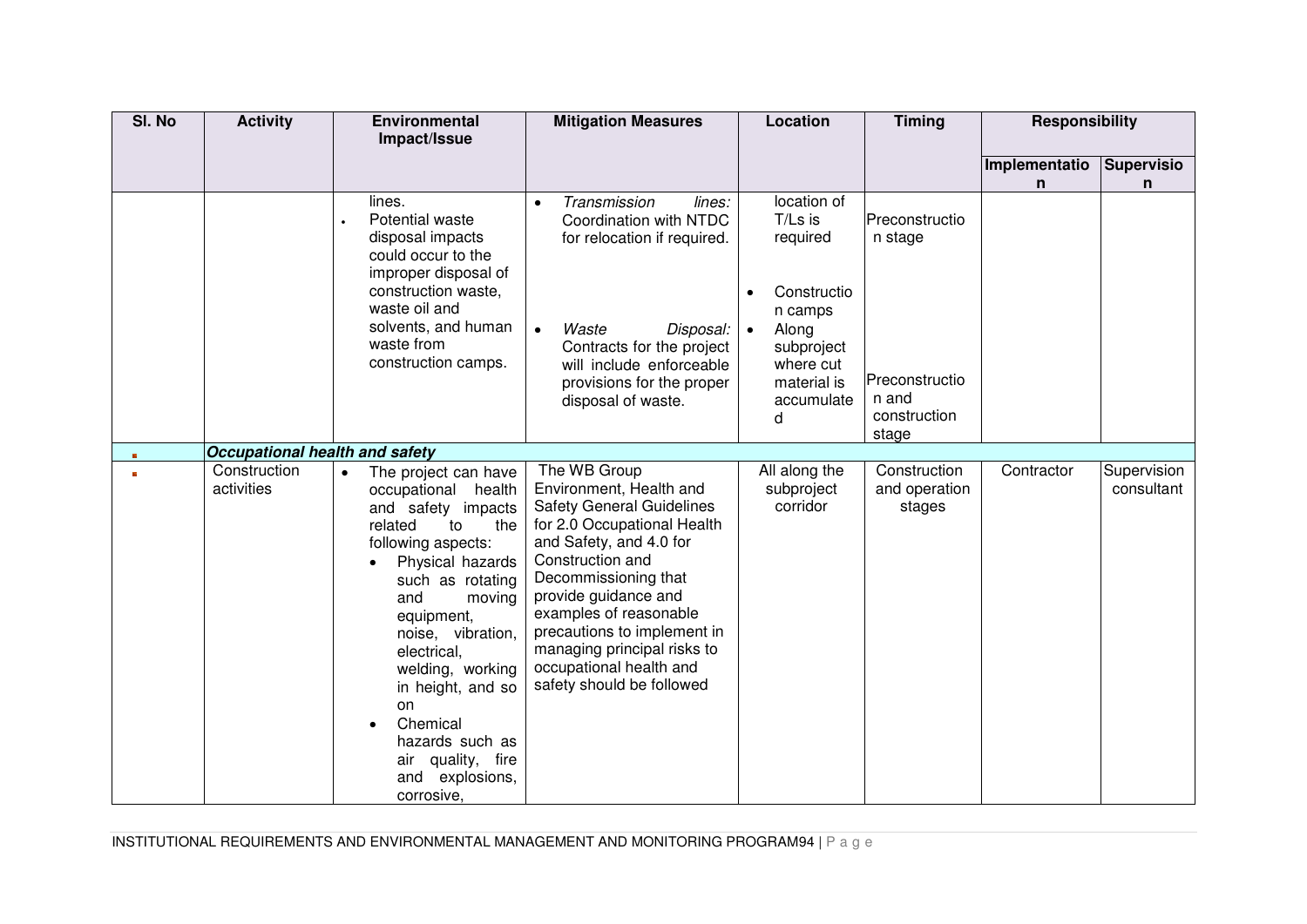| SI. No | <b>Activity</b>                | <b>Environmental</b>                  | <b>Mitigation Measures</b>                             | Location                         | <b>Timing</b>         | <b>Responsibility</b> |                   |
|--------|--------------------------------|---------------------------------------|--------------------------------------------------------|----------------------------------|-----------------------|-----------------------|-------------------|
|        |                                | Impact/Issue                          |                                                        |                                  |                       |                       |                   |
|        |                                |                                       |                                                        |                                  |                       | Implementatio         | <b>Supervisio</b> |
|        |                                |                                       |                                                        |                                  |                       | n.                    | n                 |
|        |                                | lines.<br>Potential waste             | Transmission<br>lines:<br>Coordination with NTDC       | location of<br>T/Ls is           | Preconstructio        |                       |                   |
|        |                                | disposal impacts                      | for relocation if required.                            | required                         | n stage               |                       |                   |
|        |                                | could occur to the                    |                                                        |                                  |                       |                       |                   |
|        |                                | improper disposal of                  |                                                        |                                  |                       |                       |                   |
|        |                                | construction waste,                   |                                                        | Constructio                      |                       |                       |                   |
|        |                                | waste oil and<br>solvents, and human  | Waste                                                  | n camps                          |                       |                       |                   |
|        |                                | waste from                            | Disposal:<br>$\bullet$<br>Contracts for the project    | Along<br>$\bullet$<br>subproject |                       |                       |                   |
|        |                                | construction camps.                   | will include enforceable                               | where cut                        |                       |                       |                   |
|        |                                |                                       | provisions for the proper                              | material is                      | Preconstructio        |                       |                   |
|        |                                |                                       | disposal of waste.                                     | accumulate                       | n and                 |                       |                   |
|        |                                |                                       |                                                        | d                                | construction<br>stage |                       |                   |
|        | Occupational health and safety |                                       |                                                        |                                  |                       |                       |                   |
|        | Construction                   | The project can have<br>$\bullet$     | The WB Group                                           | All along the                    | Construction          | Contractor            | Supervision       |
|        | activities                     | occupational<br>health                | Environment, Health and                                | subproject                       | and operation         |                       | consultant        |
|        |                                | and safety<br>impacts                 | <b>Safety General Guidelines</b>                       | corridor                         | stages                |                       |                   |
|        |                                | related<br>the<br>to                  | for 2.0 Occupational Health                            |                                  |                       |                       |                   |
|        |                                | following aspects:                    | and Safety, and 4.0 for<br>Construction and            |                                  |                       |                       |                   |
|        |                                | Physical hazards<br>such as rotating  | Decommissioning that                                   |                                  |                       |                       |                   |
|        |                                | and<br>moving                         | provide guidance and                                   |                                  |                       |                       |                   |
|        |                                | equipment,                            | examples of reasonable                                 |                                  |                       |                       |                   |
|        |                                | noise, vibration,                     | precautions to implement in                            |                                  |                       |                       |                   |
|        |                                | electrical,                           | managing principal risks to<br>occupational health and |                                  |                       |                       |                   |
|        |                                | welding, working<br>in height, and so | safety should be followed                              |                                  |                       |                       |                   |
|        |                                | on                                    |                                                        |                                  |                       |                       |                   |
|        |                                | Chemical                              |                                                        |                                  |                       |                       |                   |
|        |                                | hazards such as                       |                                                        |                                  |                       |                       |                   |
|        |                                | air quality, fire                     |                                                        |                                  |                       |                       |                   |
|        |                                | explosions,<br>and                    |                                                        |                                  |                       |                       |                   |
|        |                                | corrosive,                            |                                                        |                                  |                       |                       |                   |

INSTITUTIONAL REQUIREMENTS AND ENVIRONMENTAL MANAGEMENT AND MONITORING PROGRAM94 | P a g e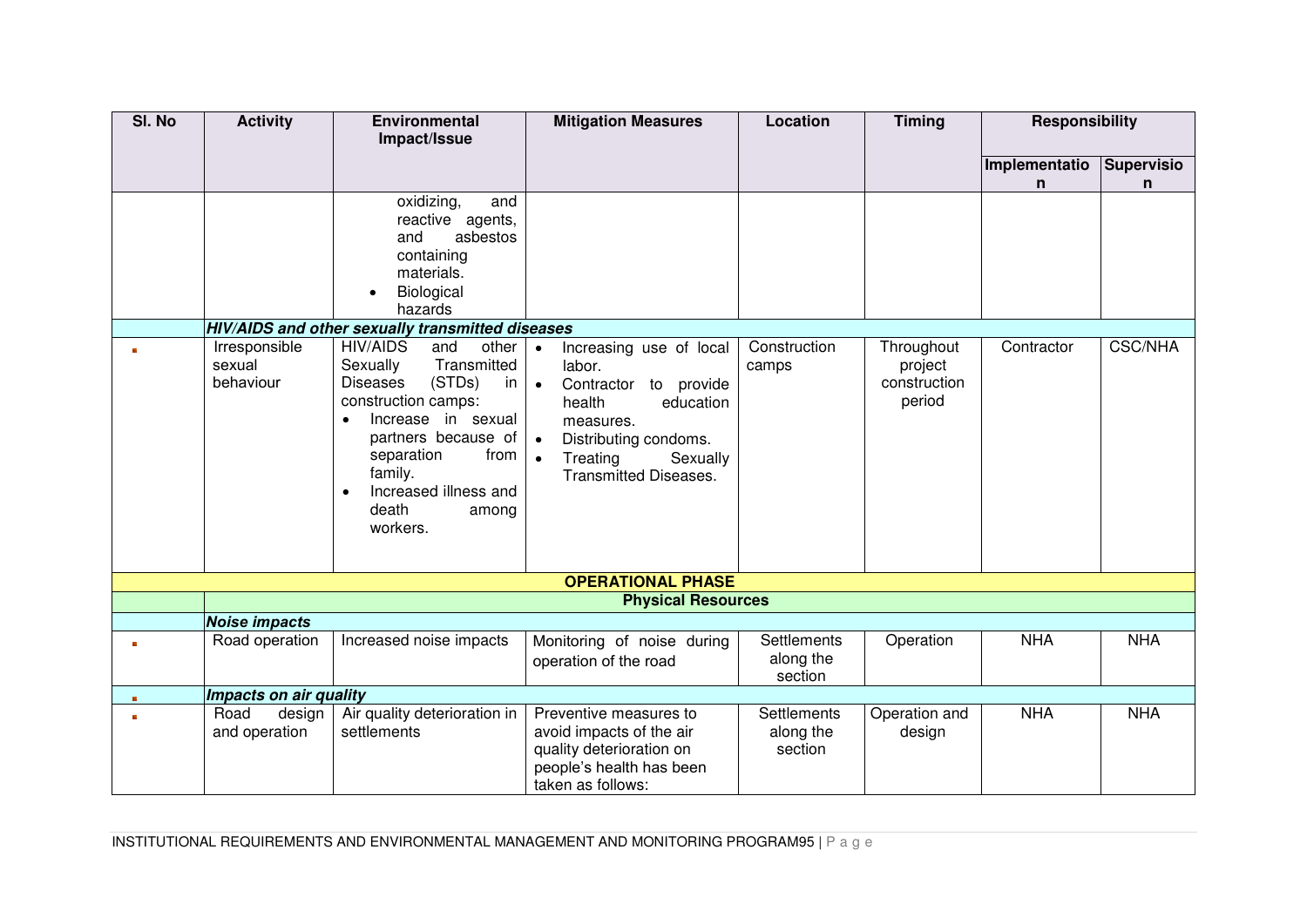| SI. No | <b>Activity</b>                      | <b>Environmental</b>                                                                                                                                                                                                                                                   | <b>Mitigation Measures</b>                                                                                                                                                                                             | Location              | <b>Timing</b>                                   | <b>Responsibility</b> |                   |
|--------|--------------------------------------|------------------------------------------------------------------------------------------------------------------------------------------------------------------------------------------------------------------------------------------------------------------------|------------------------------------------------------------------------------------------------------------------------------------------------------------------------------------------------------------------------|-----------------------|-------------------------------------------------|-----------------------|-------------------|
|        |                                      | Impact/Issue                                                                                                                                                                                                                                                           |                                                                                                                                                                                                                        |                       |                                                 |                       |                   |
|        |                                      |                                                                                                                                                                                                                                                                        |                                                                                                                                                                                                                        |                       |                                                 | Implementatio         | <b>Supervisio</b> |
|        |                                      |                                                                                                                                                                                                                                                                        |                                                                                                                                                                                                                        |                       |                                                 | n                     | n                 |
|        |                                      | oxidizing,<br>and                                                                                                                                                                                                                                                      |                                                                                                                                                                                                                        |                       |                                                 |                       |                   |
|        |                                      | reactive agents,                                                                                                                                                                                                                                                       |                                                                                                                                                                                                                        |                       |                                                 |                       |                   |
|        |                                      | and<br>asbestos                                                                                                                                                                                                                                                        |                                                                                                                                                                                                                        |                       |                                                 |                       |                   |
|        |                                      | containing                                                                                                                                                                                                                                                             |                                                                                                                                                                                                                        |                       |                                                 |                       |                   |
|        |                                      | materials.                                                                                                                                                                                                                                                             |                                                                                                                                                                                                                        |                       |                                                 |                       |                   |
|        |                                      | Biological                                                                                                                                                                                                                                                             |                                                                                                                                                                                                                        |                       |                                                 |                       |                   |
|        |                                      | hazards                                                                                                                                                                                                                                                                |                                                                                                                                                                                                                        |                       |                                                 |                       |                   |
|        |                                      | HIV/AIDS and other sexually transmitted diseases                                                                                                                                                                                                                       |                                                                                                                                                                                                                        |                       |                                                 |                       |                   |
|        | Irresponsible<br>sexual<br>behaviour | <b>HIV/AIDS</b><br>and<br>other<br>Transmitted<br>Sexually<br>(STDs)<br><b>Diseases</b><br>in<br>construction camps:<br>Increase in sexual<br>$\bullet$<br>partners because of<br>from<br>separation<br>family.<br>Increased illness and<br>death<br>among<br>workers. | Increasing use of local<br>$\bullet$<br>labor.<br>Contractor to provide<br>$\bullet$<br>health<br>education<br>measures.<br>Distributing condoms.<br>Treating<br>Sexually<br>$\bullet$<br><b>Transmitted Diseases.</b> | Construction<br>camps | Throughout<br>project<br>construction<br>period | Contractor            | <b>CSC/NHA</b>    |
|        |                                      |                                                                                                                                                                                                                                                                        | <b>OPERATIONAL PHASE</b>                                                                                                                                                                                               |                       |                                                 |                       |                   |
|        |                                      |                                                                                                                                                                                                                                                                        | <b>Physical Resources</b>                                                                                                                                                                                              |                       |                                                 |                       |                   |
|        | <b>Noise impacts</b>                 |                                                                                                                                                                                                                                                                        |                                                                                                                                                                                                                        |                       |                                                 |                       |                   |
| 画      | Road operation                       | Increased noise impacts                                                                                                                                                                                                                                                | Monitoring of noise during                                                                                                                                                                                             | <b>Settlements</b>    | Operation                                       | <b>NHA</b>            | <b>NHA</b>        |
|        |                                      |                                                                                                                                                                                                                                                                        | operation of the road                                                                                                                                                                                                  | along the             |                                                 |                       |                   |
|        |                                      |                                                                                                                                                                                                                                                                        |                                                                                                                                                                                                                        | section               |                                                 |                       |                   |
| m      | Impacts on air quality               |                                                                                                                                                                                                                                                                        |                                                                                                                                                                                                                        |                       |                                                 |                       |                   |
|        | Road<br>design                       | Air quality deterioration in                                                                                                                                                                                                                                           | Preventive measures to                                                                                                                                                                                                 | Settlements           | Operation and                                   | <b>NHA</b>            | <b>NHA</b>        |
|        | and operation                        | settlements                                                                                                                                                                                                                                                            | avoid impacts of the air                                                                                                                                                                                               | along the             | design                                          |                       |                   |
|        |                                      |                                                                                                                                                                                                                                                                        | quality deterioration on                                                                                                                                                                                               | section               |                                                 |                       |                   |
|        |                                      |                                                                                                                                                                                                                                                                        | people's health has been                                                                                                                                                                                               |                       |                                                 |                       |                   |
|        |                                      |                                                                                                                                                                                                                                                                        | taken as follows:                                                                                                                                                                                                      |                       |                                                 |                       |                   |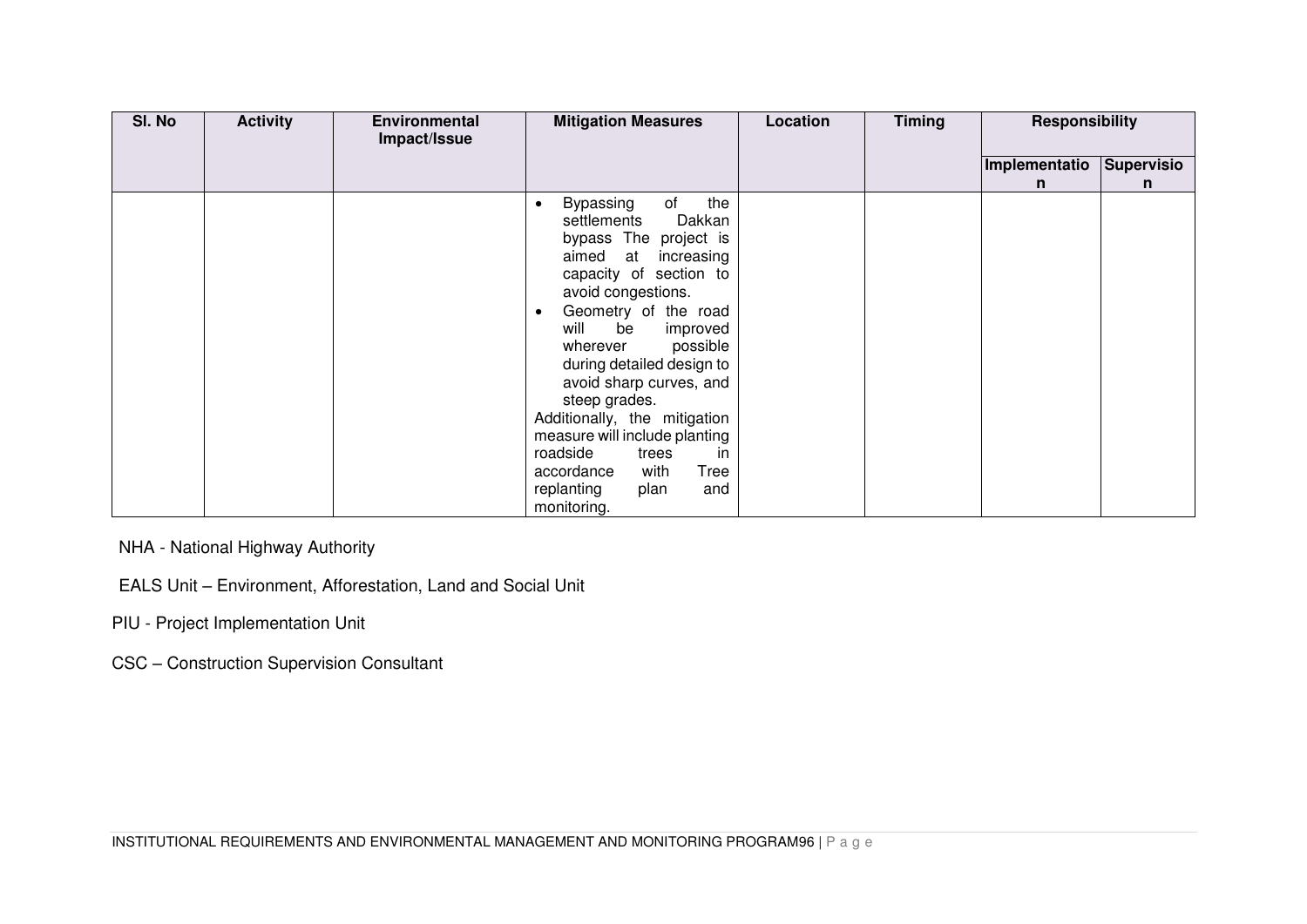| SI. No | <b>Activity</b> | <b>Environmental</b><br>Impact/Issue | <b>Mitigation Measures</b>                                                                                                                                                                                                                                                                                                                                                                                                                                                                                   | Location | <b>Timing</b> | Responsibility |            |
|--------|-----------------|--------------------------------------|--------------------------------------------------------------------------------------------------------------------------------------------------------------------------------------------------------------------------------------------------------------------------------------------------------------------------------------------------------------------------------------------------------------------------------------------------------------------------------------------------------------|----------|---------------|----------------|------------|
|        |                 |                                      |                                                                                                                                                                                                                                                                                                                                                                                                                                                                                                              |          |               | Implementatio  | Supervisio |
|        |                 |                                      |                                                                                                                                                                                                                                                                                                                                                                                                                                                                                                              |          |               | n              | n          |
|        |                 |                                      | the<br>of<br><b>Bypassing</b><br>$\bullet$<br>Dakkan<br>settlements<br>bypass The project is<br>aimed at<br>increasing<br>capacity of section to<br>avoid congestions.<br>Geometry of the road<br>$\bullet$<br>will<br>be<br>improved<br>possible<br>wherever<br>during detailed design to<br>avoid sharp curves, and<br>steep grades.<br>Additionally, the mitigation<br>measure will include planting<br>roadside<br>in<br>trees<br>Tree<br>accordance<br>with<br>replanting<br>and<br>plan<br>monitoring. |          |               |                |            |

NHA - National Highway Authority

- EALS Unit Environment, Afforestation, Land and Social Unit
- PIU Project Implementation Unit

CSC – Construction Supervision Consultant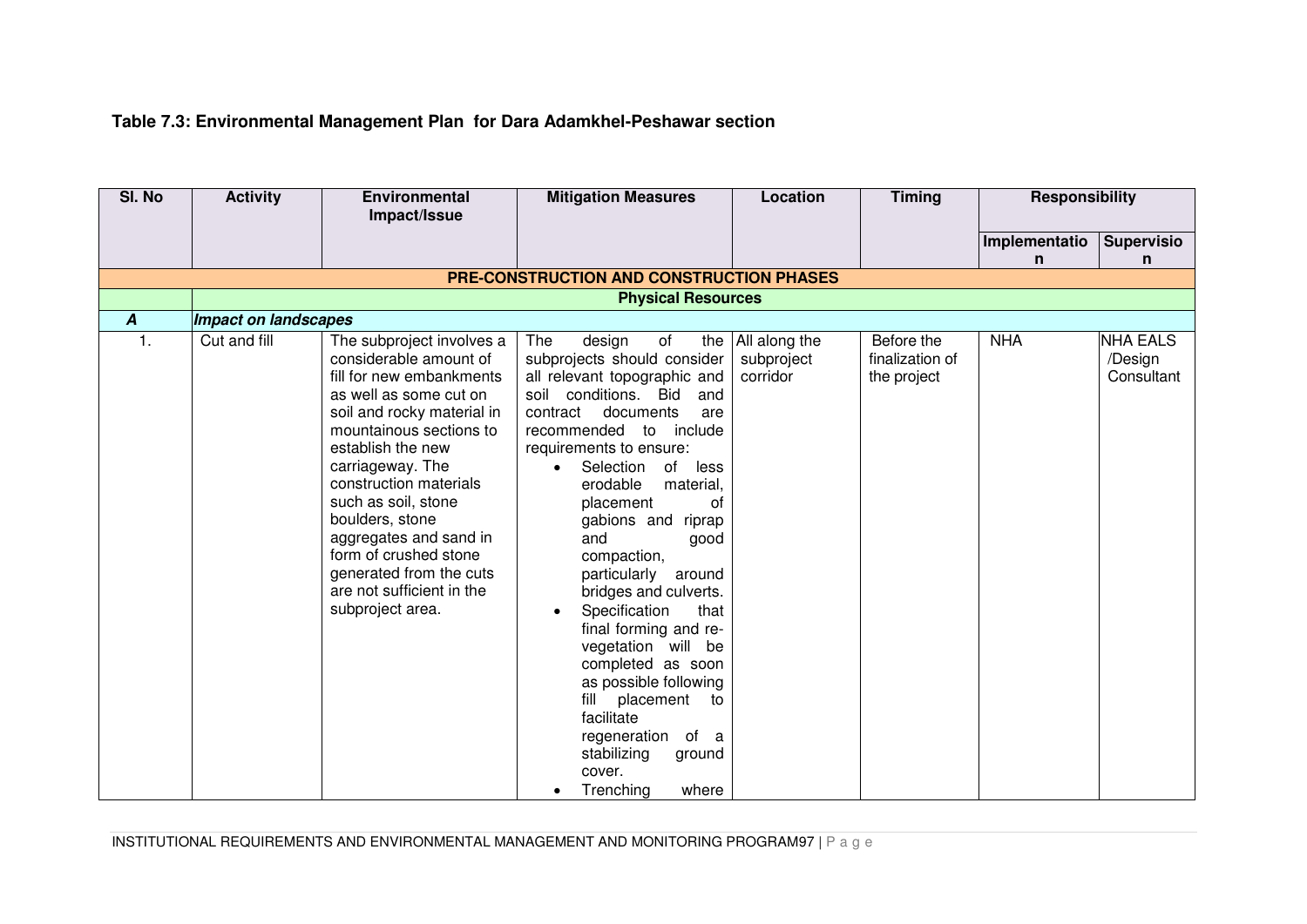# **Table 7.3: Environmental Management Plan for Dara Adamkhel-Peshawar section**

| SI. No           | <b>Activity</b>             | <b>Environmental</b><br>Impact/Issue                                                                                                                                                                                                                                                                                                                                                                           | <b>Mitigation Measures</b>                                                                                                                                                                                                                                                                                                                                                                                                                                                                                                                                                                                                                                               | Location                                | <b>Timing</b>                                | <b>Responsibility</b> |                                          |  |  |  |
|------------------|-----------------------------|----------------------------------------------------------------------------------------------------------------------------------------------------------------------------------------------------------------------------------------------------------------------------------------------------------------------------------------------------------------------------------------------------------------|--------------------------------------------------------------------------------------------------------------------------------------------------------------------------------------------------------------------------------------------------------------------------------------------------------------------------------------------------------------------------------------------------------------------------------------------------------------------------------------------------------------------------------------------------------------------------------------------------------------------------------------------------------------------------|-----------------------------------------|----------------------------------------------|-----------------------|------------------------------------------|--|--|--|
|                  |                             |                                                                                                                                                                                                                                                                                                                                                                                                                |                                                                                                                                                                                                                                                                                                                                                                                                                                                                                                                                                                                                                                                                          |                                         |                                              | Implementatio         |                                          |  |  |  |
|                  |                             |                                                                                                                                                                                                                                                                                                                                                                                                                |                                                                                                                                                                                                                                                                                                                                                                                                                                                                                                                                                                                                                                                                          |                                         |                                              | n                     | <b>Supervisio</b><br>n                   |  |  |  |
|                  |                             |                                                                                                                                                                                                                                                                                                                                                                                                                | <b>PRE-CONSTRUCTION AND CONSTRUCTION PHASES</b>                                                                                                                                                                                                                                                                                                                                                                                                                                                                                                                                                                                                                          |                                         |                                              |                       |                                          |  |  |  |
|                  | <b>Physical Resources</b>   |                                                                                                                                                                                                                                                                                                                                                                                                                |                                                                                                                                                                                                                                                                                                                                                                                                                                                                                                                                                                                                                                                                          |                                         |                                              |                       |                                          |  |  |  |
| $\boldsymbol{A}$ | <b>Impact on landscapes</b> |                                                                                                                                                                                                                                                                                                                                                                                                                |                                                                                                                                                                                                                                                                                                                                                                                                                                                                                                                                                                                                                                                                          |                                         |                                              |                       |                                          |  |  |  |
| 1.               | Cut and fill                | The subproject involves a<br>considerable amount of<br>fill for new embankments<br>as well as some cut on<br>soil and rocky material in<br>mountainous sections to<br>establish the new<br>carriageway. The<br>construction materials<br>such as soil, stone<br>boulders, stone<br>aggregates and sand in<br>form of crushed stone<br>generated from the cuts<br>are not sufficient in the<br>subproject area. | The<br>design<br>of<br>the<br>subprojects should consider<br>all relevant topographic and<br>soil conditions. Bid<br>and<br>documents<br>contract<br>are<br>recommended to include<br>requirements to ensure:<br>Selection<br>of<br>less<br>erodable<br>material,<br>placement<br>οf<br>gabions and<br>riprap<br>and<br>good<br>compaction,<br>particularly<br>around<br>bridges and culverts.<br>Specification<br>that<br>$\bullet$<br>final forming and re-<br>vegetation will be<br>completed as soon<br>as possible following<br>placement<br>fill<br>to<br>facilitate<br>regeneration<br>of a<br>stabilizing<br>ground<br>cover.<br>Trenching<br>where<br>$\bullet$ | All along the<br>subproject<br>corridor | Before the<br>finalization of<br>the project | <b>NHA</b>            | <b>NHA EALS</b><br>/Design<br>Consultant |  |  |  |

INSTITUTIONAL REQUIREMENTS AND ENVIRONMENTAL MANAGEMENT AND MONITORING PROGRAM97 | P a g e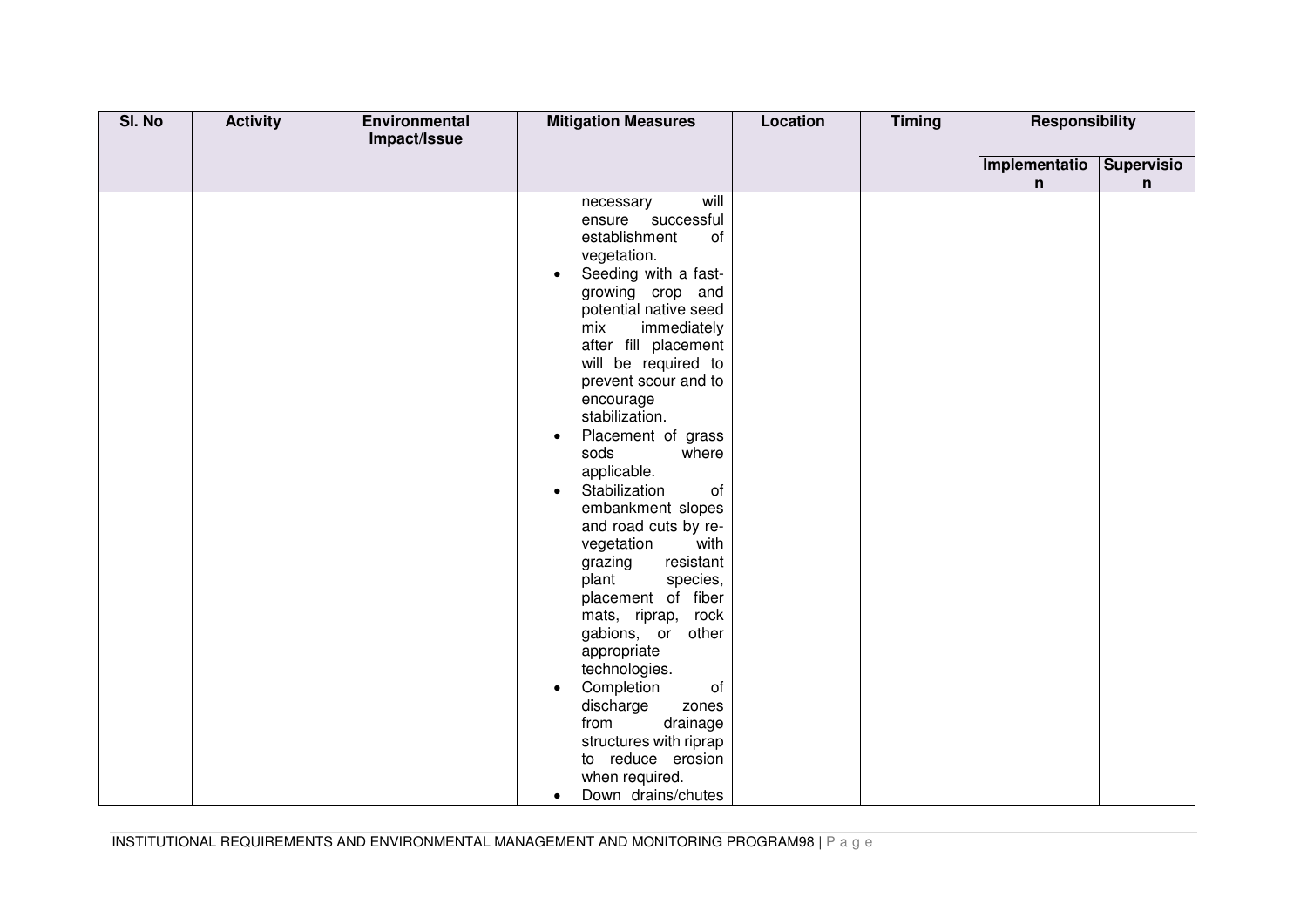| SI. No | <b>Activity</b> | Environmental<br>Impact/Issue | <b>Mitigation Measures</b>                                                                                                                                                                                                                                                                                                                                                                                                                                                                                                                                                                                                                                                                                                                                                                           | Location | <b>Timing</b> | <b>Responsibility</b> |                   |
|--------|-----------------|-------------------------------|------------------------------------------------------------------------------------------------------------------------------------------------------------------------------------------------------------------------------------------------------------------------------------------------------------------------------------------------------------------------------------------------------------------------------------------------------------------------------------------------------------------------------------------------------------------------------------------------------------------------------------------------------------------------------------------------------------------------------------------------------------------------------------------------------|----------|---------------|-----------------------|-------------------|
|        |                 |                               |                                                                                                                                                                                                                                                                                                                                                                                                                                                                                                                                                                                                                                                                                                                                                                                                      |          |               | Implementatio         | <b>Supervisio</b> |
|        |                 |                               |                                                                                                                                                                                                                                                                                                                                                                                                                                                                                                                                                                                                                                                                                                                                                                                                      |          |               | n                     | n                 |
|        |                 |                               | will<br>necessary<br>ensure successful<br>establishment<br>of<br>vegetation.<br>Seeding with a fast-<br>$\bullet$<br>growing crop and<br>potential native seed<br>mix<br>immediately<br>after fill placement<br>will be required to<br>prevent scour and to<br>encourage<br>stabilization.<br>Placement of grass<br>$\bullet$<br>sods<br>where<br>applicable.<br>Stabilization<br>of<br>$\bullet$<br>embankment slopes<br>and road cuts by re-<br>vegetation<br>with<br>resistant<br>grazing<br>plant<br>species,<br>placement of fiber<br>rock<br>mats, riprap,<br>gabions, or other<br>appropriate<br>technologies.<br>Completion<br>of<br>$\bullet$<br>discharge<br>zones<br>from<br>drainage<br>structures with riprap<br>to reduce erosion<br>when required.<br>Down drains/chutes<br>$\bullet$ |          |               |                       |                   |

INSTITUTIONAL REQUIREMENTS AND ENVIRONMENTAL MANAGEMENT AND MONITORING PROGRAM98 | P a g e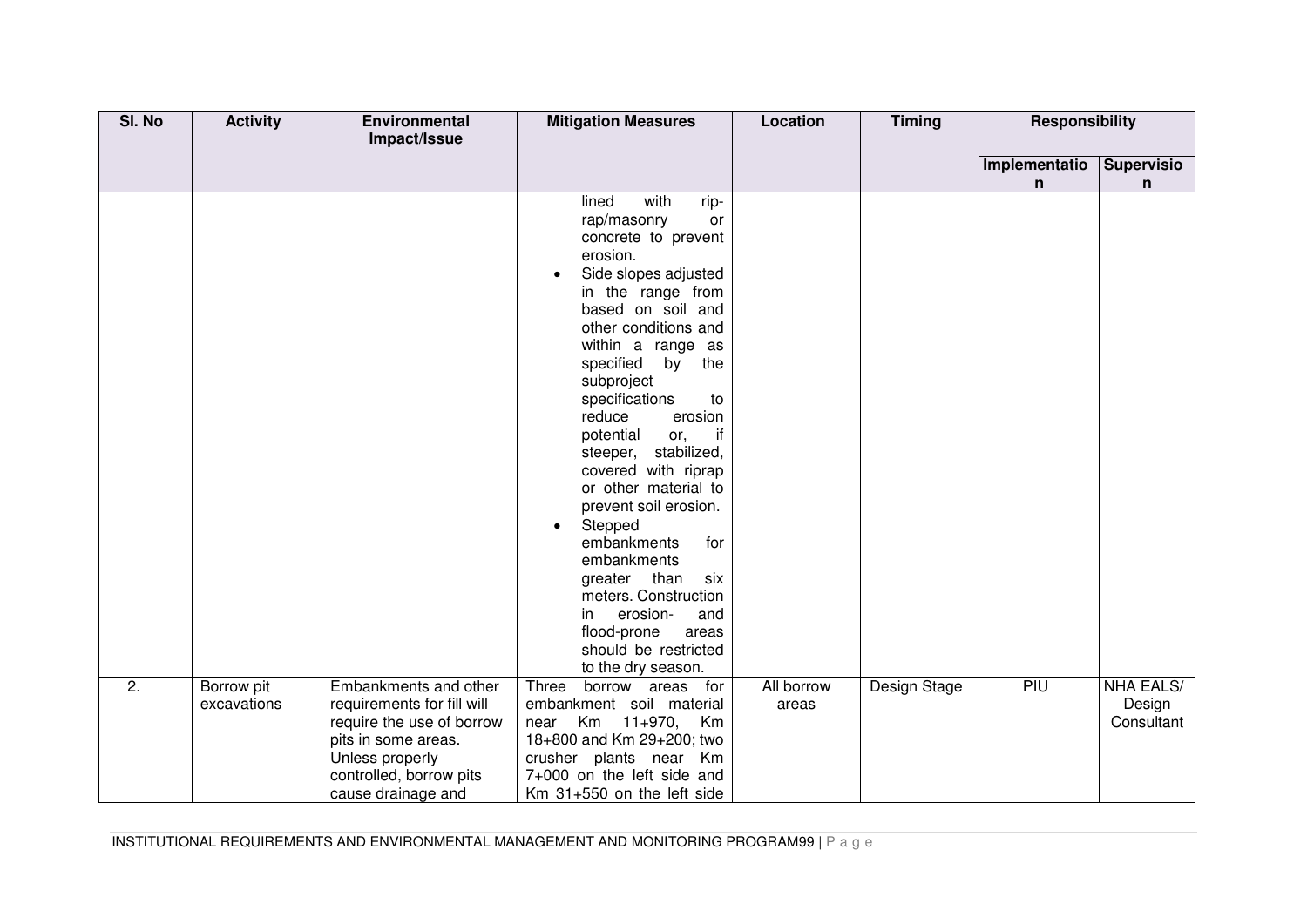| SI. No | <b>Activity</b>           | Environmental<br>Impact/Issue                                                                                                                                               | <b>Mitigation Measures</b>                                                                                                                                                                                                                                                                                                                                                                                                                                                                                                                                                                                                        | <b>Location</b>     | <b>Timing</b> | <b>Responsibility</b> |                                          |
|--------|---------------------------|-----------------------------------------------------------------------------------------------------------------------------------------------------------------------------|-----------------------------------------------------------------------------------------------------------------------------------------------------------------------------------------------------------------------------------------------------------------------------------------------------------------------------------------------------------------------------------------------------------------------------------------------------------------------------------------------------------------------------------------------------------------------------------------------------------------------------------|---------------------|---------------|-----------------------|------------------------------------------|
|        |                           |                                                                                                                                                                             |                                                                                                                                                                                                                                                                                                                                                                                                                                                                                                                                                                                                                                   |                     |               | Implementatio<br>n    | <b>Supervisio</b><br>n                   |
|        |                           |                                                                                                                                                                             | with<br>lined<br>rip-<br>rap/masonry<br>or<br>concrete to prevent<br>erosion.<br>Side slopes adjusted<br>$\bullet$<br>in the range from<br>based on soil and<br>other conditions and<br>within a range as<br>specified by<br>the<br>subproject<br>specifications<br>to<br>reduce<br>erosion<br>potential<br>if<br>or,<br>steeper, stabilized,<br>covered with riprap<br>or other material to<br>prevent soil erosion.<br>Stepped<br>$\bullet$<br>embankments<br>for<br>embankments<br>greater than<br>six<br>meters. Construction<br>erosion-<br>and<br>in.<br>flood-prone<br>areas<br>should be restricted<br>to the dry season. |                     |               |                       |                                          |
| 2.     | Borrow pit<br>excavations | Embankments and other<br>requirements for fill will<br>require the use of borrow<br>pits in some areas.<br>Unless properly<br>controlled, borrow pits<br>cause drainage and | Three<br>borrow areas<br>for<br>embankment soil material<br>Km 11+970, Km<br>near<br>18+800 and Km 29+200; two<br>crusher plants near Km<br>7+000 on the left side and<br>Km 31+550 on the left side                                                                                                                                                                                                                                                                                                                                                                                                                              | All borrow<br>areas | Design Stage  | PIU                   | <b>NHA EALS/</b><br>Design<br>Consultant |

INSTITUTIONAL REQUIREMENTS AND ENVIRONMENTAL MANAGEMENT AND MONITORING PROGRAM99 | P a g e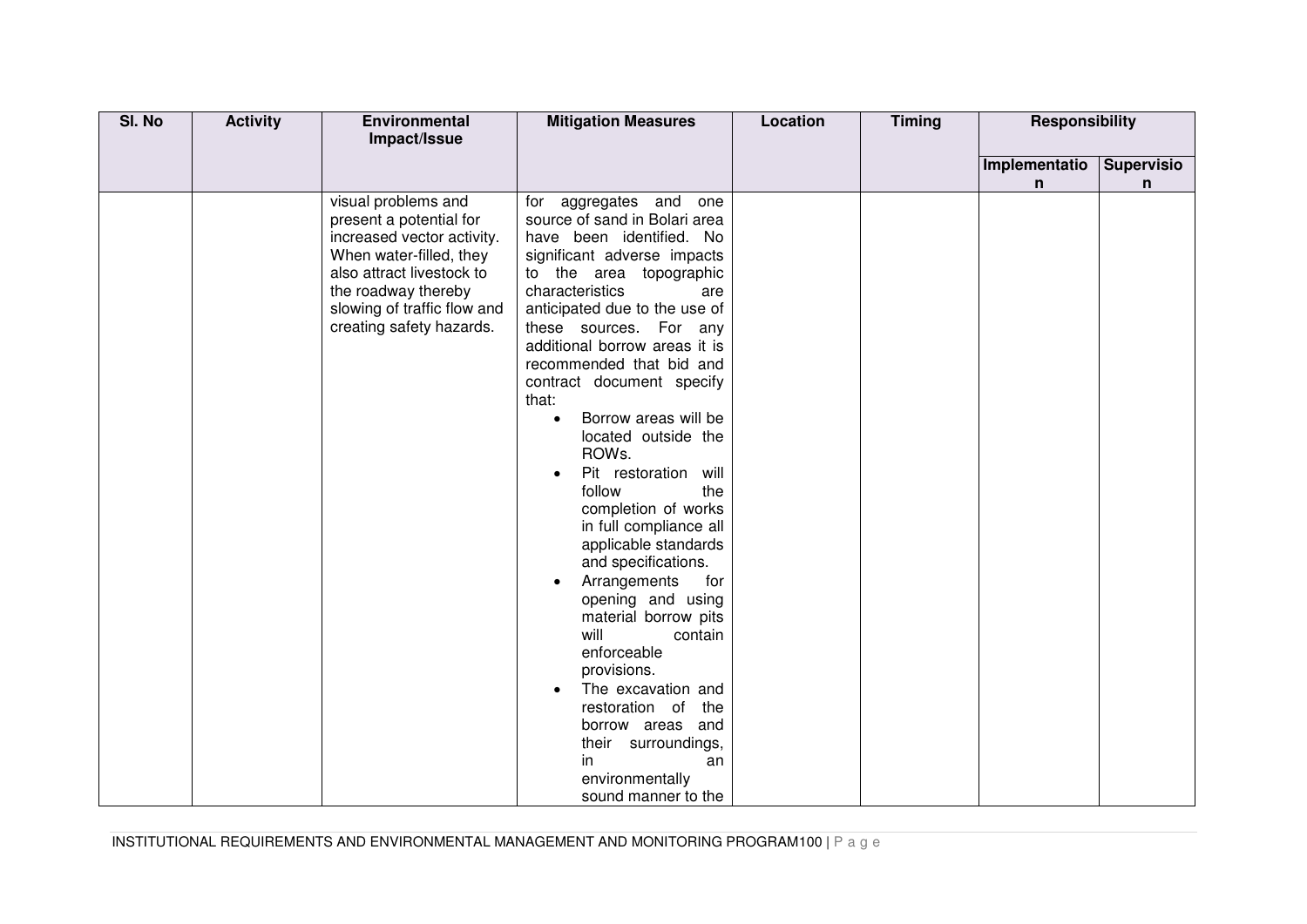| SI. No | <b>Activity</b> | Environmental                                                                                                                                                                                                          | <b>Mitigation Measures</b>                                                                                                                                                                                                                                                                                                                                                                                                                                                                                                                                                                                                                                                                                                                                                                                                                  | Location | <b>Timing</b> | <b>Responsibility</b> |                   |
|--------|-----------------|------------------------------------------------------------------------------------------------------------------------------------------------------------------------------------------------------------------------|---------------------------------------------------------------------------------------------------------------------------------------------------------------------------------------------------------------------------------------------------------------------------------------------------------------------------------------------------------------------------------------------------------------------------------------------------------------------------------------------------------------------------------------------------------------------------------------------------------------------------------------------------------------------------------------------------------------------------------------------------------------------------------------------------------------------------------------------|----------|---------------|-----------------------|-------------------|
|        |                 | Impact/Issue                                                                                                                                                                                                           |                                                                                                                                                                                                                                                                                                                                                                                                                                                                                                                                                                                                                                                                                                                                                                                                                                             |          |               |                       |                   |
|        |                 |                                                                                                                                                                                                                        |                                                                                                                                                                                                                                                                                                                                                                                                                                                                                                                                                                                                                                                                                                                                                                                                                                             |          |               | Implementatio         | <b>Supervisio</b> |
|        |                 |                                                                                                                                                                                                                        |                                                                                                                                                                                                                                                                                                                                                                                                                                                                                                                                                                                                                                                                                                                                                                                                                                             |          |               | n                     | n                 |
|        |                 | visual problems and<br>present a potential for<br>increased vector activity.<br>When water-filled, they<br>also attract livestock to<br>the roadway thereby<br>slowing of traffic flow and<br>creating safety hazards. | aggregates and<br>for<br>one<br>source of sand in Bolari area<br>have been identified. No<br>significant adverse impacts<br>to the area topographic<br>characteristics<br>are<br>anticipated due to the use of<br>these sources. For any<br>additional borrow areas it is<br>recommended that bid and<br>contract document specify<br>that:<br>Borrow areas will be<br>$\bullet$<br>located outside the<br>ROWs.<br>Pit restoration will<br>follow<br>the<br>completion of works<br>in full compliance all<br>applicable standards<br>and specifications.<br>Arrangements<br>for<br>$\bullet$<br>opening and using<br>material borrow pits<br>will<br>contain<br>enforceable<br>provisions.<br>The excavation and<br>restoration of<br>the<br>borrow areas and<br>their surroundings,<br>in<br>an<br>environmentally<br>sound manner to the |          |               |                       |                   |

INSTITUTIONAL REQUIREMENTS AND ENVIRONMENTAL MANAGEMENT AND MONITORING PROGRAM100 | P a g e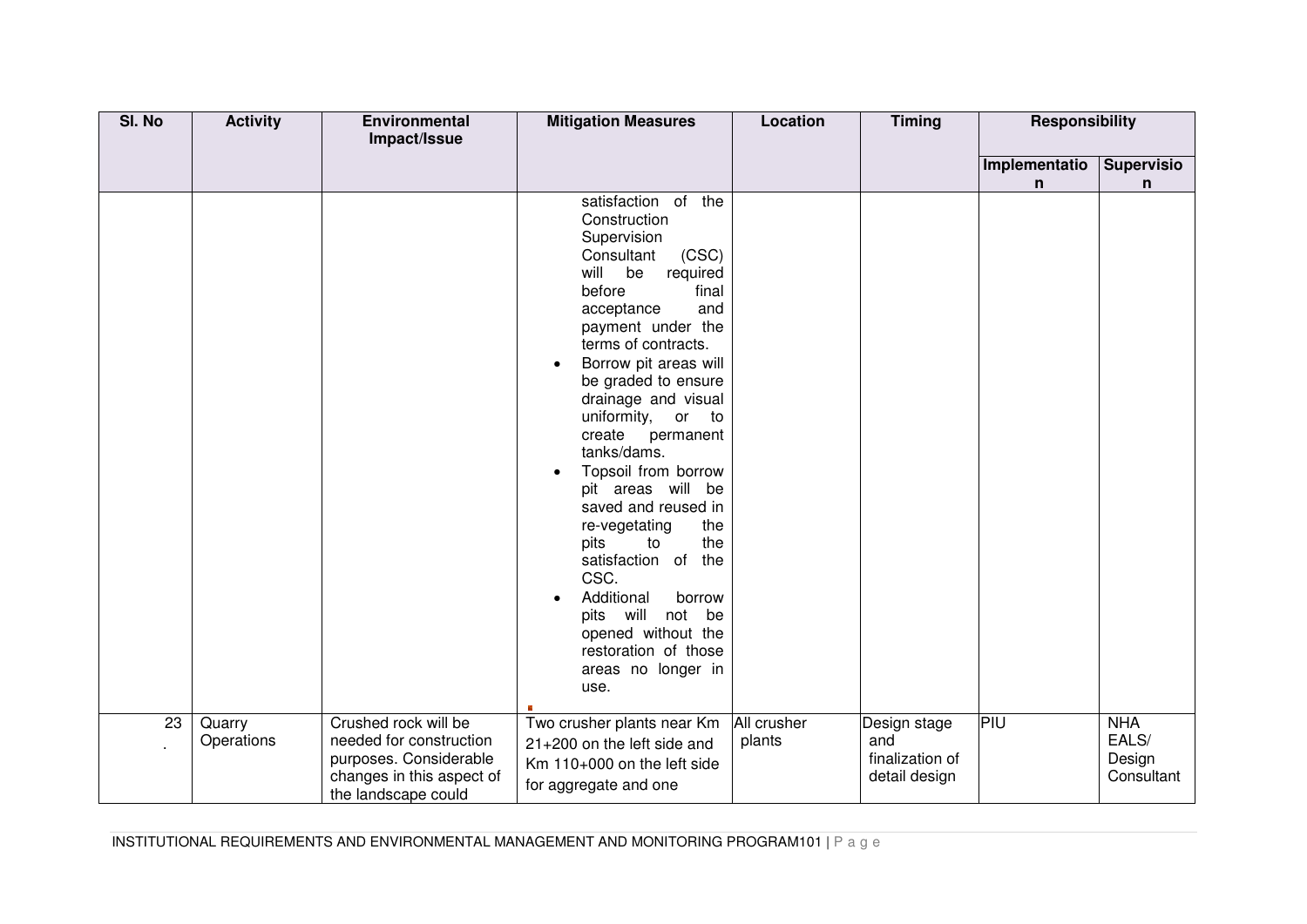| SI. No | <b>Activity</b>      | Environmental<br>Impact/Issue                                                                                                 | <b>Mitigation Measures</b>                                                                                                                                                                                                                                                                                                                                                                                                                                                                                                                                                                                           | <b>Location</b>       | <b>Timing</b>                                           | <b>Responsibility</b> |                                             |
|--------|----------------------|-------------------------------------------------------------------------------------------------------------------------------|----------------------------------------------------------------------------------------------------------------------------------------------------------------------------------------------------------------------------------------------------------------------------------------------------------------------------------------------------------------------------------------------------------------------------------------------------------------------------------------------------------------------------------------------------------------------------------------------------------------------|-----------------------|---------------------------------------------------------|-----------------------|---------------------------------------------|
|        |                      |                                                                                                                               |                                                                                                                                                                                                                                                                                                                                                                                                                                                                                                                                                                                                                      |                       |                                                         | Implementatio<br>n    | <b>Supervisio</b><br>n                      |
|        |                      |                                                                                                                               | satisfaction of the<br>Construction<br>Supervision<br>(CSC)<br>Consultant<br>will be<br>required<br>before<br>final<br>and<br>acceptance<br>payment under the<br>terms of contracts.<br>Borrow pit areas will<br>$\bullet$<br>be graded to ensure<br>drainage and visual<br>uniformity, or to<br>create permanent<br>tanks/dams.<br>Topsoil from borrow<br>pit areas will be<br>saved and reused in<br>re-vegetating<br>the<br>pits<br>the<br>to<br>satisfaction of the<br>CSC.<br>Additional<br>borrow<br>$\bullet$<br>pits will not be<br>opened without the<br>restoration of those<br>areas no longer in<br>use. |                       |                                                         |                       |                                             |
| 23     | Quarry<br>Operations | Crushed rock will be<br>needed for construction<br>purposes. Considerable<br>changes in this aspect of<br>the landscape could | Two crusher plants near Km<br>21+200 on the left side and<br>Km 110+000 on the left side<br>for aggregate and one                                                                                                                                                                                                                                                                                                                                                                                                                                                                                                    | All crusher<br>plants | Design stage<br>and<br>finalization of<br>detail design | <b>PIU</b>            | <b>NHA</b><br>EALS/<br>Design<br>Consultant |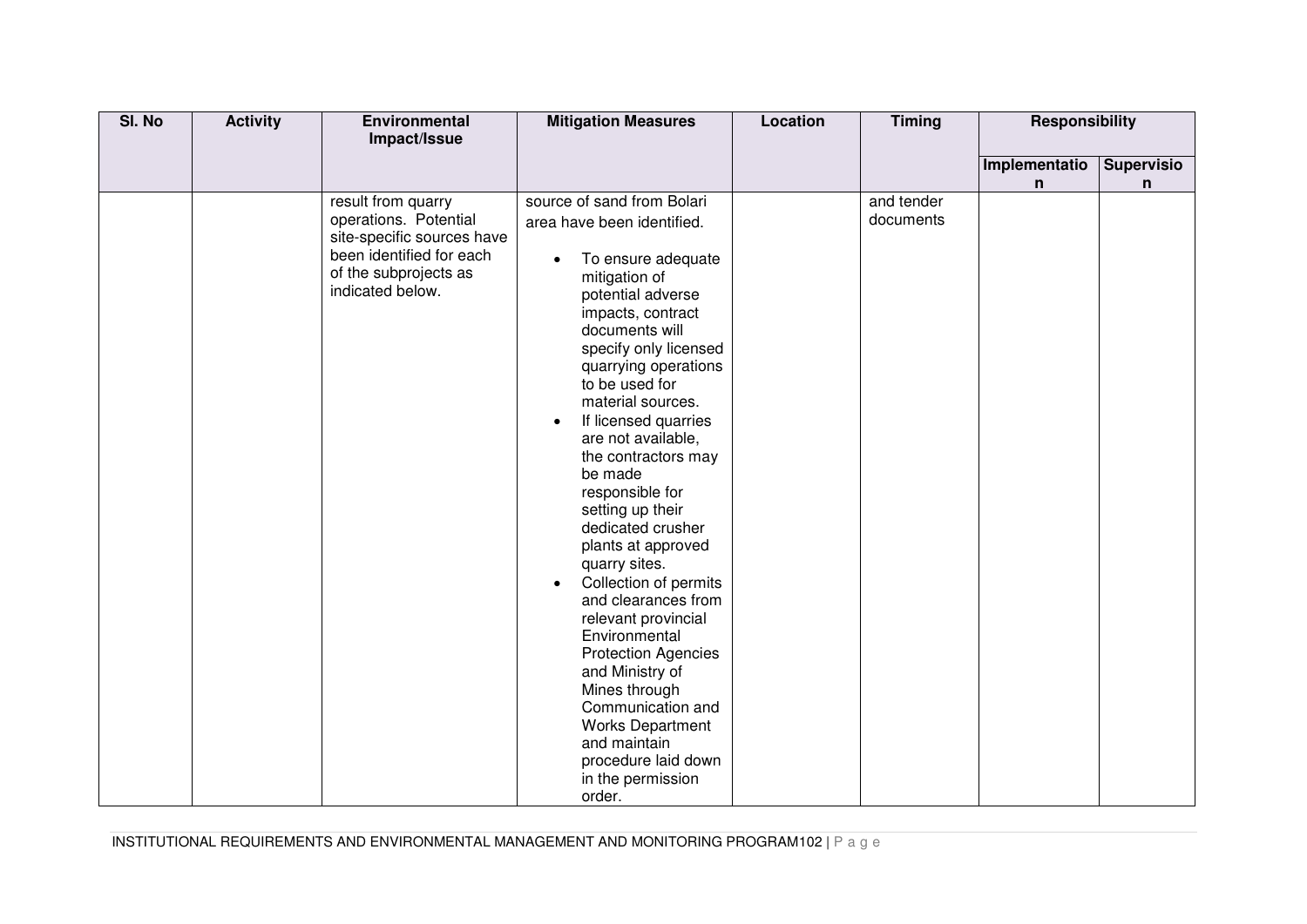| SI. No | <b>Activity</b> | Environmental<br>Impact/Issue                       | <b>Mitigation Measures</b>                       | Location | <b>Timing</b> | <b>Responsibility</b> |                   |
|--------|-----------------|-----------------------------------------------------|--------------------------------------------------|----------|---------------|-----------------------|-------------------|
|        |                 |                                                     |                                                  |          |               |                       |                   |
|        |                 |                                                     |                                                  |          |               | Implementatio         | <b>Supervisio</b> |
|        |                 |                                                     |                                                  |          |               | n                     | n                 |
|        |                 | result from quarry                                  | source of sand from Bolari                       |          | and tender    |                       |                   |
|        |                 | operations. Potential<br>site-specific sources have | area have been identified.                       |          | documents     |                       |                   |
|        |                 | been identified for each                            |                                                  |          |               |                       |                   |
|        |                 | of the subprojects as                               | To ensure adequate<br>$\bullet$<br>mitigation of |          |               |                       |                   |
|        |                 | indicated below.                                    | potential adverse                                |          |               |                       |                   |
|        |                 |                                                     | impacts, contract                                |          |               |                       |                   |
|        |                 |                                                     | documents will                                   |          |               |                       |                   |
|        |                 |                                                     | specify only licensed                            |          |               |                       |                   |
|        |                 |                                                     | quarrying operations                             |          |               |                       |                   |
|        |                 |                                                     | to be used for                                   |          |               |                       |                   |
|        |                 |                                                     | material sources.                                |          |               |                       |                   |
|        |                 |                                                     | If licensed quarries<br>$\bullet$                |          |               |                       |                   |
|        |                 |                                                     | are not available,                               |          |               |                       |                   |
|        |                 |                                                     | the contractors may<br>be made                   |          |               |                       |                   |
|        |                 |                                                     | responsible for                                  |          |               |                       |                   |
|        |                 |                                                     | setting up their                                 |          |               |                       |                   |
|        |                 |                                                     | dedicated crusher                                |          |               |                       |                   |
|        |                 |                                                     | plants at approved                               |          |               |                       |                   |
|        |                 |                                                     | quarry sites.                                    |          |               |                       |                   |
|        |                 |                                                     | Collection of permits<br>$\bullet$               |          |               |                       |                   |
|        |                 |                                                     | and clearances from                              |          |               |                       |                   |
|        |                 |                                                     | relevant provincial                              |          |               |                       |                   |
|        |                 |                                                     | Environmental                                    |          |               |                       |                   |
|        |                 |                                                     | <b>Protection Agencies</b><br>and Ministry of    |          |               |                       |                   |
|        |                 |                                                     | Mines through                                    |          |               |                       |                   |
|        |                 |                                                     | Communication and                                |          |               |                       |                   |
|        |                 |                                                     | <b>Works Department</b>                          |          |               |                       |                   |
|        |                 |                                                     | and maintain                                     |          |               |                       |                   |
|        |                 |                                                     | procedure laid down                              |          |               |                       |                   |
|        |                 |                                                     | in the permission                                |          |               |                       |                   |
|        |                 |                                                     | order.                                           |          |               |                       |                   |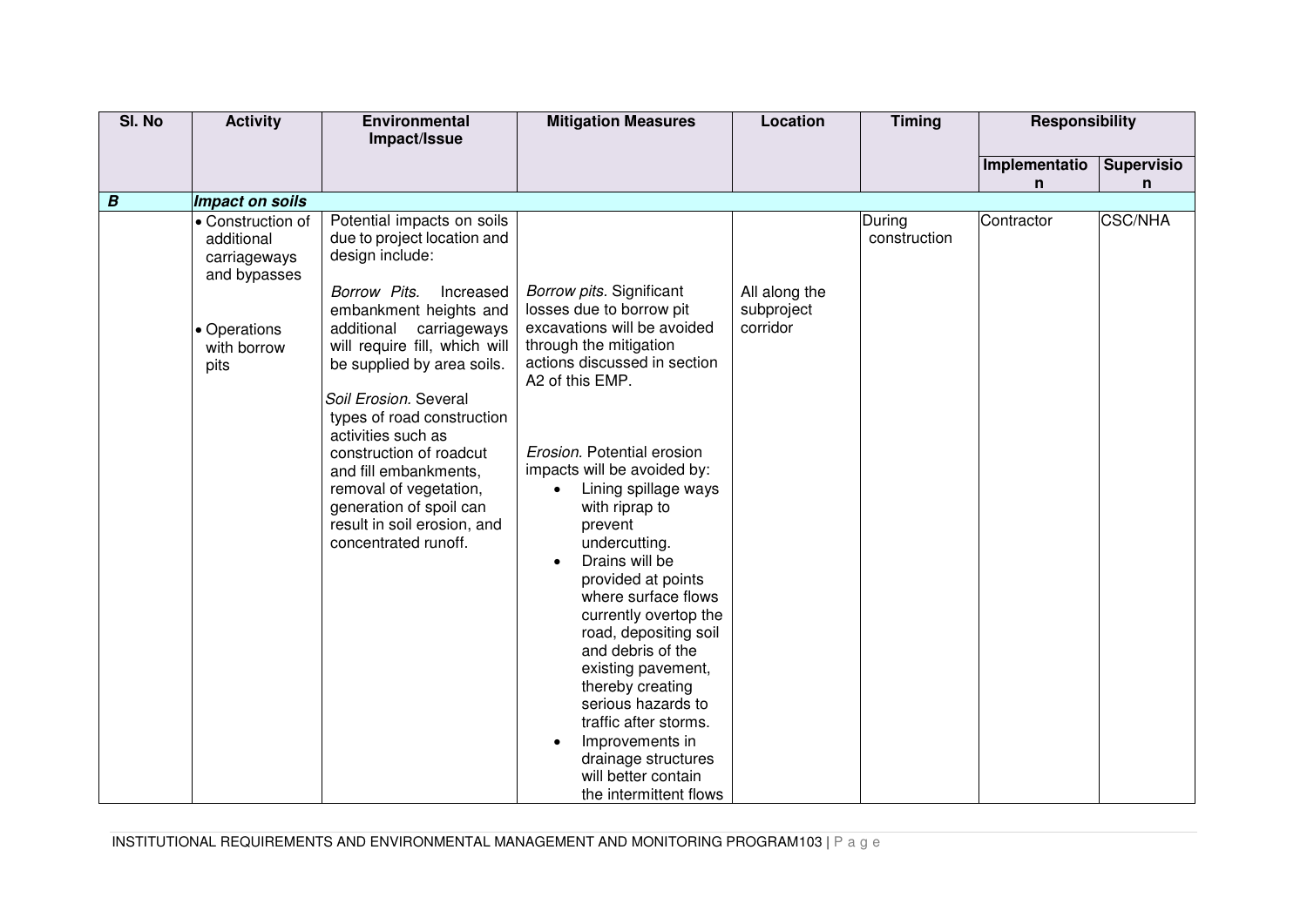| SI. No           | <b>Activity</b>                                                                                                           | Environmental                                                                                                                                                                                                                                                                                                                                                                                                                                                                 | <b>Mitigation Measures</b>                                                                                                                                                                                                                                                                                                                                                                                                                                                                                                                      | Location                                | <b>Timing</b>          | <b>Responsibility</b> |                   |
|------------------|---------------------------------------------------------------------------------------------------------------------------|-------------------------------------------------------------------------------------------------------------------------------------------------------------------------------------------------------------------------------------------------------------------------------------------------------------------------------------------------------------------------------------------------------------------------------------------------------------------------------|-------------------------------------------------------------------------------------------------------------------------------------------------------------------------------------------------------------------------------------------------------------------------------------------------------------------------------------------------------------------------------------------------------------------------------------------------------------------------------------------------------------------------------------------------|-----------------------------------------|------------------------|-----------------------|-------------------|
|                  |                                                                                                                           | Impact/Issue                                                                                                                                                                                                                                                                                                                                                                                                                                                                  |                                                                                                                                                                                                                                                                                                                                                                                                                                                                                                                                                 |                                         |                        |                       |                   |
|                  |                                                                                                                           |                                                                                                                                                                                                                                                                                                                                                                                                                                                                               |                                                                                                                                                                                                                                                                                                                                                                                                                                                                                                                                                 |                                         |                        | Implementatio         | <b>Supervisio</b> |
|                  |                                                                                                                           |                                                                                                                                                                                                                                                                                                                                                                                                                                                                               |                                                                                                                                                                                                                                                                                                                                                                                                                                                                                                                                                 |                                         |                        | n                     | n                 |
|                  |                                                                                                                           |                                                                                                                                                                                                                                                                                                                                                                                                                                                                               |                                                                                                                                                                                                                                                                                                                                                                                                                                                                                                                                                 |                                         |                        |                       |                   |
| $\boldsymbol{B}$ | Impact on soils<br>• Construction of<br>additional<br>carriageways<br>and bypasses<br>• Operations<br>with borrow<br>pits | Potential impacts on soils<br>due to project location and<br>design include:<br>Borrow Pits.<br>Increased<br>embankment heights and<br>additional<br>carriageways<br>will require fill, which will<br>be supplied by area soils.<br>Soil Erosion. Several<br>types of road construction<br>activities such as<br>construction of roadcut<br>and fill embankments,<br>removal of vegetation,<br>generation of spoil can<br>result in soil erosion, and<br>concentrated runoff. | Borrow pits. Significant<br>losses due to borrow pit<br>excavations will be avoided<br>through the mitigation<br>actions discussed in section<br>A2 of this EMP.<br>Erosion. Potential erosion<br>impacts will be avoided by:<br>Lining spillage ways<br>with riprap to<br>prevent<br>undercutting.<br>Drains will be<br>$\bullet$<br>provided at points<br>where surface flows<br>currently overtop the<br>road, depositing soil<br>and debris of the<br>existing pavement,<br>thereby creating<br>serious hazards to<br>traffic after storms. | All along the<br>subproject<br>corridor | During<br>construction | Contractor            | <b>CSC/NHA</b>    |
|                  |                                                                                                                           |                                                                                                                                                                                                                                                                                                                                                                                                                                                                               | Improvements in<br>drainage structures                                                                                                                                                                                                                                                                                                                                                                                                                                                                                                          |                                         |                        |                       |                   |
|                  |                                                                                                                           |                                                                                                                                                                                                                                                                                                                                                                                                                                                                               | will better contain                                                                                                                                                                                                                                                                                                                                                                                                                                                                                                                             |                                         |                        |                       |                   |
|                  |                                                                                                                           |                                                                                                                                                                                                                                                                                                                                                                                                                                                                               | the intermittent flows                                                                                                                                                                                                                                                                                                                                                                                                                                                                                                                          |                                         |                        |                       |                   |

INSTITUTIONAL REQUIREMENTS AND ENVIRONMENTAL MANAGEMENT AND MONITORING PROGRAM103 | P a g e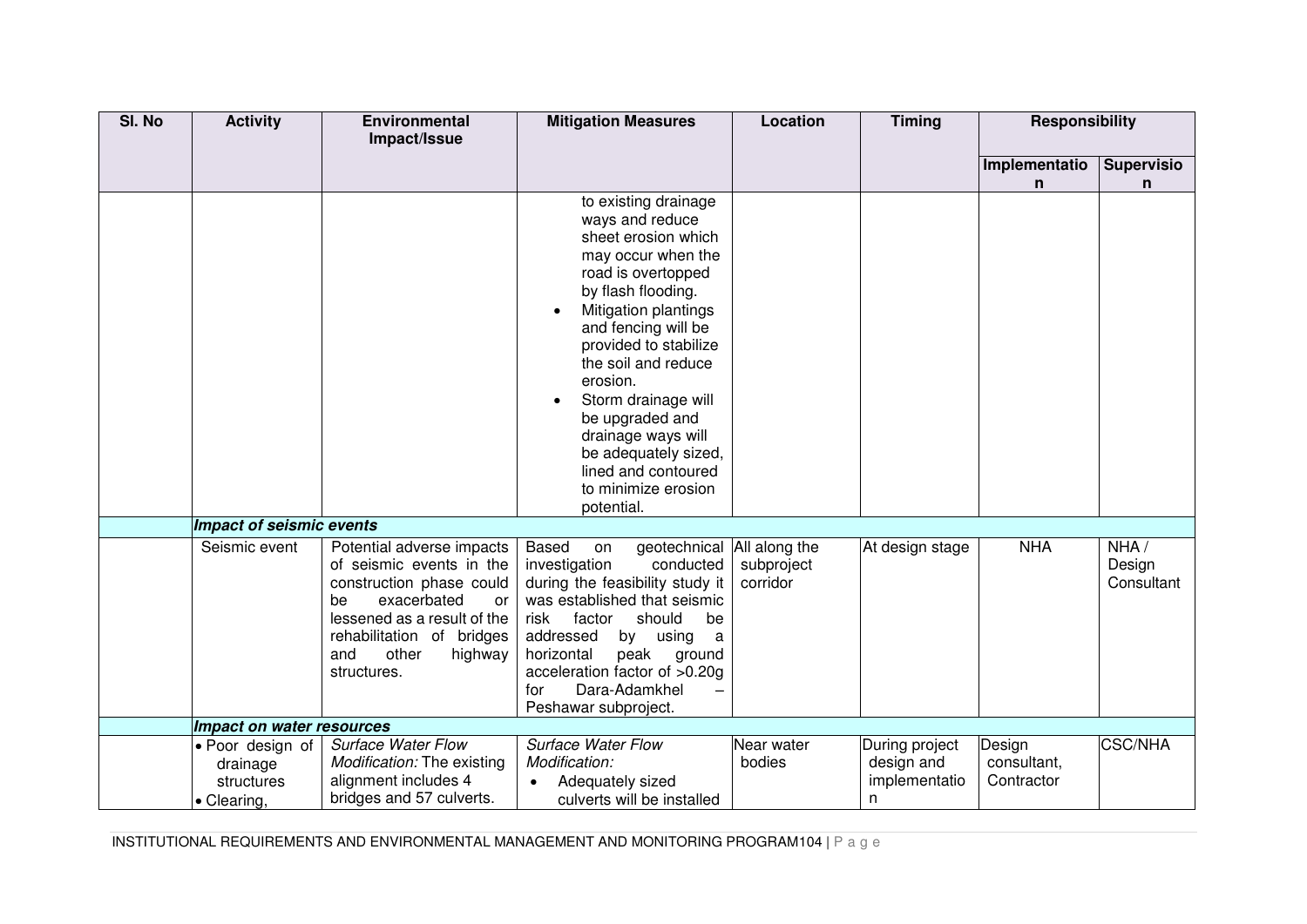| SI. No | <b>Activity</b>                                           | Environmental<br>Impact/Issue                                                                                                                                                                                      | <b>Mitigation Measures</b>                                                                                                                                                                                                                                                                                                                                                                      | Location                                | <b>Timing</b>                                      | <b>Responsibility</b>               |                              |
|--------|-----------------------------------------------------------|--------------------------------------------------------------------------------------------------------------------------------------------------------------------------------------------------------------------|-------------------------------------------------------------------------------------------------------------------------------------------------------------------------------------------------------------------------------------------------------------------------------------------------------------------------------------------------------------------------------------------------|-----------------------------------------|----------------------------------------------------|-------------------------------------|------------------------------|
|        |                                                           |                                                                                                                                                                                                                    |                                                                                                                                                                                                                                                                                                                                                                                                 |                                         |                                                    | Implementatio<br>n.                 | <b>Supervisio</b><br>n       |
|        |                                                           |                                                                                                                                                                                                                    | to existing drainage<br>ways and reduce<br>sheet erosion which<br>may occur when the<br>road is overtopped<br>by flash flooding.<br>Mitigation plantings<br>and fencing will be<br>provided to stabilize<br>the soil and reduce<br>erosion.<br>Storm drainage will<br>be upgraded and<br>drainage ways will<br>be adequately sized,<br>lined and contoured<br>to minimize erosion<br>potential. |                                         |                                                    |                                     |                              |
|        | <b>Impact of seismic events</b>                           |                                                                                                                                                                                                                    |                                                                                                                                                                                                                                                                                                                                                                                                 |                                         |                                                    |                                     |                              |
|        | Seismic event                                             | Potential adverse impacts<br>of seismic events in the<br>construction phase could<br>exacerbated<br>be<br>or<br>lessened as a result of the<br>rehabilitation of bridges<br>other<br>and<br>highway<br>structures. | Based<br>geotechnical<br>on<br>conducted<br>investigation<br>during the feasibility study it<br>was established that seismic<br>should<br>risk<br>factor<br>be<br>addressed<br>by using<br>a<br>horizontal<br>peak<br>ground<br>acceleration factor of >0.20g<br>Dara-Adamkhel<br>for<br>Peshawar subproject.                                                                                   | All along the<br>subproject<br>corridor | At design stage                                    | <b>NHA</b>                          | NHA/<br>Design<br>Consultant |
|        | Impact on water resources                                 |                                                                                                                                                                                                                    |                                                                                                                                                                                                                                                                                                                                                                                                 |                                         |                                                    |                                     |                              |
|        | · Poor design of<br>drainage<br>structures<br>• Clearing. | <b>Surface Water Flow</b><br>Modification: The existing<br>alignment includes 4<br>bridges and 57 culverts.                                                                                                        | <b>Surface Water Flow</b><br>Modification:<br>Adequately sized<br>culverts will be installed                                                                                                                                                                                                                                                                                                    | Near water<br>bodies                    | During project<br>design and<br>implementatio<br>n | Design<br>consultant,<br>Contractor | <b>CSC/NHA</b>               |

INSTITUTIONAL REQUIREMENTS AND ENVIRONMENTAL MANAGEMENT AND MONITORING PROGRAM104 | P a g e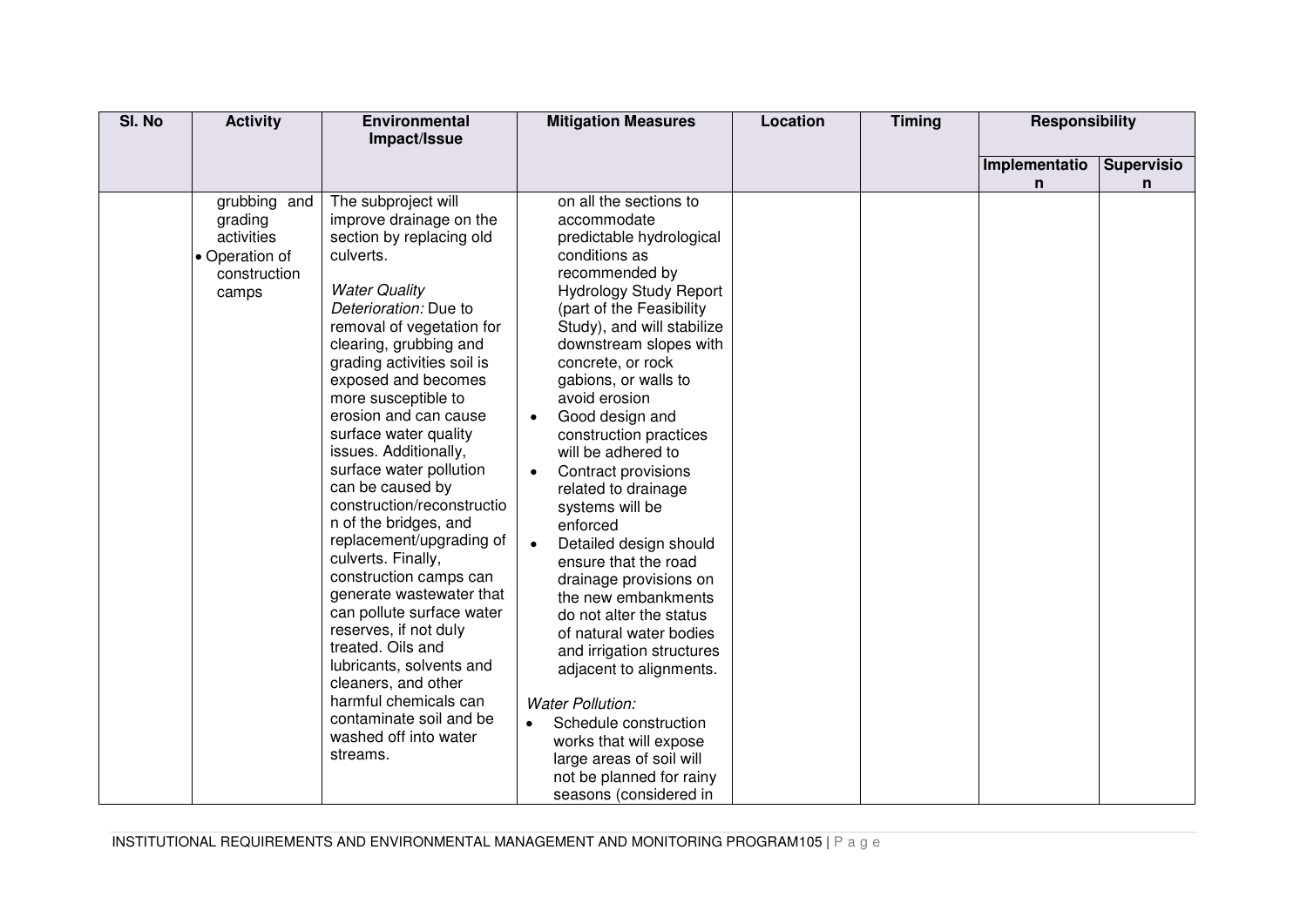| SI. No | <b>Activity</b>                                                                  | Environmental<br>Impact/Issue                                                                                                                                                                                                                                                                                                                                                                                                                                                                                                                                                                                                                                                                                                                                                               | <b>Mitigation Measures</b>                                                                                                                                                                                                                                                                                                                                                                                                                                                                                                                                                                                                                                                                                                                                                                                               | Location | <b>Timing</b> | <b>Responsibility</b> |                        |
|--------|----------------------------------------------------------------------------------|---------------------------------------------------------------------------------------------------------------------------------------------------------------------------------------------------------------------------------------------------------------------------------------------------------------------------------------------------------------------------------------------------------------------------------------------------------------------------------------------------------------------------------------------------------------------------------------------------------------------------------------------------------------------------------------------------------------------------------------------------------------------------------------------|--------------------------------------------------------------------------------------------------------------------------------------------------------------------------------------------------------------------------------------------------------------------------------------------------------------------------------------------------------------------------------------------------------------------------------------------------------------------------------------------------------------------------------------------------------------------------------------------------------------------------------------------------------------------------------------------------------------------------------------------------------------------------------------------------------------------------|----------|---------------|-----------------------|------------------------|
|        |                                                                                  |                                                                                                                                                                                                                                                                                                                                                                                                                                                                                                                                                                                                                                                                                                                                                                                             |                                                                                                                                                                                                                                                                                                                                                                                                                                                                                                                                                                                                                                                                                                                                                                                                                          |          |               | Implementatio<br>n    | <b>Supervisio</b><br>n |
|        | grubbing and<br>grading<br>activities<br>• Operation of<br>construction<br>camps | The subproject will<br>improve drainage on the<br>section by replacing old<br>culverts.<br><b>Water Quality</b><br>Deterioration: Due to<br>removal of vegetation for<br>clearing, grubbing and<br>grading activities soil is<br>exposed and becomes<br>more susceptible to<br>erosion and can cause<br>surface water quality<br>issues. Additionally,<br>surface water pollution<br>can be caused by<br>construction/reconstructio<br>n of the bridges, and<br>replacement/upgrading of<br>culverts. Finally,<br>construction camps can<br>generate wastewater that<br>can pollute surface water<br>reserves, if not duly<br>treated. Oils and<br>lubricants, solvents and<br>cleaners, and other<br>harmful chemicals can<br>contaminate soil and be<br>washed off into water<br>streams. | on all the sections to<br>accommodate<br>predictable hydrological<br>conditions as<br>recommended by<br><b>Hydrology Study Report</b><br>(part of the Feasibility<br>Study), and will stabilize<br>downstream slopes with<br>concrete, or rock<br>gabions, or walls to<br>avoid erosion<br>Good design and<br>construction practices<br>will be adhered to<br>Contract provisions<br>related to drainage<br>systems will be<br>enforced<br>Detailed design should<br>ensure that the road<br>drainage provisions on<br>the new embankments<br>do not alter the status<br>of natural water bodies<br>and irrigation structures<br>adjacent to alignments.<br><b>Water Pollution:</b><br>Schedule construction<br>works that will expose<br>large areas of soil will<br>not be planned for rainy<br>seasons (considered in |          |               |                       |                        |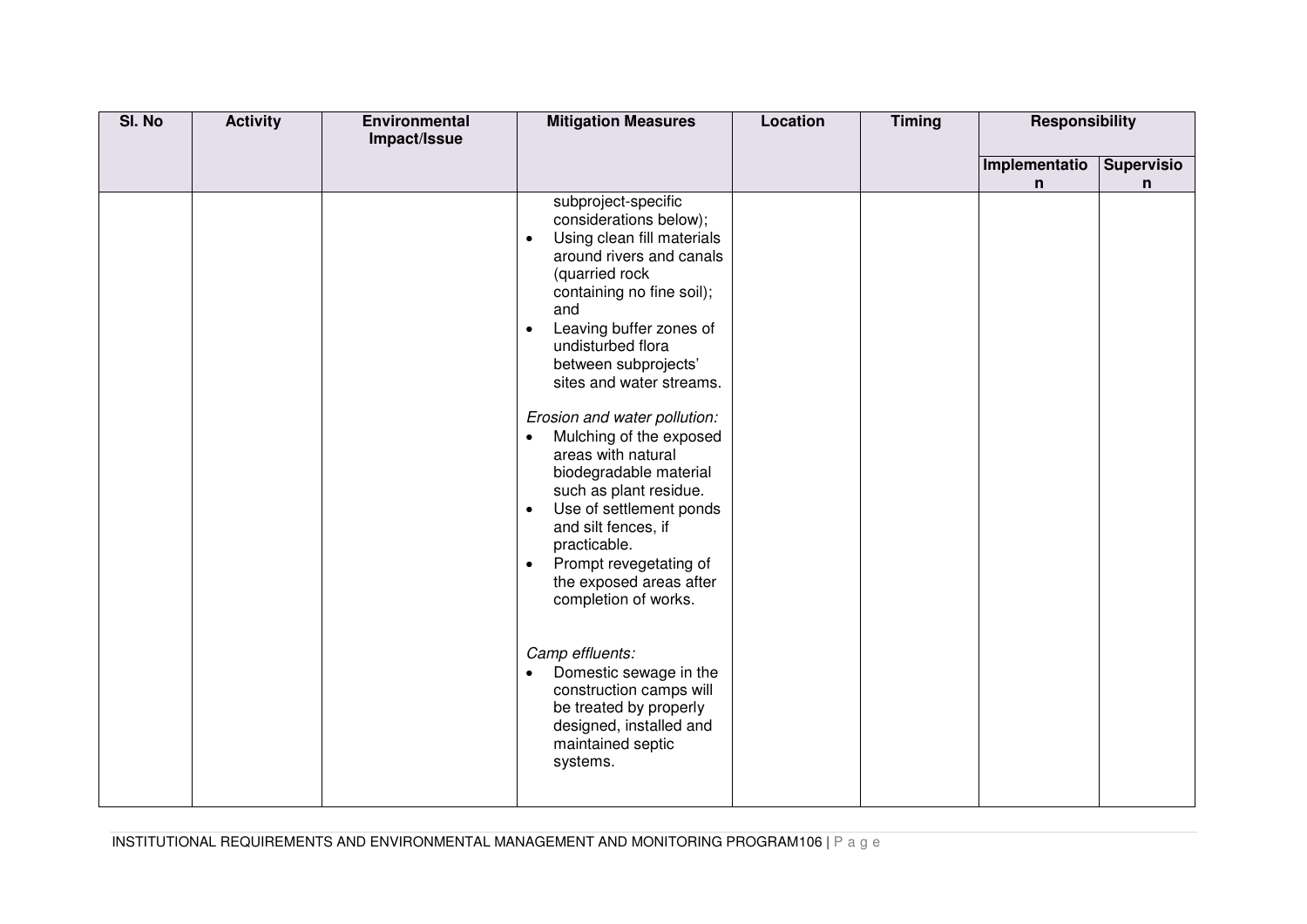| SI. No | <b>Activity</b> | Environmental<br>Impact/Issue | <b>Mitigation Measures</b>                                                                                                                                                                                                                                                                                                                                                                                                                                                                                                                                                                                                                                                                                                                                                                        | Location | <b>Timing</b> | <b>Responsibility</b> |                        |
|--------|-----------------|-------------------------------|---------------------------------------------------------------------------------------------------------------------------------------------------------------------------------------------------------------------------------------------------------------------------------------------------------------------------------------------------------------------------------------------------------------------------------------------------------------------------------------------------------------------------------------------------------------------------------------------------------------------------------------------------------------------------------------------------------------------------------------------------------------------------------------------------|----------|---------------|-----------------------|------------------------|
|        |                 |                               |                                                                                                                                                                                                                                                                                                                                                                                                                                                                                                                                                                                                                                                                                                                                                                                                   |          |               | Implementatio<br>n    | <b>Supervisio</b><br>n |
|        |                 |                               | subproject-specific<br>considerations below);<br>Using clean fill materials<br>$\bullet$<br>around rivers and canals<br>(quarried rock<br>containing no fine soil);<br>and<br>Leaving buffer zones of<br>$\bullet$<br>undisturbed flora<br>between subprojects'<br>sites and water streams.<br>Erosion and water pollution:<br>Mulching of the exposed<br>$\bullet$<br>areas with natural<br>biodegradable material<br>such as plant residue.<br>Use of settlement ponds<br>$\bullet$<br>and silt fences, if<br>practicable.<br>Prompt revegetating of<br>$\bullet$<br>the exposed areas after<br>completion of works.<br>Camp effluents:<br>Domestic sewage in the<br>$\bullet$<br>construction camps will<br>be treated by properly<br>designed, installed and<br>maintained septic<br>systems. |          |               |                       |                        |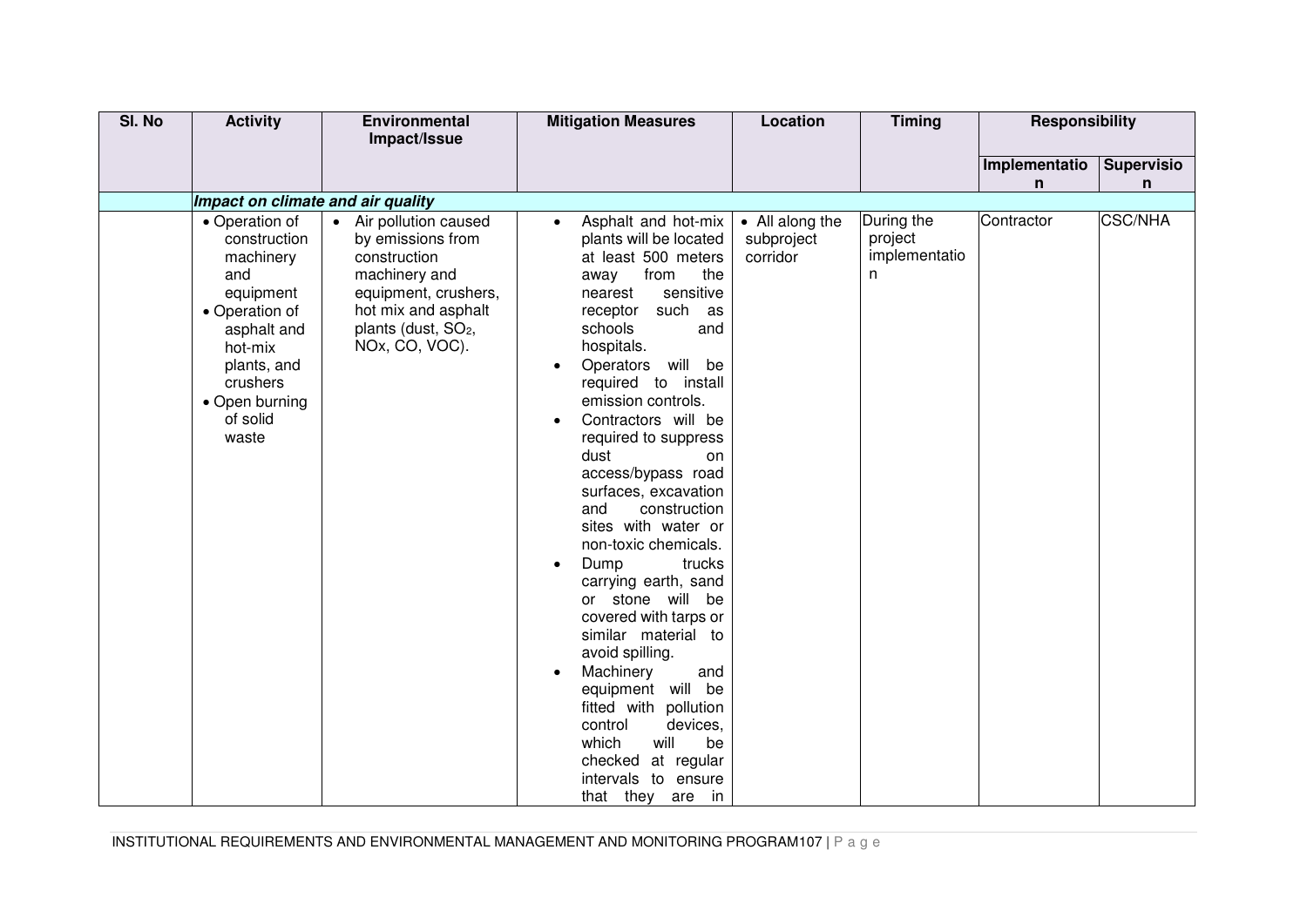| SI. No | <b>Activity</b>                                                                                                                                                               | Environmental                                                                                                                                                                    | <b>Mitigation Measures</b>                                                                                                                                                                                                                                                                                                                                                                                                                                                                                                                                                                                                                                                                                                                                                                          | Location                                  | <b>Timing</b>                               | <b>Responsibility</b> |                   |
|--------|-------------------------------------------------------------------------------------------------------------------------------------------------------------------------------|----------------------------------------------------------------------------------------------------------------------------------------------------------------------------------|-----------------------------------------------------------------------------------------------------------------------------------------------------------------------------------------------------------------------------------------------------------------------------------------------------------------------------------------------------------------------------------------------------------------------------------------------------------------------------------------------------------------------------------------------------------------------------------------------------------------------------------------------------------------------------------------------------------------------------------------------------------------------------------------------------|-------------------------------------------|---------------------------------------------|-----------------------|-------------------|
|        |                                                                                                                                                                               | Impact/Issue                                                                                                                                                                     |                                                                                                                                                                                                                                                                                                                                                                                                                                                                                                                                                                                                                                                                                                                                                                                                     |                                           |                                             |                       |                   |
|        |                                                                                                                                                                               |                                                                                                                                                                                  |                                                                                                                                                                                                                                                                                                                                                                                                                                                                                                                                                                                                                                                                                                                                                                                                     |                                           |                                             | Implementatio         | <b>Supervisio</b> |
|        |                                                                                                                                                                               |                                                                                                                                                                                  |                                                                                                                                                                                                                                                                                                                                                                                                                                                                                                                                                                                                                                                                                                                                                                                                     |                                           |                                             | n                     | n                 |
|        | Impact on climate and air quality                                                                                                                                             |                                                                                                                                                                                  |                                                                                                                                                                                                                                                                                                                                                                                                                                                                                                                                                                                                                                                                                                                                                                                                     |                                           |                                             |                       |                   |
|        | • Operation of<br>construction<br>machinery<br>and<br>equipment<br>• Operation of<br>asphalt and<br>hot-mix<br>plants, and<br>crushers<br>• Open burning<br>of solid<br>waste | • Air pollution caused<br>by emissions from<br>construction<br>machinery and<br>equipment, crushers,<br>hot mix and asphalt<br>plants (dust, SO <sub>2</sub> ,<br>NOx, CO, VOC). | Asphalt and hot-mix<br>$\bullet$<br>plants will be located<br>at least 500 meters<br>from<br>the<br>away<br>sensitive<br>nearest<br>receptor<br>such as<br>schools<br>and<br>hospitals.<br>Operators will be<br>$\bullet$<br>required to install<br>emission controls.<br>Contractors will be<br>required to suppress<br>dust<br>on<br>access/bypass road<br>surfaces, excavation<br>and<br>construction<br>sites with water or<br>non-toxic chemicals.<br>Dump<br>trucks<br>$\bullet$<br>carrying earth, sand<br>or stone will be<br>covered with tarps or<br>similar material to<br>avoid spilling.<br>Machinery<br>and<br>$\bullet$<br>equipment will be<br>fitted with pollution<br>control<br>devices,<br>will<br>which<br>be<br>checked at regular<br>intervals to ensure<br>that they are in | • All along the<br>subproject<br>corridor | During the<br>project<br>implementatio<br>n | Contractor            | <b>CSC/NHA</b>    |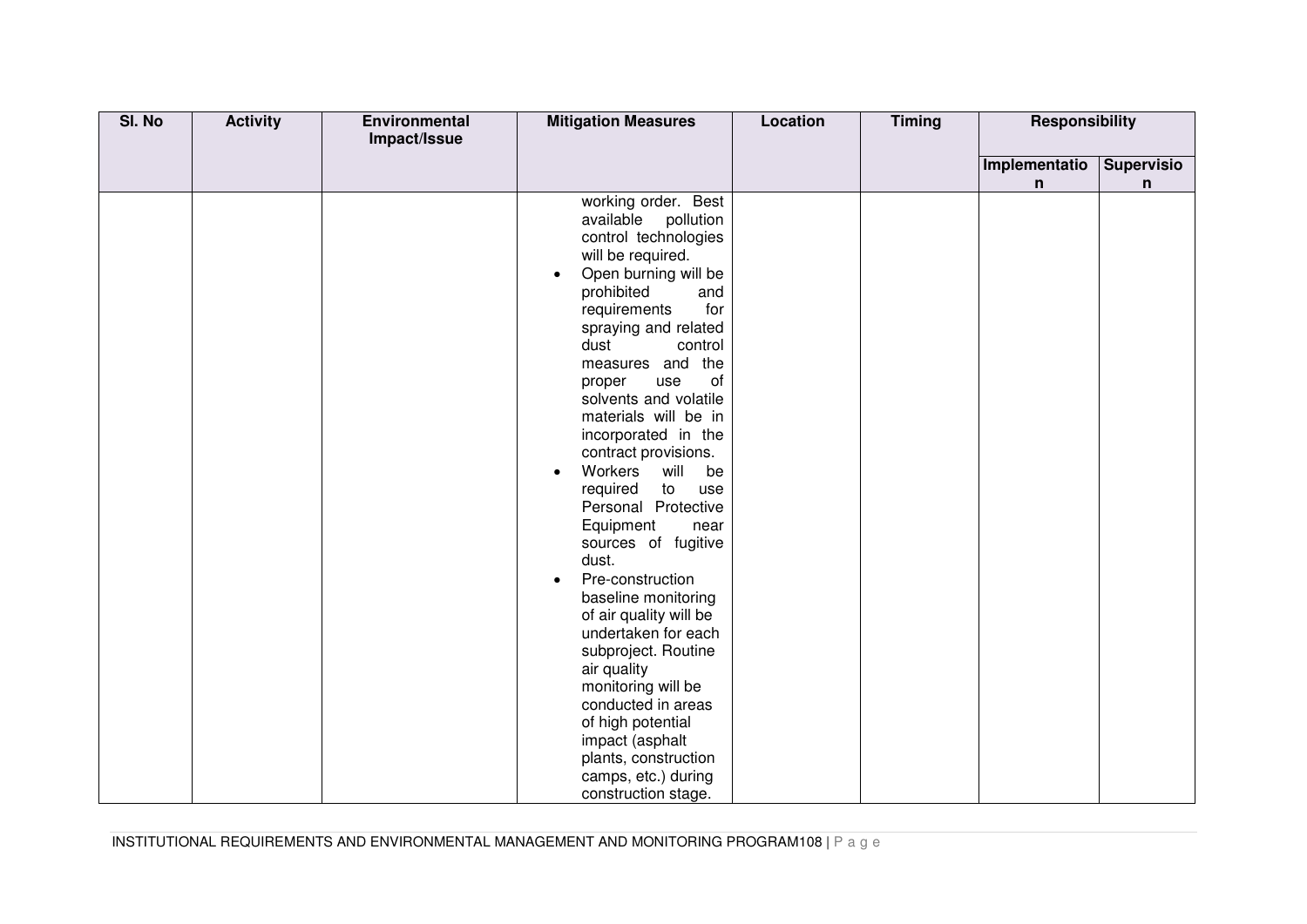| SI. No | <b>Activity</b> | Environmental | <b>Mitigation Measures</b>         | Location | <b>Timing</b> | <b>Responsibility</b> |                   |
|--------|-----------------|---------------|------------------------------------|----------|---------------|-----------------------|-------------------|
|        |                 | Impact/Issue  |                                    |          |               |                       |                   |
|        |                 |               |                                    |          |               | Implementatio         | <b>Supervisio</b> |
|        |                 |               |                                    |          |               | n                     | n                 |
|        |                 |               | working order. Best                |          |               |                       |                   |
|        |                 |               | available pollution                |          |               |                       |                   |
|        |                 |               | control technologies               |          |               |                       |                   |
|        |                 |               | will be required.                  |          |               |                       |                   |
|        |                 |               | Open burning will be<br>$\bullet$  |          |               |                       |                   |
|        |                 |               | prohibited<br>and                  |          |               |                       |                   |
|        |                 |               | for<br>requirements                |          |               |                       |                   |
|        |                 |               | spraying and related               |          |               |                       |                   |
|        |                 |               | dust<br>control                    |          |               |                       |                   |
|        |                 |               | measures and the                   |          |               |                       |                   |
|        |                 |               | of<br>proper<br>use                |          |               |                       |                   |
|        |                 |               | solvents and volatile              |          |               |                       |                   |
|        |                 |               | materials will be in               |          |               |                       |                   |
|        |                 |               | incorporated in the                |          |               |                       |                   |
|        |                 |               | contract provisions.               |          |               |                       |                   |
|        |                 |               | Workers<br>will<br>be<br>$\bullet$ |          |               |                       |                   |
|        |                 |               | required<br>to<br>use              |          |               |                       |                   |
|        |                 |               | Personal Protective                |          |               |                       |                   |
|        |                 |               | Equipment<br>near                  |          |               |                       |                   |
|        |                 |               | sources of fugitive                |          |               |                       |                   |
|        |                 |               | dust.                              |          |               |                       |                   |
|        |                 |               | Pre-construction<br>$\bullet$      |          |               |                       |                   |
|        |                 |               | baseline monitoring                |          |               |                       |                   |
|        |                 |               | of air quality will be             |          |               |                       |                   |
|        |                 |               | undertaken for each                |          |               |                       |                   |
|        |                 |               | subproject. Routine                |          |               |                       |                   |
|        |                 |               | air quality                        |          |               |                       |                   |
|        |                 |               | monitoring will be                 |          |               |                       |                   |
|        |                 |               | conducted in areas                 |          |               |                       |                   |
|        |                 |               | of high potential                  |          |               |                       |                   |
|        |                 |               | impact (asphalt                    |          |               |                       |                   |
|        |                 |               | plants, construction               |          |               |                       |                   |
|        |                 |               | camps, etc.) during                |          |               |                       |                   |
|        |                 |               | construction stage.                |          |               |                       |                   |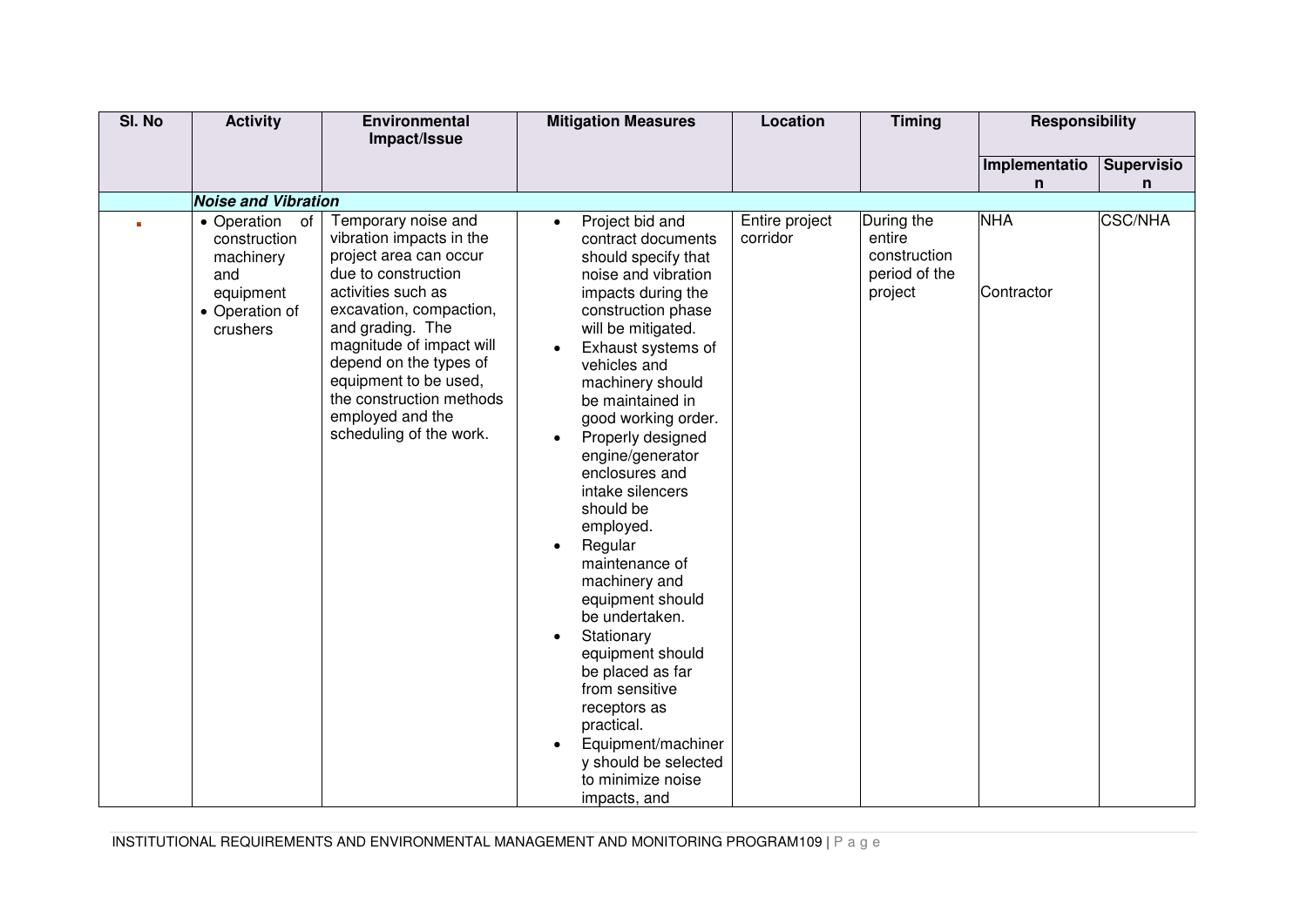| SI. No | <b>Activity</b>                                                                               | Environmental                                                                                                                                                                                                                                                                                                                   | <b>Mitigation Measures</b>                                                                                                                                                                                                                                                                                                                                                                                                                                                                                                                                                                                                                                                              | Location                   | <b>Timing</b>                                                    | <b>Responsibility</b>    |                   |
|--------|-----------------------------------------------------------------------------------------------|---------------------------------------------------------------------------------------------------------------------------------------------------------------------------------------------------------------------------------------------------------------------------------------------------------------------------------|-----------------------------------------------------------------------------------------------------------------------------------------------------------------------------------------------------------------------------------------------------------------------------------------------------------------------------------------------------------------------------------------------------------------------------------------------------------------------------------------------------------------------------------------------------------------------------------------------------------------------------------------------------------------------------------------|----------------------------|------------------------------------------------------------------|--------------------------|-------------------|
|        |                                                                                               | Impact/Issue                                                                                                                                                                                                                                                                                                                    |                                                                                                                                                                                                                                                                                                                                                                                                                                                                                                                                                                                                                                                                                         |                            |                                                                  |                          |                   |
|        |                                                                                               |                                                                                                                                                                                                                                                                                                                                 |                                                                                                                                                                                                                                                                                                                                                                                                                                                                                                                                                                                                                                                                                         |                            |                                                                  | Implementatio            | <b>Supervisio</b> |
|        |                                                                                               |                                                                                                                                                                                                                                                                                                                                 |                                                                                                                                                                                                                                                                                                                                                                                                                                                                                                                                                                                                                                                                                         |                            |                                                                  | n                        | n                 |
|        | <b>Noise and Vibration</b>                                                                    |                                                                                                                                                                                                                                                                                                                                 |                                                                                                                                                                                                                                                                                                                                                                                                                                                                                                                                                                                                                                                                                         |                            |                                                                  |                          |                   |
|        | • Operation of<br>construction<br>machinery<br>and<br>equipment<br>• Operation of<br>crushers | Temporary noise and<br>vibration impacts in the<br>project area can occur<br>due to construction<br>activities such as<br>excavation, compaction,<br>and grading. The<br>magnitude of impact will<br>depend on the types of<br>equipment to be used,<br>the construction methods<br>employed and the<br>scheduling of the work. | Project bid and<br>$\bullet$<br>contract documents<br>should specify that<br>noise and vibration<br>impacts during the<br>construction phase<br>will be mitigated.<br>Exhaust systems of<br>vehicles and<br>machinery should<br>be maintained in<br>good working order.<br>Properly designed<br>engine/generator<br>enclosures and<br>intake silencers<br>should be<br>employed.<br>Regular<br>$\bullet$<br>maintenance of<br>machinery and<br>equipment should<br>be undertaken.<br>Stationary<br>$\bullet$<br>equipment should<br>be placed as far<br>from sensitive<br>receptors as<br>practical.<br>Equipment/machiner<br>y should be selected<br>to minimize noise<br>impacts, and | Entire project<br>corridor | During the<br>entire<br>construction<br>period of the<br>project | <b>NHA</b><br>Contractor | <b>CSC/NHA</b>    |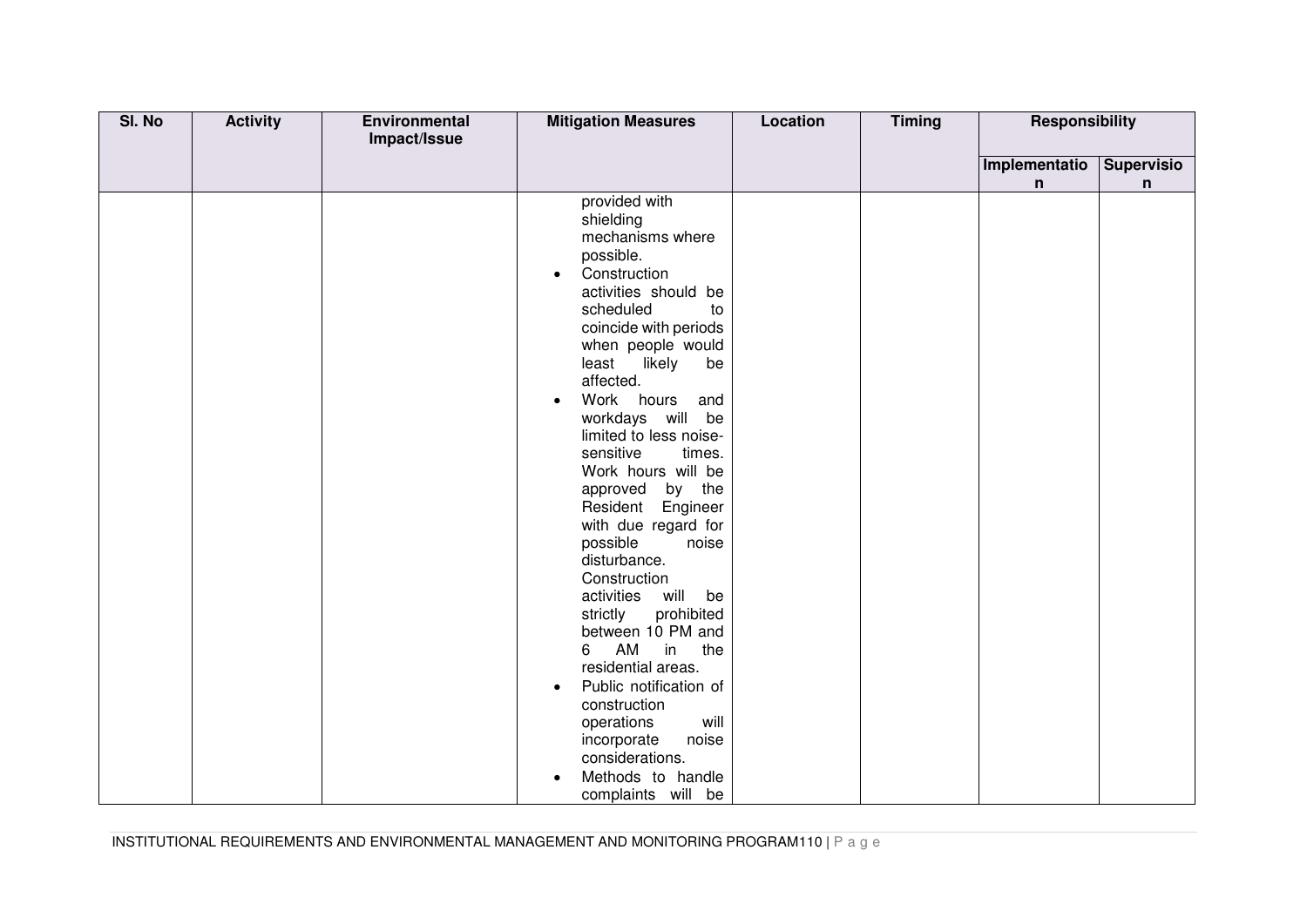| SI. No | <b>Activity</b> | Environmental | <b>Mitigation Measures</b>                 | <b>Location</b> | <b>Timing</b> | <b>Responsibility</b> |                   |
|--------|-----------------|---------------|--------------------------------------------|-----------------|---------------|-----------------------|-------------------|
|        |                 | Impact/Issue  |                                            |                 |               |                       |                   |
|        |                 |               |                                            |                 |               | Implementatio         | <b>Supervisio</b> |
|        |                 |               |                                            |                 |               | n                     | $\mathsf{n}$      |
|        |                 |               | provided with                              |                 |               |                       |                   |
|        |                 |               | shielding                                  |                 |               |                       |                   |
|        |                 |               | mechanisms where                           |                 |               |                       |                   |
|        |                 |               | possible.                                  |                 |               |                       |                   |
|        |                 |               | Construction<br>$\bullet$                  |                 |               |                       |                   |
|        |                 |               | activities should be                       |                 |               |                       |                   |
|        |                 |               | scheduled<br>to                            |                 |               |                       |                   |
|        |                 |               | coincide with periods                      |                 |               |                       |                   |
|        |                 |               | when people would                          |                 |               |                       |                   |
|        |                 |               | likely<br>least<br>be<br>affected.         |                 |               |                       |                   |
|        |                 |               | Work hours                                 |                 |               |                       |                   |
|        |                 |               | and<br>$\bullet$                           |                 |               |                       |                   |
|        |                 |               | workdays will be<br>limited to less noise- |                 |               |                       |                   |
|        |                 |               | sensitive<br>times.                        |                 |               |                       |                   |
|        |                 |               | Work hours will be                         |                 |               |                       |                   |
|        |                 |               | approved by the                            |                 |               |                       |                   |
|        |                 |               | Resident Engineer                          |                 |               |                       |                   |
|        |                 |               | with due regard for                        |                 |               |                       |                   |
|        |                 |               | possible<br>noise                          |                 |               |                       |                   |
|        |                 |               | disturbance.                               |                 |               |                       |                   |
|        |                 |               | Construction                               |                 |               |                       |                   |
|        |                 |               | activities<br>will<br>be                   |                 |               |                       |                   |
|        |                 |               | prohibited<br>strictly                     |                 |               |                       |                   |
|        |                 |               | between 10 PM and                          |                 |               |                       |                   |
|        |                 |               | AM<br>6<br>in<br>the                       |                 |               |                       |                   |
|        |                 |               | residential areas.                         |                 |               |                       |                   |
|        |                 |               | Public notification of<br>$\bullet$        |                 |               |                       |                   |
|        |                 |               | construction                               |                 |               |                       |                   |
|        |                 |               | operations<br>will                         |                 |               |                       |                   |
|        |                 |               | incorporate<br>noise                       |                 |               |                       |                   |
|        |                 |               | considerations.                            |                 |               |                       |                   |
|        |                 |               | Methods to handle<br>$\bullet$             |                 |               |                       |                   |
|        |                 |               | complaints will be                         |                 |               |                       |                   |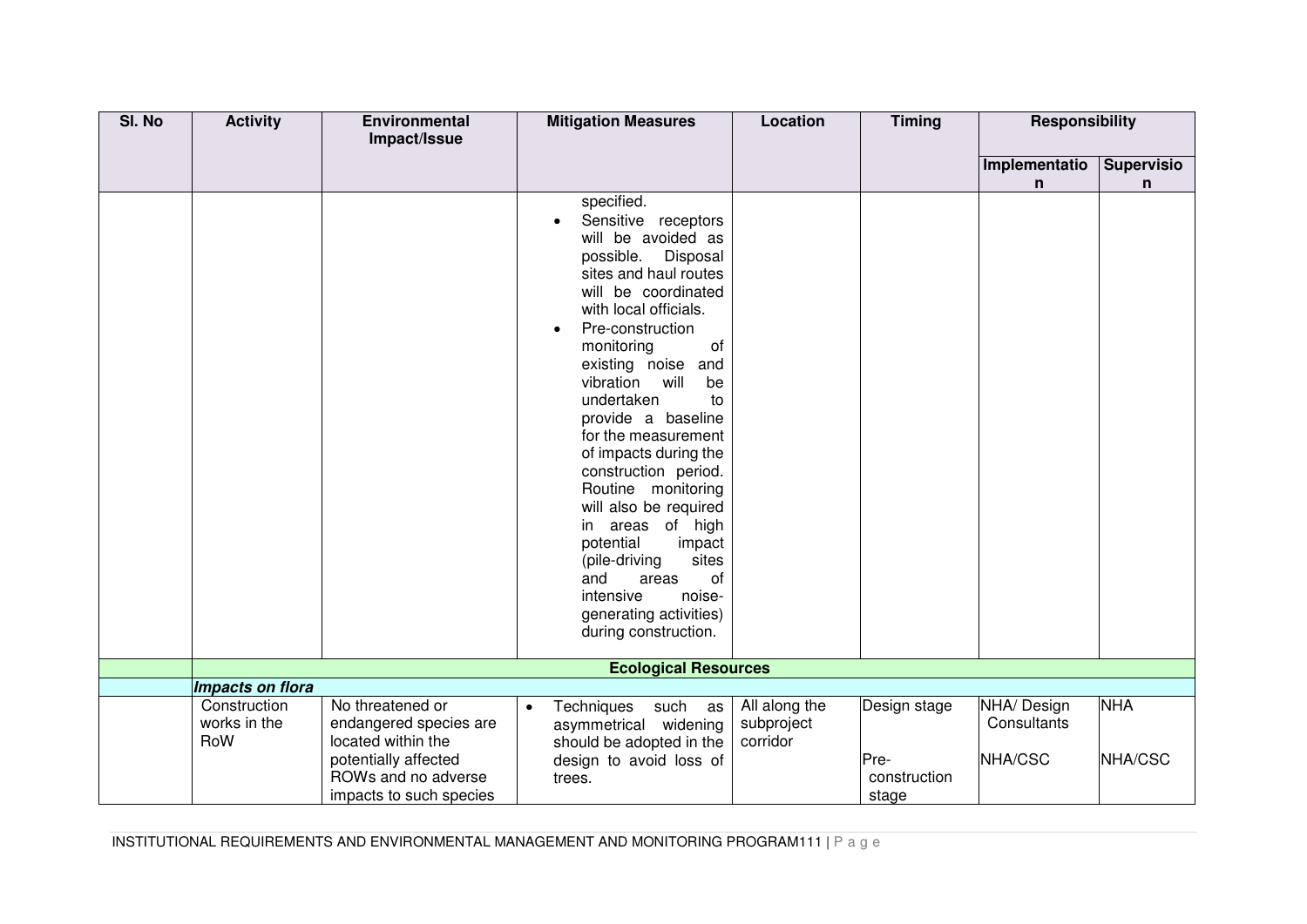| SI. No | <b>Activity</b>     | <b>Environmental</b>                         | <b>Mitigation Measures</b>                          | Location               | <b>Timing</b> | <b>Responsibility</b> |            |
|--------|---------------------|----------------------------------------------|-----------------------------------------------------|------------------------|---------------|-----------------------|------------|
|        |                     | Impact/Issue                                 |                                                     |                        |               |                       |            |
|        |                     |                                              |                                                     |                        |               | Implementatio         | Supervisio |
|        |                     |                                              | specified.                                          |                        |               | n                     | n          |
|        |                     |                                              | Sensitive receptors                                 |                        |               |                       |            |
|        |                     |                                              | will be avoided as                                  |                        |               |                       |            |
|        |                     |                                              | possible. Disposal                                  |                        |               |                       |            |
|        |                     |                                              | sites and haul routes                               |                        |               |                       |            |
|        |                     |                                              | will be coordinated                                 |                        |               |                       |            |
|        |                     |                                              | with local officials.                               |                        |               |                       |            |
|        |                     |                                              | Pre-construction<br>$\bullet$<br>monitoring<br>of   |                        |               |                       |            |
|        |                     |                                              | existing noise and                                  |                        |               |                       |            |
|        |                     |                                              | will<br>vibration<br>be                             |                        |               |                       |            |
|        |                     |                                              | undertaken<br>to                                    |                        |               |                       |            |
|        |                     |                                              | provide a baseline                                  |                        |               |                       |            |
|        |                     |                                              | for the measurement                                 |                        |               |                       |            |
|        |                     |                                              | of impacts during the                               |                        |               |                       |            |
|        |                     |                                              | construction period.<br>Routine monitoring          |                        |               |                       |            |
|        |                     |                                              | will also be required                               |                        |               |                       |            |
|        |                     |                                              | areas of high<br>in                                 |                        |               |                       |            |
|        |                     |                                              | potential<br>impact                                 |                        |               |                       |            |
|        |                     |                                              | sites<br>(pile-driving                              |                        |               |                       |            |
|        |                     |                                              | and<br>areas<br>of                                  |                        |               |                       |            |
|        |                     |                                              | intensive<br>noise-                                 |                        |               |                       |            |
|        |                     |                                              | generating activities)<br>during construction.      |                        |               |                       |            |
|        |                     |                                              |                                                     |                        |               |                       |            |
|        |                     |                                              | <b>Ecological Resources</b>                         |                        |               |                       |            |
|        | Impacts on flora    |                                              |                                                     |                        |               |                       |            |
|        | Construction        | No threatened or                             | Techniques<br>such as<br>$\bullet$                  | All along the          | Design stage  | NHA/ Design           | <b>NHA</b> |
|        | works in the<br>RoW | endangered species are<br>located within the | asymmetrical widening                               | subproject<br>corridor |               | Consultants           |            |
|        |                     | potentially affected                         | should be adopted in the<br>design to avoid loss of |                        | Pre-          | NHA/CSC               | NHA/CSC    |
|        |                     | ROWs and no adverse                          | trees.                                              |                        | construction  |                       |            |
|        |                     | impacts to such species                      |                                                     |                        | stage         |                       |            |

INSTITUTIONAL REQUIREMENTS AND ENVIRONMENTAL MANAGEMENT AND MONITORING PROGRAM111 | P a g e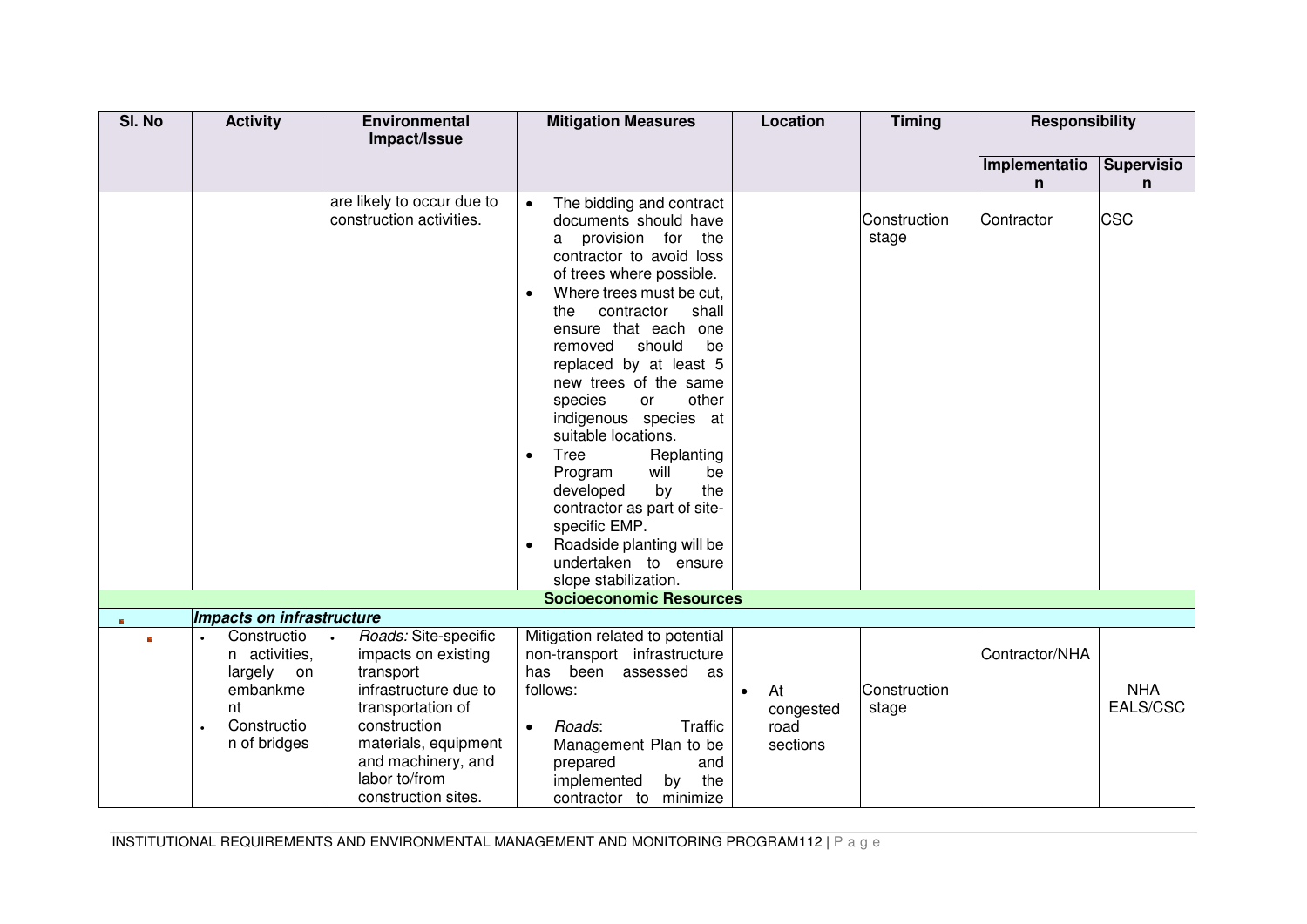| SI. No       | <b>Activity</b>                                                                                | <b>Environmental</b>                                                                                                                                                                                                      | <b>Mitigation Measures</b>                                                                                                                                                                                                                                                                                                                                                                                                                                                                                                                                                                 | Location                            | <b>Timing</b>         | <b>Responsibility</b> |                        |
|--------------|------------------------------------------------------------------------------------------------|---------------------------------------------------------------------------------------------------------------------------------------------------------------------------------------------------------------------------|--------------------------------------------------------------------------------------------------------------------------------------------------------------------------------------------------------------------------------------------------------------------------------------------------------------------------------------------------------------------------------------------------------------------------------------------------------------------------------------------------------------------------------------------------------------------------------------------|-------------------------------------|-----------------------|-----------------------|------------------------|
|              |                                                                                                | Impact/Issue                                                                                                                                                                                                              |                                                                                                                                                                                                                                                                                                                                                                                                                                                                                                                                                                                            |                                     |                       |                       |                        |
|              |                                                                                                |                                                                                                                                                                                                                           |                                                                                                                                                                                                                                                                                                                                                                                                                                                                                                                                                                                            |                                     |                       | Implementatio         | <b>Supervisio</b>      |
|              |                                                                                                |                                                                                                                                                                                                                           |                                                                                                                                                                                                                                                                                                                                                                                                                                                                                                                                                                                            |                                     |                       | n                     | n                      |
|              |                                                                                                | are likely to occur due to<br>construction activities.                                                                                                                                                                    | The bidding and contract<br>$\bullet$<br>documents should have<br>provision for<br>the<br>a<br>contractor to avoid loss<br>of trees where possible.<br>Where trees must be cut.<br>$\bullet$<br>contractor<br>shall<br>the<br>ensure that each one<br>should<br>be<br>removed<br>replaced by at least 5<br>new trees of the same<br>other<br>species<br>or<br>indigenous species at<br>suitable locations.<br>Tree<br>Replanting<br>$\bullet$<br>will<br>Program<br>be<br>the<br>developed<br>by<br>contractor as part of site-<br>specific EMP.<br>Roadside planting will be<br>$\bullet$ |                                     | Construction<br>stage | Contractor            | <b>CSC</b>             |
|              |                                                                                                |                                                                                                                                                                                                                           | undertaken to ensure<br>slope stabilization.                                                                                                                                                                                                                                                                                                                                                                                                                                                                                                                                               |                                     |                       |                       |                        |
|              |                                                                                                |                                                                                                                                                                                                                           | <b>Socioeconomic Resources</b>                                                                                                                                                                                                                                                                                                                                                                                                                                                                                                                                                             |                                     |                       |                       |                        |
| $\mathbf{m}$ | Impacts on infrastructure                                                                      |                                                                                                                                                                                                                           |                                                                                                                                                                                                                                                                                                                                                                                                                                                                                                                                                                                            |                                     |                       |                       |                        |
| $\mathbf{R}$ | Constructio<br>n activities,<br>largely<br>on<br>embankme<br>nt<br>Constructio<br>n of bridges | Roads: Site-specific<br>$\bullet$<br>impacts on existing<br>transport<br>infrastructure due to<br>transportation of<br>construction<br>materials, equipment<br>and machinery, and<br>labor to/from<br>construction sites. | Mitigation related to potential<br>non-transport infrastructure<br>been<br>has<br>assessed<br>as<br>follows:<br>Roads:<br>Traffic<br>$\bullet$<br>Management Plan to be<br>prepared<br>and<br>the<br>implemented<br>by<br>contractor to<br>minimize                                                                                                                                                                                                                                                                                                                                        | At<br>congested<br>road<br>sections | Construction<br>stage | Contractor/NHA        | <b>NHA</b><br>EALS/CSC |

INSTITUTIONAL REQUIREMENTS AND ENVIRONMENTAL MANAGEMENT AND MONITORING PROGRAM112 | P a g e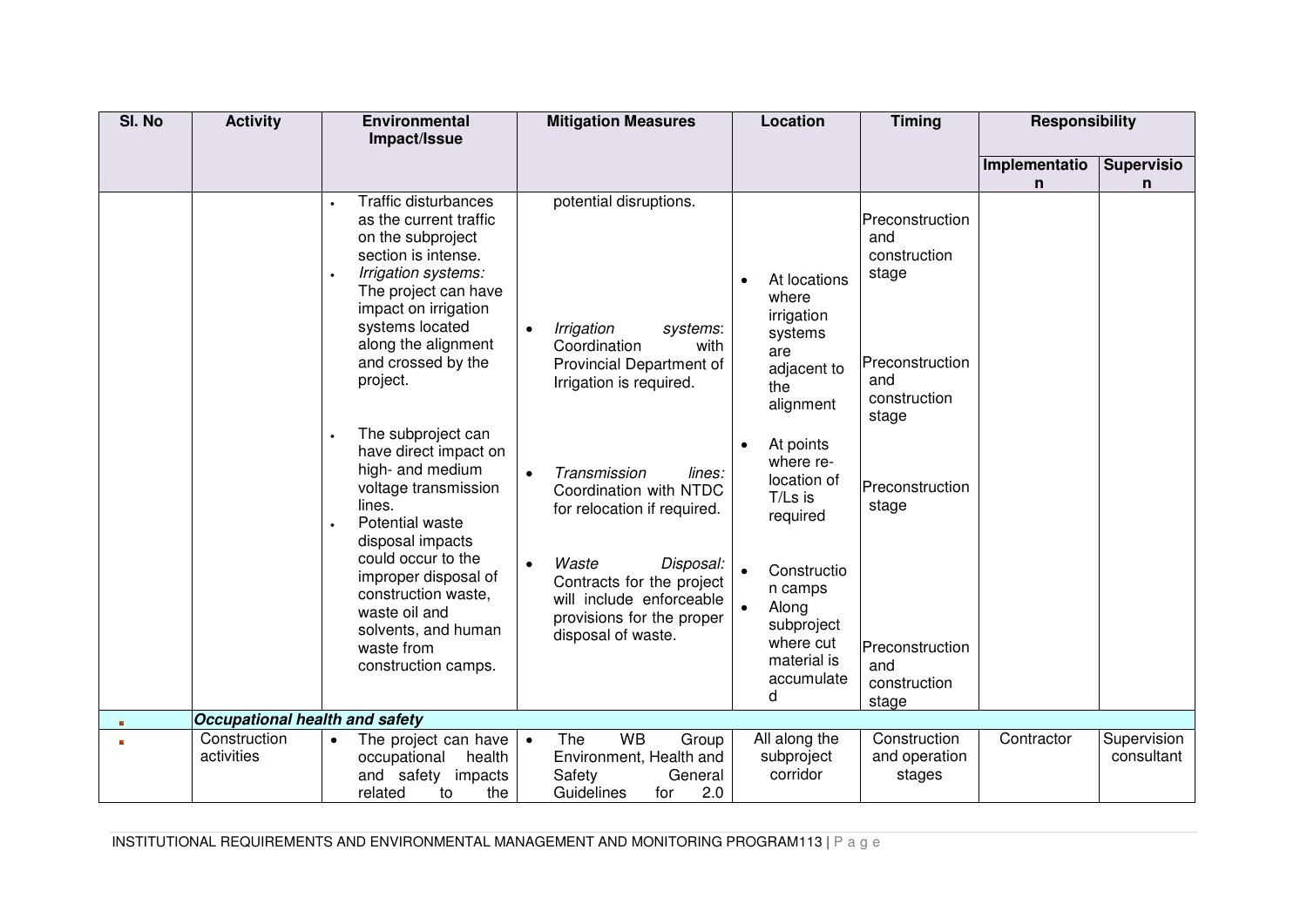| SI. No | <b>Activity</b>                       | <b>Environmental</b><br>Impact/Issue                                                                                                                                                                                                                                                       | <b>Mitigation Measures</b>                                                                                                                                                                                                     | Location                                                                                                                                               | <b>Timing</b>                                                                                      | <b>Responsibility</b> |                           |
|--------|---------------------------------------|--------------------------------------------------------------------------------------------------------------------------------------------------------------------------------------------------------------------------------------------------------------------------------------------|--------------------------------------------------------------------------------------------------------------------------------------------------------------------------------------------------------------------------------|--------------------------------------------------------------------------------------------------------------------------------------------------------|----------------------------------------------------------------------------------------------------|-----------------------|---------------------------|
|        |                                       |                                                                                                                                                                                                                                                                                            |                                                                                                                                                                                                                                |                                                                                                                                                        |                                                                                                    |                       |                           |
|        |                                       |                                                                                                                                                                                                                                                                                            |                                                                                                                                                                                                                                |                                                                                                                                                        |                                                                                                    | Implementatio<br>n    | <b>Supervisio</b><br>n    |
|        |                                       | <b>Traffic disturbances</b><br>as the current traffic<br>on the subproject<br>section is intense.<br>Irrigation systems:<br>The project can have<br>impact on irrigation<br>systems located<br>along the alignment<br>and crossed by the<br>project.                                       | potential disruptions.<br>Irrigation<br>systems:<br>$\bullet$<br>Coordination<br>with<br>Provincial Department of<br>Irrigation is required.                                                                                   | At locations<br>where<br>irrigation<br>systems<br>are<br>adjacent to<br>the<br>alignment                                                               | Preconstruction<br>and<br>construction<br>stage<br>Preconstruction<br>and<br>construction<br>stage |                       |                           |
|        |                                       | The subproject can<br>have direct impact on<br>high- and medium<br>voltage transmission<br>lines.<br>Potential waste<br>disposal impacts<br>could occur to the<br>improper disposal of<br>construction waste,<br>waste oil and<br>solvents, and human<br>waste from<br>construction camps. | Transmission<br>lines:<br>Coordination with NTDC<br>for relocation if required.<br>Waste<br>$\bullet$<br>Disposal:<br>Contracts for the project<br>will include enforceable<br>provisions for the proper<br>disposal of waste. | At points<br>where re-<br>location of<br>T/Ls is<br>required<br>Constructio<br>n camps<br>Along<br>$\bullet$<br>subproject<br>where cut<br>material is | Preconstruction<br>stage<br>Preconstruction<br>and                                                 |                       |                           |
|        |                                       |                                                                                                                                                                                                                                                                                            |                                                                                                                                                                                                                                | accumulate<br>d                                                                                                                                        | construction<br>stage                                                                              |                       |                           |
|        | <b>Occupational health and safety</b> |                                                                                                                                                                                                                                                                                            |                                                                                                                                                                                                                                |                                                                                                                                                        |                                                                                                    |                       |                           |
|        | Construction<br>activities            | The project can have<br>$\bullet$<br>occupational<br>health<br>and safety<br>impacts<br>the<br>related<br>to                                                                                                                                                                               | <b>WB</b><br>The<br>Group<br>$\bullet$<br>Environment, Health and<br>Safety<br>General<br>2.0<br>Guidelines<br>for                                                                                                             | All along the<br>subproject<br>corridor                                                                                                                | Construction<br>and operation<br>stages                                                            | Contractor            | Supervision<br>consultant |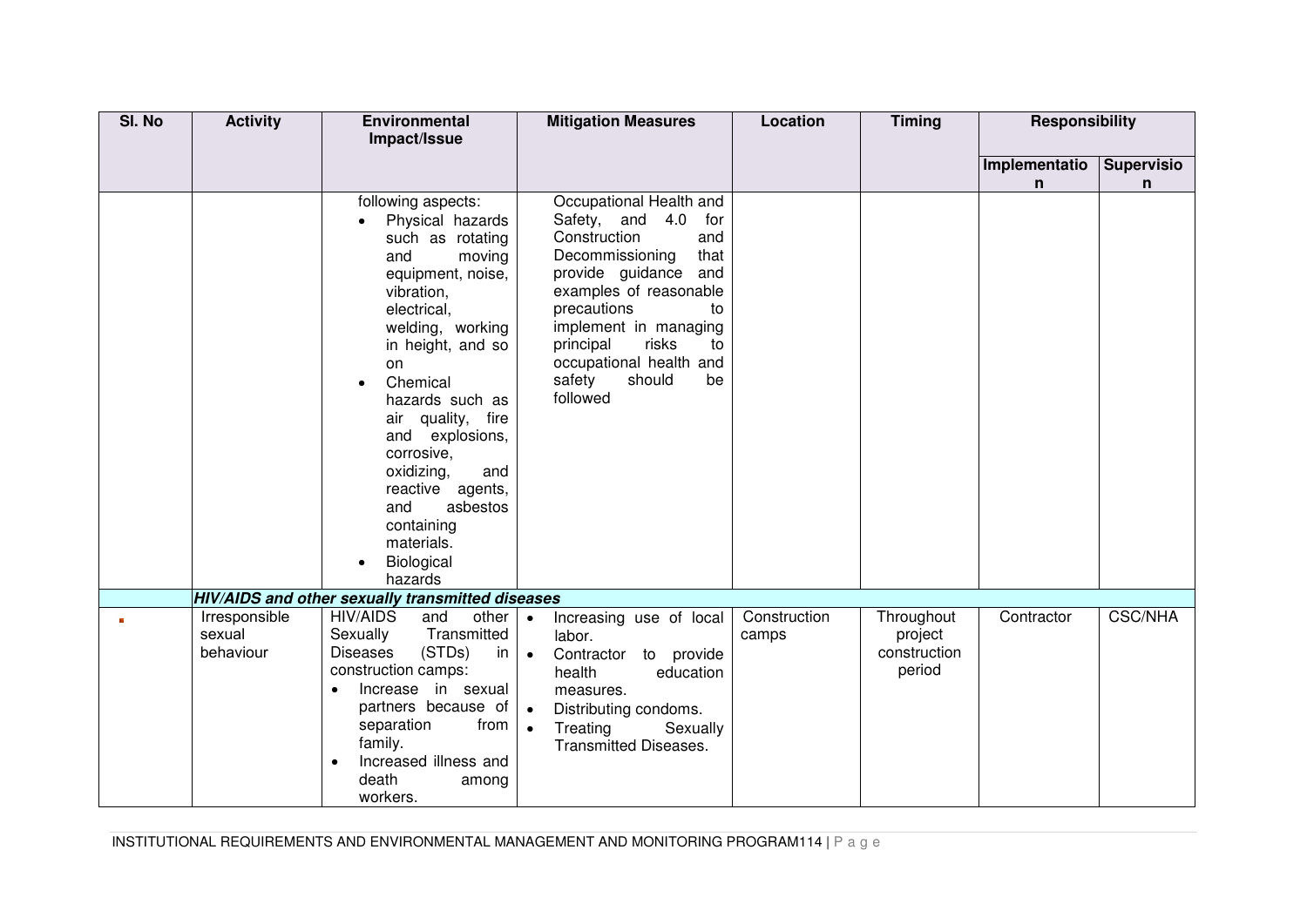| SI. No | <b>Activity</b> | <b>Environmental</b>                              | <b>Mitigation Measures</b>                    | Location     | <b>Timing</b> | <b>Responsibility</b> |                   |
|--------|-----------------|---------------------------------------------------|-----------------------------------------------|--------------|---------------|-----------------------|-------------------|
|        |                 | Impact/Issue                                      |                                               |              |               |                       |                   |
|        |                 |                                                   |                                               |              |               | Implementatio         | <b>Supervisio</b> |
|        |                 |                                                   |                                               |              |               | n                     | n                 |
|        |                 | following aspects:                                | Occupational Health and                       |              |               |                       |                   |
|        |                 | Physical hazards<br>$\bullet$<br>such as rotating | Safety, and 4.0<br>for<br>Construction<br>and |              |               |                       |                   |
|        |                 | and<br>moving                                     | Decommissioning<br>that                       |              |               |                       |                   |
|        |                 | equipment, noise,                                 | provide guidance and                          |              |               |                       |                   |
|        |                 | vibration,                                        | examples of reasonable                        |              |               |                       |                   |
|        |                 | electrical,                                       | precautions<br>to                             |              |               |                       |                   |
|        |                 | welding, working                                  | implement in managing                         |              |               |                       |                   |
|        |                 | in height, and so                                 | principal<br>risks<br>to                      |              |               |                       |                   |
|        |                 | on                                                | occupational health and                       |              |               |                       |                   |
|        |                 | Chemical                                          | safety<br>should<br>be<br>followed            |              |               |                       |                   |
|        |                 | hazards such as<br>air quality, fire              |                                               |              |               |                       |                   |
|        |                 | and explosions,                                   |                                               |              |               |                       |                   |
|        |                 | corrosive,                                        |                                               |              |               |                       |                   |
|        |                 | oxidizing,<br>and                                 |                                               |              |               |                       |                   |
|        |                 | reactive agents,                                  |                                               |              |               |                       |                   |
|        |                 | asbestos<br>and                                   |                                               |              |               |                       |                   |
|        |                 | containing                                        |                                               |              |               |                       |                   |
|        |                 | materials.                                        |                                               |              |               |                       |                   |
|        |                 | Biological<br>hazards                             |                                               |              |               |                       |                   |
|        |                 | HIV/AIDS and other sexually transmitted diseases  |                                               |              |               |                       |                   |
|        | Irresponsible   | <b>HIV/AIDS</b><br>other<br>and                   | Increasing use of local<br>$\bullet$          | Construction | Throughout    | Contractor            | <b>CSC/NHA</b>    |
|        | sexual          | Transmitted<br>Sexually                           | labor.                                        | camps        | project       |                       |                   |
|        | behaviour       | (STDs)<br><b>Diseases</b><br>in                   | Contractor to provide<br>$\bullet$            |              | construction  |                       |                   |
|        |                 | construction camps:                               | health<br>education                           |              | period        |                       |                   |
|        |                 | Increase in sexual                                | measures.                                     |              |               |                       |                   |
|        |                 | partners because of                               | $\bullet$<br>Distributing condoms.            |              |               |                       |                   |
|        |                 | separation<br>from                                | Treating<br>Sexually<br>$\bullet$             |              |               |                       |                   |
|        |                 | family.<br>Increased illness and                  | <b>Transmitted Diseases.</b>                  |              |               |                       |                   |
|        |                 | death<br>among                                    |                                               |              |               |                       |                   |
|        |                 | workers.                                          |                                               |              |               |                       |                   |

INSTITUTIONAL REQUIREMENTS AND ENVIRONMENTAL MANAGEMENT AND MONITORING PROGRAM114 | P a g e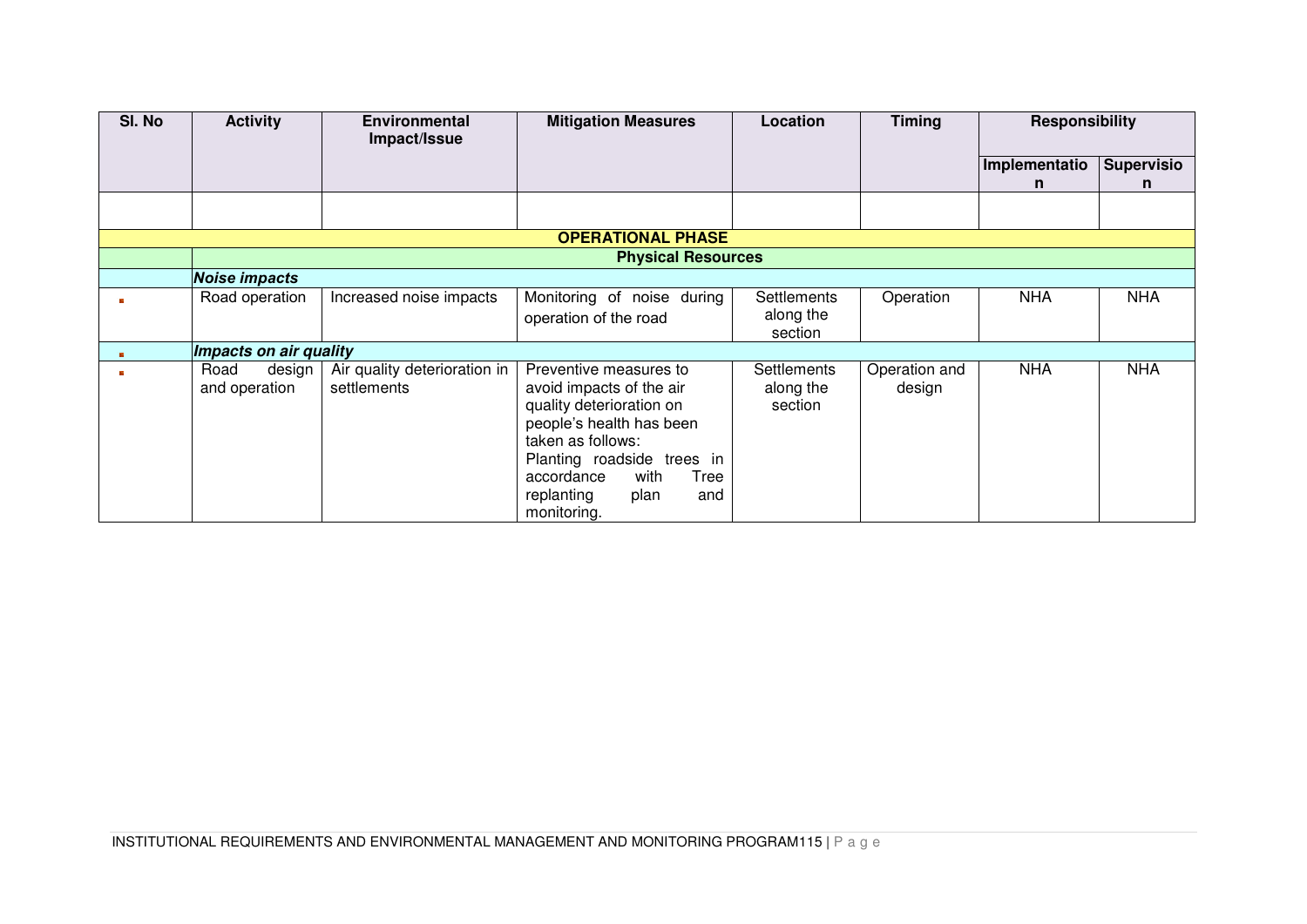| SI. No | <b>Activity</b>                 | <b>Environmental</b><br>Impact/Issue        | <b>Mitigation Measures</b>                                                                                                                                                                                                              | Location                                   | <b>Timing</b>           | <b>Responsibility</b> |                   |
|--------|---------------------------------|---------------------------------------------|-----------------------------------------------------------------------------------------------------------------------------------------------------------------------------------------------------------------------------------------|--------------------------------------------|-------------------------|-----------------------|-------------------|
|        |                                 |                                             |                                                                                                                                                                                                                                         |                                            |                         | Implementatio         | <b>Supervisio</b> |
|        |                                 |                                             |                                                                                                                                                                                                                                         |                                            |                         | n.                    | n                 |
|        |                                 |                                             |                                                                                                                                                                                                                                         |                                            |                         |                       |                   |
|        |                                 |                                             | <b>OPERATIONAL PHASE</b>                                                                                                                                                                                                                |                                            |                         |                       |                   |
|        |                                 |                                             | <b>Physical Resources</b>                                                                                                                                                                                                               |                                            |                         |                       |                   |
|        | <b>Noise impacts</b>            |                                             |                                                                                                                                                                                                                                         |                                            |                         |                       |                   |
|        | Road operation                  | Increased noise impacts                     | Monitoring of noise during<br>operation of the road                                                                                                                                                                                     | Settlements<br>along the<br>section        | Operation               | <b>NHA</b>            | <b>NHA</b>        |
|        | Impacts on air quality          |                                             |                                                                                                                                                                                                                                         |                                            |                         |                       |                   |
|        | Road<br>design<br>and operation | Air quality deterioration in<br>settlements | Preventive measures to<br>avoid impacts of the air<br>quality deterioration on<br>people's health has been<br>taken as follows:<br>Planting roadside trees in<br>with<br>accordance<br>Tree<br>replanting<br>plan<br>and<br>monitoring. | <b>Settlements</b><br>along the<br>section | Operation and<br>design | <b>NHA</b>            | <b>NHA</b>        |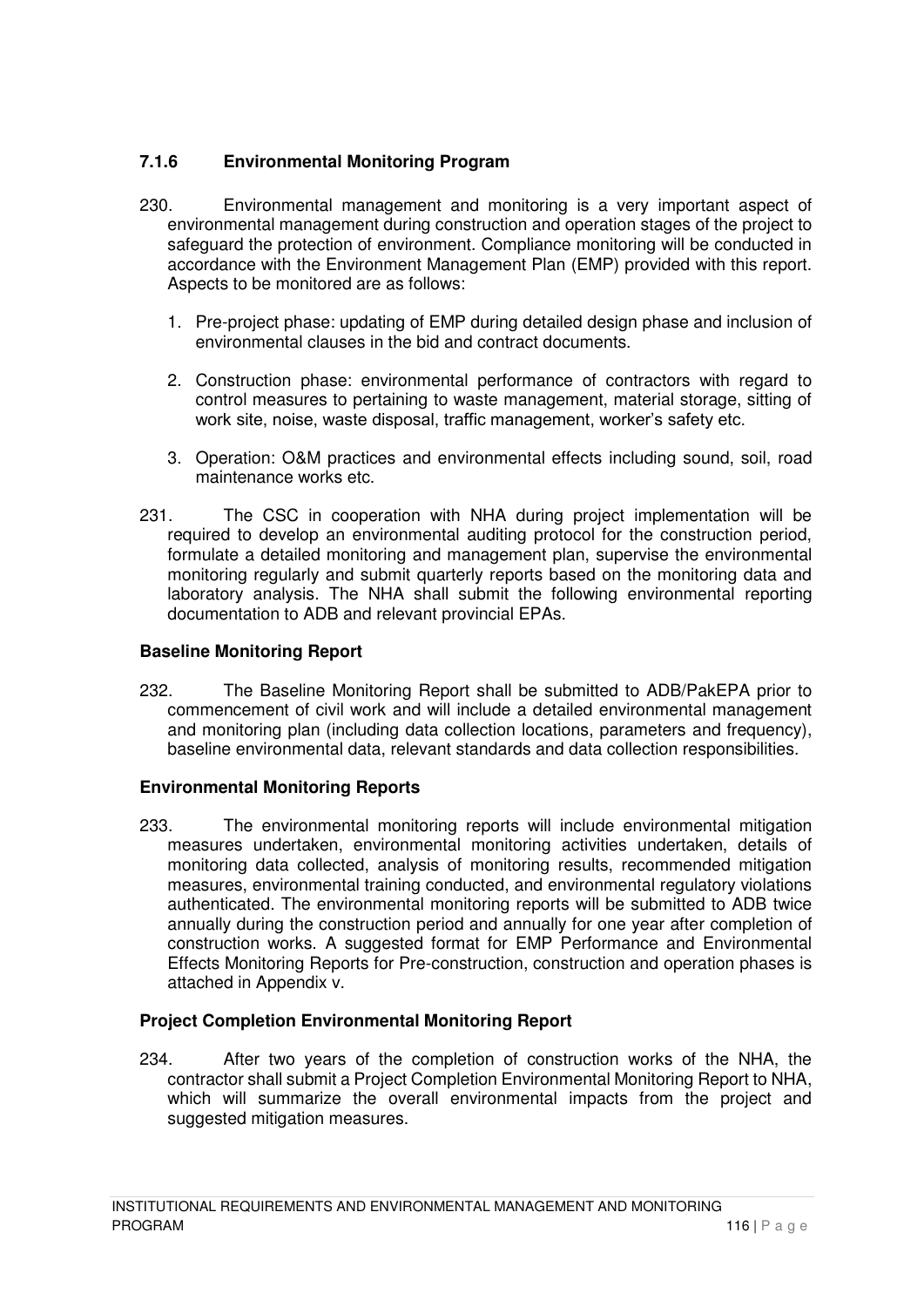# **7.1.6 Environmental Monitoring Program**

- 230. Environmental management and monitoring is a very important aspect of environmental management during construction and operation stages of the project to safeguard the protection of environment. Compliance monitoring will be conducted in accordance with the Environment Management Plan (EMP) provided with this report. Aspects to be monitored are as follows:
	- 1. Pre-project phase: updating of EMP during detailed design phase and inclusion of environmental clauses in the bid and contract documents.
	- 2. Construction phase: environmental performance of contractors with regard to control measures to pertaining to waste management, material storage, sitting of work site, noise, waste disposal, traffic management, worker's safety etc.
	- 3. Operation: O&M practices and environmental effects including sound, soil, road maintenance works etc.
- 231. The CSC in cooperation with NHA during project implementation will be required to develop an environmental auditing protocol for the construction period, formulate a detailed monitoring and management plan, supervise the environmental monitoring regularly and submit quarterly reports based on the monitoring data and laboratory analysis. The NHA shall submit the following environmental reporting documentation to ADB and relevant provincial EPAs.

## **Baseline Monitoring Report**

232. The Baseline Monitoring Report shall be submitted to ADB/PakEPA prior to commencement of civil work and will include a detailed environmental management and monitoring plan (including data collection locations, parameters and frequency), baseline environmental data, relevant standards and data collection responsibilities.

## **Environmental Monitoring Reports**

233. The environmental monitoring reports will include environmental mitigation measures undertaken, environmental monitoring activities undertaken, details of monitoring data collected, analysis of monitoring results, recommended mitigation measures, environmental training conducted, and environmental regulatory violations authenticated. The environmental monitoring reports will be submitted to ADB twice annually during the construction period and annually for one year after completion of construction works. A suggested format for EMP Performance and Environmental Effects Monitoring Reports for Pre-construction, construction and operation phases is attached in Appendix v.

#### **Project Completion Environmental Monitoring Report**

234. After two years of the completion of construction works of the NHA, the contractor shall submit a Project Completion Environmental Monitoring Report to NHA, which will summarize the overall environmental impacts from the project and suggested mitigation measures.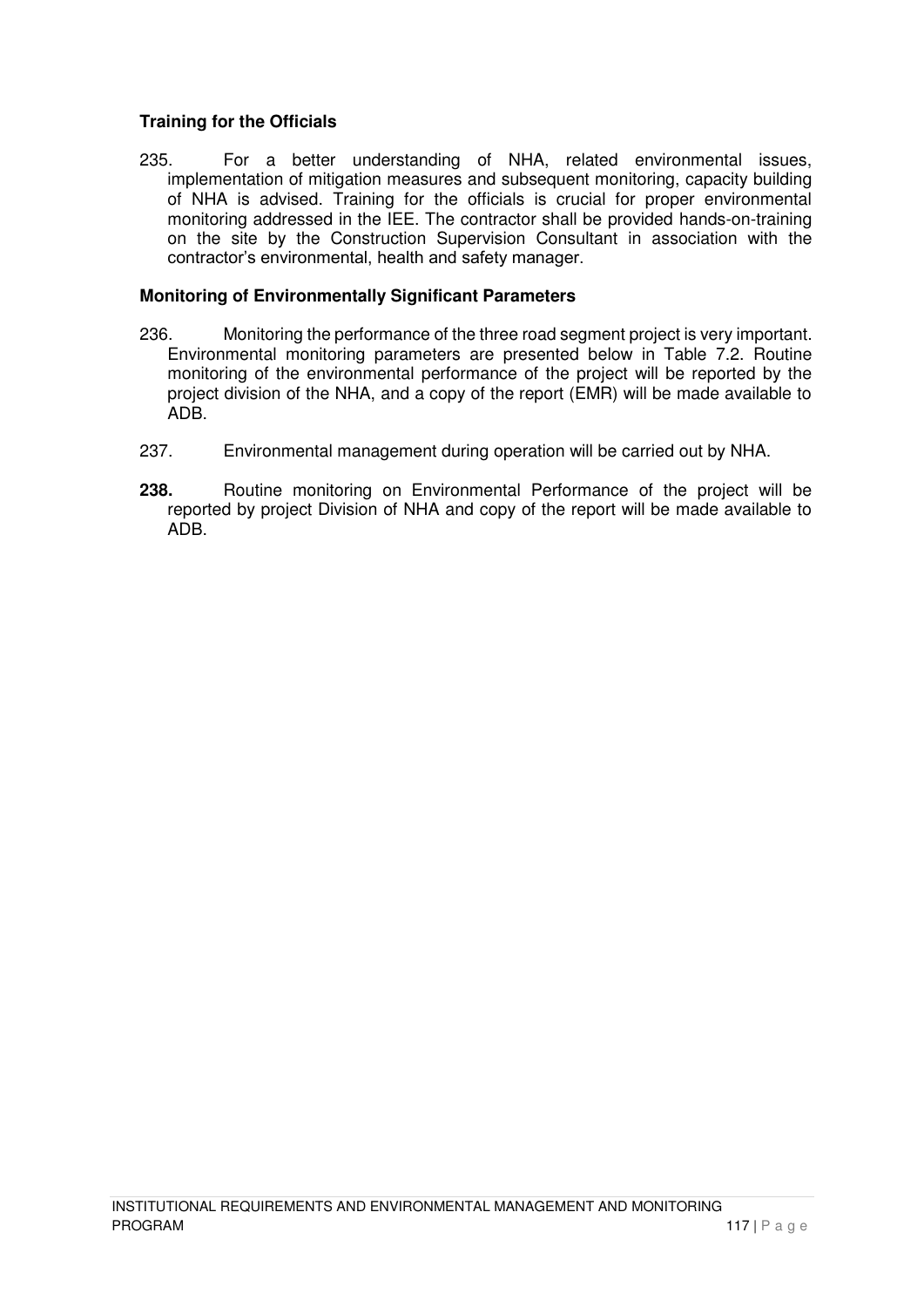## **Training for the Officials**

235. For a better understanding of NHA, related environmental issues, implementation of mitigation measures and subsequent monitoring, capacity building of NHA is advised. Training for the officials is crucial for proper environmental monitoring addressed in the IEE. The contractor shall be provided hands-on-training on the site by the Construction Supervision Consultant in association with the contractor's environmental, health and safety manager.

#### **Monitoring of Environmentally Significant Parameters**

- 236. Monitoring the performance of the three road segment project is very important. Environmental monitoring parameters are presented below in Table 7.2. Routine monitoring of the environmental performance of the project will be reported by the project division of the NHA, and a copy of the report (EMR) will be made available to ADB.
- 237. Environmental management during operation will be carried out by NHA.
- **238.** Routine monitoring on Environmental Performance of the project will be reported by project Division of NHA and copy of the report will be made available to ADB.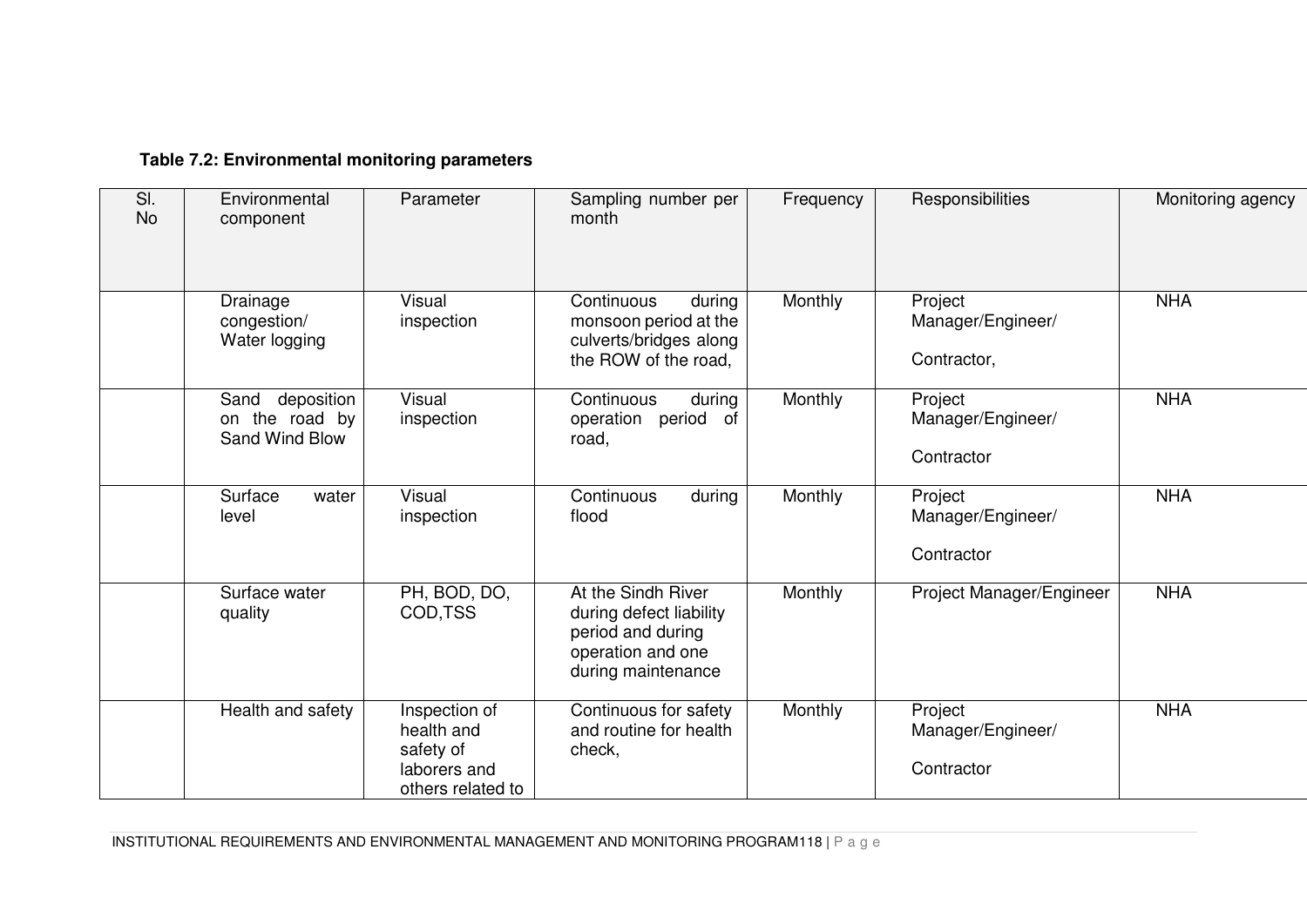# **Table 7.2: Environmental monitoring parameters**

| SI.<br><b>No</b> | Environmental<br>component                             | Parameter                                                                     | Sampling number per<br>month                                                                                  | Frequency | Responsibilities                            | Monitoring agency |
|------------------|--------------------------------------------------------|-------------------------------------------------------------------------------|---------------------------------------------------------------------------------------------------------------|-----------|---------------------------------------------|-------------------|
|                  | Drainage<br>congestion/<br>Water logging               | Visual<br>inspection                                                          | Continuous<br>during<br>monsoon period at the<br>culverts/bridges along<br>the ROW of the road,               | Monthly   | Project<br>Manager/Engineer/<br>Contractor, | <b>NHA</b>        |
|                  | deposition<br>Sand<br>on the road by<br>Sand Wind Blow | Visual<br>inspection                                                          | during<br>Continuous<br>period<br>of<br>operation<br>road,                                                    | Monthly   | Project<br>Manager/Engineer/<br>Contractor  | <b>NHA</b>        |
|                  | Surface<br>water<br>level                              | Visual<br>inspection                                                          | Continuous<br>during<br>flood                                                                                 | Monthly   | Project<br>Manager/Engineer/<br>Contractor  | <b>NHA</b>        |
|                  | Surface water<br>quality                               | PH, BOD, DO,<br>COD, TSS                                                      | At the Sindh River<br>during defect liability<br>period and during<br>operation and one<br>during maintenance | Monthly   | Project Manager/Engineer                    | <b>NHA</b>        |
|                  | Health and safety                                      | Inspection of<br>health and<br>safety of<br>laborers and<br>others related to | Continuous for safety<br>and routine for health<br>check,                                                     | Monthly   | Project<br>Manager/Engineer/<br>Contractor  | <b>NHA</b>        |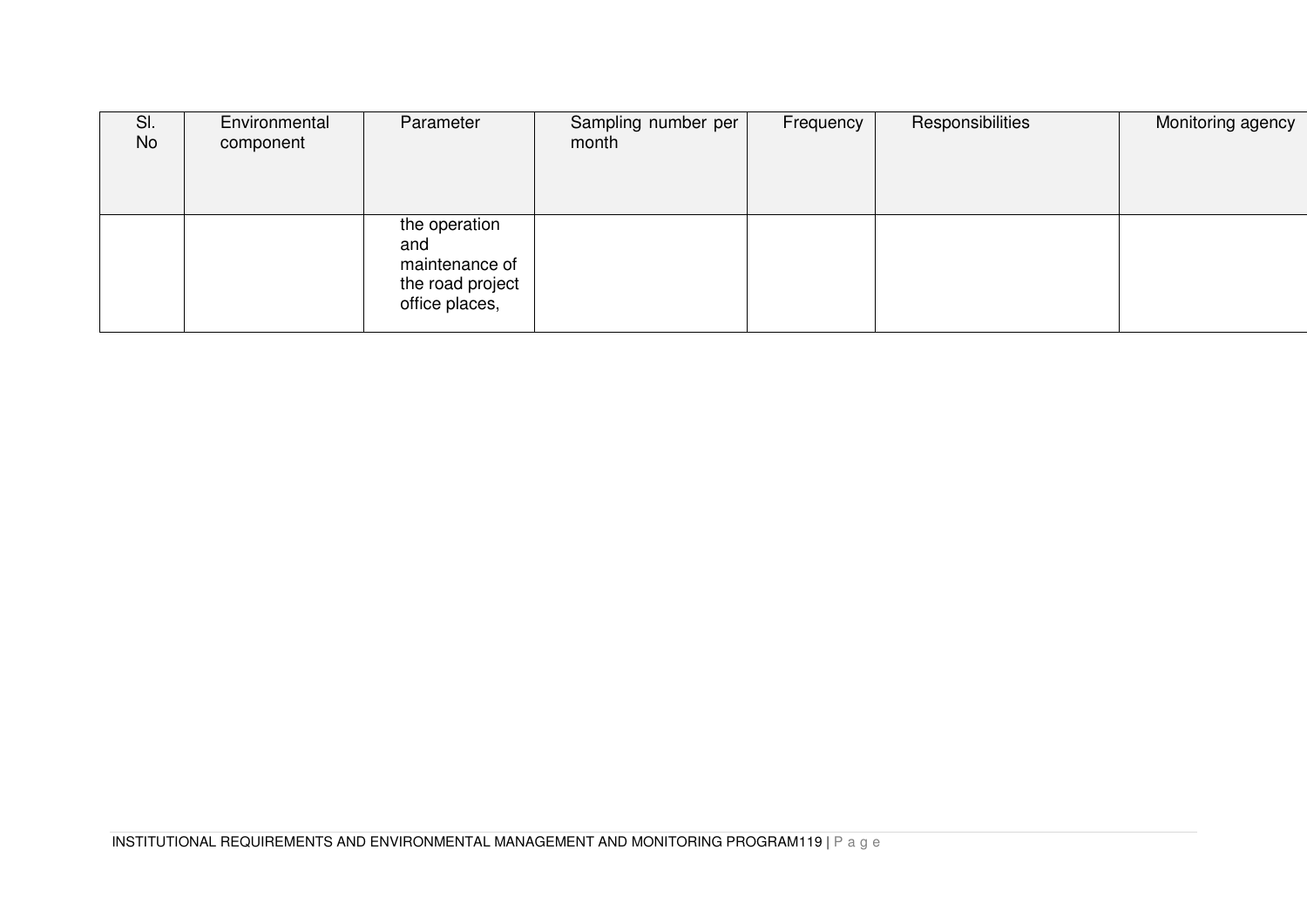| SI.<br><b>No</b> | Environmental<br>component | Parameter                                                                    | Sampling number per<br>month | Frequency | Responsibilities | Monitoring agency |
|------------------|----------------------------|------------------------------------------------------------------------------|------------------------------|-----------|------------------|-------------------|
|                  |                            | the operation<br>and<br>maintenance of<br>the road project<br>office places, |                              |           |                  |                   |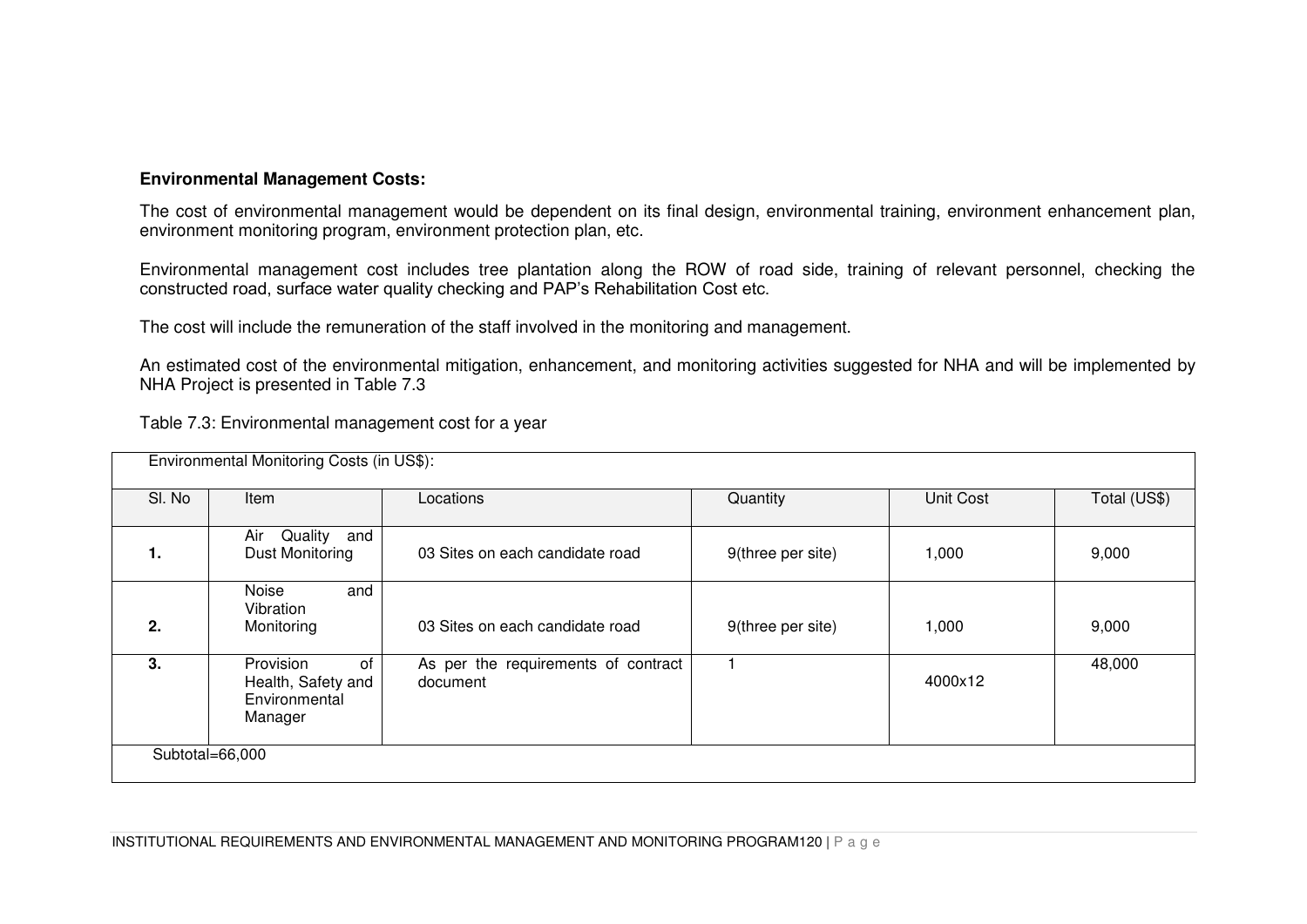## **Environmental Management Costs:**

The cost of environmental management would be dependent on its final design, environmental training, environment enhancement plan, environment monitoring program, environment protection plan, etc.

Environmental management cost includes tree plantation along the ROW of road side, training of relevant personnel, checking the constructed road, surface water quality checking and PAP's Rehabilitation Cost etc.

The cost will include the remuneration of the staff involved in the monitoring and management.

An estimated cost of the environmental mitigation, enhancement, and monitoring activities suggested for NHA and will be implemented by NHA Project is presented in Table 7.3

Table 7.3: Environmental management cost for a year

|                 | Environmental Monitoring Costs (in US\$):                         |                                                 |                   |           |              |
|-----------------|-------------------------------------------------------------------|-------------------------------------------------|-------------------|-----------|--------------|
| SI. No          | Item                                                              | Locations                                       | Quantity          | Unit Cost | Total (US\$) |
| 1.              | Air Quality and<br>Dust Monitoring                                | 03 Sites on each candidate road                 | 9(three per site) | 1,000     | 9,000        |
| 2.              | Noise<br>and<br>Vibration<br>Monitoring                           | 03 Sites on each candidate road                 | 9(three per site) | 1,000     | 9,000        |
| 3.              | Provision<br>of<br>Health, Safety and<br>Environmental<br>Manager | As per the requirements of contract<br>document |                   | 4000x12   | 48,000       |
| Subtotal=66,000 |                                                                   |                                                 |                   |           |              |